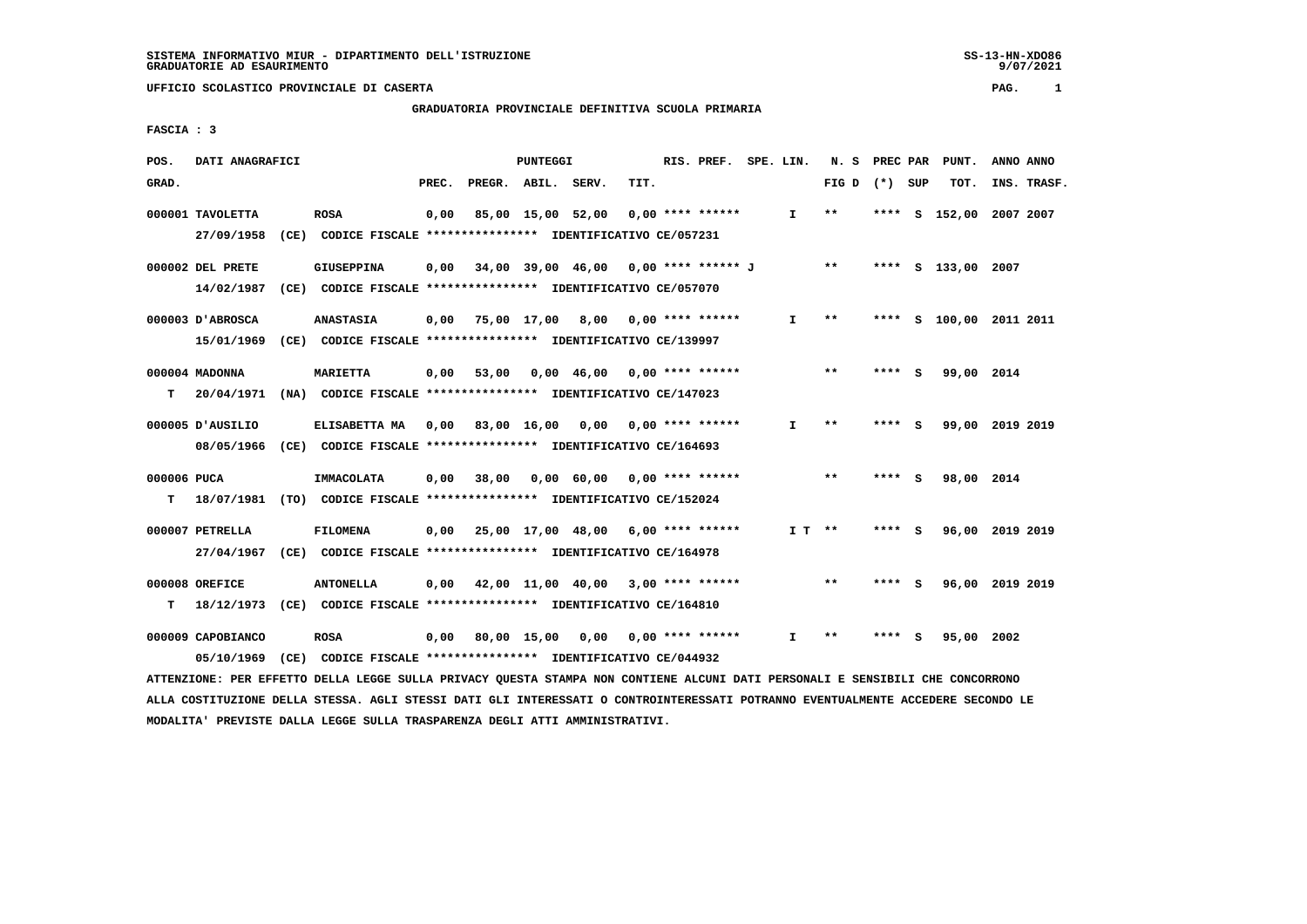# **GRADUATORIA PROVINCIALE DEFINITIVA SCUOLA PRIMARIA**

 **FASCIA : 3**

| POS.        | DATI ANAGRAFICI   |                                                                                                                               |       |                    | PUNTEGGI |                                                |      | RIS. PREF. SPE. LIN. |              |                 |        | N. S PREC PAR PUNT.     | ANNO ANNO |             |
|-------------|-------------------|-------------------------------------------------------------------------------------------------------------------------------|-------|--------------------|----------|------------------------------------------------|------|----------------------|--------------|-----------------|--------|-------------------------|-----------|-------------|
| GRAD.       |                   |                                                                                                                               | PREC. | PREGR. ABIL. SERV. |          |                                                | TIT. |                      |              | FIG D $(*)$ SUP |        | TOT.                    |           | INS. TRASF. |
|             | 000001 TAVOLETTA  | <b>ROSA</b>                                                                                                                   | 0,00  |                    |          | 85,00 15,00 52,00                              |      | 0,00 **** ******     | $\mathbf{I}$ | $* *$           |        | **** S 152,00 2007 2007 |           |             |
|             | 27/09/1958        | (CE) CODICE FISCALE **************** IDENTIFICATIVO CE/057231                                                                 |       |                    |          |                                                |      |                      |              |                 |        |                         |           |             |
|             | 000002 DEL PRETE  | <b>GIUSEPPINA</b>                                                                                                             |       |                    |          | $0,00$ 34,00 39,00 46,00 0,00 **** ****** J ** |      |                      |              |                 |        | **** S 133,00 2007      |           |             |
|             | 14/02/1987        | (CE) CODICE FISCALE **************** IDENTIFICATIVO CE/057070                                                                 |       |                    |          |                                                |      |                      |              |                 |        |                         |           |             |
|             | 000003 D'ABROSCA  | <b>ANASTASIA</b>                                                                                                              |       |                    |          | $0,00$ 75,00 17,00 8,00 0,00 **** ******       |      |                      | Ι.           | $* *$           |        | **** S 100,00 2011 2011 |           |             |
|             |                   | 15/01/1969 (CE) CODICE FISCALE *************** IDENTIFICATIVO CE/139997                                                       |       |                    |          |                                                |      |                      |              |                 |        |                         |           |             |
|             | 000004 MADONNA    | <b>MARIETTA</b>                                                                                                               | 0,00  |                    |          | 53,00 0,00 46,00 0,00 **** ******              |      |                      |              | $\star\star$    | **** S | 99,00 2014              |           |             |
|             | $T = 20/04/1971$  | (NA) CODICE FISCALE **************** IDENTIFICATIVO CE/147023                                                                 |       |                    |          |                                                |      |                      |              |                 |        |                         |           |             |
|             | 000005 D'AUSILIO  | ELISABETTA MA                                                                                                                 |       |                    |          | $0.00$ 83.00 16.00 0.00 0.00 **** ******       |      |                      | I.           | $***$           | **** S | 99,00 2019 2019         |           |             |
|             | 08/05/1966        | (CE) CODICE FISCALE **************** IDENTIFICATIVO CE/164693                                                                 |       |                    |          |                                                |      |                      |              |                 |        |                         |           |             |
| 000006 PUCA |                   | IMMACOLATA                                                                                                                    | 0,00  |                    |          | 38,00 0,00 60,00 0,00 **** ******              |      |                      |              | $\star\star$    | **** S | 98,00 2014              |           |             |
| T.          |                   | 18/07/1981 (TO) CODICE FISCALE **************** IDENTIFICATIVO CE/152024                                                      |       |                    |          |                                                |      |                      |              |                 |        |                         |           |             |
|             | 000007 PETRELLA   | FILOMENA                                                                                                                      |       |                    |          | $0,00$ 25,00 17,00 48,00 6,00 **** ******      |      |                      | $I T$ **     |                 | **** S | 96,00 2019 2019         |           |             |
|             | 27/04/1967        | (CE) CODICE FISCALE **************** IDENTIFICATIVO CE/164978                                                                 |       |                    |          |                                                |      |                      |              |                 |        |                         |           |             |
|             | 000008 OREFICE    | <b>ANTONELLA</b>                                                                                                              |       |                    |          | $0,00$ 42,00 11,00 40,00 3,00 **** ******      |      |                      |              | $***$           | **** S | 96,00 2019 2019         |           |             |
| т           |                   | 18/12/1973 (CE) CODICE FISCALE *************** IDENTIFICATIVO CE/164810                                                       |       |                    |          |                                                |      |                      |              |                 |        |                         |           |             |
|             | 000009 CAPOBIANCO | <b>ROSA</b>                                                                                                                   | 0,00  |                    |          | 80,00 15,00 0,00 0,00 **** ******              |      |                      | I.           | $***$           | **** S | 95,00 2002              |           |             |
|             | 05/10/1969        | (CE) CODICE FISCALE **************** IDENTIFICATIVO CE/044932                                                                 |       |                    |          |                                                |      |                      |              |                 |        |                         |           |             |
|             |                   | ATTENZIONE: PER EFFETTO DELLA LEGGE SULLA PRIVACY QUESTA STAMPA NON CONTIENE ALCUNI DATI PERSONALI E SENSIBILI CHE CONCORRONO |       |                    |          |                                                |      |                      |              |                 |        |                         |           |             |

 **ALLA COSTITUZIONE DELLA STESSA. AGLI STESSI DATI GLI INTERESSATI O CONTROINTERESSATI POTRANNO EVENTUALMENTE ACCEDERE SECONDO LE MODALITA' PREVISTE DALLA LEGGE SULLA TRASPARENZA DEGLI ATTI AMMINISTRATIVI.**

SS-13-HN-XDO86<br>9/07/2021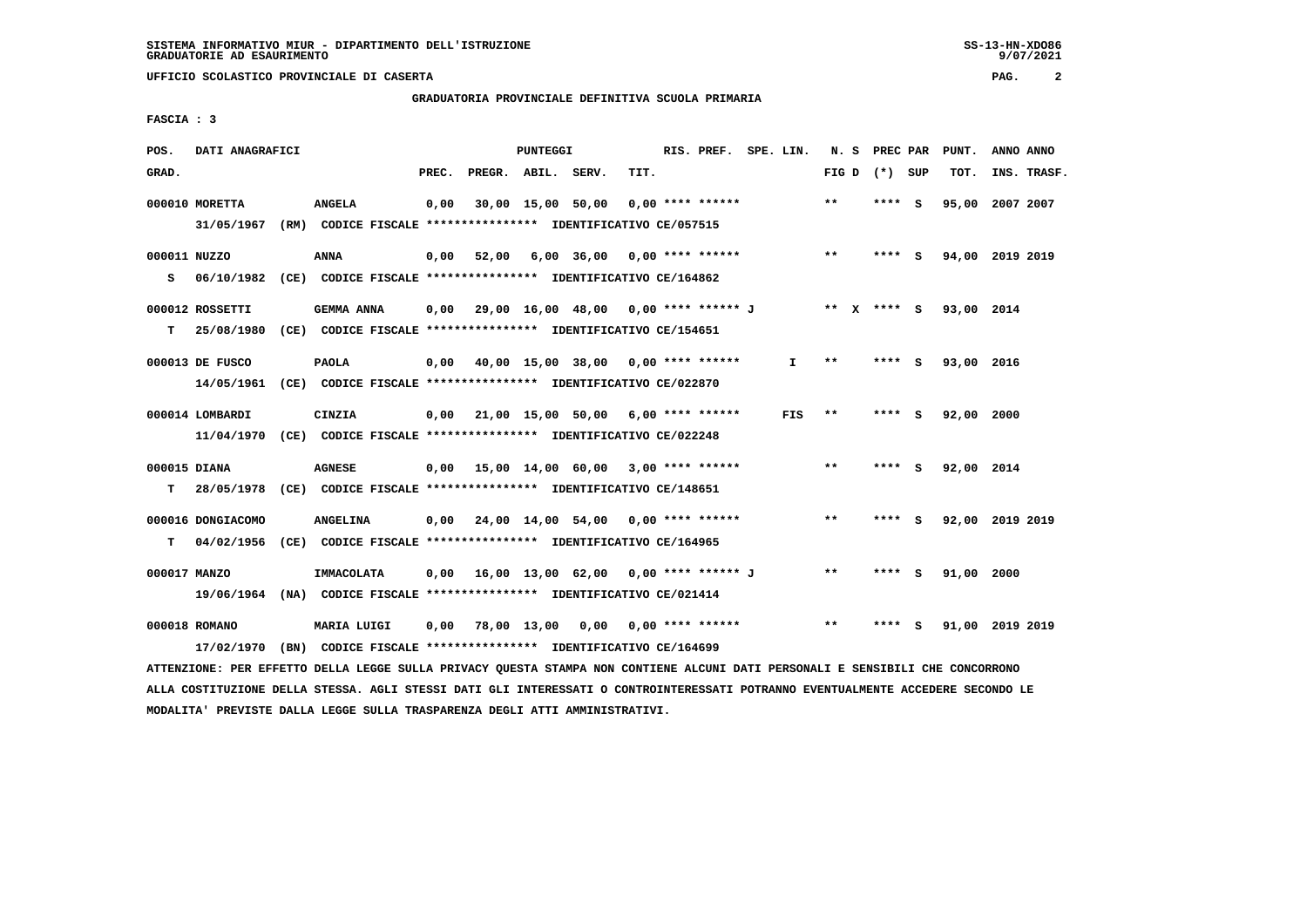# **GRADUATORIA PROVINCIALE DEFINITIVA SCUOLA PRIMARIA**

 **FASCIA : 3**

| POS.         | DATI ANAGRAFICI   |                                                                                                                               |       |                    | PUNTEGGI |                                                         |      | RIS. PREF. SPE. LIN. |     |       | N. S PREC PAR   | PUNT.                  | ANNO ANNO   |
|--------------|-------------------|-------------------------------------------------------------------------------------------------------------------------------|-------|--------------------|----------|---------------------------------------------------------|------|----------------------|-----|-------|-----------------|------------------------|-------------|
| GRAD.        |                   |                                                                                                                               | PREC. | PREGR. ABIL. SERV. |          |                                                         | TIT. |                      |     |       | FIG D $(*)$ SUP | TOT.                   | INS. TRASF. |
|              | 000010 MORETTA    | <b>ANGELA</b>                                                                                                                 | 0,00  |                    |          | $30,00$ 15,00 50,00 0,00 **** ******                    |      |                      |     | $***$ | **** S          | 95,00 2007 2007        |             |
|              |                   | 31/05/1967 (RM) CODICE FISCALE *************** IDENTIFICATIVO CE/057515                                                       |       |                    |          |                                                         |      |                      |     |       |                 |                        |             |
| 000011 NUZZO |                   | ANNA                                                                                                                          | 0,00  |                    |          | 52,00 6,00 36,00 0,00 **** ******                       |      |                      |     | **    | **** S          | 94,00 2019 2019        |             |
|              |                   | S 06/10/1982 (CE) CODICE FISCALE *************** IDENTIFICATIVO CE/164862                                                     |       |                    |          |                                                         |      |                      |     |       |                 |                        |             |
|              | 000012 ROSSETTI   | GEMMA ANNA                                                                                                                    |       |                    |          | 0,00 29,00 16,00 48,00 0,00 **** ****** J               |      |                      |     |       |                 | ** x **** s 93,00 2014 |             |
| T.           |                   | 25/08/1980 (CE) CODICE FISCALE **************** IDENTIFICATIVO CE/154651                                                      |       |                    |          |                                                         |      |                      |     |       |                 |                        |             |
|              | 000013 DE FUSCO   | <b>PAOLA</b>                                                                                                                  |       |                    |          | $0,00$ 40,00 15,00 38,00 0,00 **** ******               |      |                      | I.  | $* *$ | **** S          | 93,00 2016             |             |
|              |                   | 14/05/1961 (CE) CODICE FISCALE *************** IDENTIFICATIVO CE/022870                                                       |       |                    |          |                                                         |      |                      |     |       |                 |                        |             |
|              | 000014 LOMBARDI   | CINZIA                                                                                                                        |       |                    |          | $0,00$ 21,00 15,00 50,00 6,00 **** ******               |      |                      | FIS | $***$ | **** S          | 92,00 2000             |             |
|              |                   | 11/04/1970 (CE) CODICE FISCALE **************** IDENTIFICATIVO CE/022248                                                      |       |                    |          |                                                         |      |                      |     |       |                 |                        |             |
| 000015 DIANA |                   | <b>AGNESE</b>                                                                                                                 |       |                    |          | 0,00 15,00 14,00 60,00 3,00 **** ******                 |      |                      |     | $***$ | **** S          | 92,00 2014             |             |
| T.           |                   | 28/05/1978 (CE) CODICE FISCALE **************** IDENTIFICATIVO CE/148651                                                      |       |                    |          |                                                         |      |                      |     |       |                 |                        |             |
|              | 000016 DONGIACOMO | <b>ANGELINA</b>                                                                                                               |       |                    |          | $0,00$ $24,00$ $14,00$ $54,00$ $0,00$ $***$ **** ****** |      |                      |     | $***$ | **** S          | 92,00 2019 2019        |             |
| т            |                   | 04/02/1956 (CE) CODICE FISCALE **************** IDENTIFICATIVO CE/164965                                                      |       |                    |          |                                                         |      |                      |     |       |                 |                        |             |
| 000017 MANZO |                   | IMMACOLATA                                                                                                                    |       |                    |          | $0,00$ 16,00 13,00 62,00 0,00 **** ****** J             |      |                      |     | $* *$ | **** S          | 91,00 2000             |             |
|              |                   | 19/06/1964 (NA) CODICE FISCALE *************** IDENTIFICATIVO CE/021414                                                       |       |                    |          |                                                         |      |                      |     |       |                 |                        |             |
|              | 000018 ROMANO     | MARIA LUIGI                                                                                                                   |       |                    |          | 0,00 78,00 13,00 0,00 0,00 **** ******                  |      |                      |     | $* *$ | $***$ S         | 91,00 2019 2019        |             |
|              | 17/02/1970        | (BN) CODICE FISCALE **************** IDENTIFICATIVO CE/164699                                                                 |       |                    |          |                                                         |      |                      |     |       |                 |                        |             |
|              |                   | ATTENZIONE: PER EFFETTO DELLA LEGGE SULLA PRIVACY QUESTA STAMPA NON CONTIENE ALCUNI DATI PERSONALI E SENSIBILI CHE CONCORRONO |       |                    |          |                                                         |      |                      |     |       |                 |                        |             |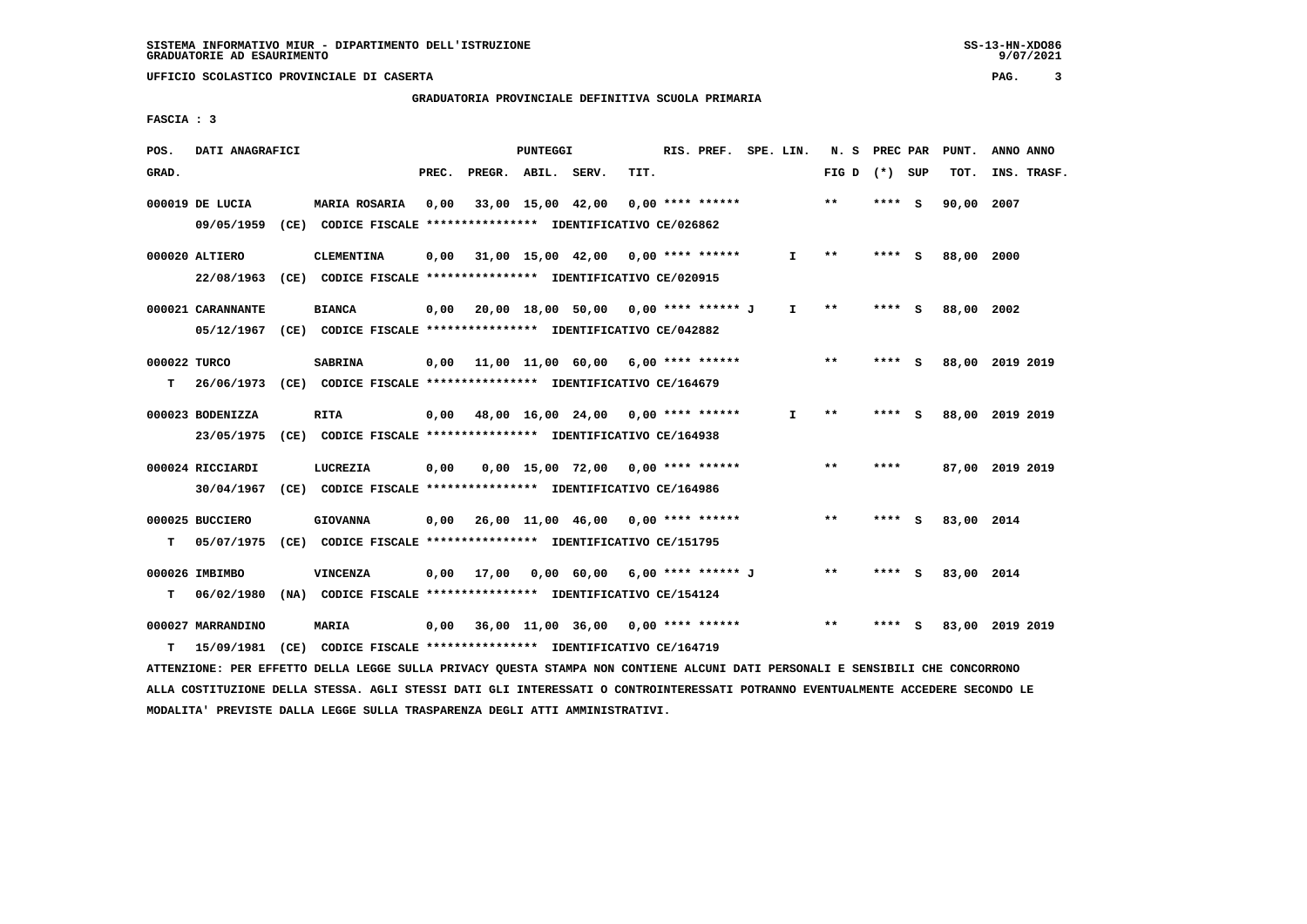# **GRADUATORIA PROVINCIALE DEFINITIVA SCUOLA PRIMARIA**

 **FASCIA : 3**

| POS.         | DATI ANAGRAFICI   |                                                                                                                               |       |                    | PUNTEGGI |                                           |      | RIS. PREF. SPE. LIN. |              | N. S            | PREC PAR | PUNT.           | ANNO ANNO |             |
|--------------|-------------------|-------------------------------------------------------------------------------------------------------------------------------|-------|--------------------|----------|-------------------------------------------|------|----------------------|--------------|-----------------|----------|-----------------|-----------|-------------|
| GRAD.        |                   |                                                                                                                               | PREC. | PREGR. ABIL. SERV. |          |                                           | TIT. |                      |              | FIG D $(*)$ SUP |          | TOT.            |           | INS. TRASF. |
|              | 000019 DE LUCIA   | <b>MARIA ROSARIA</b>                                                                                                          | 0,00  |                    |          | 33,00 15,00 42,00                         |      | $0,00$ **** ******   |              | $* *$           | **** S   | 90,00 2007      |           |             |
|              | 09/05/1959        | (CE) CODICE FISCALE **************** IDENTIFICATIVO CE/026862                                                                 |       |                    |          |                                           |      |                      |              |                 |          |                 |           |             |
|              | 000020 ALTIERO    | <b>CLEMENTINA</b>                                                                                                             | 0,00  |                    |          | 31,00 15,00 42,00 0,00 **** ******        |      |                      | $\mathbf{I}$ | $* *$           | **** S   | 88,00 2000      |           |             |
|              |                   | 22/08/1963 (CE) CODICE FISCALE *************** IDENTIFICATIVO CE/020915                                                       |       |                    |          |                                           |      |                      |              |                 |          |                 |           |             |
|              |                   |                                                                                                                               |       |                    |          |                                           |      |                      |              |                 |          |                 |           |             |
|              | 000021 CARANNANTE | <b>BIANCA</b>                                                                                                                 | 0,00  |                    |          | 20,00 18,00 50,00 0,00 **** ****** J      |      |                      | $\mathbf{I}$ | $* *$           | **** S   | 88,00 2002      |           |             |
|              |                   | 05/12/1967 (CE) CODICE FISCALE *************** IDENTIFICATIVO CE/042882                                                       |       |                    |          |                                           |      |                      |              |                 |          |                 |           |             |
| 000022 TURCO |                   | <b>SABRINA</b>                                                                                                                |       |                    |          | $0,00$ 11,00 11,00 60,00 6,00 **** ****** |      |                      |              | **              | **** S   | 88,00 2019 2019 |           |             |
| т            |                   | 26/06/1973 (CE) CODICE FISCALE **************** IDENTIFICATIVO CE/164679                                                      |       |                    |          |                                           |      |                      |              |                 |          |                 |           |             |
|              |                   |                                                                                                                               |       |                    |          |                                           |      |                      |              |                 |          |                 |           |             |
|              | 000023 BODENIZZA  | <b>RITA</b>                                                                                                                   | 0,00  |                    |          | 48,00 16,00 24,00 0,00 **** ******        |      |                      | I.           | $***$           | **** S   | 88,00 2019 2019 |           |             |
|              | 23/05/1975        | (CE) CODICE FISCALE **************** IDENTIFICATIVO CE/164938                                                                 |       |                    |          |                                           |      |                      |              |                 |          |                 |           |             |
|              | 000024 RICCIARDI  | LUCREZIA                                                                                                                      | 0,00  |                    |          | $0.00$ 15.00 72.00 0.00 **** ******       |      |                      |              | **              | ****     | 87,00 2019 2019 |           |             |
|              | 30/04/1967        | (CE) CODICE FISCALE **************** IDENTIFICATIVO CE/164986                                                                 |       |                    |          |                                           |      |                      |              |                 |          |                 |           |             |
|              |                   |                                                                                                                               |       |                    |          |                                           |      |                      |              |                 |          |                 |           |             |
|              | 000025 BUCCIERO   | <b>GIOVANNA</b>                                                                                                               |       |                    |          | $0,00$ 26,00 11,00 46,00 0,00 **** ****** |      |                      |              | $**$            | **** S   | 83,00 2014      |           |             |
| т            | 05/07/1975        | (CE) CODICE FISCALE **************** IDENTIFICATIVO CE/151795                                                                 |       |                    |          |                                           |      |                      |              |                 |          |                 |           |             |
|              | 000026 IMBIMBO    | <b>VINCENZA</b>                                                                                                               |       |                    |          | 0,00 17,00 0,00 60,00 6,00 **** ****** J  |      |                      |              | $* *$           | **** S   | 83,00 2014      |           |             |
| т            | 06/02/1980        | (NA) CODICE FISCALE **************** IDENTIFICATIVO CE/154124                                                                 |       |                    |          |                                           |      |                      |              |                 |          |                 |           |             |
|              |                   |                                                                                                                               |       |                    |          |                                           |      |                      |              |                 |          |                 |           |             |
|              | 000027 MARRANDINO | MARIA                                                                                                                         | 0,00  |                    |          | 36,00 11,00 36,00 0,00 **** ******        |      |                      |              | $* *$           | **** S   | 83,00 2019 2019 |           |             |
| т            | 15/09/1981        | (CE) CODICE FISCALE **************** IDENTIFICATIVO CE/164719                                                                 |       |                    |          |                                           |      |                      |              |                 |          |                 |           |             |
|              |                   | ATTENZIONE: PER EFFETTO DELLA LEGGE SULLA PRIVACY QUESTA STAMPA NON CONTIENE ALCUNI DATI PERSONALI E SENSIBILI CHE CONCORRONO |       |                    |          |                                           |      |                      |              |                 |          |                 |           |             |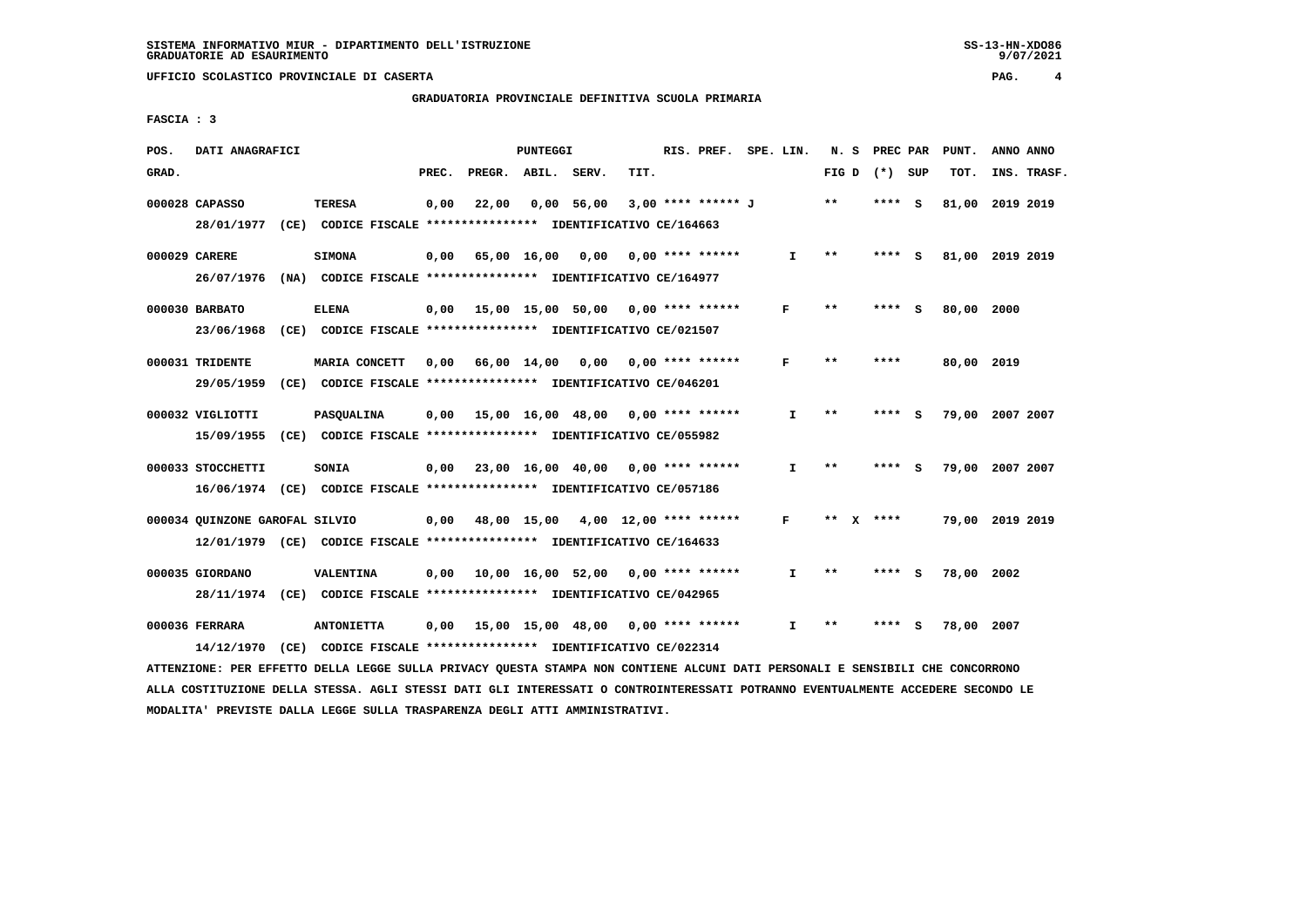# **GRADUATORIA PROVINCIALE DEFINITIVA SCUOLA PRIMARIA**

 **FASCIA : 3**

| POS.  | DATI ANAGRAFICI                                                                                           |                                                                                       |       |                                           | PUNTEGGI |                   |      | RIS. PREF.         | SPE. LIN.    | N.S   | PREC PAR  |     | PUNT.      | ANNO ANNO       |
|-------|-----------------------------------------------------------------------------------------------------------|---------------------------------------------------------------------------------------|-------|-------------------------------------------|----------|-------------------|------|--------------------|--------------|-------|-----------|-----|------------|-----------------|
| GRAD. |                                                                                                           |                                                                                       | PREC. | PREGR. ABIL. SERV.                        |          |                   | TIT. |                    |              | FIG D | (*) SUP   |     | TOT.       | INS. TRASF.     |
|       | 000028 CAPASSO<br>28/01/1977 (CE) CODICE FISCALE *************** IDENTIFICATIVO CE/164663                 | <b>TERESA</b>                                                                         | 0,00  | 22,00                                     |          | 0,00 56,00        |      | 3,00 **** ****** J |              | $* *$ | **** S    |     | 81,00      | 2019 2019       |
|       | 000029 CARERE<br>26/07/1976                                                                               | <b>SIMONA</b><br>(NA) CODICE FISCALE **************** IDENTIFICATIVO CE/164977        | 0,00  | 65,00 16,00 0,00                          |          |                   |      | $0.00$ **** ****** | $\mathbf{I}$ | $* *$ | ****      | - 5 |            | 81,00 2019 2019 |
|       | 000030 BARBATO<br>23/06/1968                                                                              | <b>ELENA</b><br>(CE) CODICE FISCALE **************** IDENTIFICATIVO CE/021507         | 0,00  | 15,00 15,00 50,00 0,00 **** ******        |          |                   |      |                    | F            | $***$ | ****      | - 5 | 80,00 2000 |                 |
|       | 000031 TRIDENTE<br>29/05/1959                                                                             | <b>MARIA CONCETT</b><br>(CE) CODICE FISCALE **************** IDENTIFICATIVO CE/046201 | 0,00  | 66,00 14,00                               |          | 0,00              |      | $0.00$ **** ****** | F            | $* *$ | ****      |     | 80,00 2019 |                 |
|       | 000032 VIGLIOTTI<br>15/09/1955 (CE) CODICE FISCALE *************** IDENTIFICATIVO CE/055982               | PASQUALINA                                                                            | 0.00  | 15,00 16,00 48,00                         |          |                   |      | $0.00$ **** ****** | $\mathbf{I}$ | $* *$ | ****      | - S |            | 79,00 2007 2007 |
|       | 000033 STOCCHETTI<br>16/06/1974 (CE) CODICE FISCALE *************** IDENTIFICATIVO CE/057186              | <b>SONIA</b>                                                                          | 0,00  | 23,00 16,00 40,00 0,00 **** ******        |          |                   |      |                    | $\mathbf{I}$ | $* *$ | **** S    |     |            | 79,00 2007 2007 |
|       | 000034 QUINZONE GAROFAL SILVIO<br>12/01/1979 (CE) CODICE FISCALE *************** IDENTIFICATIVO CE/164633 |                                                                                       |       | $0,00$ 48,00 15,00 4,00 12,00 **** ****** |          |                   |      |                    | F            |       | ** x **** |     |            | 79,00 2019 2019 |
|       | 000035 GIORDANO<br>28/11/1974 (CE) CODICE FISCALE *************** IDENTIFICATIVO CE/042965                | <b>VALENTINA</b>                                                                      | 0,00  | 10,00 16,00 52,00 0,00 **** ******        |          |                   |      |                    | I.           | $* *$ | **** S    |     | 78,00 2002 |                 |
|       | 000036 FERRARA<br>14/12/1970                                                                              | <b>ANTONIETTA</b><br>(CE) CODICE FISCALE *************** IDENTIFICATIVO CE/022314     | 0,00  |                                           |          | 15,00 15,00 48,00 |      | $0.00$ **** ****** | $\mathbf{T}$ | $* *$ | ****      | s   | 78,00      | 2007            |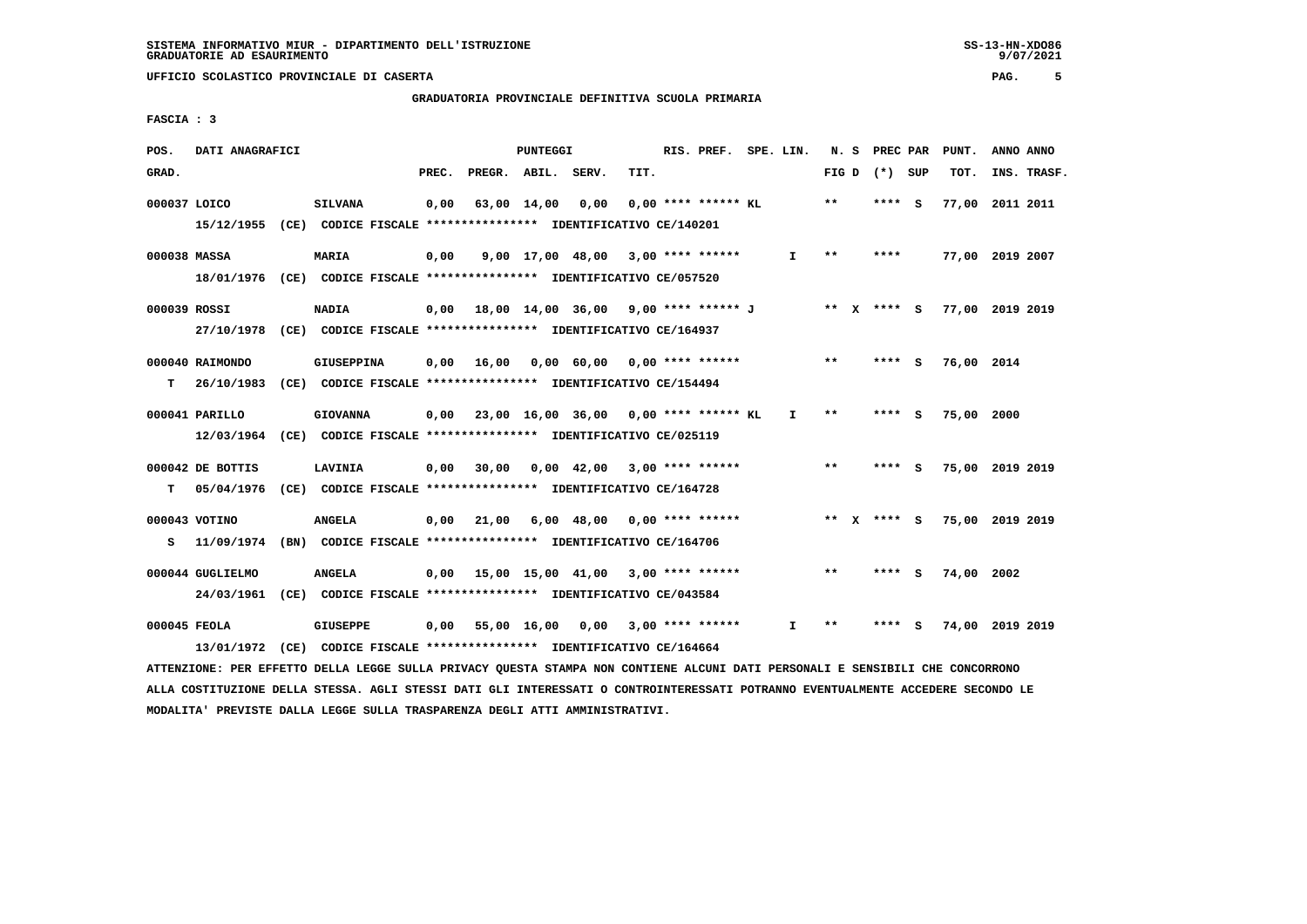# **GRADUATORIA PROVINCIALE DEFINITIVA SCUOLA PRIMARIA**

 **FASCIA : 3**

| POS.         | DATI ANAGRAFICI  |                                                                                                                               |       |                               | PUNTEGGI |                                                                               |      | RIS. PREF. SPE. LIN.  |             |       | N. S PREC PAR   | PUNT.                  | ANNO ANNO |             |
|--------------|------------------|-------------------------------------------------------------------------------------------------------------------------------|-------|-------------------------------|----------|-------------------------------------------------------------------------------|------|-----------------------|-------------|-------|-----------------|------------------------|-----------|-------------|
| GRAD.        |                  |                                                                                                                               | PREC. | PREGR. ABIL. SERV.            |          |                                                                               | TIT. |                       |             |       | FIG D $(*)$ SUP | тот.                   |           | INS. TRASF. |
| 000037 LOICO |                  | <b>SILVANA</b>                                                                                                                |       | $0,00$ $63,00$ $14,00$ $0,00$ |          |                                                                               |      | $0.00$ **** ****** KL |             | $* *$ | **** S          | 77,00 2011 2011        |           |             |
|              |                  | 15/12/1955 (CE) CODICE FISCALE **************** IDENTIFICATIVO CE/140201                                                      |       |                               |          |                                                                               |      |                       |             |       |                 |                        |           |             |
| 000038 MASSA |                  | MARIA                                                                                                                         | 0,00  |                               |          | $9,00$ 17,00 48,00 3,00 **** ******                                           |      |                       | I.          | $***$ | ****            | 77,00 2019 2007        |           |             |
|              |                  | 18/01/1976 (CE) CODICE FISCALE **************** IDENTIFICATIVO CE/057520                                                      |       |                               |          |                                                                               |      |                       |             |       |                 |                        |           |             |
| 000039 ROSSI |                  | <b>NADIA</b>                                                                                                                  |       |                               |          | 0,00 18,00 14,00 36,00  9,00 **** ****** J      **  X **** S  77,00 2019 2019 |      |                       |             |       |                 |                        |           |             |
|              |                  | 27/10/1978 (CE) CODICE FISCALE *************** IDENTIFICATIVO CE/164937                                                       |       |                               |          |                                                                               |      |                       |             |       |                 |                        |           |             |
|              |                  |                                                                                                                               |       |                               |          |                                                                               |      |                       |             | $***$ |                 |                        |           |             |
|              | 000040 RAIMONDO  | <b>GIUSEPPINA</b>                                                                                                             |       |                               |          | $0,00$ 16,00 0,00 60,00 0,00 **** ******                                      |      |                       |             |       | $***$ S         | 76,00 2014             |           |             |
|              |                  | T 26/10/1983 (CE) CODICE FISCALE *************** IDENTIFICATIVO CE/154494                                                     |       |                               |          |                                                                               |      |                       |             |       |                 |                        |           |             |
|              | 000041 PARILLO   | <b>GIOVANNA</b>                                                                                                               |       |                               |          | $0,00$ 23,00 16,00 36,00 0,00 **** ****** KL I                                |      |                       |             | $**$  | $***$ S         | 75,00 2000             |           |             |
|              |                  | 12/03/1964 (CE) CODICE FISCALE *************** IDENTIFICATIVO CE/025119                                                       |       |                               |          |                                                                               |      |                       |             |       |                 |                        |           |             |
|              | 000042 DE BOTTIS | LAVINIA                                                                                                                       |       |                               |          | 0,00 30,00 0,00 42,00 3,00 **** ******                                        |      |                       |             | $* *$ | $***$ S         | 75,00 2019 2019        |           |             |
|              |                  |                                                                                                                               |       |                               |          |                                                                               |      |                       |             |       |                 |                        |           |             |
|              |                  | T 05/04/1976 (CE) CODICE FISCALE **************** IDENTIFICATIVO CE/164728                                                    |       |                               |          |                                                                               |      |                       |             |       |                 |                        |           |             |
|              | 000043 VOTINO    | <b>ANGELA</b>                                                                                                                 |       |                               |          | $0,00$ 21,00 6,00 48,00 0,00 **** ******                                      |      |                       | ** X **** S |       |                 | 75,00 2019 2019        |           |             |
|              |                  | S 11/09/1974 (BN) CODICE FISCALE *************** IDENTIFICATIVO CE/164706                                                     |       |                               |          |                                                                               |      |                       |             |       |                 |                        |           |             |
|              |                  |                                                                                                                               |       |                               |          |                                                                               |      |                       |             |       |                 |                        |           |             |
|              | 000044 GUGLIELMO | <b>ANGELA</b>                                                                                                                 |       |                               |          | $0,00$ 15,00 15,00 41,00 3,00 **** ******                                     |      |                       |             | $***$ | **** S          | 74,00 2002             |           |             |
|              |                  | 24/03/1961 (CE) CODICE FISCALE *************** IDENTIFICATIVO CE/043584                                                       |       |                               |          |                                                                               |      |                       |             |       |                 |                        |           |             |
| 000045 FEOLA |                  | GIUSEPPE                                                                                                                      |       |                               |          | 0,00 55,00 16,00 0,00 3,00 **** ******                                        |      |                       | I.          | $***$ |                 | **** S 74,00 2019 2019 |           |             |
|              | 13/01/1972       | $(CE)$ CODICE FISCALE *************** IDENTIFICATIVO CE/164664                                                                |       |                               |          |                                                                               |      |                       |             |       |                 |                        |           |             |
|              |                  | ATTENZIONE: PER EFFETTO DELLA LEGGE SULLA PRIVACY QUESTA STAMPA NON CONTIENE ALCUNI DATI PERSONALI E SENSIBILI CHE CONCORRONO |       |                               |          |                                                                               |      |                       |             |       |                 |                        |           |             |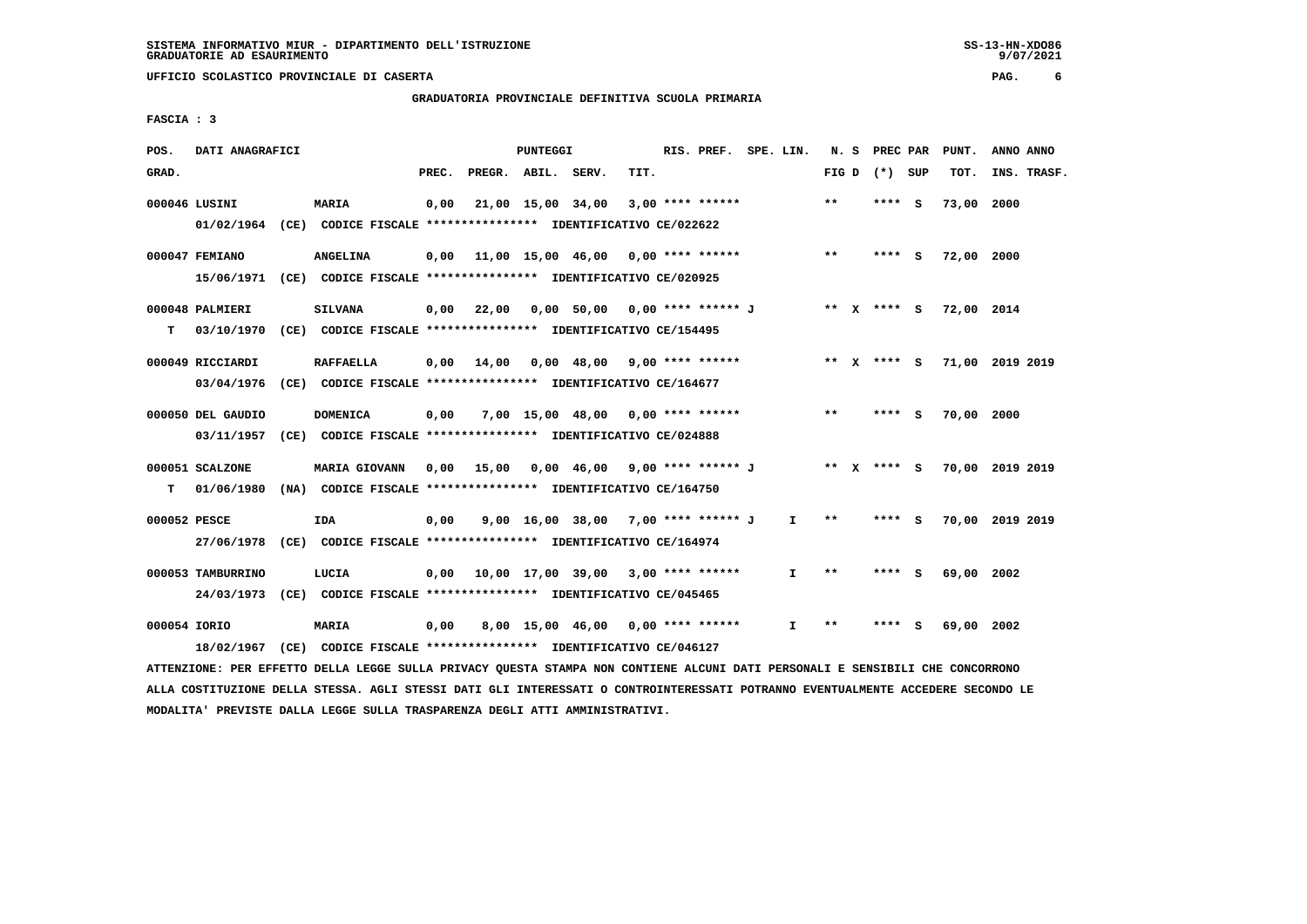**GRADUATORIA PROVINCIALE DEFINITIVA SCUOLA PRIMARIA**

 **FASCIA : 3**

| POS.         | DATI ANAGRAFICI   |                                                                                                                               |       |                    | PUNTEGGI |                                           |      | RIS. PREF. SPE. LIN. |              |       | N. S PREC PAR   | PUNT.                  | ANNO ANNO                   |  |
|--------------|-------------------|-------------------------------------------------------------------------------------------------------------------------------|-------|--------------------|----------|-------------------------------------------|------|----------------------|--------------|-------|-----------------|------------------------|-----------------------------|--|
| GRAD.        |                   |                                                                                                                               | PREC. | PREGR. ABIL. SERV. |          |                                           | TIT. |                      |              |       | FIG D $(*)$ SUP | тот.                   | INS. TRASF.                 |  |
|              | 000046 LUSINI     | <b>MARIA</b>                                                                                                                  | 0,00  |                    |          | 21,00 15,00 34,00                         |      | $3,00$ **** ******   |              | $***$ | $***$ S         | 73,00 2000             |                             |  |
|              |                   | 01/02/1964 (CE) CODICE FISCALE **************** IDENTIFICATIVO CE/022622                                                      |       |                    |          |                                           |      |                      |              |       |                 |                        |                             |  |
|              | 000047 FEMIANO    | <b>ANGELINA</b>                                                                                                               |       |                    |          | $0,00$ 11,00 15,00 46,00 0,00 **** ****** |      |                      |              | $***$ | **** S          | 72,00 2000             |                             |  |
|              |                   | 15/06/1971 (CE) CODICE FISCALE *************** IDENTIFICATIVO CE/020925                                                       |       |                    |          |                                           |      |                      |              |       |                 |                        |                             |  |
|              | 000048 PALMIERI   | <b>SILVANA</b>                                                                                                                |       |                    |          | 0,00 22,00 0,00 50,00 0,00 **** ****** J  |      |                      |              |       |                 | ** X **** S 72,00 2014 |                             |  |
| T.           |                   | 03/10/1970 (CE) CODICE FISCALE *************** IDENTIFICATIVO CE/154495                                                       |       |                    |          |                                           |      |                      |              |       |                 |                        |                             |  |
|              | 000049 RICCIARDI  | <b>RAFFAELLA</b>                                                                                                              |       |                    |          | $0,00$ 14,00 0,00 48,00 9,00 **** ******  |      |                      |              |       |                 |                        | ** X **** S 71,00 2019 2019 |  |
|              |                   | 03/04/1976 (CE) CODICE FISCALE *************** IDENTIFICATIVO CE/164677                                                       |       |                    |          |                                           |      |                      |              |       |                 |                        |                             |  |
|              | 000050 DEL GAUDIO | <b>DOMENICA</b>                                                                                                               | 0,00  |                    |          | $7,00$ 15,00 48,00 0,00 **** ******       |      |                      |              | $***$ | $***$ S         | 70,00 2000             |                             |  |
|              |                   | 03/11/1957 (CE) CODICE FISCALE *************** IDENTIFICATIVO CE/024888                                                       |       |                    |          |                                           |      |                      |              |       |                 |                        |                             |  |
|              | 000051 SCALZONE   | MARIA GIOVANN 0,00 15,00 0,00 46,00 9,00 **** ****** J ** X **** S 70,00 2019 2019                                            |       |                    |          |                                           |      |                      |              |       |                 |                        |                             |  |
|              |                   | T 01/06/1980 (NA) CODICE FISCALE **************** IDENTIFICATIVO CE/164750                                                    |       |                    |          |                                           |      |                      |              |       |                 |                        |                             |  |
| 000052 PESCE |                   | IDA                                                                                                                           | 0,00  |                    |          | 9,00 16,00 38,00 7,00 **** ****** J       |      |                      | I.           | $***$ | **** S          |                        | 70,00 2019 2019             |  |
|              |                   | 27/06/1978 (CE) CODICE FISCALE *************** IDENTIFICATIVO CE/164974                                                       |       |                    |          |                                           |      |                      |              |       |                 |                        |                             |  |
|              | 000053 TAMBURRINO | LUCIA                                                                                                                         |       |                    |          | $0,00$ 10,00 17,00 39,00 3,00 **** ****** |      |                      | $\mathbf{I}$ | $* *$ | **** S          | 69,00 2002             |                             |  |
|              |                   | 24/03/1973 (CE) CODICE FISCALE *************** IDENTIFICATIVO CE/045465                                                       |       |                    |          |                                           |      |                      |              |       |                 |                        |                             |  |
| 000054 IORIO |                   | <b>MARIA</b>                                                                                                                  | 0,00  |                    |          | $8,00$ 15,00 46,00 0,00 **** ******       |      |                      | $\mathbf{I}$ | $***$ | **** S          | 69,00 2002             |                             |  |
|              |                   | 18/02/1967 (CE) CODICE FISCALE **************** IDENTIFICATIVO CE/046127                                                      |       |                    |          |                                           |      |                      |              |       |                 |                        |                             |  |
|              |                   | ATTENZIONE: PER EFFETTO DELLA LEGGE SULLA PRIVACY QUESTA STAMPA NON CONTIENE ALCUNI DATI PERSONALI E SENSIBILI CHE CONCORRONO |       |                    |          |                                           |      |                      |              |       |                 |                        |                             |  |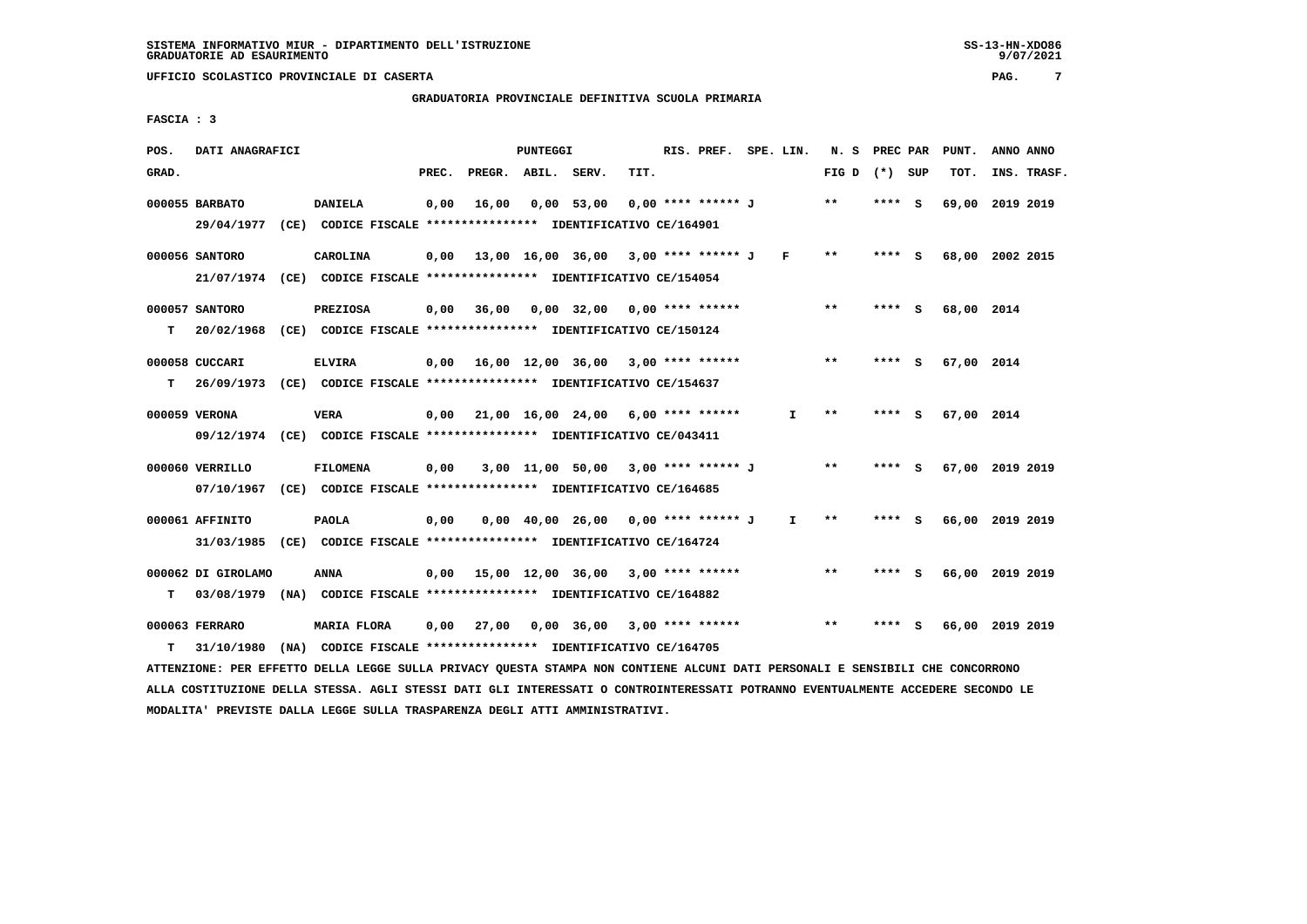# **GRADUATORIA PROVINCIALE DEFINITIVA SCUOLA PRIMARIA**

 **FASCIA : 3**

| POS.  | DATI ANAGRAFICI    |                                                                                                                               |       |                    | <b>PUNTEGGI</b> |                                             |      | RIS. PREF. SPE. LIN. |              | N. S PREC PAR   |         | PUNT.           | ANNO ANNO |             |
|-------|--------------------|-------------------------------------------------------------------------------------------------------------------------------|-------|--------------------|-----------------|---------------------------------------------|------|----------------------|--------------|-----------------|---------|-----------------|-----------|-------------|
| GRAD. |                    |                                                                                                                               | PREC. | PREGR. ABIL. SERV. |                 |                                             | TIT. |                      |              | FIG D $(*)$ SUP |         | TOT.            |           | INS. TRASF. |
|       | 000055 BARBATO     | <b>DANIELA</b>                                                                                                                | 0,00  |                    |                 | 16,00 0,00 53,00                            |      | 0,00 **** ****** J   |              | $* *$           | $***$ S | 69,00 2019 2019 |           |             |
|       |                    | 29/04/1977 (CE) CODICE FISCALE **************** IDENTIFICATIVO CE/164901                                                      |       |                    |                 |                                             |      |                      |              |                 |         |                 |           |             |
|       | 000056 SANTORO     | CAROLINA                                                                                                                      |       |                    |                 | $0,00$ 13,00 16,00 36,00 3,00 **** ****** J |      |                      | $\mathbf{F}$ | $* *$           | **** S  | 68,00 2002 2015 |           |             |
|       |                    | 21/07/1974 (CE) CODICE FISCALE *************** IDENTIFICATIVO CE/154054                                                       |       |                    |                 |                                             |      |                      |              |                 |         |                 |           |             |
|       | 000057 SANTORO     | <b>PREZIOSA</b>                                                                                                               |       |                    |                 | $0,00$ 36,00 0,00 32,00 0,00 **** ******    |      |                      |              | $***$           | **** S  | 68,00 2014      |           |             |
| T.    |                    | 20/02/1968 (CE) CODICE FISCALE **************** IDENTIFICATIVO CE/150124                                                      |       |                    |                 |                                             |      |                      |              |                 |         |                 |           |             |
|       | 000058 CUCCARI     | <b>ELVIRA</b>                                                                                                                 |       |                    |                 | $0,00$ 16,00 12,00 36,00 3,00 **** ******   |      |                      |              | $***$           | **** S  | 67,00 2014      |           |             |
| T.    |                    | 26/09/1973 (CE) CODICE FISCALE **************** IDENTIFICATIVO CE/154637                                                      |       |                    |                 |                                             |      |                      |              |                 |         |                 |           |             |
|       | 000059 VERONA      | <b>VERA</b>                                                                                                                   |       |                    |                 | $0.00$ 21.00 16.00 24.00 6.00 **** ******   |      |                      | $\mathbf{I}$ | $***$           | **** S  | 67,00 2014      |           |             |
|       |                    | 09/12/1974 (CE) CODICE FISCALE *************** IDENTIFICATIVO CE/043411                                                       |       |                    |                 |                                             |      |                      |              |                 |         |                 |           |             |
|       | 000060 VERRILLO    | <b>FILOMENA</b>                                                                                                               | 0,00  |                    |                 | 3,00 11,00 50,00 3,00 **** ****** J         |      |                      |              | $* *$           | **** S  | 67,00 2019 2019 |           |             |
|       |                    | 07/10/1967 (CE) CODICE FISCALE *************** IDENTIFICATIVO CE/164685                                                       |       |                    |                 |                                             |      |                      |              |                 |         |                 |           |             |
|       | 000061 AFFINITO    | <b>PAOLA</b>                                                                                                                  | 0,00  |                    |                 | $0,00$ 40,00 26,00 0,00 **** ****** J       |      |                      | $\mathbf{I}$ | $* *$           | **** S  | 66,00 2019 2019 |           |             |
|       |                    | 31/03/1985 (CE) CODICE FISCALE *************** IDENTIFICATIVO CE/164724                                                       |       |                    |                 |                                             |      |                      |              |                 |         |                 |           |             |
|       | 000062 DI GIROLAMO | ANNA                                                                                                                          |       |                    |                 | $0,00$ 15,00 12,00 36,00 3,00 **** ******   |      |                      |              | **              | **** S  | 66,00 2019 2019 |           |             |
| т     |                    | 03/08/1979 (NA) CODICE FISCALE *************** IDENTIFICATIVO CE/164882                                                       |       |                    |                 |                                             |      |                      |              |                 |         |                 |           |             |
|       | 000063 FERRARO     | MARIA FLORA                                                                                                                   | 0,00  |                    |                 | 27,00  0,00  36,00  3,00  ****  ******      |      |                      |              | $* *$           | **** S  | 66,00 2019 2019 |           |             |
| т     |                    | 31/10/1980 (NA) CODICE FISCALE *************** IDENTIFICATIVO CE/164705                                                       |       |                    |                 |                                             |      |                      |              |                 |         |                 |           |             |
|       |                    | ATTENZIONE: PER EFFETTO DELLA LEGGE SULLA PRIVACY QUESTA STAMPA NON CONTIENE ALCUNI DATI PERSONALI E SENSIBILI CHE CONCORRONO |       |                    |                 |                                             |      |                      |              |                 |         |                 |           |             |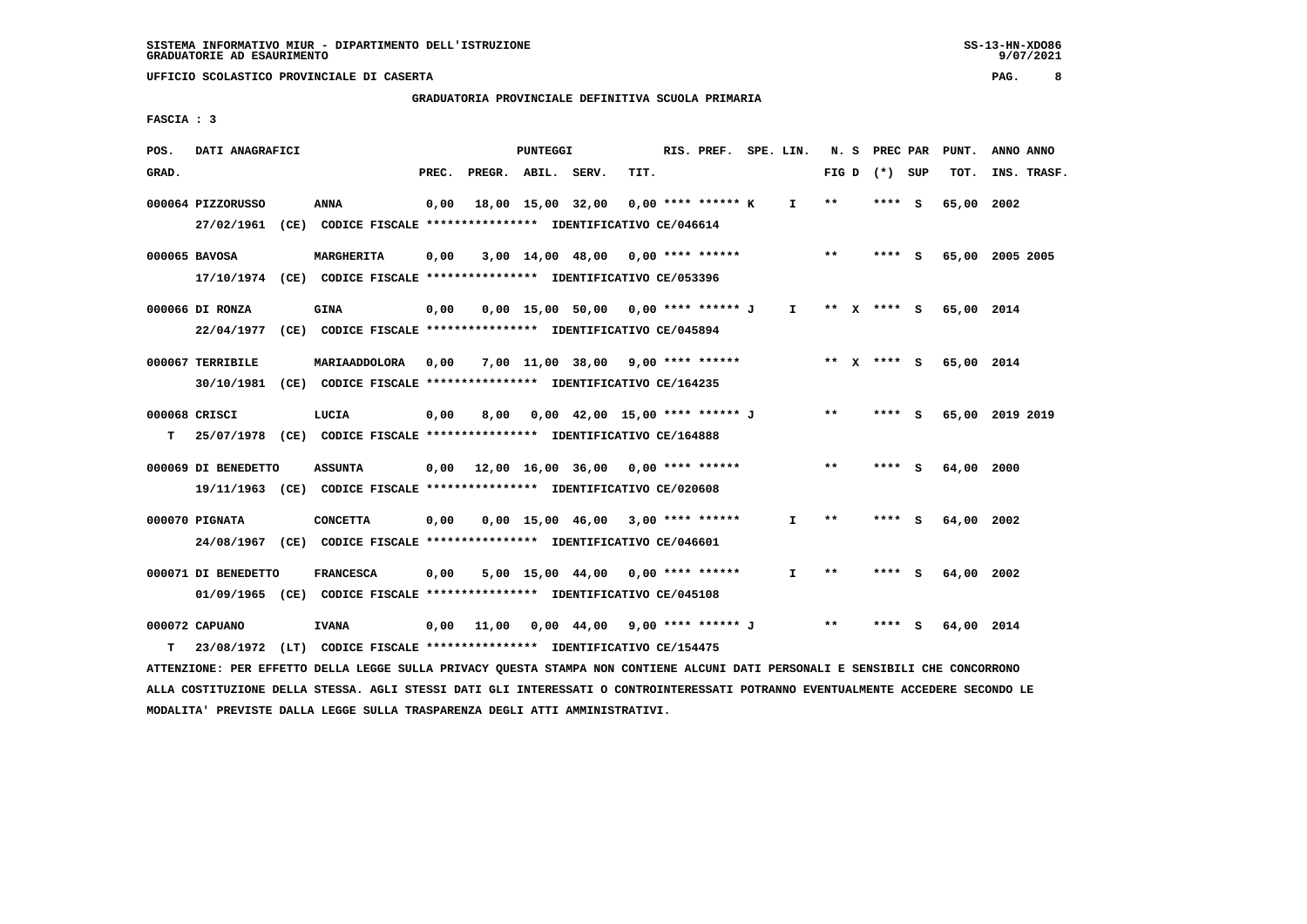# **GRADUATORIA PROVINCIALE DEFINITIVA SCUOLA PRIMARIA**

 **FASCIA : 3**

| POS.  | DATI ANAGRAFICI                                                         |      |                                                               |       |                    | <b>PUNTEGGI</b> |                                                          |      | RIS. PREF. SPE. LIN. |              |       | N. S PREC PAR   |     | PUNT.           | ANNO ANNO   |  |
|-------|-------------------------------------------------------------------------|------|---------------------------------------------------------------|-------|--------------------|-----------------|----------------------------------------------------------|------|----------------------|--------------|-------|-----------------|-----|-----------------|-------------|--|
| GRAD. |                                                                         |      |                                                               | PREC. | PREGR. ABIL. SERV. |                 |                                                          | TIT. |                      |              |       | FIG D $(*)$ SUP |     | TOT.            | INS. TRASF. |  |
|       |                                                                         |      |                                                               |       |                    |                 |                                                          |      |                      |              |       |                 |     |                 |             |  |
|       | 000064 PIZZORUSSO                                                       |      | ANNA                                                          | 0,00  |                    |                 | 18,00 15,00 32,00                                        |      | $0.00$ **** ****** K | $\mathbf{I}$ | $* *$ | $***5$          |     | 65,00 2002      |             |  |
|       | 27/02/1961 (CE) CODICE FISCALE *************** IDENTIFICATIVO CE/046614 |      |                                                               |       |                    |                 |                                                          |      |                      |              |       |                 |     |                 |             |  |
|       | 000065 BAVOSA                                                           |      | MARGHERITA                                                    | 0,00  |                    |                 | $3,00$ 14,00 48,00 0,00 **** ******                      |      |                      |              | $**$  | $***$ S         |     | 65,00 2005 2005 |             |  |
|       | 17/10/1974 (CE) CODICE FISCALE *************** IDENTIFICATIVO CE/053396 |      |                                                               |       |                    |                 |                                                          |      |                      |              |       |                 |     |                 |             |  |
|       |                                                                         |      |                                                               |       |                    |                 |                                                          |      |                      |              |       |                 |     |                 |             |  |
|       | 000066 DI RONZA                                                         |      | <b>GINA</b>                                                   | 0,00  |                    |                 | $0.00$ 15.00 50.00 0.00 **** ****** J I                  |      |                      |              |       | ** x **** S     |     | 65,00 2014      |             |  |
|       | 22/04/1977                                                              |      | (CE) CODICE FISCALE **************** IDENTIFICATIVO CE/045894 |       |                    |                 |                                                          |      |                      |              |       |                 |     |                 |             |  |
|       |                                                                         |      |                                                               |       |                    |                 |                                                          |      |                      |              |       |                 |     |                 |             |  |
|       | 000067 TERRIBILE                                                        |      | MARIAADDOLORA                                                 | 0,00  |                    |                 | 7,00 11,00 38,00 9,00 **** ******                        |      |                      |              |       | ** x **** S     |     | 65,00 2014      |             |  |
|       | 30/10/1981 (CE) CODICE FISCALE *************** IDENTIFICATIVO CE/164235 |      |                                                               |       |                    |                 |                                                          |      |                      |              |       |                 |     |                 |             |  |
|       | 000068 CRISCI                                                           |      | LUCIA                                                         | 0,00  | 8,00               |                 | 0,00 42,00 15,00 **** ****** J                           |      |                      |              | $**$  | **** S          |     | 65,00 2019 2019 |             |  |
| т     | 25/07/1978 (CE) CODICE FISCALE *************** IDENTIFICATIVO CE/164888 |      |                                                               |       |                    |                 |                                                          |      |                      |              |       |                 |     |                 |             |  |
|       |                                                                         |      |                                                               |       |                    |                 |                                                          |      |                      |              |       |                 |     |                 |             |  |
|       | 000069 DI BENEDETTO                                                     |      | <b>ASSUNTA</b>                                                |       |                    |                 | $0,00$ 12,00 16,00 36,00 0,00 **** ******                |      |                      |              | $* *$ | **** S          |     | 64,00           | 2000        |  |
|       | 19/11/1963 (CE) CODICE FISCALE *************** IDENTIFICATIVO CE/020608 |      |                                                               |       |                    |                 |                                                          |      |                      |              |       |                 |     |                 |             |  |
|       |                                                                         |      |                                                               |       |                    |                 |                                                          |      |                      |              |       |                 |     |                 |             |  |
|       | 000070 PIGNATA                                                          |      | <b>CONCETTA</b>                                               | 0,00  |                    |                 | $0.00$ 15.00 46.00 3.00 **** ******                      |      |                      | $\mathbf{I}$ | $* *$ | **** S          |     | 64,00           | 2002        |  |
|       | 24/08/1967 (CE) CODICE FISCALE *************** IDENTIFICATIVO CE/046601 |      |                                                               |       |                    |                 |                                                          |      |                      |              |       |                 |     |                 |             |  |
|       | 000071 DI BENEDETTO                                                     |      | <b>FRANCESCA</b>                                              | 0,00  |                    |                 | 5,00 15,00 44,00                                         |      | $0.00$ **** ******   | T            | $**$  | **** S          |     | 64,00 2002      |             |  |
|       |                                                                         |      |                                                               |       |                    |                 |                                                          |      |                      |              |       |                 |     |                 |             |  |
|       | 01/09/1965 (CE) CODICE FISCALE *************** IDENTIFICATIVO CE/045108 |      |                                                               |       |                    |                 |                                                          |      |                      |              |       |                 |     |                 |             |  |
|       | 000072 CAPUANO                                                          |      | <b>IVANA</b>                                                  | 0,00  | 11,00              |                 | 0,00 44,00 9,00 **** ****** J                            |      |                      |              | $***$ | ****            | - S | 64,00 2014      |             |  |
| T     | 23/08/1972                                                              | (LT) |                                                               |       |                    |                 | CODICE FISCALE **************** IDENTIFICATIVO CE/154475 |      |                      |              |       |                 |     |                 |             |  |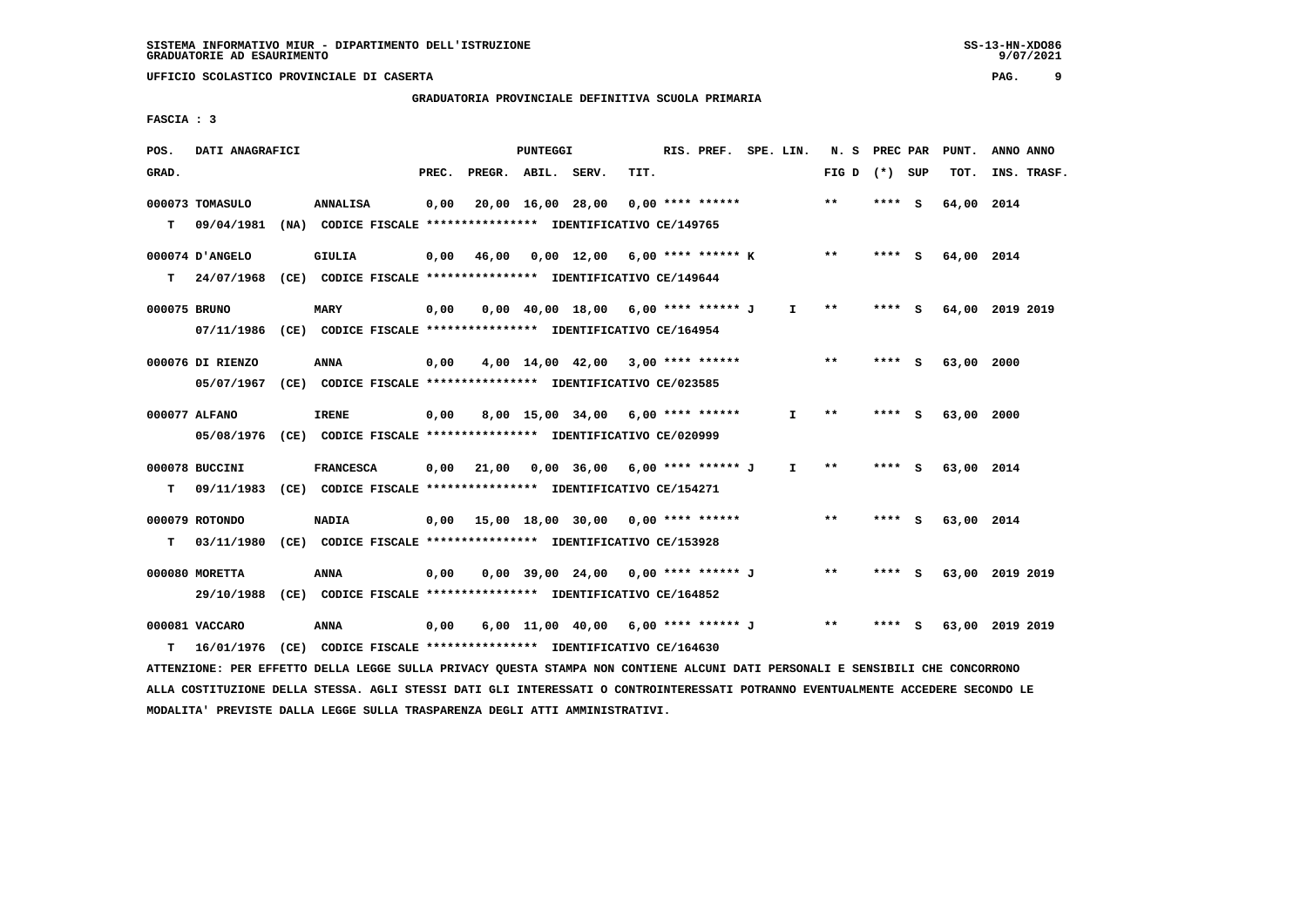# **GRADUATORIA PROVINCIALE DEFINITIVA SCUOLA PRIMARIA**

 **FASCIA : 3**

| POS.         | DATI ANAGRAFICI                                                                                                               |                  |       |                    | PUNTEGGI |                                                                     |      | RIS. PREF. SPE. LIN. |              |                 | N. S PREC PAR |     | PUNT.      | ANNO ANNO       |  |
|--------------|-------------------------------------------------------------------------------------------------------------------------------|------------------|-------|--------------------|----------|---------------------------------------------------------------------|------|----------------------|--------------|-----------------|---------------|-----|------------|-----------------|--|
| GRAD.        |                                                                                                                               |                  | PREC. | PREGR. ABIL. SERV. |          |                                                                     | TIT. |                      |              | FIG D $(*)$ SUP |               |     | тот.       | INS. TRASF.     |  |
|              | 000073 TOMASULO                                                                                                               | <b>ANNALISA</b>  | 0,00  |                    |          | 20,00 16,00 28,00                                                   |      | $0.00$ **** ******   |              | $* *$           | $***$ S       |     | 64,00 2014 |                 |  |
| T.           | 09/04/1981 (NA) CODICE FISCALE *************** IDENTIFICATIVO CE/149765                                                       |                  |       |                    |          |                                                                     |      |                      |              |                 |               |     |            |                 |  |
|              | 000074 D'ANGELO                                                                                                               | <b>GIULIA</b>    |       |                    |          | $0,00$ 46,00 0,00 12,00 6,00 **** ****** K                          |      |                      |              | $***$           | **** S        |     | 64,00 2014 |                 |  |
| T.           | 24/07/1968 (CE) CODICE FISCALE *************** IDENTIFICATIVO CE/149644                                                       |                  |       |                    |          |                                                                     |      |                      |              |                 |               |     |            |                 |  |
| 000075 BRUNO |                                                                                                                               | <b>MARY</b>      | 0,00  |                    |          | $0.00 \quad 40.00 \quad 18.00 \quad 6.00 \quad *** \quad *** \quad$ |      |                      | $\mathbf{I}$ | $* *$           | $***$ S       |     |            | 64,00 2019 2019 |  |
|              | 07/11/1986 (CE) CODICE FISCALE *************** IDENTIFICATIVO CE/164954                                                       |                  |       |                    |          |                                                                     |      |                      |              |                 |               |     |            |                 |  |
|              | 000076 DI RIENZO                                                                                                              | <b>ANNA</b>      | 0,00  |                    |          | $4,00$ 14,00 42,00 3,00 **** ******                                 |      |                      |              | $**$            | **** S        |     | 63,00 2000 |                 |  |
|              | 05/07/1967 (CE) CODICE FISCALE *************** IDENTIFICATIVO CE/023585                                                       |                  |       |                    |          |                                                                     |      |                      |              |                 |               |     |            |                 |  |
|              | 000077 ALFANO                                                                                                                 | <b>IRENE</b>     | 0,00  |                    |          | 8,00 15,00 34,00 6,00 **** ******                                   |      |                      | $\mathbf{I}$ | $***$           | **** S        |     | 63,00 2000 |                 |  |
|              | 05/08/1976 (CE) CODICE FISCALE *************** IDENTIFICATIVO CE/020999                                                       |                  |       |                    |          |                                                                     |      |                      |              |                 |               |     |            |                 |  |
|              | 000078 BUCCINI                                                                                                                | <b>FRANCESCA</b> | 0,00  |                    |          | 21,00 0,00 36,00 6,00 **** ****** J                                 |      |                      | $\mathbf{I}$ | $***$           | $***$ S       |     | 63,00 2014 |                 |  |
| т            | 09/11/1983 (CE) CODICE FISCALE *************** IDENTIFICATIVO CE/154271                                                       |                  |       |                    |          |                                                                     |      |                      |              |                 |               |     |            |                 |  |
|              | 000079 ROTONDO                                                                                                                | <b>NADIA</b>     |       |                    |          |                                                                     |      |                      |              | $* *$           | $***$ S       |     | 63,00 2014 |                 |  |
| т            | 03/11/1980 (CE) CODICE FISCALE **************** IDENTIFICATIVO CE/153928                                                      |                  |       |                    |          |                                                                     |      |                      |              |                 |               |     |            |                 |  |
|              | 000080 MORETTA                                                                                                                | ANNA             | 0,00  |                    |          | 0,00 39,00 24,00 0,00 **** ****** J                                 |      |                      |              | $***$           | **** S        |     |            | 63,00 2019 2019 |  |
|              | 29/10/1988 (CE) CODICE FISCALE *************** IDENTIFICATIVO CE/164852                                                       |                  |       |                    |          |                                                                     |      |                      |              |                 |               |     |            |                 |  |
|              | 000081 VACCARO                                                                                                                | ANNA             | 0,00  |                    |          | 6,00 11,00 40,00 6,00 **** ****** J                                 |      |                      |              | $***$           | ****          | - S |            | 63,00 2019 2019 |  |
| т            | 16/01/1976 (CE) CODICE FISCALE *************** IDENTIFICATIVO CE/164630                                                       |                  |       |                    |          |                                                                     |      |                      |              |                 |               |     |            |                 |  |
|              | ATTENZIONE: PER EFFETTO DELLA LEGGE SULLA PRIVACY QUESTA STAMPA NON CONTIENE ALCUNI DATI PERSONALI E SENSIBILI CHE CONCORRONO |                  |       |                    |          |                                                                     |      |                      |              |                 |               |     |            |                 |  |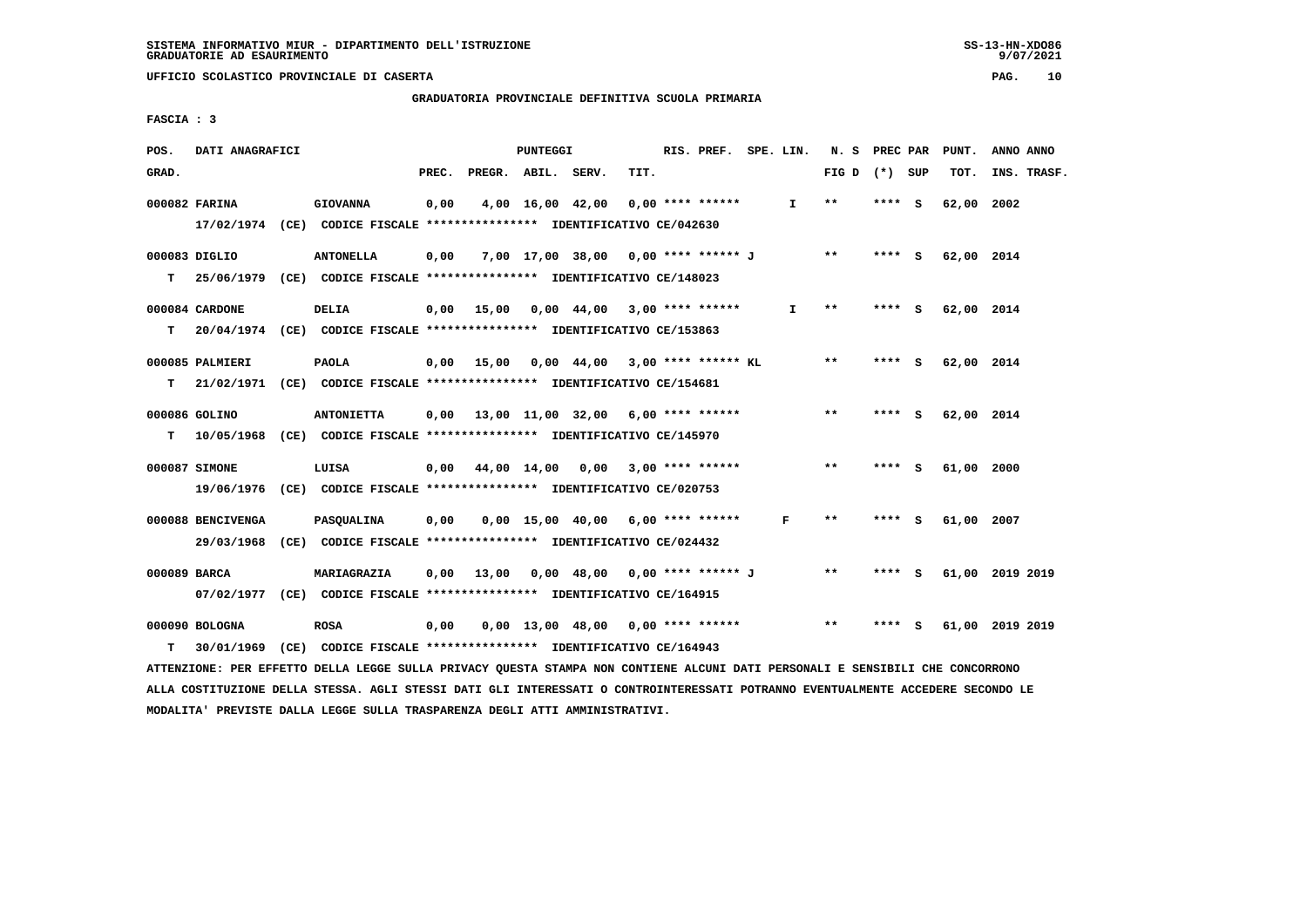# **GRADUATORIA PROVINCIALE DEFINITIVA SCUOLA PRIMARIA**

 **FASCIA : 3**

| POS.         | DATI ANAGRAFICI   |                                                                                                                               |       |                    | PUNTEGGI |                                             |      | RIS. PREF. SPE. LIN. |              | N. S PREC PAR   |        |     | PUNT.      | ANNO ANNO       |
|--------------|-------------------|-------------------------------------------------------------------------------------------------------------------------------|-------|--------------------|----------|---------------------------------------------|------|----------------------|--------------|-----------------|--------|-----|------------|-----------------|
| GRAD.        |                   |                                                                                                                               | PREC. | PREGR. ABIL. SERV. |          |                                             | TIT. |                      |              | FIG D $(*)$ SUP |        |     | TOT.       | INS. TRASF.     |
|              | 000082 FARINA     | <b>GIOVANNA</b>                                                                                                               | 0,00  |                    |          | 4,00 16,00 42,00                            |      | 0,00 **** ******     | $\mathbf{I}$ | $***$           | ****   | - S | 62,00 2002 |                 |
|              |                   | 17/02/1974 (CE) CODICE FISCALE *************** IDENTIFICATIVO CE/042630                                                       |       |                    |          |                                             |      |                      |              |                 |        |     |            |                 |
|              | 000083 DIGLIO     | <b>ANTONELLA</b>                                                                                                              | 0,00  |                    |          | 7,00 17,00 38,00 0,00 **** ****** J         |      |                      |              | $***$           | **** S |     | 62,00 2014 |                 |
| T.           |                   | 25/06/1979 (CE) CODICE FISCALE *************** IDENTIFICATIVO CE/148023                                                       |       |                    |          |                                             |      |                      |              |                 |        |     |            |                 |
|              | 000084 CARDONE    | DELIA                                                                                                                         |       |                    |          | $0,00$ 15,00 0,00 44,00 3,00 **** ******    |      |                      | $\mathbf{I}$ | **              | **** S |     | 62,00 2014 |                 |
| T.           |                   | 20/04/1974 (CE) CODICE FISCALE *************** IDENTIFICATIVO CE/153863                                                       |       |                    |          |                                             |      |                      |              |                 |        |     |            |                 |
|              | 000085 PALMIERI   | <b>PAOLA</b>                                                                                                                  |       |                    |          | $0,00$ 15,00 0,00 44,00 3,00 **** ****** KL |      |                      |              | $* *$           | **** S |     | 62,00 2014 |                 |
| т            |                   | 21/02/1971 (CE) CODICE FISCALE **************** IDENTIFICATIVO CE/154681                                                      |       |                    |          |                                             |      |                      |              |                 |        |     |            |                 |
|              | 000086 GOLINO     | <b>ANTONIETTA</b>                                                                                                             |       |                    |          | $0,00$ 13,00 11,00 32,00 6,00 **** ******   |      |                      |              | $* *$           | **** S |     | 62,00 2014 |                 |
| T.           |                   | 10/05/1968 (CE) CODICE FISCALE **************** IDENTIFICATIVO CE/145970                                                      |       |                    |          |                                             |      |                      |              |                 |        |     |            |                 |
|              | 000087 SIMONE     | LUISA                                                                                                                         |       |                    |          | 0,00 44,00 14,00 0,00 3,00 **** ******      |      |                      |              | **              | **** S |     | 61,00 2000 |                 |
|              |                   | 19/06/1976 (CE) CODICE FISCALE *************** IDENTIFICATIVO CE/020753                                                       |       |                    |          |                                             |      |                      |              |                 |        |     |            |                 |
|              | 000088 BENCIVENGA | <b>PASQUALINA</b>                                                                                                             | 0,00  |                    |          | $0,00$ 15,00 40,00 6,00 **** ******         |      |                      | F            | $* *$           | **** S |     | 61,00 2007 |                 |
|              |                   | 29/03/1968 (CE) CODICE FISCALE *************** IDENTIFICATIVO CE/024432                                                       |       |                    |          |                                             |      |                      |              |                 |        |     |            |                 |
| 000089 BARCA |                   | MARIAGRAZIA                                                                                                                   |       |                    |          | $0,00$ 13,00 0,00 48,00 0,00 **** ****** J  |      |                      |              | $***$           | **** S |     |            | 61,00 2019 2019 |
|              |                   | 07/02/1977 (CE) CODICE FISCALE *************** IDENTIFICATIVO CE/164915                                                       |       |                    |          |                                             |      |                      |              |                 |        |     |            |                 |
|              | 000090 BOLOGNA    | <b>ROSA</b>                                                                                                                   | 0,00  |                    |          | $0,00$ 13,00 48,00 0,00 **** ******         |      |                      |              | $* *$           | **** S |     |            | 61,00 2019 2019 |
| т            |                   | 30/01/1969 (CE) CODICE FISCALE *************** IDENTIFICATIVO CE/164943                                                       |       |                    |          |                                             |      |                      |              |                 |        |     |            |                 |
|              |                   | ATTENZIONE: PER EFFETTO DELLA LEGGE SULLA PRIVACY QUESTA STAMPA NON CONTIENE ALCUNI DATI PERSONALI E SENSIBILI CHE CONCORRONO |       |                    |          |                                             |      |                      |              |                 |        |     |            |                 |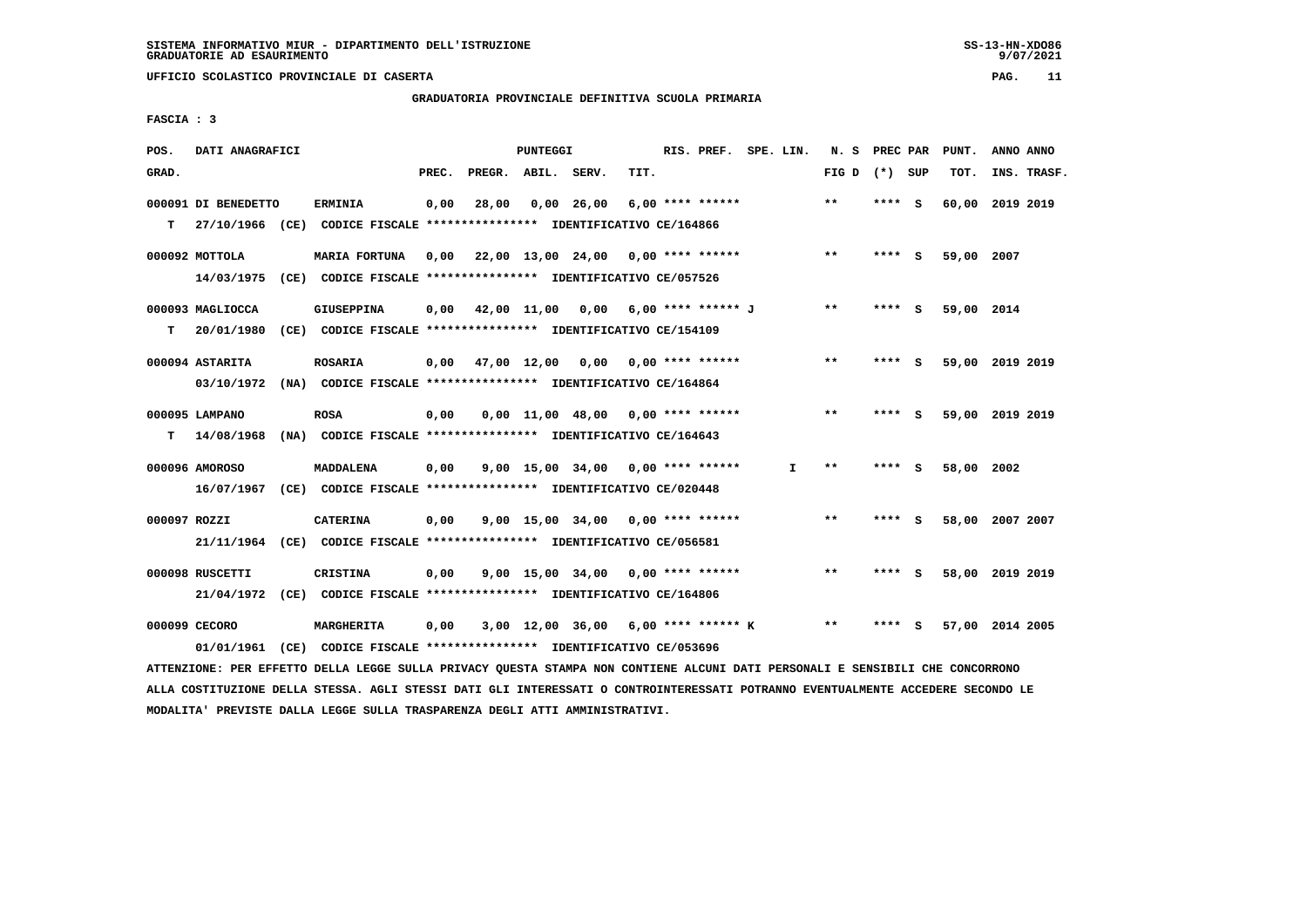# **GRADUATORIA PROVINCIALE DEFINITIVA SCUOLA PRIMARIA**

 **FASCIA : 3**

| POS.         | DATI ANAGRAFICI     |                                                                                                                               |       |                    | PUNTEGGI |                                       |      | RIS. PREF. SPE. LIN. |    | N. S PREC PAR   |        | PUNT.           | ANNO ANNO |             |
|--------------|---------------------|-------------------------------------------------------------------------------------------------------------------------------|-------|--------------------|----------|---------------------------------------|------|----------------------|----|-----------------|--------|-----------------|-----------|-------------|
| GRAD.        |                     |                                                                                                                               | PREC. | PREGR. ABIL. SERV. |          |                                       | TIT. |                      |    | FIG D $(*)$ SUP |        | TOT.            |           | INS. TRASF. |
|              | 000091 DI BENEDETTO | <b>ERMINIA</b>                                                                                                                | 0,00  | 28,00              |          | $0,00$ 26,00                          |      | $6,00$ **** ******   |    | $***$           | **** S | 60,00 2019 2019 |           |             |
| т            |                     | 27/10/1966 (CE) CODICE FISCALE *************** IDENTIFICATIVO CE/164866                                                       |       |                    |          |                                       |      |                      |    |                 |        |                 |           |             |
|              | 000092 MOTTOLA      | MARIA FORTUNA                                                                                                                 | 0,00  |                    |          | 22,00 13,00 24,00 0,00 **** ******    |      |                      |    | **              | **** S | 59,00 2007      |           |             |
|              |                     | 14/03/1975 (CE) CODICE FISCALE *************** IDENTIFICATIVO CE/057526                                                       |       |                    |          |                                       |      |                      |    |                 |        |                 |           |             |
|              | 000093 MAGLIOCCA    | GIUSEPPINA                                                                                                                    | 0,00  |                    |          | 42,00 11,00 0,00 6,00 **** ****** J   |      |                      |    | $* *$           | **** S | 59,00 2014      |           |             |
| т            | 20/01/1980          | (CE) CODICE FISCALE **************** IDENTIFICATIVO CE/154109                                                                 |       |                    |          |                                       |      |                      |    |                 |        |                 |           |             |
|              | 000094 ASTARITA     | ROSARIA                                                                                                                       | 0,00  |                    |          | 47,00 12,00 0,00 0,00 **** ******     |      |                      |    | $***$           | **** S | 59,00 2019 2019 |           |             |
|              |                     | 03/10/1972 (NA) CODICE FISCALE *************** IDENTIFICATIVO CE/164864                                                       |       |                    |          |                                       |      |                      |    |                 |        |                 |           |             |
|              | 000095 LAMPANO      | <b>ROSA</b>                                                                                                                   | 0,00  |                    |          | $0,00$ 11,00 48,00 0,00 **** ******   |      |                      |    | $**$            | **** S | 59,00 2019 2019 |           |             |
| т            | 14/08/1968          | (NA) CODICE FISCALE *************** IDENTIFICATIVO CE/164643                                                                  |       |                    |          |                                       |      |                      |    |                 |        |                 |           |             |
|              | 000096 AMOROSO      | <b>MADDALENA</b>                                                                                                              | 0,00  |                    |          | $9.00$ 15.00 34.00 0.00 **** ******   |      |                      | I. | $***$           | **** S | 58,00 2002      |           |             |
|              |                     | 16/07/1967 (CE) CODICE FISCALE *************** IDENTIFICATIVO CE/020448                                                       |       |                    |          |                                       |      |                      |    |                 |        |                 |           |             |
| 000097 ROZZI |                     | <b>CATERINA</b>                                                                                                               | 0,00  |                    |          | $9.00$ 15.00 34.00 0.00 **** ******   |      |                      |    | $**$            | **** S | 58,00 2007 2007 |           |             |
|              |                     | 21/11/1964 (CE) CODICE FISCALE *************** IDENTIFICATIVO CE/056581                                                       |       |                    |          |                                       |      |                      |    |                 |        |                 |           |             |
|              | 000098 RUSCETTI     | <b>CRISTINA</b>                                                                                                               | 0,00  |                    |          | $9,00$ 15,00 34,00 0,00 **** ******   |      |                      |    | $***$           | **** S | 58,00 2019 2019 |           |             |
|              |                     | 21/04/1972 (CE) CODICE FISCALE *************** IDENTIFICATIVO CE/164806                                                       |       |                    |          |                                       |      |                      |    |                 |        |                 |           |             |
|              | 000099 CECORO       | <b>MARGHERITA</b>                                                                                                             | 0,00  |                    |          | $3,00$ 12,00 36,00 6,00 **** ****** K |      |                      |    | $***$           | **** S | 57,00 2014 2005 |           |             |
|              | 01/01/1961          | (CE) CODICE FISCALE **************** IDENTIFICATIVO CE/053696                                                                 |       |                    |          |                                       |      |                      |    |                 |        |                 |           |             |
|              |                     | ATTENZIONE: PER EFFETTO DELLA LEGGE SULLA PRIVACY QUESTA STAMPA NON CONTIENE ALCUNI DATI PERSONALI E SENSIBILI CHE CONCORRONO |       |                    |          |                                       |      |                      |    |                 |        |                 |           |             |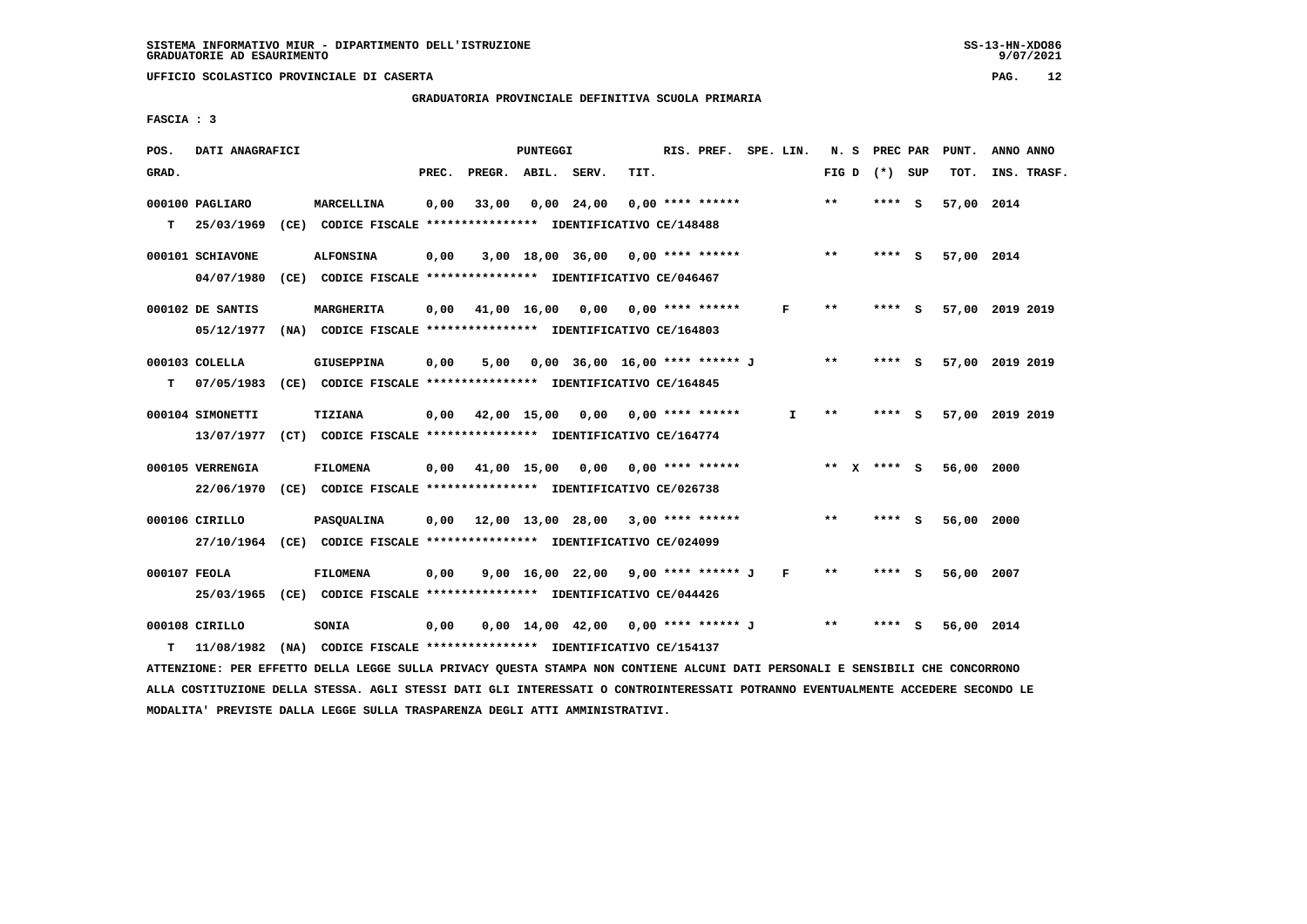**GRADUATORIA PROVINCIALE DEFINITIVA SCUOLA PRIMARIA**

 **FASCIA : 3**

| POS.         | DATI ANAGRAFICI  |                                                               |       |                                          | PUNTEGGI |                                       |      | RIS. PREF. SPE. LIN. |              | N.S             | PREC PAR        | PUNT.      | ANNO ANNO       |
|--------------|------------------|---------------------------------------------------------------|-------|------------------------------------------|----------|---------------------------------------|------|----------------------|--------------|-----------------|-----------------|------------|-----------------|
| GRAD.        |                  |                                                               | PREC. | PREGR. ABIL. SERV.                       |          |                                       | TIT. |                      |              |                 | FIG D $(*)$ SUP | TOT.       | INS. TRASF.     |
|              | 000100 PAGLIARO  | MARCELLINA                                                    | 0,00  | 33,00                                    |          | 0,00 24,00                            |      | $0.00$ **** ******   |              | $***$           | $***$ S         | 57,00 2014 |                 |
| т            | 25/03/1969       | (CE) CODICE FISCALE **************** IDENTIFICATIVO CE/148488 |       |                                          |          |                                       |      |                      |              |                 |                 |            |                 |
|              | 000101 SCHIAVONE | <b>ALFONSINA</b>                                              | 0,00  |                                          |          | $3,00$ 18,00 36,00 0,00 **** ******   |      |                      |              | $***$           | **** S          | 57,00 2014 |                 |
|              | 04/07/1980       | (CE) CODICE FISCALE **************** IDENTIFICATIVO CE/046467 |       |                                          |          |                                       |      |                      |              |                 |                 |            |                 |
|              | 000102 DE SANTIS | MARGHERITA                                                    | 0,00  | 41,00 16,00 0,00 0,00 **** ******        |          |                                       |      |                      | F            | $***$           | **** S          |            | 57,00 2019 2019 |
|              | 05/12/1977       | (NA) CODICE FISCALE **************** IDENTIFICATIVO CE/164803 |       |                                          |          |                                       |      |                      |              |                 |                 |            |                 |
|              | 000103 COLELLA   | GIUSEPPINA                                                    | 0,00  | 5,00                                     |          | 0,00 36,00 16,00 **** ****** J        |      |                      |              | $***$           | **** S          |            | 57,00 2019 2019 |
| т            | 07/05/1983       | (CE) CODICE FISCALE **************** IDENTIFICATIVO CE/164845 |       |                                          |          |                                       |      |                      |              |                 |                 |            |                 |
|              | 000104 SIMONETTI | TIZIANA                                                       |       | $0.00$ 42.00 15.00 0.00 0.00 **** ****** |          |                                       |      |                      | Ι.           | $* *$           | **** S          |            | 57,00 2019 2019 |
|              | 13/07/1977       | (CT) CODICE FISCALE **************** IDENTIFICATIVO CE/164774 |       |                                          |          |                                       |      |                      |              |                 |                 |            |                 |
|              | 000105 VERRENGIA | <b>FILOMENA</b>                                               |       | $0,00$ 41,00 15,00 0,00 0,00 **** ****** |          |                                       |      |                      |              | ** $X$ **** $S$ |                 | 56,00      | 2000            |
|              | 22/06/1970       | (CE) CODICE FISCALE **************** IDENTIFICATIVO CE/026738 |       |                                          |          |                                       |      |                      |              |                 |                 |            |                 |
|              | 000106 CIRILLO   | PASQUALINA                                                    | 0,00  | 12,00 13,00 28,00 3,00 **** ******       |          |                                       |      |                      |              | $* *$           | **** S          | 56,00 2000 |                 |
|              | 27/10/1964       | (CE) CODICE FISCALE **************** IDENTIFICATIVO CE/024099 |       |                                          |          |                                       |      |                      |              |                 |                 |            |                 |
| 000107 FEOLA |                  | <b>FILOMENA</b>                                               | 0.00  |                                          |          | 9,00 16,00 22,00 9,00 **** ****** J   |      |                      | $\mathbf{F}$ | $* *$           | **** S          | 56,00 2007 |                 |
|              | 25/03/1965       | (CE) CODICE FISCALE **************** IDENTIFICATIVO CE/044426 |       |                                          |          |                                       |      |                      |              |                 |                 |            |                 |
|              | 000108 CIRILLO   | SONIA                                                         | 0,00  |                                          |          | $0,00$ 14,00 42,00 0,00 **** ****** J |      |                      |              | $***$           | - 5             | 56,00 2014 |                 |
| т            | 11/08/1982       | (NA) CODICE FISCALE **************** IDENTIFICATIVO CE/154137 |       |                                          |          |                                       |      |                      |              |                 |                 |            |                 |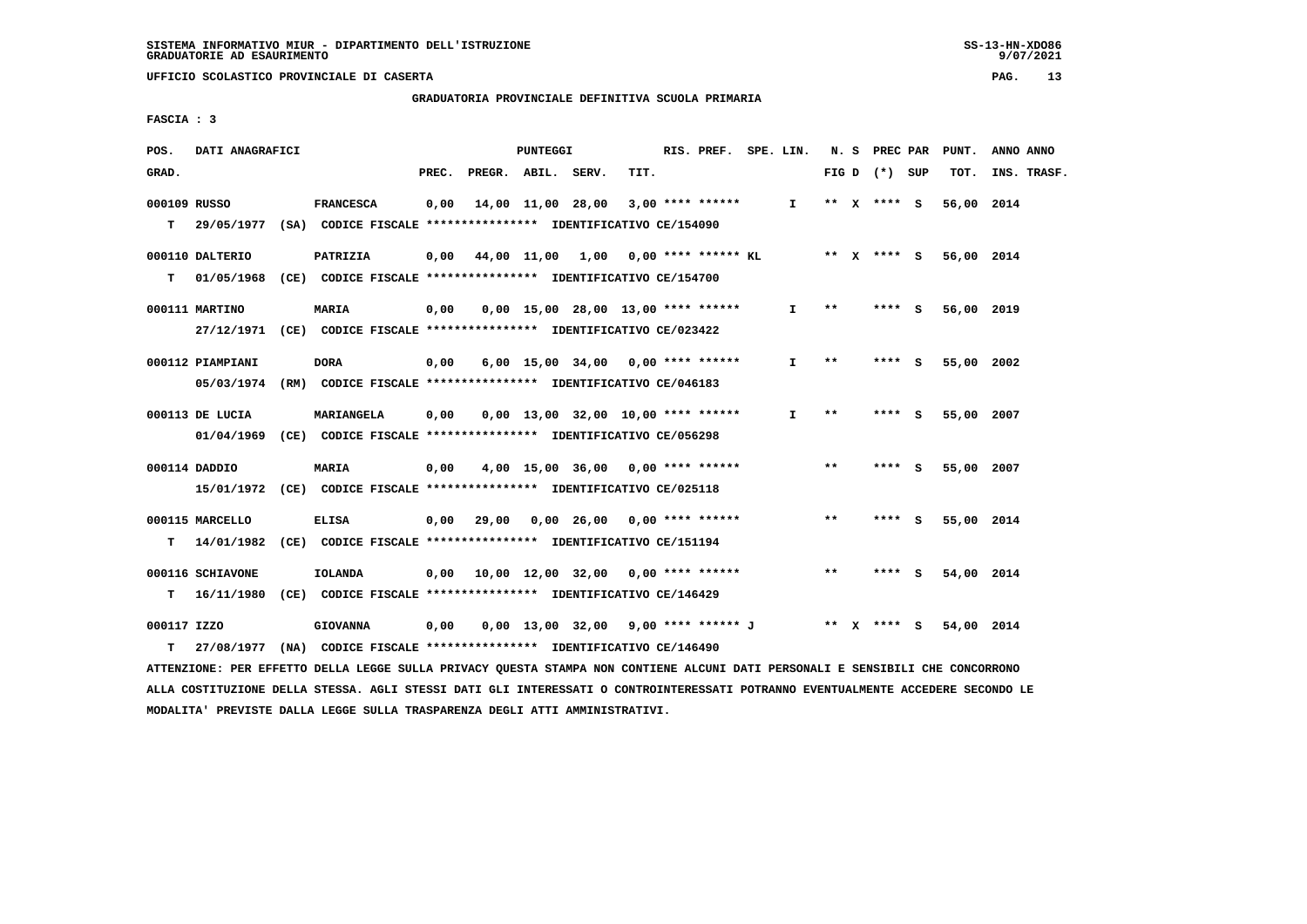**GRADUATORIA PROVINCIALE DEFINITIVA SCUOLA PRIMARIA**

 **FASCIA : 3**

| POS.         | DATI ANAGRAFICI                                                            |                  |       |                    | PUNTEGGI |                                             |      | RIS. PREF. SPE. LIN. |              |       | N. S PREC PAR   | PUNT.      | ANNO ANNO   |
|--------------|----------------------------------------------------------------------------|------------------|-------|--------------------|----------|---------------------------------------------|------|----------------------|--------------|-------|-----------------|------------|-------------|
| GRAD.        |                                                                            |                  | PREC. | PREGR. ABIL. SERV. |          |                                             | TIT. |                      |              |       | FIG D $(*)$ SUP | TOT.       | INS. TRASF. |
| 000109 RUSSO | T 29/05/1977 (SA) CODICE FISCALE **************** IDENTIFICATIVO CE/154090 | <b>FRANCESCA</b> | 0,00  | 14,00 11,00 28,00  |          |                                             |      | $3,00$ **** ******   | I.           |       | ** x **** s     | 56,00 2014 |             |
|              |                                                                            |                  |       |                    |          |                                             |      |                      |              |       |                 |            |             |
|              | 000110 DALTERIO                                                            | PATRIZIA         |       |                    |          | $0.00$ 44.00 11.00 1.00 0.00 **** ****** KL |      |                      | ** x **** S  |       |                 | 56,00 2014 |             |
| T.           | 01/05/1968 (CE) CODICE FISCALE *************** IDENTIFICATIVO CE/154700    |                  |       |                    |          |                                             |      |                      |              |       |                 |            |             |
|              | 000111 MARTINO                                                             | <b>MARIA</b>     | 0,00  |                    |          | $0.00$ 15.00 28.00 13.00 **** ******        |      |                      | I.           | $***$ | **** S          | 56,00 2019 |             |
|              | 27/12/1971 (CE) CODICE FISCALE *************** IDENTIFICATIVO CE/023422    |                  |       |                    |          |                                             |      |                      |              |       |                 |            |             |
|              | 000112 PIAMPIANI                                                           | DORA             | 0,00  |                    |          | 6,00 15,00 34,00 0,00 **** ******           |      |                      | I.           | **    | **** S          | 55,00 2002 |             |
|              | 05/03/1974 (RM) CODICE FISCALE *************** IDENTIFICATIVO CE/046183    |                  |       |                    |          |                                             |      |                      |              |       |                 |            |             |
|              |                                                                            |                  |       |                    |          |                                             |      |                      |              |       |                 |            |             |
|              | 000113 DE LUCIA                                                            | MARIANGELA       | 0,00  |                    |          | $0.00$ 13.00 32.00 10.00 **** ******        |      |                      | $\mathbf{I}$ | $***$ | **** S          | 55,00 2007 |             |
|              | 01/04/1969 (CE) CODICE FISCALE *************** IDENTIFICATIVO CE/056298    |                  |       |                    |          |                                             |      |                      |              |       |                 |            |             |
|              | 000114 DADDIO                                                              | <b>MARIA</b>     | 0,00  |                    |          | $4,00$ 15,00 36,00 0,00 **** ******         |      |                      |              | $* *$ | $***$ S         | 55,00 2007 |             |
|              | 15/01/1972 (CE) CODICE FISCALE *************** IDENTIFICATIVO CE/025118    |                  |       |                    |          |                                             |      |                      |              |       |                 |            |             |
|              | 000115 MARCELLO                                                            | <b>ELISA</b>     |       |                    |          | $0,00$ 29,00 0,00 26,00 0,00 **** ******    |      |                      |              | **    | **** S          | 55,00 2014 |             |
|              | T 14/01/1982 (CE) CODICE FISCALE *************** IDENTIFICATIVO CE/151194  |                  |       |                    |          |                                             |      |                      |              |       |                 |            |             |
|              | 000116 SCHIAVONE                                                           | IOLANDA          |       |                    |          | $0.00$ 10.00 12.00 32.00 0.00 **** ******   |      |                      |              | $***$ | **** S          | 54,00 2014 |             |
|              | T 16/11/1980 (CE) CODICE FISCALE *************** IDENTIFICATIVO CE/146429  |                  |       |                    |          |                                             |      |                      |              |       |                 |            |             |
|              |                                                                            |                  |       |                    |          |                                             |      |                      |              |       |                 |            |             |
| 000117 IZZO  |                                                                            | <b>GIOVANNA</b>  | 0,00  |                    |          | 0,00 13,00 32,00                            |      | 9,00 **** ****** J   |              |       | ** $X$ **** $S$ | 54,00 2014 |             |
| т            | 27/08/1977 (NA) CODICE FISCALE **************** IDENTIFICATIVO CE/146490   |                  |       |                    |          |                                             |      |                      |              |       |                 |            |             |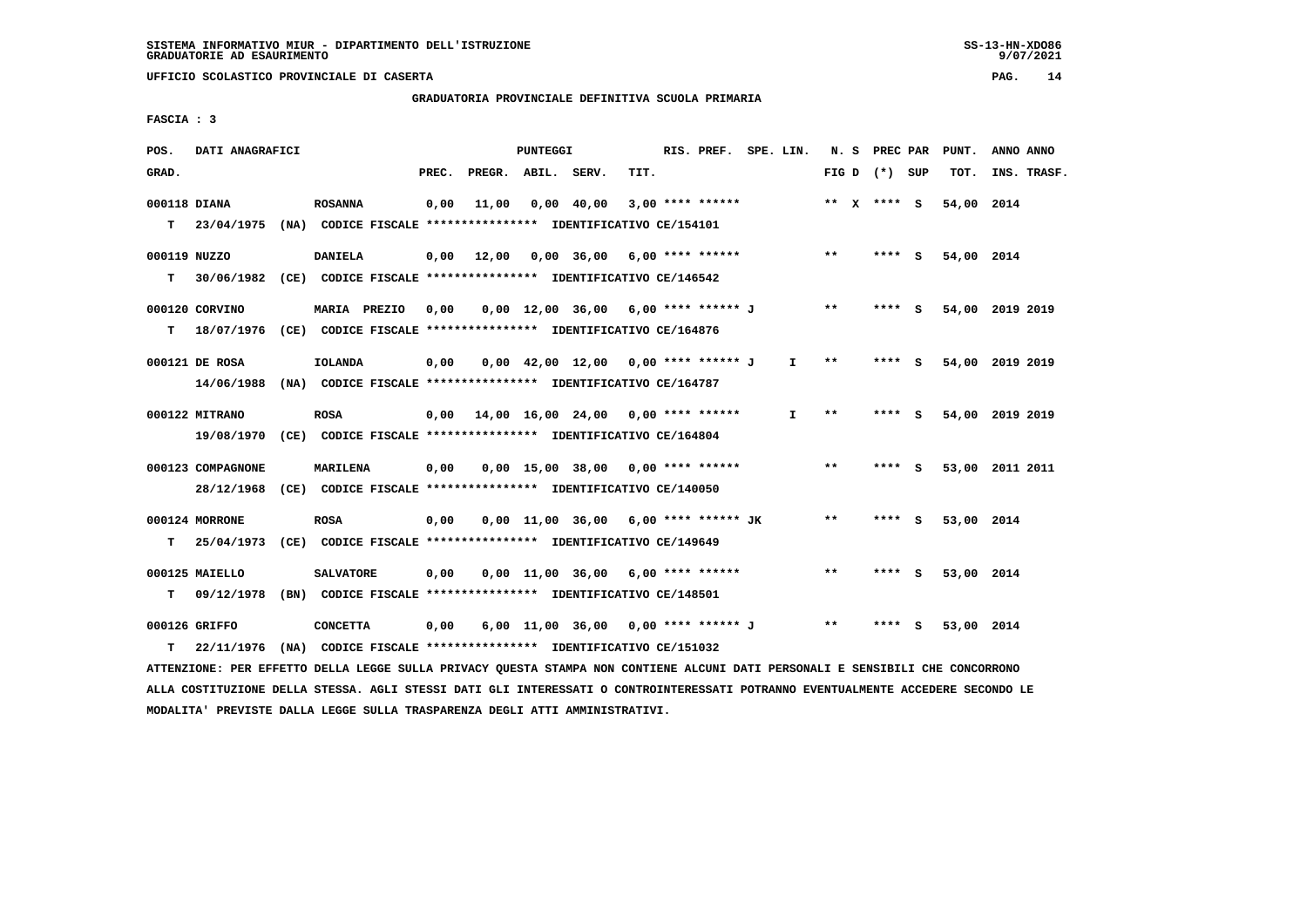# **GRADUATORIA PROVINCIALE DEFINITIVA SCUOLA PRIMARIA**

 **FASCIA : 3**

| POS.         | DATI ANAGRAFICI   |                                                                          |       |                    | <b>PUNTEGGI</b> |                                        |      | RIS. PREF. SPE. LIN. |    |                 |        | N. S PREC PAR | PUNT.      | ANNO ANNO       |
|--------------|-------------------|--------------------------------------------------------------------------|-------|--------------------|-----------------|----------------------------------------|------|----------------------|----|-----------------|--------|---------------|------------|-----------------|
| GRAD.        |                   |                                                                          | PREC. | PREGR. ABIL. SERV. |                 |                                        | TIT. |                      |    | FIG D $(*)$ SUP |        |               | TOT.       | INS. TRASF.     |
| 000118 DIANA |                   | <b>ROSANNA</b>                                                           | 0,00  | 11,00              |                 | $0,00$ 40,00                           |      | $3,00$ **** ******   |    | ** X **** S     |        |               | 54,00 2014 |                 |
| т            | 23/04/1975        | (NA) CODICE FISCALE **************** IDENTIFICATIVO CE/154101            |       |                    |                 |                                        |      |                      |    |                 |        |               |            |                 |
| 000119 NUZZO |                   | <b>DANIELA</b>                                                           |       | $0,00 \quad 12,00$ |                 | $0,00$ 36,00 6,00 **** ******          |      |                      |    | $***$           | **** S |               | 54,00 2014 |                 |
| т            | 30/06/1982        | (CE) CODICE FISCALE **************** IDENTIFICATIVO CE/146542            |       |                    |                 |                                        |      |                      |    |                 |        |               |            |                 |
|              | 000120 CORVINO    | MARIA PREZIO                                                             | 0,00  |                    |                 | $0.00$ 12.00 36.00 6.00 **** ****** J  |      |                      |    | $* *$           | **** S |               |            | 54,00 2019 2019 |
| T.           | 18/07/1976        | (CE) CODICE FISCALE **************** IDENTIFICATIVO CE/164876            |       |                    |                 |                                        |      |                      |    |                 |        |               |            |                 |
|              | 000121 DE ROSA    | <b>IOLANDA</b>                                                           | 0,00  |                    |                 | 0,00 42,00 12,00 0,00 **** ****** J    |      |                      | I. | $***$           | **** S |               |            | 54,00 2019 2019 |
|              | 14/06/1988        | (NA) CODICE FISCALE *************** IDENTIFICATIVO CE/164787             |       |                    |                 |                                        |      |                      |    |                 |        |               |            |                 |
|              | 000122 MITRANO    | <b>ROSA</b>                                                              | 0,00  |                    |                 | 14,00 16,00 24,00 0,00 **** ******     |      |                      | T  | $**$            | **** S |               |            | 54,00 2019 2019 |
|              |                   | 19/08/1970 (CE) CODICE FISCALE *************** IDENTIFICATIVO CE/164804  |       |                    |                 |                                        |      |                      |    |                 |        |               |            |                 |
|              | 000123 COMPAGNONE | MARILENA                                                                 | 0,00  |                    |                 | $0,00$ 15,00 38,00 0,00 **** ******    |      |                      |    | $**$            | **** S |               |            | 53,00 2011 2011 |
|              |                   | 28/12/1968 (CE) CODICE FISCALE *************** IDENTIFICATIVO CE/140050  |       |                    |                 |                                        |      |                      |    |                 |        |               |            |                 |
|              | 000124 MORRONE    | <b>ROSA</b>                                                              | 0,00  |                    |                 | $0.00$ 11.00 36.00 6.00 **** ****** JK |      |                      |    | $* *$           |        | - S           | 53,00 2014 |                 |
| т            | 25/04/1973        | (CE) CODICE FISCALE *************** IDENTIFICATIVO CE/149649             |       |                    |                 |                                        |      |                      |    |                 |        |               |            |                 |
|              | 000125 MAIELLO    | <b>SALVATORE</b>                                                         | 0,00  |                    |                 | $0,00$ 11,00 36,00 6,00 **** ******    |      |                      |    | $* *$           | **** S |               | 53,00 2014 |                 |
| т            | 09/12/1978        | (BN) CODICE FISCALE **************** IDENTIFICATIVO CE/148501            |       |                    |                 |                                        |      |                      |    |                 |        |               |            |                 |
|              | 000126 GRIFFO     | <b>CONCETTA</b>                                                          | 0,00  |                    |                 | 6,00 11,00 36,00 0,00 **** ****** J    |      |                      |    | $* *$           | ****   | - S           | 53,00 2014 |                 |
| т            |                   | 22/11/1976 (NA) CODICE FISCALE **************** IDENTIFICATIVO CE/151032 |       |                    |                 |                                        |      |                      |    |                 |        |               |            |                 |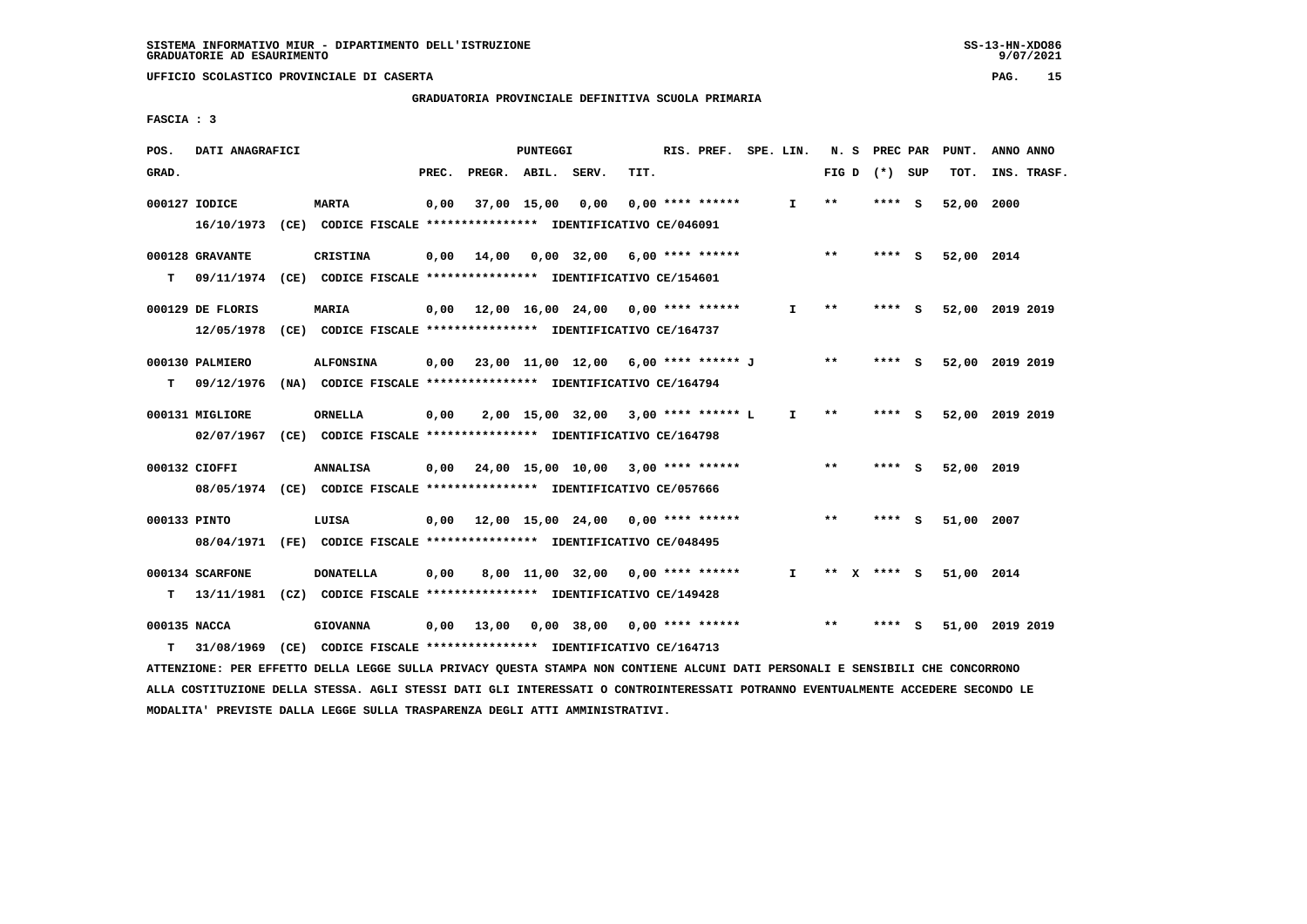# **GRADUATORIA PROVINCIALE DEFINITIVA SCUOLA PRIMARIA**

 **FASCIA : 3**

| POS.         | DATI ANAGRAFICI  |                                                                                                                               |       |                    | PUNTEGGI |                                             |      | RIS. PREF. SPE. LIN. |                               |       | N. S PREC PAR   | PUNT.                  | ANNO ANNO       |
|--------------|------------------|-------------------------------------------------------------------------------------------------------------------------------|-------|--------------------|----------|---------------------------------------------|------|----------------------|-------------------------------|-------|-----------------|------------------------|-----------------|
| GRAD.        |                  |                                                                                                                               | PREC. | PREGR. ABIL. SERV. |          |                                             | TIT. |                      |                               |       | FIG D $(*)$ SUP | тот.                   | INS. TRASF.     |
|              | 000127 IODICE    | <b>MARTA</b>                                                                                                                  | 0,00  |                    |          | 37,00 15,00 0,00                            |      | $0,00$ **** ******   | $\mathbf{I}$                  | $* *$ | $***$ S         | 52,00 2000             |                 |
|              |                  | 16/10/1973 (CE) CODICE FISCALE **************** IDENTIFICATIVO CE/046091                                                      |       |                    |          |                                             |      |                      |                               |       |                 |                        |                 |
|              | 000128 GRAVANTE  | <b>CRISTINA</b>                                                                                                               |       |                    |          | $0,00$ 14,00 0,00 32,00 6,00 **** ******    |      |                      |                               | $***$ | **** S          | 52,00 2014             |                 |
|              |                  | T 09/11/1974 (CE) CODICE FISCALE *************** IDENTIFICATIVO CE/154601                                                     |       |                    |          |                                             |      |                      |                               |       |                 |                        |                 |
|              | 000129 DE FLORIS | <b>MARIA</b>                                                                                                                  |       |                    |          | 0,00 12,00 16,00 24,00 0,00 **** ******     |      |                      | I.                            | $***$ | $***$ S         |                        | 52,00 2019 2019 |
|              |                  | 12/05/1978 (CE) CODICE FISCALE *************** IDENTIFICATIVO CE/164737                                                       |       |                    |          |                                             |      |                      |                               |       |                 |                        |                 |
|              | 000130 PALMIERO  | <b>ALFONSINA</b>                                                                                                              |       |                    |          | $0,00$ 23,00 11,00 12,00 6,00 **** ****** J |      |                      |                               | $* *$ | $***$ S         |                        | 52,00 2019 2019 |
|              |                  | T 09/12/1976 (NA) CODICE FISCALE **************** IDENTIFICATIVO CE/164794                                                    |       |                    |          |                                             |      |                      |                               |       |                 |                        |                 |
|              | 000131 MIGLIORE  | ORNELLA                                                                                                                       | 0,00  |                    |          | $2,00$ 15,00 32,00 3,00 **** ****** L       |      |                      | $\mathbf{I}$                  | $***$ | **** S          |                        | 52,00 2019 2019 |
|              |                  | 02/07/1967 (CE) CODICE FISCALE *************** IDENTIFICATIVO CE/164798                                                       |       |                    |          |                                             |      |                      |                               |       |                 |                        |                 |
|              | 000132 CIOFFI    | ANNALISA                                                                                                                      |       |                    |          | 0,00 24,00 15,00 10,00 3,00 **** ******     |      |                      |                               | $* *$ | $***$ S         | 52,00 2019             |                 |
|              |                  | 08/05/1974 (CE) CODICE FISCALE *************** IDENTIFICATIVO CE/057666                                                       |       |                    |          |                                             |      |                      |                               |       |                 |                        |                 |
| 000133 PINTO |                  | LUISA                                                                                                                         |       |                    |          | $0.00$ 12.00 15.00 24.00 0.00 **** ******   |      |                      |                               | **    | **** S          | 51,00 2007             |                 |
|              |                  | 08/04/1971 (FE) CODICE FISCALE *************** IDENTIFICATIVO CE/048495                                                       |       |                    |          |                                             |      |                      |                               |       |                 |                        |                 |
|              | 000134 SCARFONE  | <b>DONATELLA</b>                                                                                                              | 0,00  |                    |          | 8,00 11,00 32,00 0,00 **** ******           |      |                      | $\mathbf{I}$ and $\mathbf{I}$ |       |                 | ** X **** S 51,00 2014 |                 |
|              |                  | T 13/11/1981 (CZ) CODICE FISCALE **************** IDENTIFICATIVO CE/149428                                                    |       |                    |          |                                             |      |                      |                               |       |                 |                        |                 |
| 000135 NACCA |                  | <b>GIOVANNA</b>                                                                                                               |       |                    |          | $0,00$ 13,00 0,00 38,00 0,00 **** ******    |      |                      |                               | $* *$ | **** S          |                        | 51,00 2019 2019 |
| т            |                  | 31/08/1969 (CE) CODICE FISCALE **************** IDENTIFICATIVO CE/164713                                                      |       |                    |          |                                             |      |                      |                               |       |                 |                        |                 |
|              |                  | ATTENZIONE: PER EFFETTO DELLA LEGGE SULLA PRIVACY QUESTA STAMPA NON CONTIENE ALCUNI DATI PERSONALI E SENSIBILI CHE CONCORRONO |       |                    |          |                                             |      |                      |                               |       |                 |                        |                 |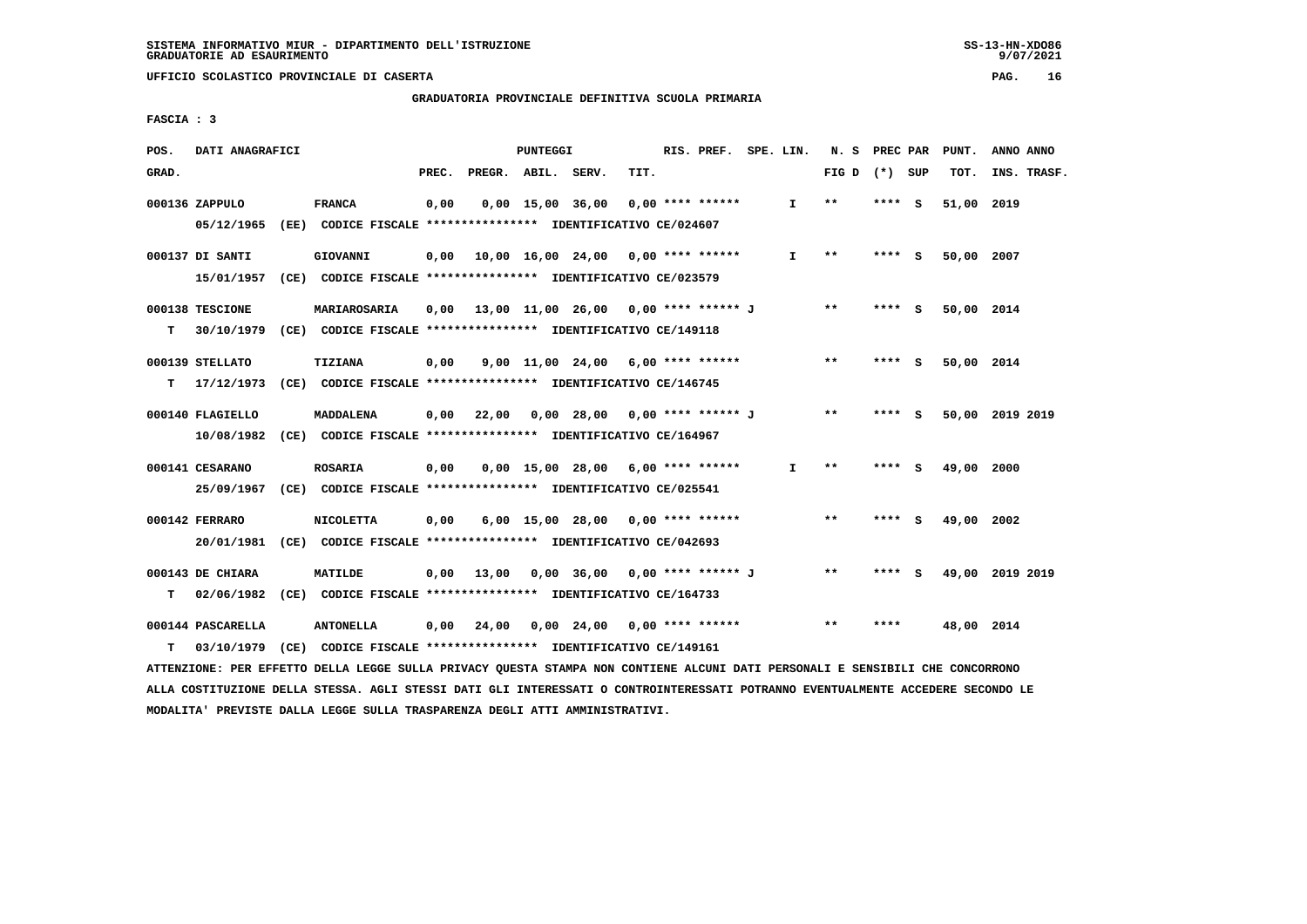**GRADUATORIA PROVINCIALE DEFINITIVA SCUOLA PRIMARIA**

 **FASCIA : 3**

| POS.  | DATI ANAGRAFICI   |                                                                                                                               |       |                    | PUNTEGGI |                                           |      | RIS. PREF. SPE. LIN. |              | N. S PREC PAR   |         | PUNT.           | ANNO ANNO   |  |
|-------|-------------------|-------------------------------------------------------------------------------------------------------------------------------|-------|--------------------|----------|-------------------------------------------|------|----------------------|--------------|-----------------|---------|-----------------|-------------|--|
| GRAD. |                   |                                                                                                                               | PREC. | PREGR. ABIL. SERV. |          |                                           | TIT. |                      |              | FIG D $(*)$ SUP |         | TOT.            | INS. TRASF. |  |
|       | 000136 ZAPPULO    | <b>FRANCA</b>                                                                                                                 | 0,00  |                    |          | 0,00 15,00 36,00                          |      | $0,00$ **** ******   | $\mathbf{I}$ | $* *$           | $***$ S | 51,00 2019      |             |  |
|       | 05/12/1965        | (EE) CODICE FISCALE **************** IDENTIFICATIVO CE/024607                                                                 |       |                    |          |                                           |      |                      |              |                 |         |                 |             |  |
|       | 000137 DI SANTI   | <b>GIOVANNI</b>                                                                                                               | 0,00  |                    |          | 10,00 16,00 24,00 0,00 **** ******        |      |                      | I.           | $* *$           | **** S  | 50,00 2007      |             |  |
|       | 15/01/1957        | (CE) CODICE FISCALE **************** IDENTIFICATIVO CE/023579                                                                 |       |                    |          |                                           |      |                      |              |                 |         |                 |             |  |
|       | 000138 TESCIONE   | MARIAROSARIA                                                                                                                  | 0.00  |                    |          | 13,00 11,00 26,00 0,00 **** ****** J      |      |                      |              | $* *$           | $***$ S | 50,00 2014      |             |  |
| т     | 30/10/1979        | (CE) CODICE FISCALE **************** IDENTIFICATIVO CE/149118                                                                 |       |                    |          |                                           |      |                      |              |                 |         |                 |             |  |
|       | 000139 STELLATO   | TIZIANA                                                                                                                       | 0,00  |                    |          | $9,00$ 11,00 24,00 6,00 **** ******       |      |                      |              | $* *$           | **** S  | 50,00 2014      |             |  |
| т     | 17/12/1973        | (CE) CODICE FISCALE **************** IDENTIFICATIVO CE/146745                                                                 |       |                    |          |                                           |      |                      |              |                 |         |                 |             |  |
|       | 000140 FLAGIELLO  | MADDALENA                                                                                                                     | 0,00  | 22,00              |          | 0,00 28,00 0,00 **** ****** J             |      |                      |              | $***$           | **** S  | 50,00 2019 2019 |             |  |
|       | 10/08/1982        | (CE) CODICE FISCALE **************** IDENTIFICATIVO CE/164967                                                                 |       |                    |          |                                           |      |                      |              |                 |         |                 |             |  |
|       | 000141 CESARANO   | <b>ROSARIA</b>                                                                                                                | 0,00  |                    |          | $0,00$ 15,00 28,00 6,00 **** ******       |      |                      | I.           | $***$           | **** S  | 49,00 2000      |             |  |
|       | 25/09/1967        | (CE) CODICE FISCALE **************** IDENTIFICATIVO CE/025541                                                                 |       |                    |          |                                           |      |                      |              |                 |         |                 |             |  |
|       | 000142 FERRARO    | <b>NICOLETTA</b>                                                                                                              | 0,00  |                    |          | $6,00$ 15,00 28,00 0,00 **** ******       |      |                      |              | $**$            | **** S  | 49,00           | 2002        |  |
|       |                   | 20/01/1981 (CE) CODICE FISCALE *************** IDENTIFICATIVO CE/042693                                                       |       |                    |          |                                           |      |                      |              |                 |         |                 |             |  |
|       | 000143 DE CHIARA  | <b>MATILDE</b>                                                                                                                | 0,00  |                    |          | 13,00  0,00  36,00  0,00  ****  ******  J |      |                      |              | $* *$           | **** S  | 49,00 2019 2019 |             |  |
| т     | 02/06/1982        | (CE) CODICE FISCALE **************** IDENTIFICATIVO CE/164733                                                                 |       |                    |          |                                           |      |                      |              |                 |         |                 |             |  |
|       | 000144 PASCARELLA | <b>ANTONELLA</b>                                                                                                              | 0,00  | 24,00              |          | 0,00 24,00 0,00 **** ******               |      |                      |              | $**$            | ****    | 48,00 2014      |             |  |
| т     | 03/10/1979        | (CE) CODICE FISCALE **************** IDENTIFICATIVO CE/149161                                                                 |       |                    |          |                                           |      |                      |              |                 |         |                 |             |  |
|       |                   | ATTENZIONE: PER EFFETTO DELLA LEGGE SULLA PRIVACY QUESTA STAMPA NON CONTIENE ALCUNI DATI PERSONALI E SENSIBILI CHE CONCORRONO |       |                    |          |                                           |      |                      |              |                 |         |                 |             |  |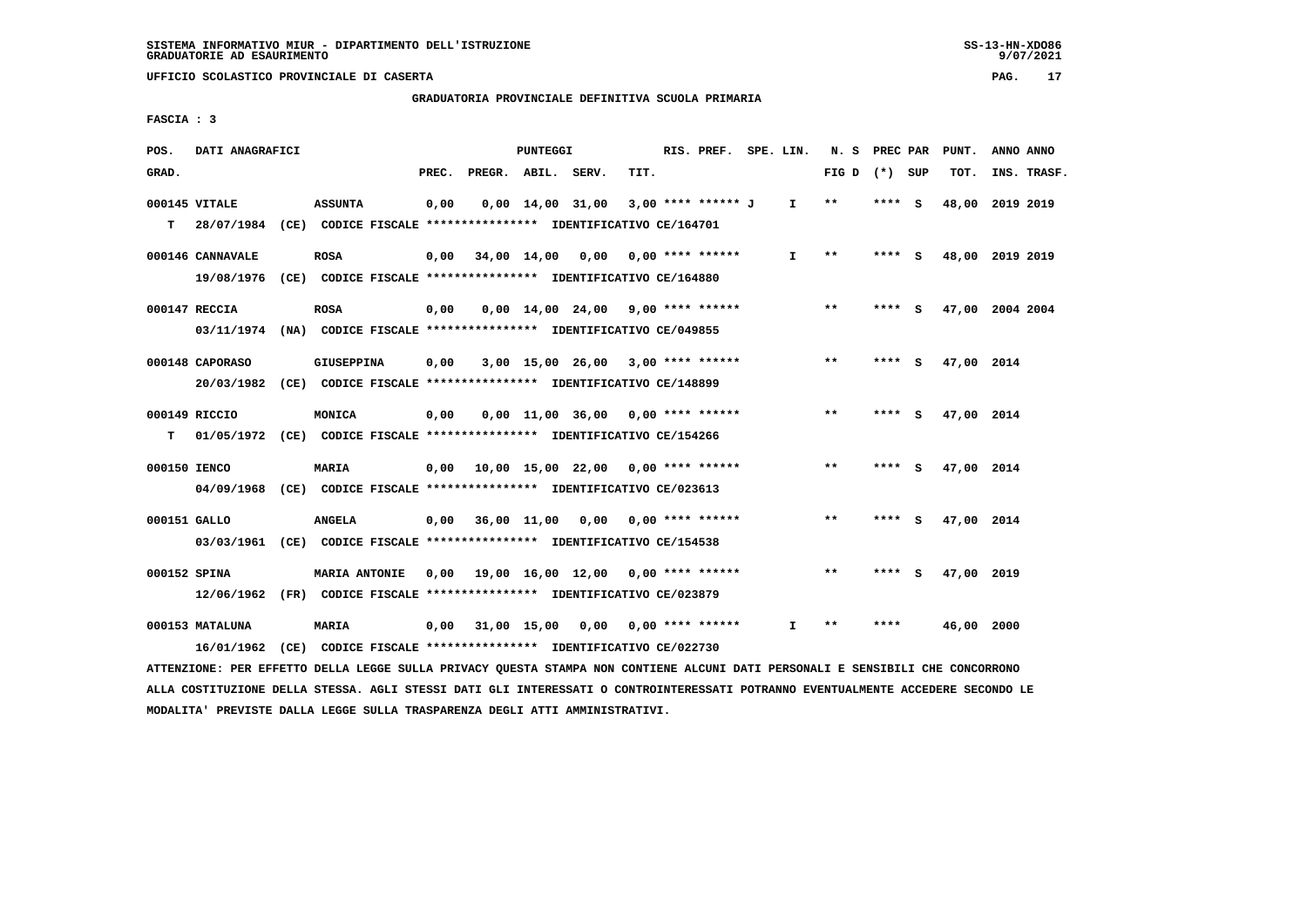**GRADUATORIA PROVINCIALE DEFINITIVA SCUOLA PRIMARIA**

 **FASCIA : 3**

| POS.         | DATI ANAGRAFICI               |                                                                                                 |       |                    | PUNTEGGI |                                           |      | RIS. PREF. SPE. LIN. |              | N. S PREC PAR   |        |     | PUNT.           | ANNO ANNO |             |
|--------------|-------------------------------|-------------------------------------------------------------------------------------------------|-------|--------------------|----------|-------------------------------------------|------|----------------------|--------------|-----------------|--------|-----|-----------------|-----------|-------------|
| GRAD.        |                               |                                                                                                 | PREC. | PREGR. ABIL. SERV. |          |                                           | TIT. |                      |              | FIG D $(*)$ SUP |        |     | TOT.            |           | INS. TRASF. |
|              | 000145 VITALE                 | <b>ASSUNTA</b><br>T 28/07/1984 (CE) CODICE FISCALE *************** IDENTIFICATIVO CE/164701     | 0,00  |                    |          | $0,00 \quad 14,00 \quad 31,00$            |      | 3,00 **** ****** J   | $\mathbf{I}$ | $***$           | **** S |     | 48,00           | 2019 2019 |             |
|              | 000146 CANNAVALE              | <b>ROSA</b><br>19/08/1976 (CE) CODICE FISCALE *************** IDENTIFICATIVO CE/164880          | 0,00  |                    |          | 34,00 14,00 0,00                          |      | $0.00$ **** ******   | T.           | $**$            | **** S |     | 48,00 2019 2019 |           |             |
|              | 000147 RECCIA                 | <b>ROSA</b><br>03/11/1974 (NA) CODICE FISCALE *************** IDENTIFICATIVO CE/049855          | 0,00  |                    |          | $0,00$ 14,00 24,00 9,00 **** ******       |      |                      |              | $***$           | **** S |     | 47,00 2004 2004 |           |             |
|              | 000148 CAPORASO               | <b>GIUSEPPINA</b><br>20/03/1982 (CE) CODICE FISCALE *************** IDENTIFICATIVO CE/148899    | 0.00  |                    |          | $3,00$ 15,00 26,00 3,00 **** ******       |      |                      |              | $***$           | **** S |     | 47,00 2014      |           |             |
| т            | 000149 RICCIO                 | MONICA<br>01/05/1972 (CE) CODICE FISCALE *************** IDENTIFICATIVO CE/154266               | 0,00  |                    |          | $0,00$ 11,00 36,00 0,00 **** ******       |      |                      |              | **              | **** S |     | 47,00 2014      |           |             |
| 000150 IENCO |                               | <b>MARIA</b><br>04/09/1968 (CE) CODICE FISCALE *************** IDENTIFICATIVO CE/023613         |       |                    |          | 0,00 10,00 15,00 22,00 0,00 **** ******   |      |                      |              | **              | **** S |     | 47,00 2014      |           |             |
| 000151 GALLO |                               | <b>ANGELA</b><br>03/03/1961 (CE) CODICE FISCALE *************** IDENTIFICATIVO CE/154538        |       |                    |          | $0.00$ 36.00 11.00 0.00 0.00 **** ******  |      |                      |              | $***$           | ****   | - S | 47,00 2014      |           |             |
| 000152 SPINA |                               | <b>MARIA ANTONIE</b><br>12/06/1962 (FR) CODICE FISCALE *************** IDENTIFICATIVO CE/023879 |       |                    |          | $0.00$ 19.00 16.00 12.00 0.00 **** ****** |      |                      |              | $***$           | ****   | - S | 47,00 2019      |           |             |
|              | 000153 MATALUNA<br>16/01/1962 | MARIA<br>(CE) CODICE FISCALE **************** IDENTIFICATIVO CE/022730                          | 0,00  |                    |          | 31,00 15,00 0,00 0,00 **** ******         |      |                      | I.           | $* *$           | ****   |     | 46,00 2000      |           |             |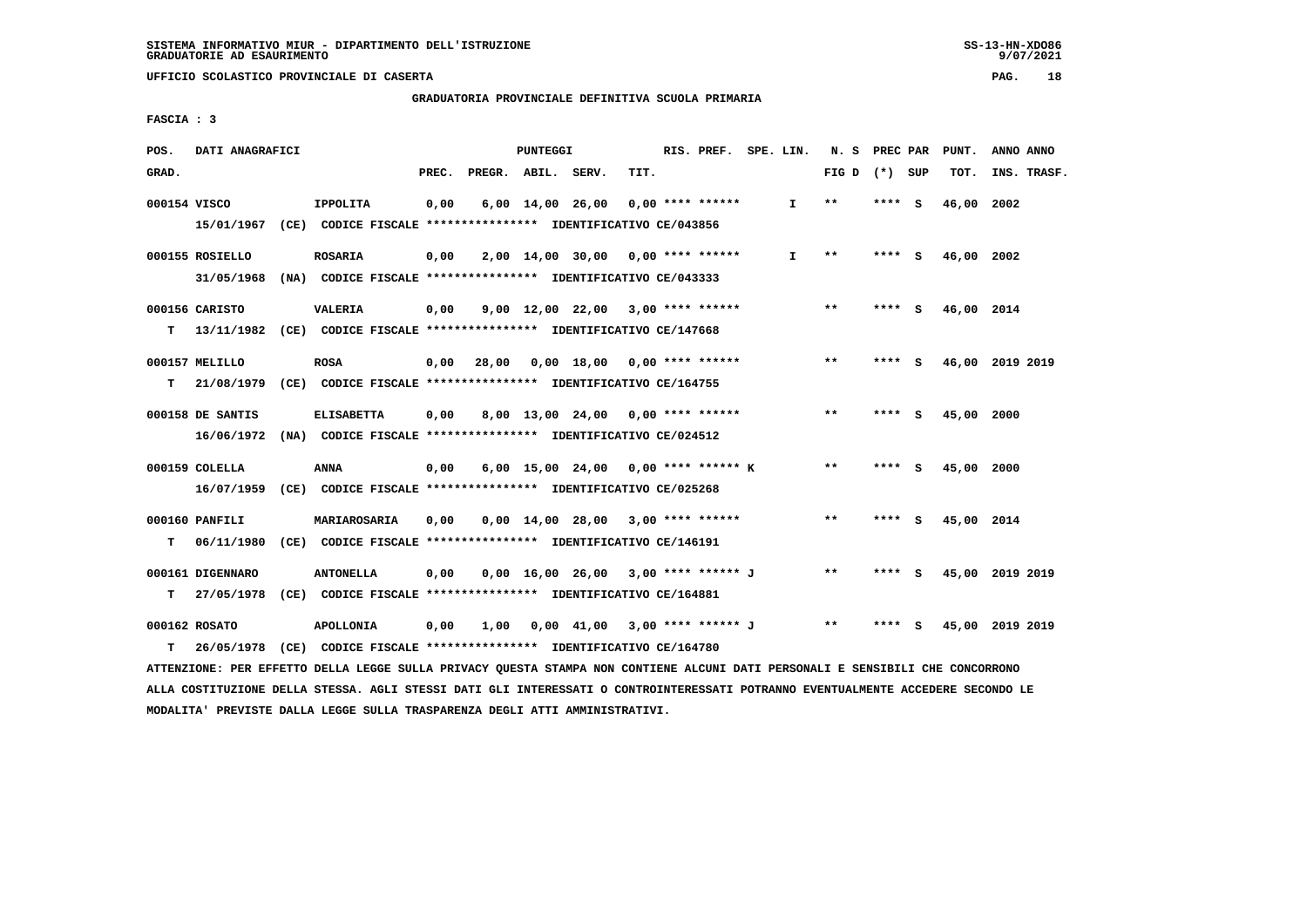**GRADUATORIA PROVINCIALE DEFINITIVA SCUOLA PRIMARIA**

 **FASCIA : 3**

| POS.         | DATI ANAGRAFICI  |                                                                                                                               |       |                    | PUNTEGGI |                                       |      | RIS. PREF. SPE. LIN. |              | N. S PREC PAR   |        |     | PUNT.      | ANNO ANNO       |
|--------------|------------------|-------------------------------------------------------------------------------------------------------------------------------|-------|--------------------|----------|---------------------------------------|------|----------------------|--------------|-----------------|--------|-----|------------|-----------------|
| GRAD.        |                  |                                                                                                                               | PREC. | PREGR. ABIL. SERV. |          |                                       | TIT. |                      |              | FIG D $(*)$ SUP |        |     | TOT.       | INS. TRASF.     |
| 000154 VISCO |                  | <b>IPPOLITA</b>                                                                                                               | 0,00  |                    |          | $6,00$ 14,00 26,00 0,00 **** ******   |      |                      | $\mathbf{I}$ | $* *$           | **** S |     | 46,00 2002 |                 |
|              |                  | 15/01/1967 (CE) CODICE FISCALE *************** IDENTIFICATIVO CE/043856                                                       |       |                    |          |                                       |      |                      |              |                 |        |     |            |                 |
|              | 000155 ROSIELLO  | <b>ROSARIA</b>                                                                                                                | 0,00  |                    |          | $2,00$ 14,00 30,00 0,00 **** ******   |      |                      | I.           | $* *$           | **** S |     | 46,00 2002 |                 |
|              | 31/05/1968       | (NA) CODICE FISCALE **************** IDENTIFICATIVO CE/043333                                                                 |       |                    |          |                                       |      |                      |              |                 |        |     |            |                 |
|              |                  |                                                                                                                               |       |                    |          |                                       |      |                      |              |                 |        |     |            |                 |
|              | 000156 CARISTO   | <b>VALERIA</b>                                                                                                                | 0,00  |                    |          | $9,00$ 12,00 22,00 3,00 **** ******   |      |                      |              | $***$           | **** S |     | 46,00 2014 |                 |
| T.           |                  | 13/11/1982 (CE) CODICE FISCALE *************** IDENTIFICATIVO CE/147668                                                       |       |                    |          |                                       |      |                      |              |                 |        |     |            |                 |
|              | 000157 MELILLO   | <b>ROSA</b>                                                                                                                   | 0,00  |                    |          |                                       |      |                      |              | $***$           | **** S |     |            | 46,00 2019 2019 |
|              |                  | T 21/08/1979 (CE) CODICE FISCALE *************** IDENTIFICATIVO CE/164755                                                     |       |                    |          |                                       |      |                      |              |                 |        |     |            |                 |
|              | 000158 DE SANTIS | <b>ELISABETTA</b>                                                                                                             | 0,00  |                    |          | $8,00$ 13,00 24,00 0,00 **** ******   |      |                      |              | $* *$           | **** S |     | 45,00 2000 |                 |
|              | 16/06/1972       | (NA) CODICE FISCALE **************** IDENTIFICATIVO CE/024512                                                                 |       |                    |          |                                       |      |                      |              |                 |        |     |            |                 |
|              |                  |                                                                                                                               |       |                    |          |                                       |      |                      |              |                 |        |     |            |                 |
|              | 000159 COLELLA   | ANNA                                                                                                                          | 0,00  |                    |          | 6,00 15,00 24,00 0,00 **** ****** K   |      |                      |              | $***$           | **** S |     | 45,00 2000 |                 |
|              |                  | 16/07/1959 (CE) CODICE FISCALE *************** IDENTIFICATIVO CE/025268                                                       |       |                    |          |                                       |      |                      |              |                 |        |     |            |                 |
|              | 000160 PANFILI   | MARIAROSARIA                                                                                                                  | 0,00  |                    |          | $0.00$ 14.00 28.00 3.00 **** ******   |      |                      |              | $***$           | **** S |     | 45,00 2014 |                 |
|              | $T = 06/11/1980$ | (CE) CODICE FISCALE **************** IDENTIFICATIVO CE/146191                                                                 |       |                    |          |                                       |      |                      |              |                 |        |     |            |                 |
|              | 000161 DIGENNARO | <b>ANTONELLA</b>                                                                                                              | 0,00  |                    |          | $0,00$ 16,00 26,00 3,00 **** ****** J |      |                      |              | $* *$           | **** S |     |            | 45,00 2019 2019 |
| т            | 27/05/1978       | (CE) CODICE FISCALE **************** IDENTIFICATIVO CE/164881                                                                 |       |                    |          |                                       |      |                      |              |                 |        |     |            |                 |
|              |                  |                                                                                                                               |       |                    |          |                                       |      |                      |              |                 |        |     |            |                 |
|              | 000162 ROSATO    | <b>APOLLONIA</b>                                                                                                              | 0,00  | 1,00               |          | 0,00 41,00 3,00 **** ****** J         |      |                      |              | $* *$           | ****   | - S |            | 45,00 2019 2019 |
| т            | 26/05/1978       | (CE) CODICE FISCALE **************** IDENTIFICATIVO CE/164780                                                                 |       |                    |          |                                       |      |                      |              |                 |        |     |            |                 |
|              |                  | ATTENZIONE: PER EFFETTO DELLA LEGGE SULLA PRIVACY QUESTA STAMPA NON CONTIENE ALCUNI DATI PERSONALI E SENSIBILI CHE CONCORRONO |       |                    |          |                                       |      |                      |              |                 |        |     |            |                 |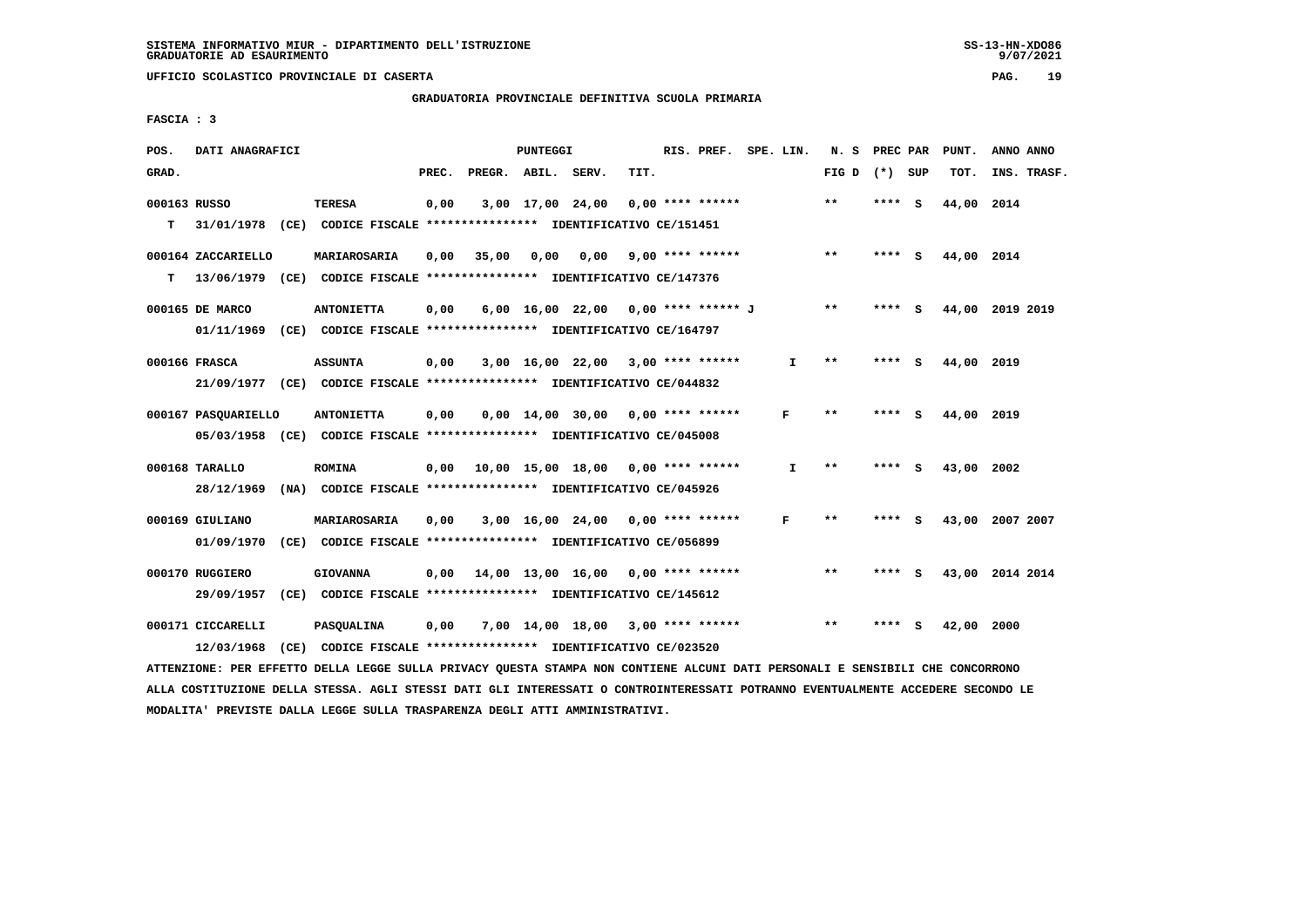**GRADUATORIA PROVINCIALE DEFINITIVA SCUOLA PRIMARIA**

 **FASCIA : 3**

| POS.         | DATI ANAGRAFICI     |                                                                                                                               |       |                    | PUNTEGGI |                                           |                         | RIS. PREF. SPE. LIN. |              | N. S PREC PAR   |        | PUNT.           | ANNO ANNO |             |
|--------------|---------------------|-------------------------------------------------------------------------------------------------------------------------------|-------|--------------------|----------|-------------------------------------------|-------------------------|----------------------|--------------|-----------------|--------|-----------------|-----------|-------------|
| GRAD.        |                     |                                                                                                                               | PREC. | PREGR. ABIL. SERV. |          |                                           | TIT.                    |                      |              | FIG D $(*)$ SUP |        | TOT.            |           | INS. TRASF. |
| 000163 RUSSO |                     | TERESA                                                                                                                        | 0,00  |                    |          | $3,00$ 17,00 24,00 0,00 **** ******       |                         |                      |              | $***$           | **** S | 44,00 2014      |           |             |
| T.           |                     | 31/01/1978 (CE) CODICE FISCALE **************** IDENTIFICATIVO CE/151451                                                      |       |                    |          |                                           |                         |                      |              |                 |        |                 |           |             |
|              | 000164 ZACCARIELLO  | MARIAROSARIA                                                                                                                  | 0,00  | 35,00              | 0,00     |                                           | $0,00$ 9,00 **** ****** |                      |              | $***$           | **** S | 44,00 2014      |           |             |
| T.           |                     | 13/06/1979 (CE) CODICE FISCALE **************** IDENTIFICATIVO CE/147376                                                      |       |                    |          |                                           |                         |                      |              |                 |        |                 |           |             |
|              | 000165 DE MARCO     | <b>ANTONIETTA</b>                                                                                                             | 0,00  |                    |          | 6,00 16,00 22,00 0,00 **** ****** J       |                         |                      |              | $***$           | **** S | 44,00 2019 2019 |           |             |
|              |                     | 01/11/1969 (CE) CODICE FISCALE *************** IDENTIFICATIVO CE/164797                                                       |       |                    |          |                                           |                         |                      |              |                 |        |                 |           |             |
|              | 000166 FRASCA       | <b>ASSUNTA</b>                                                                                                                | 0,00  |                    |          | 3,00 16,00 22,00 3,00 **** ******         |                         |                      | $\mathbf{I}$ | $***$           | **** S | 44,00 2019      |           |             |
|              |                     | 21/09/1977 (CE) CODICE FISCALE *************** IDENTIFICATIVO CE/044832                                                       |       |                    |          |                                           |                         |                      |              |                 |        |                 |           |             |
|              | 000167 PASOUARIELLO | <b>ANTONIETTA</b>                                                                                                             | 0,00  |                    |          | $0.00$ 14.00 30.00 0.00 **** ******       |                         |                      | F            | $* *$           | **** S | 44,00 2019      |           |             |
|              |                     | 05/03/1958 (CE) CODICE FISCALE *************** IDENTIFICATIVO CE/045008                                                       |       |                    |          |                                           |                         |                      |              |                 |        |                 |           |             |
|              | 000168 TARALLO      | <b>ROMINA</b>                                                                                                                 |       |                    |          | $0,00$ 10,00 15,00 18,00 0,00 **** ****** |                         |                      | I.           | **              | **** S | 43,00 2002      |           |             |
|              |                     | 28/12/1969 (NA) CODICE FISCALE *************** IDENTIFICATIVO CE/045926                                                       |       |                    |          |                                           |                         |                      |              |                 |        |                 |           |             |
|              | 000169 GIULIANO     | MARIAROSARIA                                                                                                                  | 0,00  |                    |          | 3,00 16,00 24,00 0,00 **** ******         |                         |                      | F            | $* *$           | **** S | 43,00 2007 2007 |           |             |
|              |                     | 01/09/1970 (CE) CODICE FISCALE *************** IDENTIFICATIVO CE/056899                                                       |       |                    |          |                                           |                         |                      |              |                 |        |                 |           |             |
|              | 000170 RUGGIERO     | <b>GIOVANNA</b>                                                                                                               |       |                    |          | $0,00$ 14,00 13,00 16,00 0,00 **** ****** |                         |                      |              | $* *$           | **** S | 43,00 2014 2014 |           |             |
|              |                     | 29/09/1957 (CE) CODICE FISCALE *************** IDENTIFICATIVO CE/145612                                                       |       |                    |          |                                           |                         |                      |              |                 |        |                 |           |             |
|              | 000171 CICCARELLI   | <b>PASQUALINA</b>                                                                                                             | 0,00  |                    |          | 7,00 14,00 18,00 3,00 **** ******         |                         |                      |              | $* *$           | **** S | 42,00 2000      |           |             |
|              |                     | 12/03/1968 (CE) CODICE FISCALE *************** IDENTIFICATIVO CE/023520                                                       |       |                    |          |                                           |                         |                      |              |                 |        |                 |           |             |
|              |                     | ATTENZIONE: PER EFFETTO DELLA LEGGE SULLA PRIVACY QUESTA STAMPA NON CONTIENE ALCUNI DATI PERSONALI E SENSIBILI CHE CONCORRONO |       |                    |          |                                           |                         |                      |              |                 |        |                 |           |             |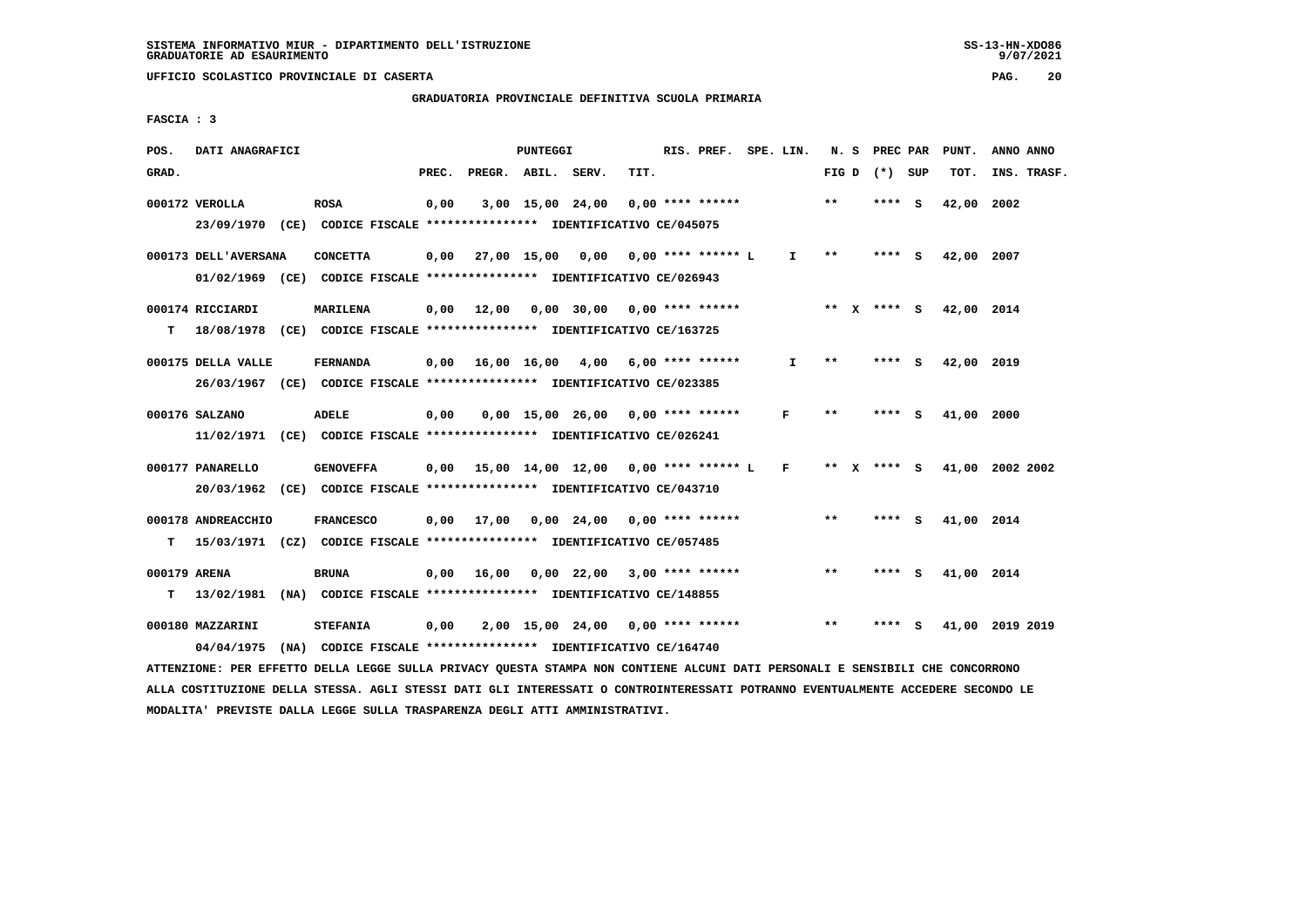# **GRADUATORIA PROVINCIALE DEFINITIVA SCUOLA PRIMARIA**

 **FASCIA : 3**

| POS.         | DATI ANAGRAFICI                                                                                                                 |                  |       |                    | PUNTEGGI |                                             |      | RIS. PREF. SPE. LIN. |              | N.S   | PREC PAR        |     | PUNT.      | ANNO ANNO       |
|--------------|---------------------------------------------------------------------------------------------------------------------------------|------------------|-------|--------------------|----------|---------------------------------------------|------|----------------------|--------------|-------|-----------------|-----|------------|-----------------|
| GRAD.        |                                                                                                                                 |                  | PREC. | PREGR. ABIL. SERV. |          |                                             | TIT. |                      |              |       | FIG D $(*)$ SUP |     | TOT.       | INS. TRASF.     |
|              | 000172 VEROLLA                                                                                                                  | <b>ROSA</b>      | 0,00  |                    |          | 3,00 15,00 24,00                            |      | 0,00 **** ******     |              | $***$ | **** S          |     | 42,00      | 2002            |
|              | 23/09/1970 (CE) CODICE FISCALE *************** IDENTIFICATIVO CE/045075                                                         |                  |       |                    |          |                                             |      |                      |              |       |                 |     |            |                 |
|              | 000173 DELL'AVERSANA                                                                                                            | <b>CONCETTA</b>  | 0,00  | 27,00 15,00        |          | 0,00                                        |      | 0,00 **** ****** L   | I.           | $* *$ | ****            | - 5 | 42,00      | 2007            |
|              | 01/02/1969 (CE) CODICE FISCALE *************** IDENTIFICATIVO CE/026943                                                         |                  |       |                    |          |                                             |      |                      |              |       |                 |     |            |                 |
|              | 000174 RICCIARDI                                                                                                                | <b>MARILENA</b>  | 0,00  |                    |          | 12,00 0,00 30,00 0,00 **** ******           |      |                      |              |       | ** $X$ **** S   |     | 42,00 2014 |                 |
| т            | 18/08/1978 (CE) CODICE FISCALE *************** IDENTIFICATIVO CE/163725                                                         |                  |       |                    |          |                                             |      |                      |              |       |                 |     |            |                 |
|              | 000175 DELLA VALLE                                                                                                              | <b>FERNANDA</b>  | 0,00  | 16,00 16,00        |          | 4,00                                        |      | 6,00 **** ******     | I.           | $* *$ | **** S          |     | 42,00 2019 |                 |
|              | 26/03/1967 (CE) CODICE FISCALE *************** IDENTIFICATIVO CE/023385                                                         |                  |       |                    |          |                                             |      |                      |              |       |                 |     |            |                 |
|              | 000176 SALZANO                                                                                                                  | ADELE            | 0,00  |                    |          | $0,00$ 15,00 26,00 0,00 **** ******         |      |                      | F            | $* *$ | **** S          |     | 41,00      | 2000            |
|              | 11/02/1971 (CE) CODICE FISCALE **************** IDENTIFICATIVO CE/026241                                                        |                  |       |                    |          |                                             |      |                      |              |       |                 |     |            |                 |
|              |                                                                                                                                 |                  |       |                    |          |                                             |      |                      |              |       |                 |     |            |                 |
|              | 000177 PANARELLO                                                                                                                | <b>GENOVEFFA</b> |       |                    |          | $0,00$ 15,00 14,00 12,00 0,00 **** ****** L |      |                      | $\mathbf{F}$ | $***$ | **** S          |     |            | 41,00 2002 2002 |
|              | 20/03/1962 (CE) CODICE FISCALE *************** IDENTIFICATIVO CE/043710                                                         |                  |       |                    |          |                                             |      |                      |              |       |                 |     |            |                 |
|              | 000178 ANDREACCHIO                                                                                                              | <b>FRANCESCO</b> |       | $0,00$ 17,00       |          | 0,00 24,00                                  |      | $0.00$ **** ******   |              | **    | **** S          |     | 41,00      | 2014            |
| т            | 15/03/1971 (CZ) CODICE FISCALE *************** IDENTIFICATIVO CE/057485                                                         |                  |       |                    |          |                                             |      |                      |              |       |                 |     |            |                 |
| 000179 ARENA |                                                                                                                                 | <b>BRUNA</b>     |       |                    |          | $0,00$ 16,00 0,00 22,00 3,00 **** ******    |      |                      |              | $* *$ | **** S          |     | 41,00 2014 |                 |
| т            | 13/02/1981 (NA) CODICE FISCALE **************** IDENTIFICATIVO CE/148855                                                        |                  |       |                    |          |                                             |      |                      |              |       |                 |     |            |                 |
|              |                                                                                                                                 |                  |       |                    |          |                                             |      |                      |              | $* *$ |                 |     |            |                 |
|              | 000180 MAZZARINI                                                                                                                | <b>STEFANIA</b>  | 0,00  |                    |          | $2,00$ 15,00 24,00 0,00 **** ******         |      |                      |              |       |                 | s   |            | 41,00 2019 2019 |
|              | 04/04/1975 (NA) CODICE FISCALE *************** IDENTIFICATIVO CE/164740                                                         |                  |       |                    |          |                                             |      |                      |              |       |                 |     |            |                 |
|              | ATTENZIONE: PER EFFETTO DELLA LEGGE SULLA PRIVACY QUESTA STAMPA NON CONTIENE ALCUNI DATI PERSONALI E SENSIBILI CHE CONCORRONO   |                  |       |                    |          |                                             |      |                      |              |       |                 |     |            |                 |
|              | ALLA COSTITUZIONE DELLA STESSA. AGLI STESSI DATI GLI INTERESSATI O CONTROINTERESSATI POTRANNO EVENTUALMENTE ACCEDERE SECONDO LE |                  |       |                    |          |                                             |      |                      |              |       |                 |     |            |                 |

 **MODALITA' PREVISTE DALLA LEGGE SULLA TRASPARENZA DEGLI ATTI AMMINISTRATIVI.**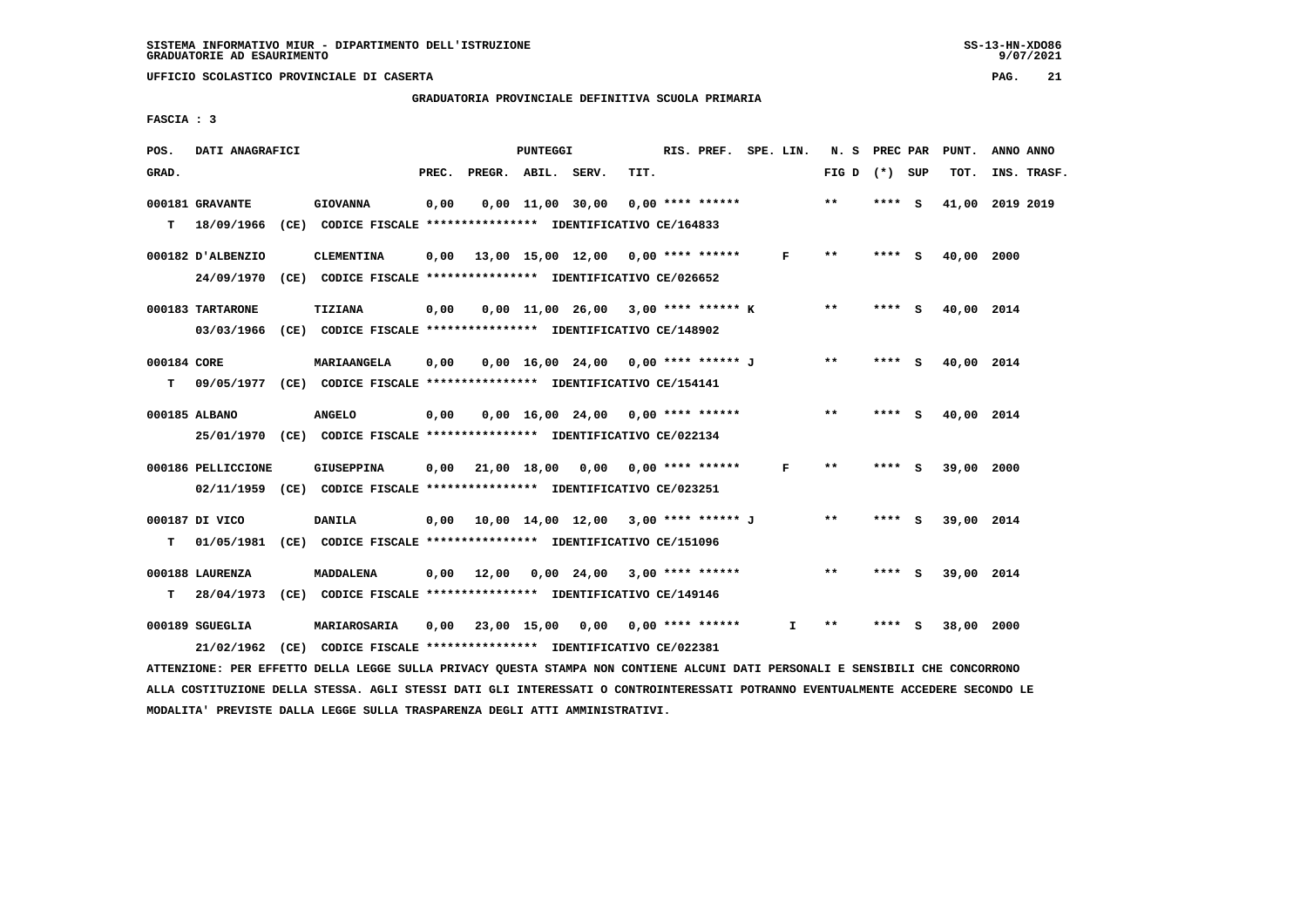# **GRADUATORIA PROVINCIALE DEFINITIVA SCUOLA PRIMARIA**

 **FASCIA : 3**

| POS.        | DATI ANAGRAFICI    |                                                                                          |       |                    | PUNTEGGI |                                             |      | RIS. PREF. SPE. LIN. |              | N. S PREC PAR   |         | PUNT.           | ANNO ANNO |             |
|-------------|--------------------|------------------------------------------------------------------------------------------|-------|--------------------|----------|---------------------------------------------|------|----------------------|--------------|-----------------|---------|-----------------|-----------|-------------|
| GRAD.       |                    |                                                                                          | PREC. | PREGR. ABIL. SERV. |          |                                             | TIT. |                      |              | FIG D $(*)$ SUP |         | TOT.            |           | INS. TRASF. |
|             | 000181 GRAVANTE    | <b>GIOVANNA</b>                                                                          | 0,00  |                    |          | $0,00$ $11,00$ $30,00$                      |      | $0.00$ **** ******   |              | $***$           | **** S  | 41,00 2019 2019 |           |             |
|             |                    | T 18/09/1966 (CE) CODICE FISCALE *************** IDENTIFICATIVO CE/164833                |       |                    |          |                                             |      |                      |              |                 |         |                 |           |             |
|             | 000182 D'ALBENZIO  | <b>CLEMENTINA</b>                                                                        |       |                    |          | $0,00$ 13,00 15,00 12,00 0,00 **** ******   |      |                      | $\mathbf{F}$ | $***$           | $***$ S | 40,00 2000      |           |             |
|             |                    | 24/09/1970 (CE) CODICE FISCALE *************** IDENTIFICATIVO CE/026652                  |       |                    |          |                                             |      |                      |              |                 |         |                 |           |             |
|             | 000183 TARTARONE   | <b>TIZIANA</b>                                                                           | 0,00  |                    |          | 0,00 11,00 26,00 3,00 **** ****** K         |      |                      |              | $***$           | **** S  | 40,00 2014      |           |             |
|             |                    | 03/03/1966 (CE) CODICE FISCALE *************** IDENTIFICATIVO CE/148902                  |       |                    |          |                                             |      |                      |              |                 |         |                 |           |             |
| 000184 CORE |                    | <b>MARIAANGELA</b>                                                                       | 0,00  |                    |          | 0,00 16,00 24,00 0,00 **** ****** J         |      |                      |              | $* *$           | **** S  | 40,00 2014      |           |             |
| т           |                    | 09/05/1977 (CE) CODICE FISCALE *************** IDENTIFICATIVO CE/154141                  |       |                    |          |                                             |      |                      |              |                 |         |                 |           |             |
|             |                    |                                                                                          |       |                    |          |                                             |      |                      |              | $***$           |         |                 |           |             |
|             | 000185 ALBANO      | <b>ANGELO</b><br>25/01/1970 (CE) CODICE FISCALE *************** IDENTIFICATIVO CE/022134 | 0,00  |                    |          | $0.00$ 16.00 24.00 0.00 **** ******         |      |                      |              |                 | **** S  | 40,00 2014      |           |             |
|             |                    |                                                                                          |       |                    |          |                                             |      |                      |              |                 |         |                 |           |             |
|             | 000186 PELLICCIONE | <b>GIUSEPPINA</b>                                                                        |       |                    |          | 0,00 21,00 18,00 0,00                       |      | 0,00 **** ******     | F            | $***$           | **** S  | 39,00 2000      |           |             |
|             |                    | 02/11/1959 (CE) CODICE FISCALE *************** IDENTIFICATIVO CE/023251                  |       |                    |          |                                             |      |                      |              |                 |         |                 |           |             |
|             | 000187 DI VICO     | <b>DANILA</b>                                                                            |       |                    |          | $0,00$ 10,00 14,00 12,00 3,00 **** ****** J |      |                      |              | $* *$           | **** S  | 39,00 2014      |           |             |
| т           |                    | 01/05/1981 (CE) CODICE FISCALE **************** IDENTIFICATIVO CE/151096                 |       |                    |          |                                             |      |                      |              |                 |         |                 |           |             |
|             | 000188 LAURENZA    | MADDALENA                                                                                |       |                    |          | $0,00$ 12,00 0,00 24,00 3,00 **** ******    |      |                      |              | $***$           | **** S  | 39,00 2014      |           |             |
|             |                    | T 28/04/1973 (CE) CODICE FISCALE *************** IDENTIFICATIVO CE/149146                |       |                    |          |                                             |      |                      |              |                 |         |                 |           |             |
|             |                    |                                                                                          |       |                    |          |                                             |      |                      |              |                 |         |                 |           |             |
|             | 000189 SGUEGLIA    | <b>MARIAROSARIA</b>                                                                      |       |                    |          | $0,00$ 23,00 15,00 0,00 0,00 **** ******    |      |                      | I            | $\star\star$    | **** S  | 38,00 2000      |           |             |
|             |                    | 21/02/1962 (CE) CODICE FISCALE *************** IDENTIFICATIVO CE/022381                  |       |                    |          |                                             |      |                      |              |                 |         |                 |           |             |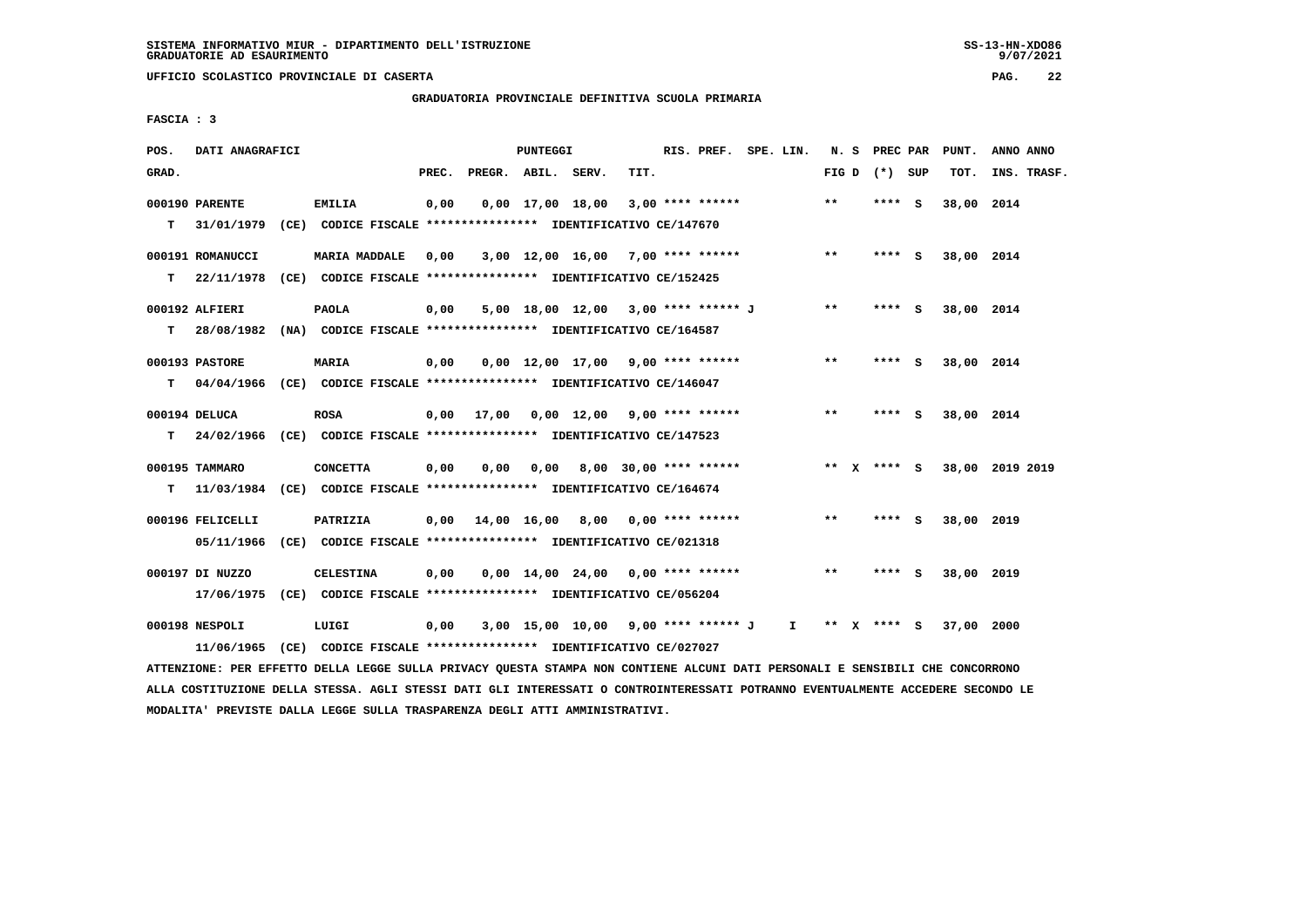**GRADUATORIA PROVINCIALE DEFINITIVA SCUOLA PRIMARIA**

 **FASCIA : 3**

| POS.  | DATI ANAGRAFICI                                                                            |                                                                                       |       |                                           | PUNTEGGI |                                     |      | RIS. PREF. SPE. LIN. |              |       | N. S         | PREC PAR        |     | PUNT.      | ANNO ANNO       |
|-------|--------------------------------------------------------------------------------------------|---------------------------------------------------------------------------------------|-------|-------------------------------------------|----------|-------------------------------------|------|----------------------|--------------|-------|--------------|-----------------|-----|------------|-----------------|
| GRAD. |                                                                                            |                                                                                       | PREC. | PREGR. ABIL. SERV.                        |          |                                     | TIT. |                      |              |       |              | FIG D $(*)$ SUP |     | TOT.       | INS. TRASF.     |
| т     | 000190 PARENTE<br>31/01/1979 (CE) CODICE FISCALE *************** IDENTIFICATIVO CE/147670  | EMILIA                                                                                | 0,00  |                                           |          | $0,00$ $17,00$ $18,00$              |      | $3,00$ **** ******   |              | **    |              | **** S          |     | 38,00      | 2014            |
| т     | 000191 ROMANUCCI<br>22/11/1978                                                             | <b>MARIA MADDALE</b><br>(CE) CODICE FISCALE **************** IDENTIFICATIVO CE/152425 | 0,00  |                                           |          | $3,00$ 12,00 16,00 7,00 **** ****** |      |                      |              | $***$ |              | $***$ S         |     | 38,00 2014 |                 |
| т     | 000192 ALFIERI<br>28/08/1982 (NA) CODICE FISCALE *************** IDENTIFICATIVO CE/164587  | <b>PAOLA</b>                                                                          | 0,00  |                                           |          | 5,00 18,00 12,00 3,00 **** ****** J |      |                      |              | $***$ |              | **** S          |     | 38,00 2014 |                 |
| т     | 000193 PASTORE<br>04/04/1966 (CE) CODICE FISCALE *************** IDENTIFICATIVO CE/146047  | <b>MARIA</b>                                                                          | 0,00  |                                           |          | $0.00$ 12.00 17.00 9.00 **** ****** |      |                      |              | **    |              | **** S          |     | 38,00 2014 |                 |
| т     | 000194 DELUCA<br>24/02/1966 (CE) CODICE FISCALE *************** IDENTIFICATIVO CE/147523   | <b>ROSA</b>                                                                           |       | $0,00$ 17,00 0,00 12,00 9,00 **** ******  |          |                                     |      |                      |              | **    |              | **** S          |     | 38,00 2014 |                 |
| т     | 000195 TAMMARO<br>11/03/1984 (CE) CODICE FISCALE *************** IDENTIFICATIVO CE/164674  | <b>CONCETTA</b>                                                                       | 0,00  | 0,00                                      | 0.00     | 8,00 30,00 **** ******              |      |                      |              |       |              | ** x **** S     |     |            | 38,00 2019 2019 |
|       | 000196 FELICELLI<br>05/11/1966                                                             | PATRIZIA<br>(CE) CODICE FISCALE **************** IDENTIFICATIVO CE/021318             |       | $0.00 \quad 14.00 \quad 16.00 \quad 8.00$ |          |                                     |      | $0.00$ **** ******   |              | $* *$ |              | ****            | - S | 38,00 2019 |                 |
|       | 000197 DI NUZZO<br>17/06/1975 (CE) CODICE FISCALE *************** IDENTIFICATIVO CE/056204 | <b>CELESTINA</b>                                                                      | 0,00  |                                           |          | $0.00$ 14.00 24.00 0.00 **** ****** |      |                      |              | $* *$ |              | ****            | ్   | 38,00 2019 |                 |
|       | 000198 NESPOLI<br>11/06/1965                                                               | LUIGI<br>(CE) CODICE FISCALE **************** IDENTIFICATIVO CE/027027                | 0,00  |                                           |          | 3,00 15,00 10,00 9,00 **** ****** J |      |                      | $\mathbf{I}$ | $***$ | $\mathbf{x}$ | **** S          |     | 37,00 2000 |                 |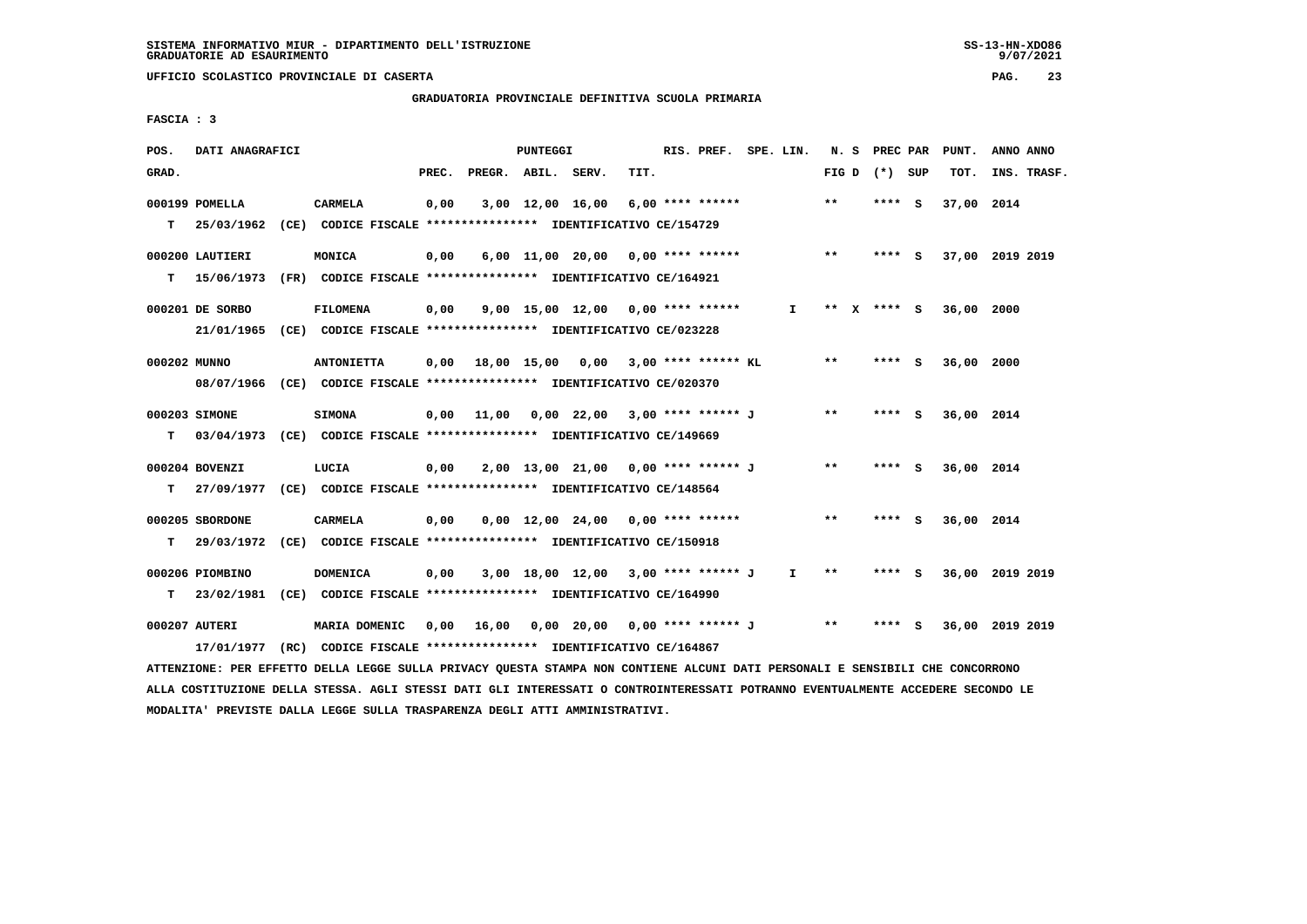# **GRADUATORIA PROVINCIALE DEFINITIVA SCUOLA PRIMARIA**

 **FASCIA : 3**

| POS.         | DATI ANAGRAFICI |                                                                                                                               |       |                    | PUNTEGGI |                                             |      | RIS. PREF. SPE. LIN. |              |       | N. S PREC PAR   | PUNT.      | ANNO ANNO       |
|--------------|-----------------|-------------------------------------------------------------------------------------------------------------------------------|-------|--------------------|----------|---------------------------------------------|------|----------------------|--------------|-------|-----------------|------------|-----------------|
| GRAD.        |                 |                                                                                                                               | PREC. | PREGR. ABIL. SERV. |          |                                             | TIT. |                      |              |       | FIG D $(*)$ SUP | TOT.       | INS. TRASF.     |
|              | 000199 POMELLA  | <b>CARMELA</b>                                                                                                                | 0,00  |                    |          | $3,00$ 12,00 16,00 6,00 **** ******         |      |                      |              | $***$ | **** S          | 37,00 2014 |                 |
|              |                 | T 25/03/1962 (CE) CODICE FISCALE *************** IDENTIFICATIVO CE/154729                                                     |       |                    |          |                                             |      |                      |              |       |                 |            |                 |
|              |                 |                                                                                                                               |       |                    |          |                                             |      |                      |              |       |                 |            |                 |
|              | 000200 LAUTIERI | MONICA                                                                                                                        | 0,00  |                    |          | 6,00 11,00 20,00 0,00 **** ******           |      |                      |              | $* *$ | **** S          |            | 37,00 2019 2019 |
| т            | 15/06/1973      | (FR) CODICE FISCALE *************** IDENTIFICATIVO CE/164921                                                                  |       |                    |          |                                             |      |                      |              |       |                 |            |                 |
|              | 000201 DE SORBO | <b>FILOMENA</b>                                                                                                               | 0,00  |                    |          | $9.00$ 15.00 12.00 0.00 **** ******         |      |                      | $\mathbf{I}$ |       | ** x **** S     | 36,00 2000 |                 |
|              |                 | 21/01/1965 (CE) CODICE FISCALE *************** IDENTIFICATIVO CE/023228                                                       |       |                    |          |                                             |      |                      |              |       |                 |            |                 |
|              |                 |                                                                                                                               |       |                    |          |                                             |      |                      |              |       |                 |            |                 |
| 000202 MUNNO |                 | <b>ANTONIETTA</b>                                                                                                             |       |                    |          | $0,00$ 18,00 15,00 0,00 3,00 **** ****** KL |      |                      |              | $***$ | **** S          | 36,00 2000 |                 |
|              |                 | 08/07/1966 (CE) CODICE FISCALE *************** IDENTIFICATIVO CE/020370                                                       |       |                    |          |                                             |      |                      |              |       |                 |            |                 |
|              | 000203 SIMONE   | <b>SIMONA</b>                                                                                                                 | 0,00  |                    |          | 11,00  0,00  22,00  3,00  ****  *******  J  |      |                      |              | $* *$ | **** S          | 36,00 2014 |                 |
| т            |                 | 03/04/1973 (CE) CODICE FISCALE **************** IDENTIFICATIVO CE/149669                                                      |       |                    |          |                                             |      |                      |              |       |                 |            |                 |
|              |                 |                                                                                                                               |       |                    |          |                                             |      |                      |              | $* *$ |                 |            |                 |
|              | 000204 BOVENZI  | LUCIA                                                                                                                         | 0,00  |                    |          | 2,00 13,00 21,00 0,00 **** ****** J         |      |                      |              |       | **** S          | 36,00 2014 |                 |
|              |                 | T 27/09/1977 (CE) CODICE FISCALE *************** IDENTIFICATIVO CE/148564                                                     |       |                    |          |                                             |      |                      |              |       |                 |            |                 |
|              | 000205 SBORDONE | <b>CARMELA</b>                                                                                                                | 0,00  |                    |          | $0,00$ 12,00 24,00 0,00 **** ******         |      |                      |              | $***$ | **** S          | 36,00 2014 |                 |
| т            |                 | 29/03/1972 (CE) CODICE FISCALE *************** IDENTIFICATIVO CE/150918                                                       |       |                    |          |                                             |      |                      |              |       |                 |            |                 |
|              |                 |                                                                                                                               |       |                    |          |                                             |      |                      |              |       |                 |            |                 |
|              | 000206 PIOMBINO | <b>DOMENICA</b>                                                                                                               | 0,00  |                    |          | 3,00 18,00 12,00 3,00 **** ****** J         |      |                      | $\mathbf{I}$ | $* *$ | $***$ S         |            | 36,00 2019 2019 |
| т            |                 | 23/02/1981 (CE) CODICE FISCALE **************** IDENTIFICATIVO CE/164990                                                      |       |                    |          |                                             |      |                      |              |       |                 |            |                 |
|              | 000207 AUTERI   | MARIA DOMENIC                                                                                                                 |       |                    |          | 0,00 16,00 0,00 20,00 0,00 **** ****** J    |      |                      |              | $***$ | **** S          |            | 36,00 2019 2019 |
|              |                 | 17/01/1977 (RC) CODICE FISCALE *************** IDENTIFICATIVO CE/164867                                                       |       |                    |          |                                             |      |                      |              |       |                 |            |                 |
|              |                 | ATTENZIONE: PER EFFETTO DELLA LEGGE SULLA PRIVACY OUESTA STAMPA NON CONTIENE ALCUNI DATI PERSONALI E SENSIBILI CHE CONCORRONO |       |                    |          |                                             |      |                      |              |       |                 |            |                 |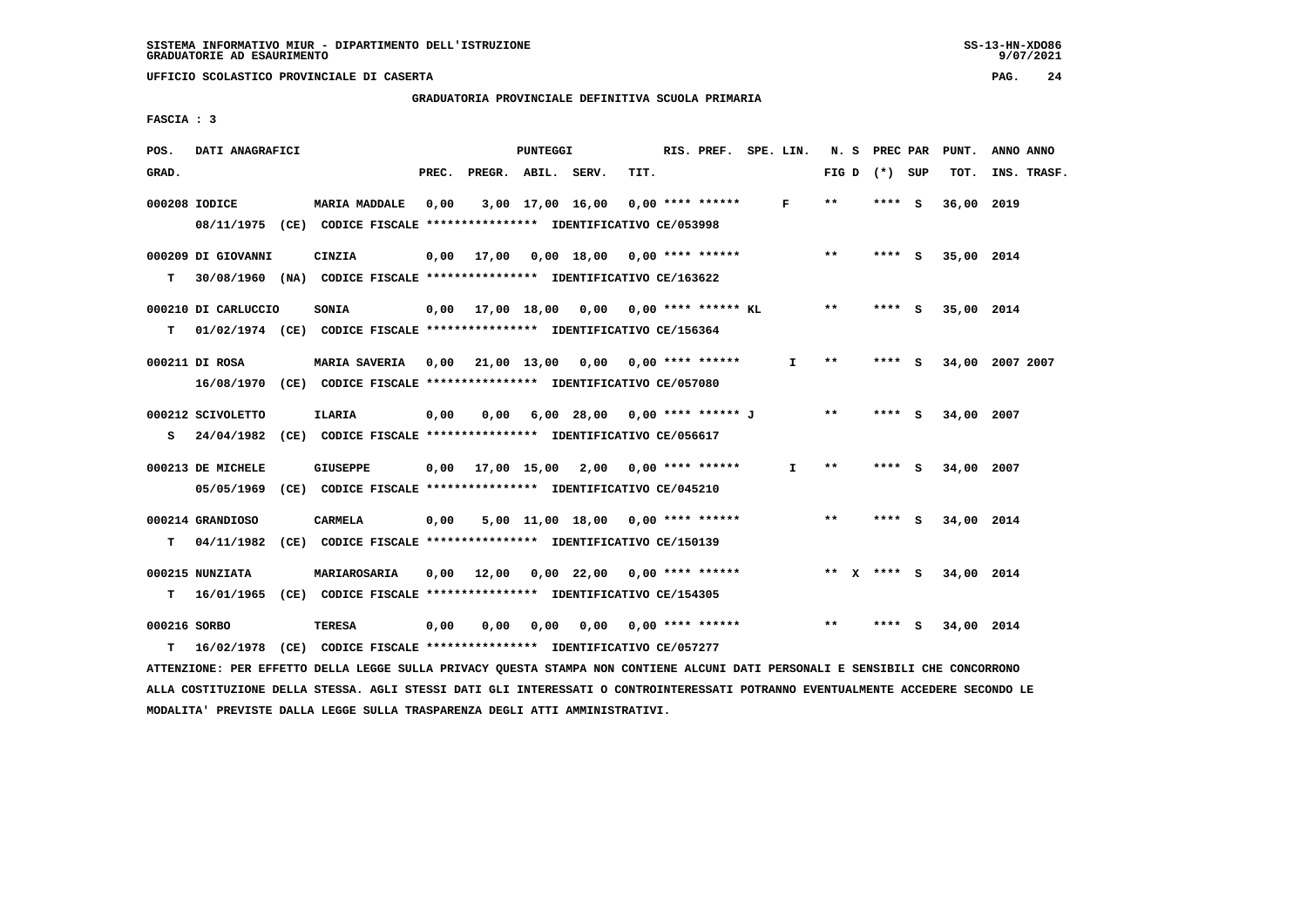**GRADUATORIA PROVINCIALE DEFINITIVA SCUOLA PRIMARIA**

 **FASCIA : 3**

| POS.         | DATI ANAGRAFICI                                                          |                                                               |       |       | PUNTEGGI |                                                      |      | RIS. PREF. SPE. LIN. |              |                 | N. S PREC PAR |   | PUNT.      | ANNO ANNO       |  |
|--------------|--------------------------------------------------------------------------|---------------------------------------------------------------|-------|-------|----------|------------------------------------------------------|------|----------------------|--------------|-----------------|---------------|---|------------|-----------------|--|
| GRAD.        |                                                                          |                                                               | PREC. |       |          | PREGR. ABIL. SERV.                                   | TIT. |                      |              | FIG D $(*)$ SUP |               |   | TOT.       | INS. TRASF.     |  |
|              | 000208 IODICE                                                            | <b>MARIA MADDALE</b>                                          | 0,00  |       |          | 3,00 17,00 16,00                                     |      | $0.00$ **** ******   | F            | $* *$           | **** S        |   | 36,00 2019 |                 |  |
|              | 08/11/1975 (CE) CODICE FISCALE *************** IDENTIFICATIVO CE/053998  |                                                               |       |       |          |                                                      |      |                      |              |                 |               |   |            |                 |  |
|              | 000209 DI GIOVANNI                                                       | CINZIA                                                        |       |       |          | 0,00 17,00 0,00 18,00 0,00 **** ******               |      |                      |              | $***$           | $***$ S       |   | 35,00 2014 |                 |  |
| т            | 30/08/1960 (NA) CODICE FISCALE *************** IDENTIFICATIVO CE/163622  |                                                               |       |       |          |                                                      |      |                      |              |                 |               |   |            |                 |  |
|              | 000210 DI CARLUCCIO                                                      | SONIA                                                         |       |       |          | $0,00$ 17,00 18,00 0,00 0,00 **** ****** KL          |      |                      |              | $***$           | **** S        |   | 35,00 2014 |                 |  |
| т            | 01/02/1974 (CE) CODICE FISCALE **************** IDENTIFICATIVO CE/156364 |                                                               |       |       |          |                                                      |      |                      |              |                 |               |   |            |                 |  |
|              | 000211 DI ROSA                                                           |                                                               |       |       |          | MARIA SAVERIA 0,00 21,00 13,00 0,00 0,00 **** ****** |      |                      | $\mathbf{I}$ | $* *$           | **** S        |   |            | 34,00 2007 2007 |  |
|              | 16/08/1970 (CE) CODICE FISCALE *************** IDENTIFICATIVO CE/057080  |                                                               |       |       |          |                                                      |      |                      |              |                 |               |   |            |                 |  |
|              |                                                                          |                                                               |       |       |          |                                                      |      |                      |              |                 |               |   |            |                 |  |
|              | 000212 SCIVOLETTO                                                        | <b>ILARIA</b>                                                 | 0,00  | 0,00  |          | 6,00 28,00 0,00 **** ****** J                        |      |                      |              | $***$           | **** S        |   | 34,00 2007 |                 |  |
| s            | 24/04/1982 (CE) CODICE FISCALE **************** IDENTIFICATIVO CE/056617 |                                                               |       |       |          |                                                      |      |                      |              |                 |               |   |            |                 |  |
|              | 000213 DE MICHELE                                                        | <b>GIUSEPPE</b>                                               |       |       |          | $0,00$ $17,00$ $15,00$ $2,00$                        |      | $0.00$ **** ******   | $\mathbf{I}$ | $**$            | **** S        |   | 34,00 2007 |                 |  |
|              | 05/05/1969                                                               | (CE) CODICE FISCALE **************** IDENTIFICATIVO CE/045210 |       |       |          |                                                      |      |                      |              |                 |               |   |            |                 |  |
|              | 000214 GRANDIOSO                                                         | <b>CARMELA</b>                                                | 0,00  |       |          | $5,00$ 11,00 18,00 0,00 **** ******                  |      |                      |              | $***$           | $***$ S       |   | 34,00 2014 |                 |  |
| т            | 04/11/1982                                                               | (CE) CODICE FISCALE *************** IDENTIFICATIVO CE/150139  |       |       |          |                                                      |      |                      |              |                 |               |   |            |                 |  |
|              | 000215 NUNZIATA                                                          | MARIAROSARIA                                                  | 0,00  | 12,00 |          | $0,00$ 22,00 0,00 **** ******                        |      |                      |              | ** $X$ **** $S$ |               |   | 34,00 2014 |                 |  |
| т            | 16/01/1965 (CE) CODICE FISCALE **************** IDENTIFICATIVO CE/154305 |                                                               |       |       |          |                                                      |      |                      |              |                 |               |   |            |                 |  |
|              |                                                                          |                                                               |       |       |          |                                                      |      |                      |              |                 |               |   |            |                 |  |
| 000216 SORBO |                                                                          | TERESA                                                        | 0,00  | 0.00  | 0.00     | 0.00                                                 |      | 0,00 **** ******     |              | **              | ****          | S | 34,00 2014 |                 |  |
| т            | 16/02/1978 (CE) CODICE FISCALE *************** IDENTIFICATIVO CE/057277  |                                                               |       |       |          |                                                      |      |                      |              |                 |               |   |            |                 |  |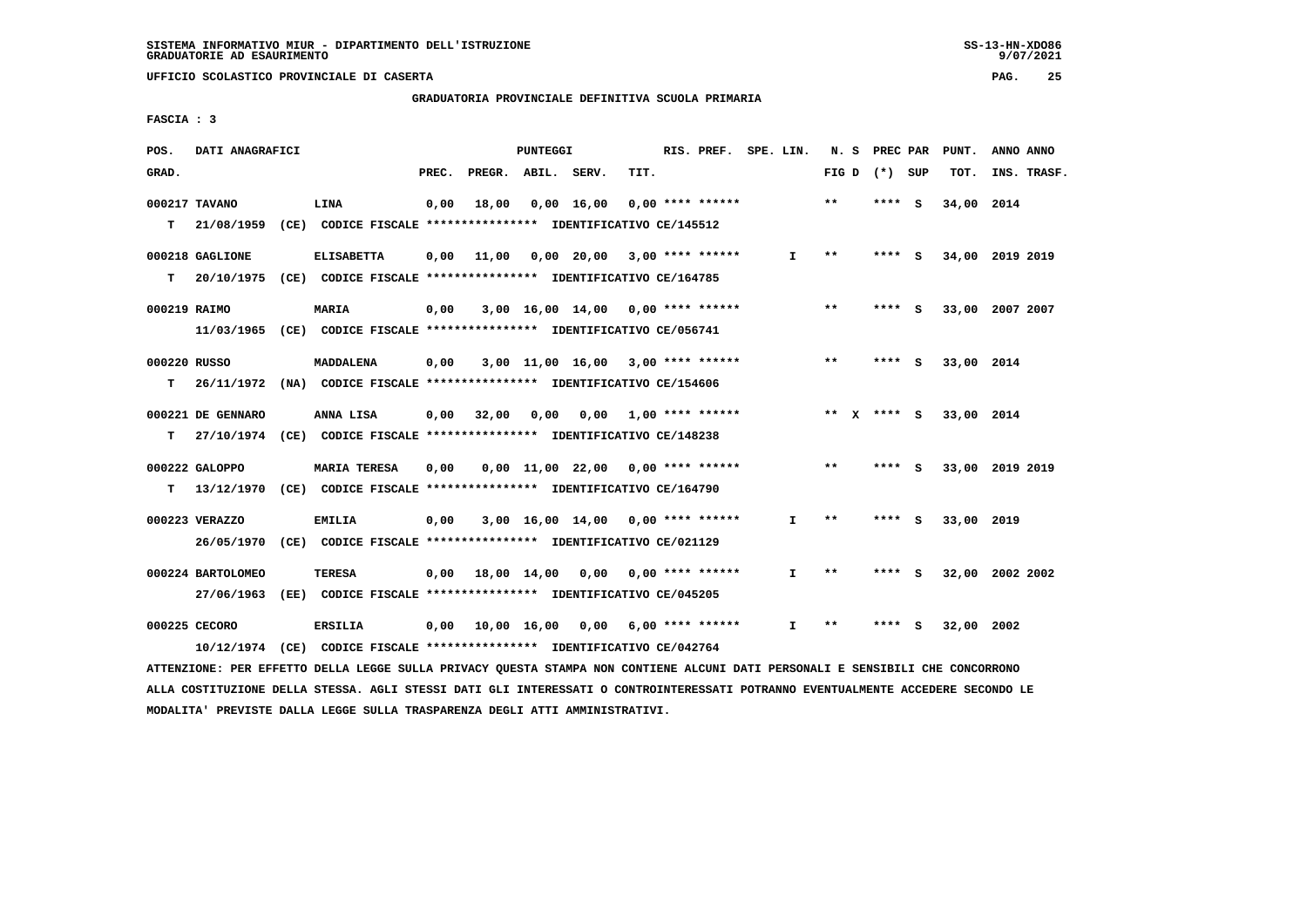$9/07/2021$ 

 **UFFICIO SCOLASTICO PROVINCIALE DI CASERTA PAG. 25**

 **GRADUATORIA PROVINCIALE DEFINITIVA SCUOLA PRIMARIA**

 **FASCIA : 3**

| POS.         | DATI ANAGRAFICI   |                                                                                                                               |       |                    | PUNTEGGI |                                          |      | RIS. PREF. SPE. LIN. |              |                 | N. S PREC PAR | PUNT.           | ANNO ANNO   |  |
|--------------|-------------------|-------------------------------------------------------------------------------------------------------------------------------|-------|--------------------|----------|------------------------------------------|------|----------------------|--------------|-----------------|---------------|-----------------|-------------|--|
| GRAD.        |                   |                                                                                                                               | PREC. | PREGR. ABIL. SERV. |          |                                          | TIT. |                      |              | FIG D $(*)$ SUP |               | тот.            | INS. TRASF. |  |
|              | 000217 TAVANO     | LINA                                                                                                                          | 0,00  | 18,00              |          | 0,00 16,00 0,00 **** ******              |      |                      |              | $* *$           | **** S        | 34,00 2014      |             |  |
| т            | 21/08/1959        | (CE) CODICE FISCALE **************** IDENTIFICATIVO CE/145512                                                                 |       |                    |          |                                          |      |                      |              |                 |               |                 |             |  |
|              |                   |                                                                                                                               |       |                    |          |                                          |      |                      |              |                 |               |                 |             |  |
|              | 000218 GAGLIONE   | <b>ELISABETTA</b>                                                                                                             | 0,00  |                    |          | 11,00  0,00  20,00  3,00  ****  ******   |      |                      | I.           | $***$           | **** S        | 34,00 2019 2019 |             |  |
|              |                   | T 20/10/1975 (CE) CODICE FISCALE *************** IDENTIFICATIVO CE/164785                                                     |       |                    |          |                                          |      |                      |              |                 |               |                 |             |  |
| 000219 RAIMO |                   | <b>MARIA</b>                                                                                                                  | 0,00  |                    |          | $3,00$ 16,00 14,00 0,00 **** ******      |      |                      |              | $* *$           | $***$ S       | 33,00 2007 2007 |             |  |
|              |                   | 11/03/1965 (CE) CODICE FISCALE *************** IDENTIFICATIVO CE/056741                                                       |       |                    |          |                                          |      |                      |              |                 |               |                 |             |  |
|              |                   |                                                                                                                               |       |                    |          |                                          |      |                      |              |                 |               |                 |             |  |
| 000220 RUSSO |                   | <b>MADDALENA</b>                                                                                                              | 0,00  |                    |          | $3,00$ 11,00 16,00 3,00 **** ******      |      |                      |              | $**$            | $***$ S       | 33,00 2014      |             |  |
|              |                   | T 26/11/1972 (NA) CODICE FISCALE *************** IDENTIFICATIVO CE/154606                                                     |       |                    |          |                                          |      |                      |              |                 |               |                 |             |  |
|              | 000221 DE GENNARO | ANNA LISA                                                                                                                     |       |                    |          | $0,00$ 32,00 0,00 0,00 1,00 **** ******  |      |                      |              | ** x **** s     |               | 33,00 2014      |             |  |
|              |                   | T 27/10/1974 (CE) CODICE FISCALE **************** IDENTIFICATIVO CE/148238                                                    |       |                    |          |                                          |      |                      |              |                 |               |                 |             |  |
|              |                   |                                                                                                                               |       |                    |          |                                          |      |                      |              |                 |               |                 |             |  |
|              | 000222 GALOPPO    | <b>MARIA TERESA</b>                                                                                                           | 0,00  |                    |          | $0,00$ 11,00 22,00 0,00 **** ******      |      |                      |              | $***$           | **** S        | 33,00 2019 2019 |             |  |
| т            |                   | 13/12/1970 (CE) CODICE FISCALE *************** IDENTIFICATIVO CE/164790                                                       |       |                    |          |                                          |      |                      |              |                 |               |                 |             |  |
|              | 000223 VERAZZO    | <b>EMILIA</b>                                                                                                                 | 0,00  |                    |          | 3,00 16,00 14,00 0,00 **** ******        |      |                      | $\mathbf{I}$ | $* *$           | **** S        | 33,00 2019      |             |  |
|              |                   | 26/05/1970 (CE) CODICE FISCALE *************** IDENTIFICATIVO CE/021129                                                       |       |                    |          |                                          |      |                      |              |                 |               |                 |             |  |
|              |                   |                                                                                                                               |       |                    |          |                                          |      |                      |              |                 |               |                 |             |  |
|              | 000224 BARTOLOMEO | <b>TERESA</b>                                                                                                                 |       |                    |          | $0,00$ 18,00 14,00 0,00 0,00 **** ****** |      |                      | $\mathbf{I}$ | $* *$           | **** S        | 32,00 2002 2002 |             |  |
|              |                   | 27/06/1963 (EE) CODICE FISCALE *************** IDENTIFICATIVO CE/045205                                                       |       |                    |          |                                          |      |                      |              |                 |               |                 |             |  |
|              | 000225 CECORO     | <b>ERSILIA</b>                                                                                                                | 0,00  |                    |          | 10,00 16,00 0,00                         |      | 6,00 **** ******     | I.           | $***$           | **** S        | 32,00 2002      |             |  |
|              |                   | 10/12/1974 (CE) CODICE FISCALE *************** IDENTIFICATIVO CE/042764                                                       |       |                    |          |                                          |      |                      |              |                 |               |                 |             |  |
|              |                   | ATTENZIONE: PER EFFETTO DELLA LEGGE SULLA PRIVACY QUESTA STAMPA NON CONTIENE ALCUNI DATI PERSONALI E SENSIBILI CHE CONCORRONO |       |                    |          |                                          |      |                      |              |                 |               |                 |             |  |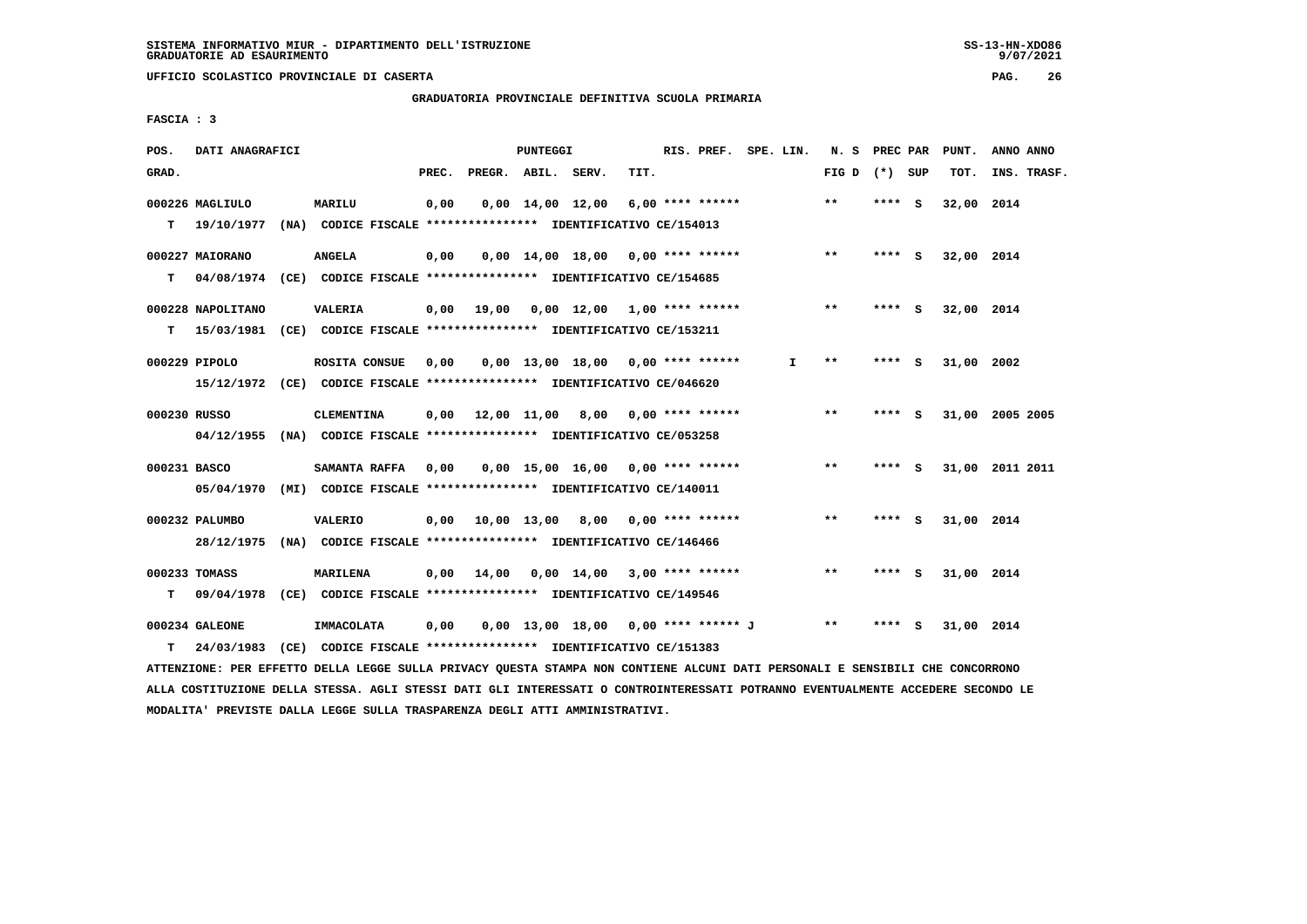$9/07/2021$ 

 **UFFICIO SCOLASTICO PROVINCIALE DI CASERTA PAG. 26**

 **GRADUATORIA PROVINCIALE DEFINITIVA SCUOLA PRIMARIA**

 **FASCIA : 3**

| POS.         | DATI ANAGRAFICI   |                                                                          |       |                    | PUNTEGGI |                                                   |      | RIS. PREF. SPE. LIN. |    | N. S PREC PAR   |         |     | PUNT.      | ANNO ANNO       |
|--------------|-------------------|--------------------------------------------------------------------------|-------|--------------------|----------|---------------------------------------------------|------|----------------------|----|-----------------|---------|-----|------------|-----------------|
| GRAD.        |                   |                                                                          | PREC. | PREGR. ABIL. SERV. |          |                                                   | TIT. |                      |    | FIG D $(*)$ SUP |         |     | TOT.       | INS. TRASF.     |
|              | 000226 MAGLIULO   | MARILU                                                                   | 0,00  |                    |          | $0,00$ $14,00$ $12,00$                            |      | 6,00 **** ******     |    | $***$           | $***$ S |     | 32,00 2014 |                 |
| T.           | 19/10/1977        | (NA) CODICE FISCALE **************** IDENTIFICATIVO CE/154013            |       |                    |          |                                                   |      |                      |    |                 |         |     |            |                 |
|              | 000227 MAIORANO   | <b>ANGELA</b>                                                            | 0,00  |                    |          | $0,00$ 14,00 18,00 0,00 **** ****** *** **        |      |                      |    |                 | **** S  |     | 32,00 2014 |                 |
| T.           |                   | 04/08/1974 (CE) CODICE FISCALE **************** IDENTIFICATIVO CE/154685 |       |                    |          |                                                   |      |                      |    |                 |         |     |            |                 |
|              | 000228 NAPOLITANO | <b>VALERIA</b>                                                           |       | $0,00$ 19,00       |          | 0,00 12,00 1,00 **** ******                       |      |                      |    | $***$           | **** S  |     | 32,00 2014 |                 |
| т            |                   | 15/03/1981 (CE) CODICE FISCALE **************** IDENTIFICATIVO CE/153211 |       |                    |          |                                                   |      |                      |    |                 |         |     |            |                 |
|              | 000229 PIPOLO     | ROSITA CONSUE                                                            | 0,00  |                    |          | $0.00$ 13.00 18.00 0.00 **** ******               |      |                      | I. | $***$           | **** S  |     | 31,00 2002 |                 |
|              |                   | 15/12/1972 (CE) CODICE FISCALE *************** IDENTIFICATIVO CE/046620  |       |                    |          |                                                   |      |                      |    |                 |         |     |            |                 |
| 000230 RUSSO |                   | <b>CLEMENTINA</b>                                                        |       |                    |          | 0,00 12,00 11,00 8,00 0,00 **** ******            |      |                      |    | $**$            | **** S  |     |            | 31,00 2005 2005 |
|              |                   | 04/12/1955 (NA) CODICE FISCALE *************** IDENTIFICATIVO CE/053258  |       |                    |          |                                                   |      |                      |    |                 |         |     |            |                 |
| 000231 BASCO |                   | <b>SAMANTA RAFFA</b>                                                     | 0.00  |                    |          | $0,00$ 15,00 16,00 0,00 **** ******               |      |                      |    | $***$           | **** S  |     |            | 31,00 2011 2011 |
|              |                   | 05/04/1970 (MI) CODICE FISCALE *************** IDENTIFICATIVO CE/140011  |       |                    |          |                                                   |      |                      |    |                 |         |     |            |                 |
|              | 000232 PALUMBO    | <b>VALERIO</b>                                                           |       |                    |          | $0,00$ 10,00 13,00 8,00 0,00 **** ******          |      |                      |    | $* *$           | **** S  |     | 31,00 2014 |                 |
|              | 28/12/1975        | (NA) CODICE FISCALE **************** IDENTIFICATIVO CE/146466            |       |                    |          |                                                   |      |                      |    |                 |         |     |            |                 |
|              | 000233 TOMASS     | MARILENA                                                                 |       | 0.00 14.00         |          | $0.00 \quad 14.00 \quad 3.00 \quad *** \quad ***$ |      |                      |    | $***$           | **** S  |     | 31,00 2014 |                 |
| т            | 09/04/1978        | (CE) CODICE FISCALE *************** IDENTIFICATIVO CE/149546             |       |                    |          |                                                   |      |                      |    |                 |         |     |            |                 |
|              | 000234 GALEONE    | IMMACOLATA                                                               | 0.00  |                    |          | 0,00 13,00 18,00 0,00 **** ****** J               |      |                      |    | $***$           | ****    | - S | 31,00 2014 |                 |
| T.           | 24/03/1983        | (CE) CODICE FISCALE **************** IDENTIFICATIVO CE/151383            |       |                    |          |                                                   |      |                      |    |                 |         |     |            |                 |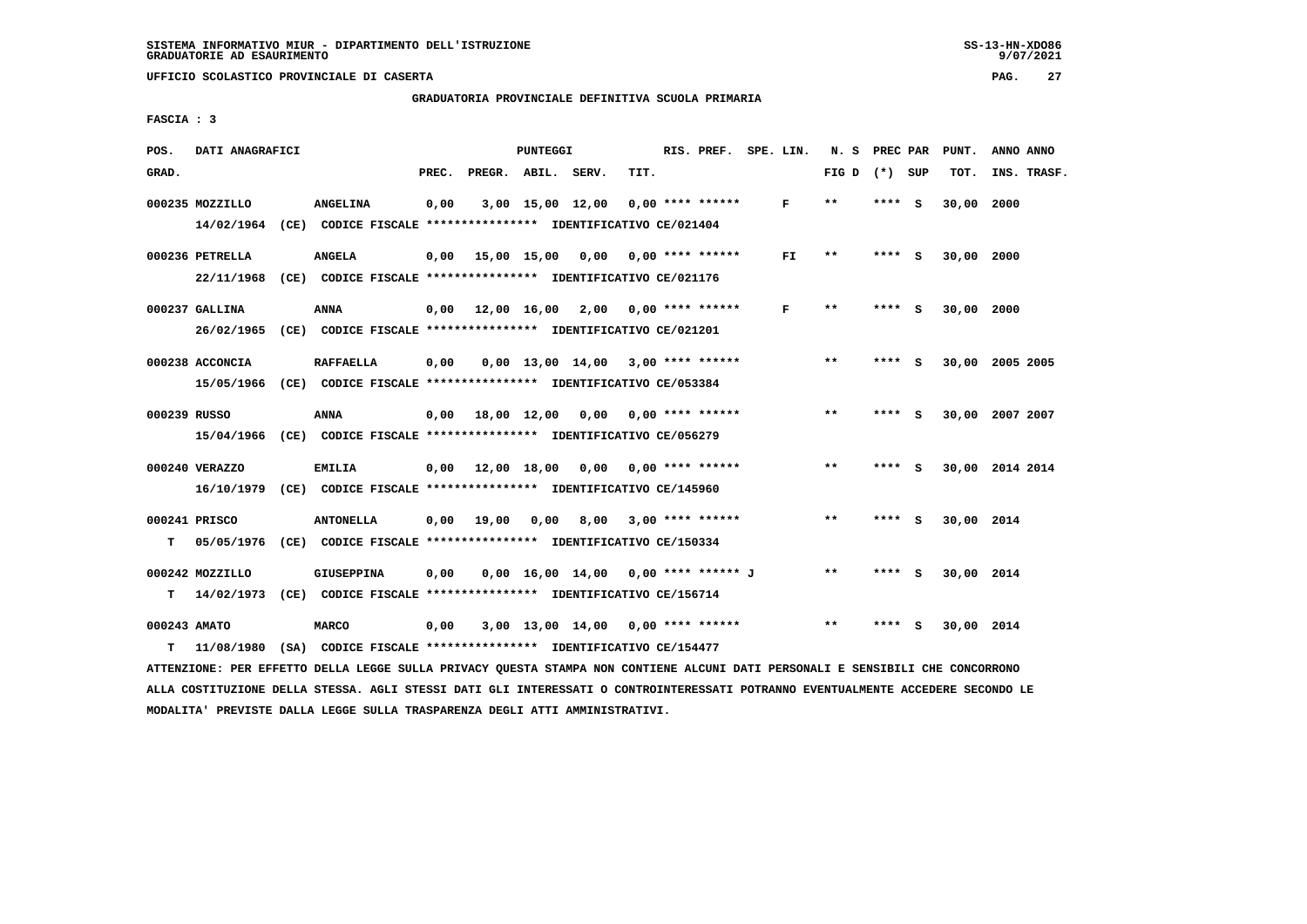**GRADUATORIA PROVINCIALE DEFINITIVA SCUOLA PRIMARIA**

 **FASCIA : 3**

| POS.   | DATI ANAGRAFICI               |                                                                                                                                                                                                                                                                                                                                                                                      |       |                                | <b>PUNTEGGI</b> |                                          |      | RIS. PREF.         | SPE. LIN. | N. S PREC PAR   |        |          | PUNT.      | ANNO ANNO       |
|--------|-------------------------------|--------------------------------------------------------------------------------------------------------------------------------------------------------------------------------------------------------------------------------------------------------------------------------------------------------------------------------------------------------------------------------------|-------|--------------------------------|-----------------|------------------------------------------|------|--------------------|-----------|-----------------|--------|----------|------------|-----------------|
| GRAD.  |                               |                                                                                                                                                                                                                                                                                                                                                                                      | PREC. | PREGR. ABIL.                   |                 | SERV.                                    | TIT. |                    |           | FIG D $(*)$ SUP |        |          | TOT.       | INS. TRASF.     |
|        | 000235 MOZZILLO<br>14/02/1964 | <b>ANGELINA</b><br>(CE) CODICE FISCALE **************** IDENTIFICATIVO CE/021404                                                                                                                                                                                                                                                                                                     | 0,00  |                                |                 | 3,00 15,00 12,00                         |      | $0.00$ **** ****** | F         | $* *$           | **** S |          | 30,00      | 2000            |
|        | 000236 PETRELLA<br>22/11/1968 | <b>ANGELA</b><br>(CE) CODICE FISCALE **************** IDENTIFICATIVO CE/021176                                                                                                                                                                                                                                                                                                       | 0,00  |                                |                 | 15,00 15,00 0,00 0,00 **** ******        |      |                    | FI.       | $***$           | **** S |          | 30,00 2000 |                 |
|        | 000237 GALLINA                | ANNA<br>26/02/1965 (CE) CODICE FISCALE *************** IDENTIFICATIVO CE/021201                                                                                                                                                                                                                                                                                                      |       |                                |                 | $0.00$ 12.00 16.00 2.00 0.00 **** ****** |      |                    | F         | $* *$           | ****   | - S      | 30,00 2000 |                 |
|        | 000238 ACCONCIA               | <b>RAFFAELLA</b>                                                                                                                                                                                                                                                                                                                                                                     | 0,00  |                                |                 | $0.00$ 13.00 14.00 3.00 **** ******      |      |                    |           | **              | **** S |          |            | 30,00 2005 2005 |
|        | 000239 RUSSO                  | ANNA                                                                                                                                                                                                                                                                                                                                                                                 |       | $0,00$ 18,00 12,00             |                 | 0,00                                     |      | $0.00$ **** ****** |           | $***$           | ****   | <b>S</b> |            | 30,00 2007 2007 |
|        | 000240 VERAZZO                | <b>EMILIA</b>                                                                                                                                                                                                                                                                                                                                                                        |       | $0.00 \quad 12.00 \quad 18.00$ |                 | 0,00                                     |      | $0.00$ **** ****** |           | $* *$           | **** S |          |            | 30,00 2014 2014 |
|        | 000241 PRISCO                 | <b>ANTONELLA</b>                                                                                                                                                                                                                                                                                                                                                                     | 0,00  | 19,00                          | 0,00            | 8,00 3,00 **** ******                    |      |                    |           | $* *$           | **** S |          | 30,00 2014 |                 |
|        | 000242 MOZZILLO               | <b>GIUSEPPINA</b>                                                                                                                                                                                                                                                                                                                                                                    | 0.00  |                                |                 | $0,00$ 16,00 14,00 0,00 **** ****** J    |      |                    |           | $* *$           | **** S |          | 30,00 2014 |                 |
| т      | 000243 AMATO<br>11/08/1980    | <b>MARCO</b><br>(SA) CODICE FISCALE **************** IDENTIFICATIVO CE/154477                                                                                                                                                                                                                                                                                                        | 0,00  |                                |                 | $3,00$ 13,00 14,00 0,00 **** ******      |      |                    |           | $***$           |        | - 5      | 30,00 2014 |                 |
| т<br>т |                               | 15/05/1966 (CE) CODICE FISCALE *************** IDENTIFICATIVO CE/053384<br>15/04/1966 (CE) CODICE FISCALE *************** IDENTIFICATIVO CE/056279<br>16/10/1979 (CE) CODICE FISCALE *************** IDENTIFICATIVO CE/145960<br>05/05/1976 (CE) CODICE FISCALE **************** IDENTIFICATIVO CE/150334<br>14/02/1973 (CE) CODICE FISCALE *************** IDENTIFICATIVO CE/156714 |       |                                |                 |                                          |      |                    |           |                 |        |          |            |                 |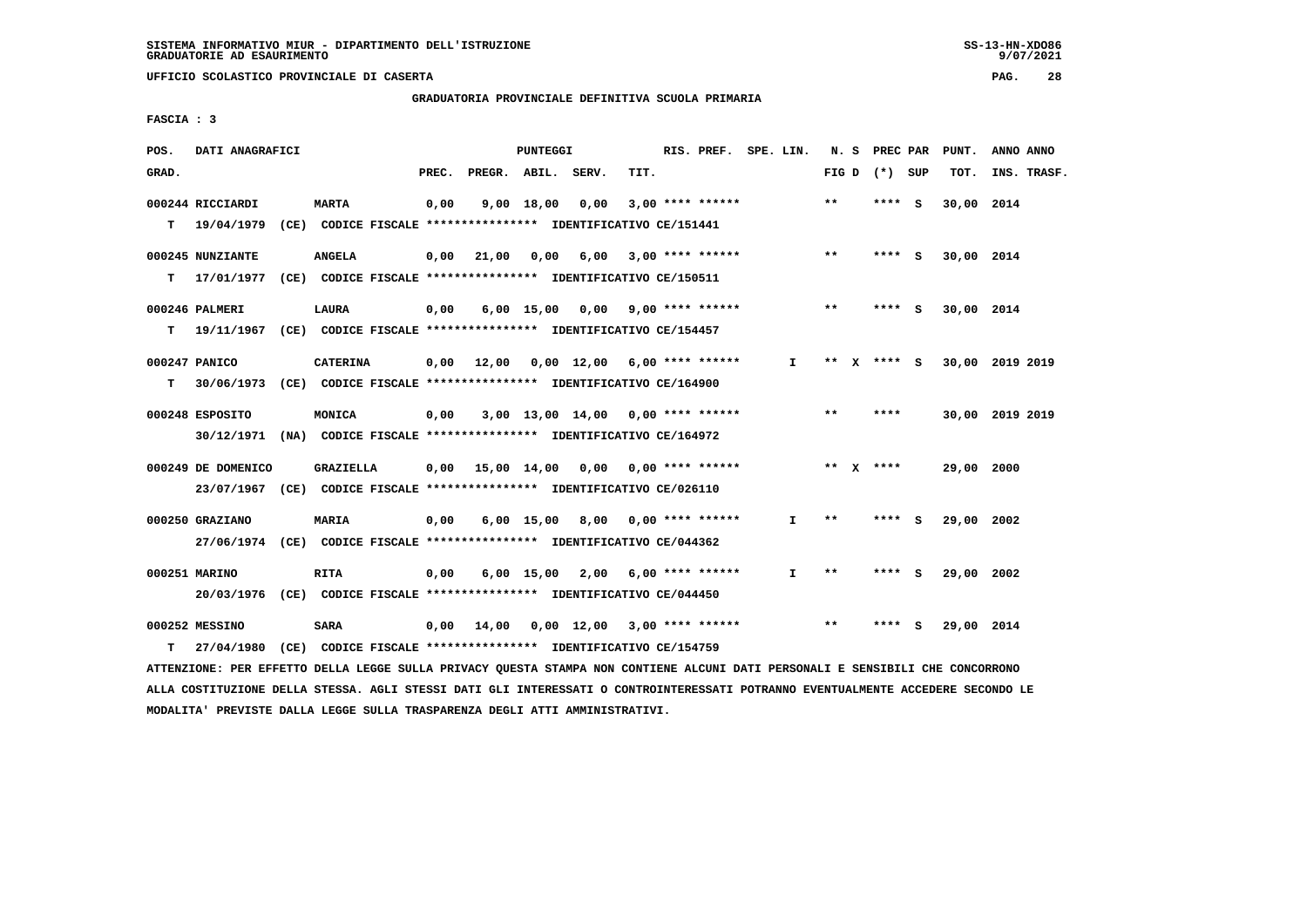$9/07/2021$ 

 **UFFICIO SCOLASTICO PROVINCIALE DI CASERTA PAG. 28**

# **GRADUATORIA PROVINCIALE DEFINITIVA SCUOLA PRIMARIA**

 **FASCIA : 3**

| POS.  | DATI ANAGRAFICI    |                                                                           |       |                    | <b>PUNTEGGI</b> |                                                      |      | RIS. PREF. SPE. LIN. |              |       |   | N. S PREC PAR   |     | PUNT.      | ANNO ANNO       |
|-------|--------------------|---------------------------------------------------------------------------|-------|--------------------|-----------------|------------------------------------------------------|------|----------------------|--------------|-------|---|-----------------|-----|------------|-----------------|
| GRAD. |                    |                                                                           | PREC. | PREGR. ABIL. SERV. |                 |                                                      | TIT. |                      |              |       |   | FIG D $(*)$ SUP |     | TOT.       | INS. TRASF.     |
|       | 000244 RICCIARDI   | <b>MARTA</b>                                                              | 0,00  |                    | 9,00 18,00      | 0.00                                                 |      | $3,00$ **** ******   |              | **    |   | **** S          |     | 30,00 2014 |                 |
|       | $T = 19/04/1979$   | (CE) CODICE FISCALE **************** IDENTIFICATIVO CE/151441             |       |                    |                 |                                                      |      |                      |              |       |   |                 |     |            |                 |
|       | 000245 NUNZIANTE   | <b>ANGELA</b>                                                             | 0,00  | 21,00              |                 | 0,00 6,00 3,00 **** ******                           |      |                      |              | $***$ |   | **** S          |     | 30,00 2014 |                 |
|       | T 17/01/1977       | (CE) CODICE FISCALE **************** IDENTIFICATIVO CE/150511             |       |                    |                 |                                                      |      |                      |              |       |   |                 |     |            |                 |
|       | 000246 PALMERI     | <b>LAURA</b>                                                              | 0,00  |                    |                 | $6,00$ 15,00 0,00 9,00 **** ******                   |      |                      |              | $* *$ |   | **** S          |     | 30,00 2014 |                 |
|       |                    | T 19/11/1967 (CE) CODICE FISCALE *************** IDENTIFICATIVO CE/154457 |       |                    |                 |                                                      |      |                      |              |       |   |                 |     |            |                 |
|       | 000247 PANICO      | <b>CATERINA</b>                                                           |       | 0.00 12.00         |                 | $0.00 \quad 12.00 \quad 6.00 \quad *** \quad ******$ |      |                      | $\mathbf{I}$ | **    | x | **** S          |     |            | 30,00 2019 2019 |
| т     |                    | 30/06/1973 (CE) CODICE FISCALE *************** IDENTIFICATIVO CE/164900   |       |                    |                 |                                                      |      |                      |              |       |   |                 |     |            |                 |
|       | 000248 ESPOSITO    | MONICA                                                                    | 0,00  |                    |                 | 3,00 13,00 14,00 0,00 **** ******                    |      |                      |              | $***$ |   | ****            |     |            | 30,00 2019 2019 |
|       |                    | 30/12/1971 (NA) CODICE FISCALE *************** IDENTIFICATIVO CE/164972   |       |                    |                 |                                                      |      |                      |              |       |   |                 |     |            |                 |
|       | 000249 DE DOMENICO | <b>GRAZIELLA</b>                                                          |       |                    |                 | $0,00$ 15,00 14,00 0,00 0,00 **** ******             |      |                      |              |       |   | ** $X$ ****     |     | 29,00 2000 |                 |
|       |                    | 23/07/1967 (CE) CODICE FISCALE *************** IDENTIFICATIVO CE/026110   |       |                    |                 |                                                      |      |                      |              |       |   |                 |     |            |                 |
|       | 000250 GRAZIANO    | MARIA                                                                     | 0,00  |                    |                 | 6,00 15,00 8,00 0,00 **** ******                     |      |                      | $\mathbf{I}$ | $* *$ |   | **** S          |     | 29,00 2002 |                 |
|       |                    | 27/06/1974 (CE) CODICE FISCALE *************** IDENTIFICATIVO CE/044362   |       |                    |                 |                                                      |      |                      |              |       |   |                 |     |            |                 |
|       | 000251 MARINO      | <b>RITA</b>                                                               | 0,00  |                    |                 | $6,00$ 15,00 2,00 6,00 **** ******                   |      |                      | I.           | $* *$ |   | ****            | - 5 | 29,00 2002 |                 |
|       |                    | 20/03/1976 (CE) CODICE FISCALE *************** IDENTIFICATIVO CE/044450   |       |                    |                 |                                                      |      |                      |              |       |   |                 |     |            |                 |
|       | 000252 MESSINO     | <b>SARA</b>                                                               | 0,00  | 14,00              |                 | $0.00 \quad 12.00 \quad 3.00 \quad *** \quad ***$    |      |                      |              | $**$  |   | ****            | - 5 | 29,00 2014 |                 |
| т     | 27/04/1980         | (CE) CODICE FISCALE **************** IDENTIFICATIVO CE/154759             |       |                    |                 |                                                      |      |                      |              |       |   |                 |     |            |                 |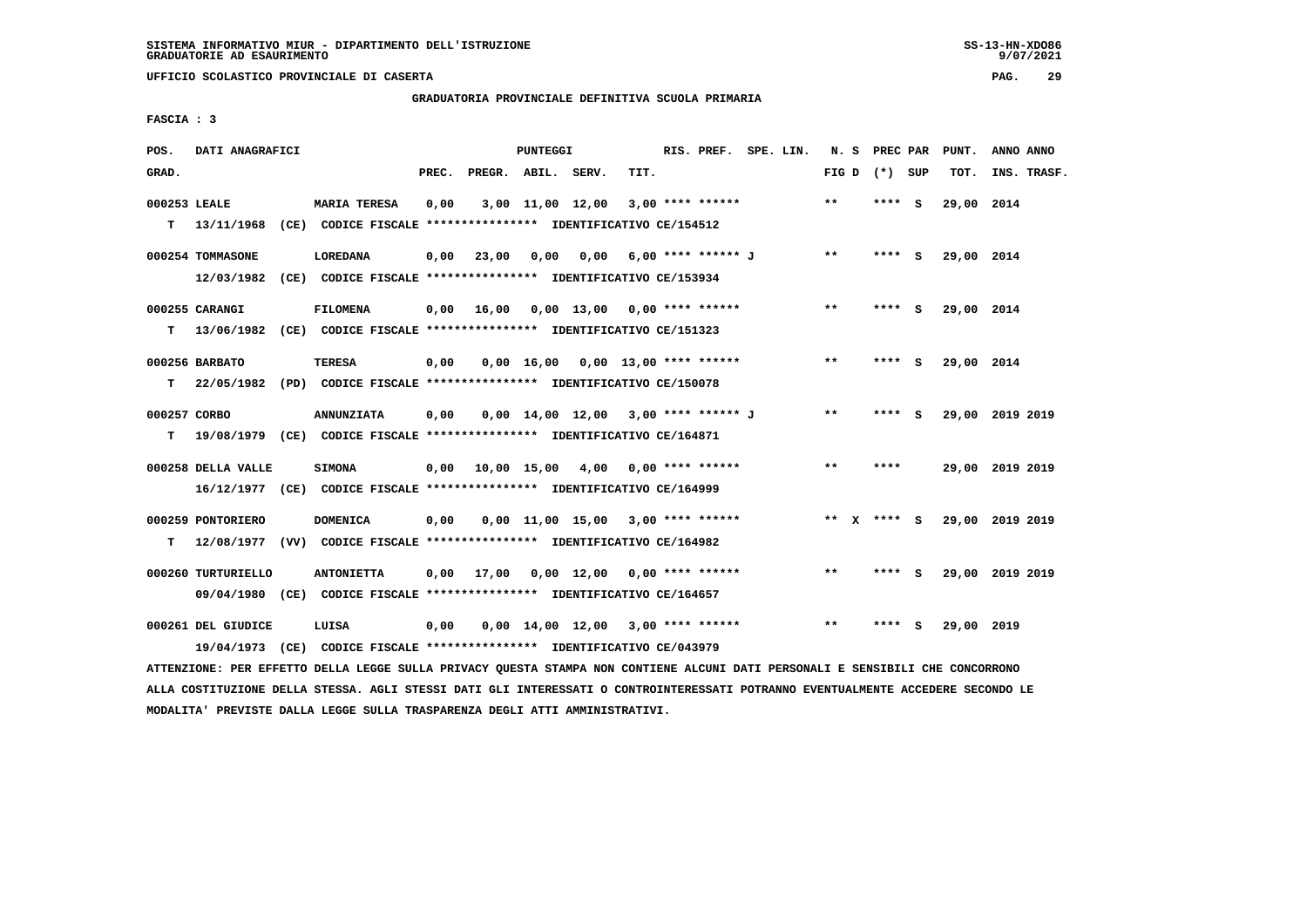**GRADUATORIA PROVINCIALE DEFINITIVA SCUOLA PRIMARIA**

 **FASCIA : 3**

| POS.               | DATI ANAGRAFICI                  |                                                                                              |       |                        | <b>PUNTEGGI</b> |                  |                                       | RIS. PREF. SPE. LIN. |  |              | N. S PREC PAR   |     | PUNT.      | ANNO ANNO       |
|--------------------|----------------------------------|----------------------------------------------------------------------------------------------|-------|------------------------|-----------------|------------------|---------------------------------------|----------------------|--|--------------|-----------------|-----|------------|-----------------|
| GRAD.              |                                  |                                                                                              | PREC. | PREGR. ABIL. SERV.     |                 |                  | TIT.                                  |                      |  |              | FIG D $(*)$ SUP |     | TOT.       | INS. TRASF.     |
| 000253 LEALE<br>T. | 13/11/1968                       | <b>MARIA TERESA</b><br>(CE) CODICE FISCALE **************** IDENTIFICATIVO CE/154512         | 0,00  |                        |                 | 3,00 11,00 12,00 |                                       | $3,00$ **** ******   |  | $* *$        | **** S          |     | 29,00 2014 |                 |
|                    | 000254 TOMMASONE<br>12/03/1982   | LOREDANA<br>(CE) CODICE FISCALE **************** IDENTIFICATIVO CE/153934                    | 0,00  | 23,00                  | 0,00            | 0,00             |                                       | 6,00 **** ****** J   |  | $* *$        | $***$ S         |     | 29,00 2014 |                 |
| т                  | 000255 CARANGI<br>13/06/1982     | <b>FILOMENA</b><br>(CE) CODICE FISCALE **************** IDENTIFICATIVO CE/151323             | 0,00  | 16,00                  |                 |                  | 0,00 13,00 0,00 **** ******           |                      |  | $***$        | **** S          |     | 29,00 2014 |                 |
| T.                 | 000256 BARBATO                   | TERESA<br>22/05/1982 (PD) CODICE FISCALE *************** IDENTIFICATIVO CE/150078            | 0,00  |                        | $0,00$ 16,00    |                  | $0.00$ 13.00 **** ******              |                      |  | $* *$        | ****            | - S | 29,00 2014 |                 |
| 000257 CORBO<br>т  |                                  | <b>ANNUNZIATA</b><br>19/08/1979 (CE) CODICE FISCALE *************** IDENTIFICATIVO CE/164871 | 0,00  |                        |                 |                  | $0.00$ 14.00 12.00 3.00 **** ****** J |                      |  | $***$        | ****            | - S |            | 29,00 2019 2019 |
|                    | 000258 DELLA VALLE               | <b>SIMONA</b><br>16/12/1977 (CE) CODICE FISCALE *************** IDENTIFICATIVO CE/164999     |       | $0.00$ $10.00$ $15.00$ |                 | 4,00             |                                       | $0.00$ **** ******   |  | $***$        | ****            |     |            | 29,00 2019 2019 |
| т                  | 000259 PONTORIERO                | <b>DOMENICA</b><br>12/08/1977 (VV) CODICE FISCALE *************** IDENTIFICATIVO CE/164982   | 0,00  |                        |                 |                  | $0,00$ 11,00 15,00 3,00 **** ******   |                      |  |              | ** x **** S     |     |            | 29,00 2019 2019 |
|                    | 000260 TURTURIELLO               | <b>ANTONIETTA</b><br>09/04/1980 (CE) CODICE FISCALE *************** IDENTIFICATIVO CE/164657 | 0,00  | 17,00                  |                 |                  | $0,00$ 12,00 0,00 **** ******         |                      |  | $\star\star$ | ****            | - 5 |            | 29,00 2019 2019 |
|                    | 000261 DEL GIUDICE<br>19/04/1973 | LUISA<br>(CE) CODICE FISCALE **************** IDENTIFICATIVO CE/043979                       | 0,00  |                        |                 |                  | $0,00$ 14,00 12,00 3,00 **** ******   |                      |  | $***$        | ****            | s   | 29,00 2019 |                 |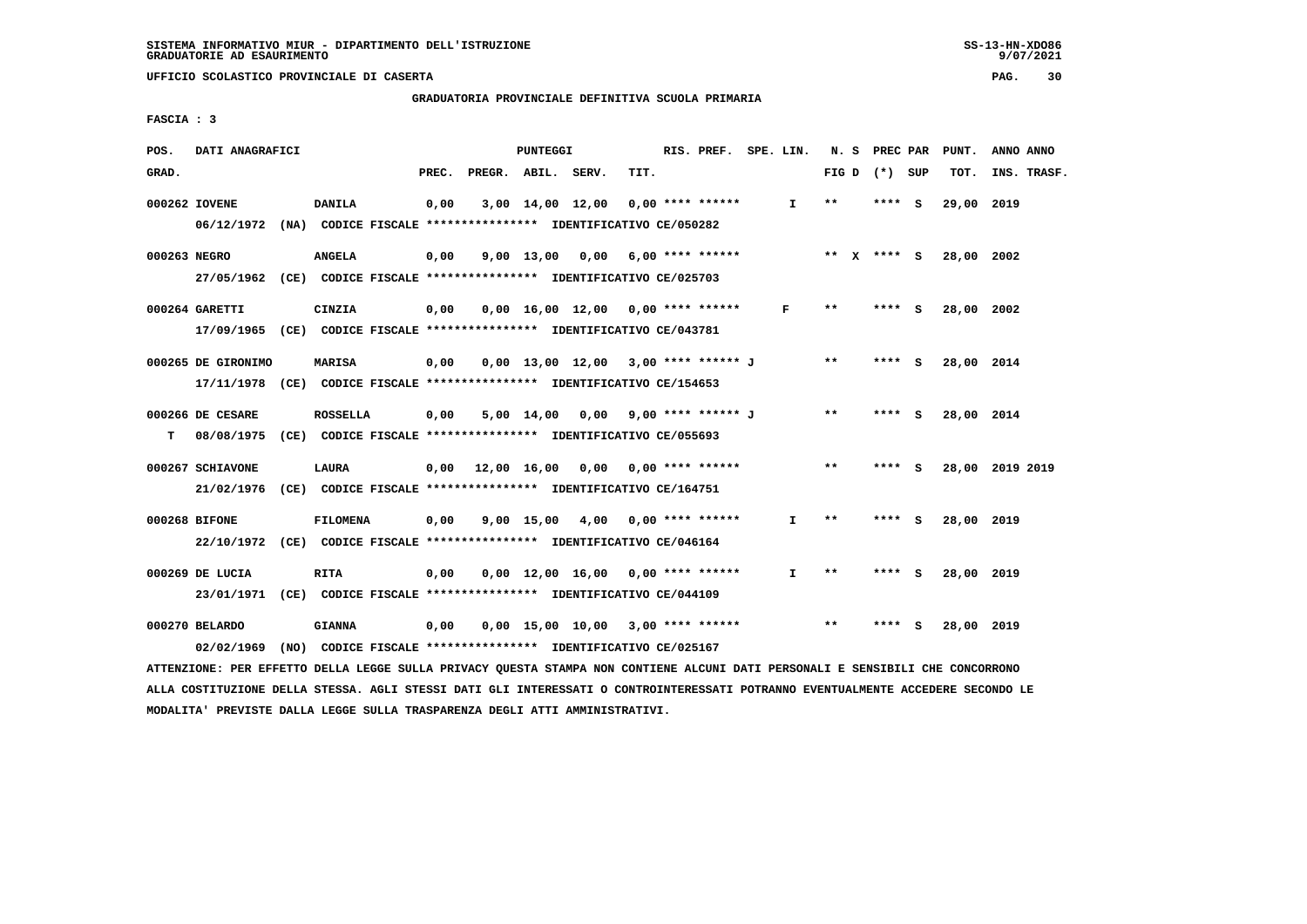**GRADUATORIA PROVINCIALE DEFINITIVA SCUOLA PRIMARIA**

 **FASCIA : 3**

| POS.         | DATI ANAGRAFICI                                                                               |                                                                               |       |                    | PUNTEGGI |                                          |      | RIS. PREF. SPE. LIN. |              |              | N. S PREC PAR | PUNT.      | ANNO ANNO       |
|--------------|-----------------------------------------------------------------------------------------------|-------------------------------------------------------------------------------|-------|--------------------|----------|------------------------------------------|------|----------------------|--------------|--------------|---------------|------------|-----------------|
| GRAD.        |                                                                                               |                                                                               | PREC. | PREGR. ABIL. SERV. |          |                                          | TIT. |                      |              | FIG D        | (*) SUP       | TOT.       | INS. TRASF.     |
|              | 000262 IOVENE<br>06/12/1972 (NA) CODICE FISCALE *************** IDENTIFICATIVO CE/050282      | <b>DANILA</b>                                                                 | 0,00  |                    |          | 3,00 14,00 12,00                         |      | $0.00$ **** ******   | $\mathbf{I}$ | $* *$        | **** S        | 29,00 2019 |                 |
| 000263 NEGRO | 27/05/1962 (CE) CODICE FISCALE *************** IDENTIFICATIVO CE/025703                       | <b>ANGELA</b>                                                                 | 0,00  |                    |          | $9.00$ 13.00 0.00 6.00 **** ******       |      |                      | ** x **** s  |              |               | 28,00 2002 |                 |
|              | 000264 GARETTI<br>17/09/1965 (CE) CODICE FISCALE *************** IDENTIFICATIVO CE/043781     | CINZIA                                                                        | 0,00  |                    |          | $0,00$ 16,00 12,00 0,00 **** ******      |      |                      | F            | $***$        | $***$ S       | 28,00 2002 |                 |
|              | 000265 DE GIRONIMO<br>17/11/1978 (CE) CODICE FISCALE *************** IDENTIFICATIVO CE/154653 | MARISA                                                                        | 0,00  |                    |          | $0,00$ 13,00 12,00 3,00 **** ****** J    |      |                      |              | $***$        | **** S        | 28,00 2014 |                 |
| т            | 000266 DE CESARE<br>08/08/1975 (CE) CODICE FISCALE *************** IDENTIFICATIVO CE/055693   | <b>ROSSELLA</b>                                                               | 0,00  |                    |          | 5,00 14,00 0,00 9,00 **** ****** J       |      |                      |              | $* *$        | $***$ S       | 28,00 2014 |                 |
|              | 000267 SCHIAVONE<br>21/02/1976 (CE) CODICE FISCALE *************** IDENTIFICATIVO CE/164751   | <b>LAURA</b>                                                                  |       |                    |          | $0,00$ 12,00 16,00 0,00 0,00 **** ****** |      |                      |              | **           | $***$ S       |            | 28,00 2019 2019 |
|              | 000268 BIFONE<br>22/10/1972 (CE) CODICE FISCALE *************** IDENTIFICATIVO CE/046164      | <b>FILOMENA</b>                                                               | 0,00  |                    |          | $9,00$ 15,00 4,00 0,00 **** ******       |      |                      | $\mathbf{I}$ | $***$        | **** S        | 28,00 2019 |                 |
|              | 000269 DE LUCIA<br>23/01/1971 (CE) CODICE FISCALE *************** IDENTIFICATIVO CE/044109    | <b>RITA</b>                                                                   | 0,00  |                    |          | $0,00$ 12,00 16,00 0,00 **** ******      |      |                      | I.           | $\star\star$ | **** S        | 28,00 2019 |                 |
|              | 000270 BELARDO<br>02/02/1969                                                                  | <b>GIANNA</b><br>(NO) CODICE FISCALE *************** IDENTIFICATIVO CE/025167 | 0,00  |                    |          | $0,00$ 15,00 10,00 3,00 **** ******      |      |                      |              | **           | **** S        | 28,00 2019 |                 |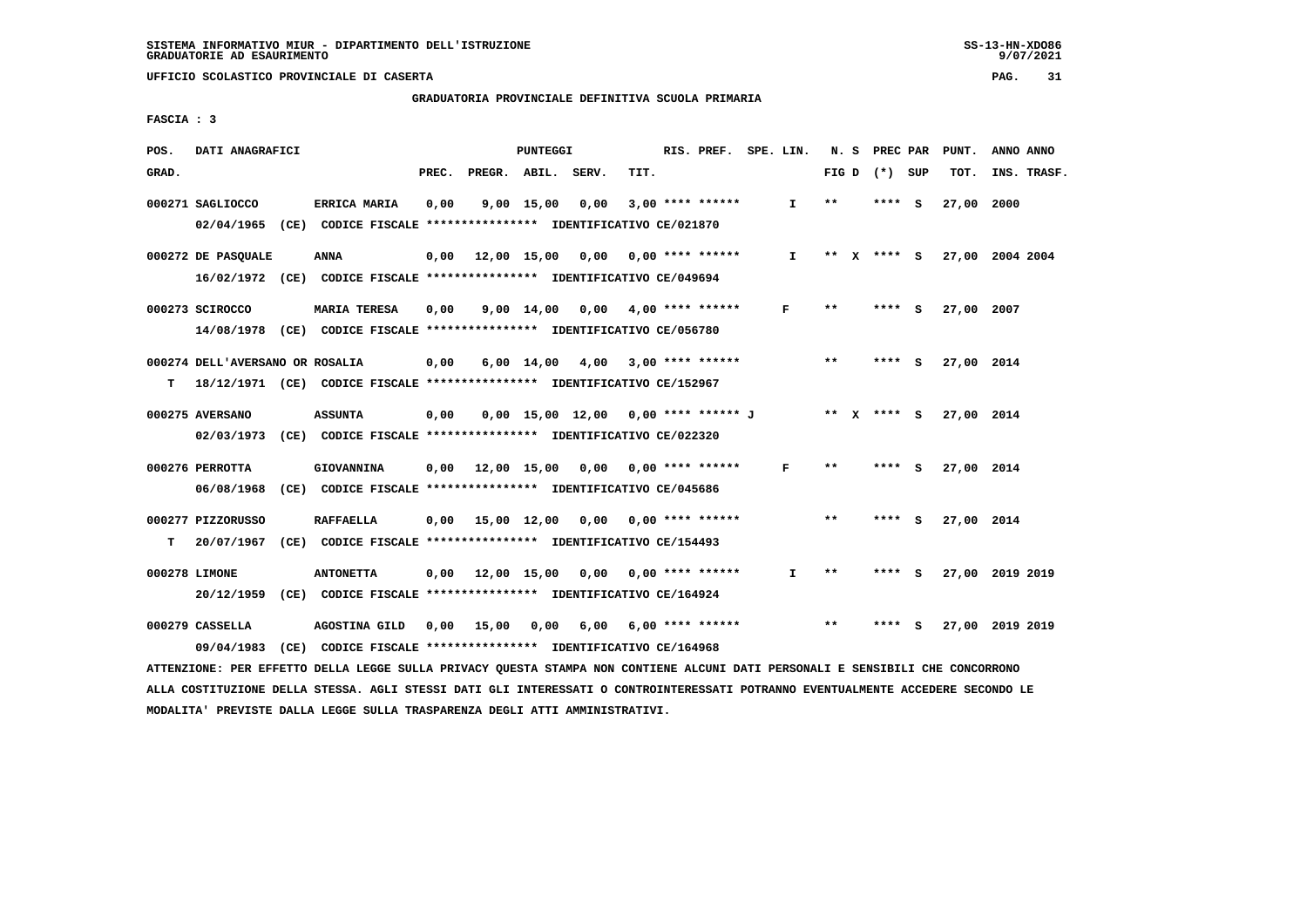# **GRADUATORIA PROVINCIALE DEFINITIVA SCUOLA PRIMARIA**

 **FASCIA : 3**

| POS.  | DATI ANAGRAFICI                 |                                                                                                                               |       |                                          | PUNTEGGI   |                                       |      | RIS. PREF. SPE. LIN.            |              |       | N. S PREC PAR   |              | PUNT.      | ANNO ANNO                   |
|-------|---------------------------------|-------------------------------------------------------------------------------------------------------------------------------|-------|------------------------------------------|------------|---------------------------------------|------|---------------------------------|--------------|-------|-----------------|--------------|------------|-----------------------------|
| GRAD. |                                 |                                                                                                                               | PREC. | PREGR. ABIL. SERV.                       |            |                                       | TIT. |                                 |              |       | FIG D $(*)$ SUP |              | TOT.       | INS. TRASF.                 |
|       | 000271 SAGLIOCCO                | <b>ERRICA MARIA</b>                                                                                                           | 0,00  |                                          | 9,00 15,00 | 0,00                                  |      | $3,00$ **** ******              | I.           | $* *$ | **** S          |              | 27,00      | 2000                        |
|       |                                 | 02/04/1965 (CE) CODICE FISCALE *************** IDENTIFICATIVO CE/021870                                                       |       |                                          |            |                                       |      |                                 |              |       |                 |              |            |                             |
|       | 000272 DE PASOUALE              | <b>ANNA</b>                                                                                                                   | 0,00  | 12,00 15,00 0,00 0,00 **** ******        |            |                                       |      |                                 | $\mathbf{I}$ |       |                 |              |            | ** X **** S 27,00 2004 2004 |
|       |                                 | 16/02/1972 (CE) CODICE FISCALE *************** IDENTIFICATIVO CE/049694                                                       |       |                                          |            |                                       |      |                                 |              |       |                 |              |            |                             |
|       | 000273 SCIROCCO                 | <b>MARIA TERESA</b>                                                                                                           | 0,00  |                                          | 9,00 14,00 | 0,00                                  |      | 4,00 **** ******                | F            | $* *$ | ****            | $\mathbf{s}$ | 27,00 2007 |                             |
|       |                                 | 14/08/1978 (CE) CODICE FISCALE *************** IDENTIFICATIVO CE/056780                                                       |       |                                          |            |                                       |      |                                 |              |       |                 |              |            |                             |
|       | 000274 DELL'AVERSANO OR ROSALIA |                                                                                                                               | 0,00  |                                          |            | 6,00 14,00 4,00                       |      | $3,00$ **** ******              |              | **    | $***$ S         |              | 27,00 2014 |                             |
| т     |                                 | 18/12/1971 (CE) CODICE FISCALE **************** IDENTIFICATIVO CE/152967                                                      |       |                                          |            |                                       |      |                                 |              |       |                 |              |            |                             |
|       | 000275 AVERSANO                 | <b>ASSUNTA</b>                                                                                                                | 0,00  |                                          |            | $0.00$ 15.00 12.00 0.00 **** ****** J |      |                                 |              |       | ** x **** s     |              | 27,00 2014 |                             |
|       |                                 | 02/03/1973 (CE) CODICE FISCALE *************** IDENTIFICATIVO CE/022320                                                       |       |                                          |            |                                       |      |                                 |              |       |                 |              |            |                             |
|       | 000276 PERROTTA                 | GIOVANNINA                                                                                                                    | 0,00  | 12,00 15,00 0,00 0,00 **** ******        |            |                                       |      |                                 | F            | **    | ****            | <b>S</b>     | 27,00 2014 |                             |
|       | 06/08/1968                      | (CE) CODICE FISCALE **************** IDENTIFICATIVO CE/045686                                                                 |       |                                          |            |                                       |      |                                 |              |       |                 |              |            |                             |
|       | 000277 PIZZORUSSO               | <b>RAFFAELLA</b>                                                                                                              |       | 0,00 15,00 12,00 0,00                    |            |                                       |      | $0.00$ **** ******              |              | **    | **** S          |              | 27,00 2014 |                             |
| т     | 20/07/1967                      | (CE) CODICE FISCALE **************** IDENTIFICATIVO CE/154493                                                                 |       |                                          |            |                                       |      |                                 |              |       |                 |              |            |                             |
|       | 000278 LIMONE                   | <b>ANTONETTA</b>                                                                                                              |       | $0.00$ 12.00 15.00 0.00 0.00 **** ****** |            |                                       |      |                                 | $\mathbf{I}$ | $* *$ | **** S          |              |            | 27,00 2019 2019             |
|       |                                 | 20/12/1959 (CE) CODICE FISCALE *************** IDENTIFICATIVO CE/164924                                                       |       |                                          |            |                                       |      |                                 |              |       |                 |              |            |                             |
|       | 000279 CASSELLA                 | AGOSTINA GILD                                                                                                                 | 0,00  | 15,00                                    | 0,00       |                                       |      | $6,00$ $6,00$ $***$ **** ****** |              | $***$ | ****            | - S          |            | 27,00 2019 2019             |
|       | 09/04/1983                      | (CE) CODICE FISCALE **************** IDENTIFICATIVO CE/164968                                                                 |       |                                          |            |                                       |      |                                 |              |       |                 |              |            |                             |
|       |                                 | ATTENZIONE: PER EFFETTO DELLA LEGGE SULLA PRIVACY QUESTA STAMPA NON CONTIENE ALCUNI DATI PERSONALI E SENSIBILI CHE CONCORRONO |       |                                          |            |                                       |      |                                 |              |       |                 |              |            |                             |

 **ALLA COSTITUZIONE DELLA STESSA. AGLI STESSI DATI GLI INTERESSATI O CONTROINTERESSATI POTRANNO EVENTUALMENTE ACCEDERE SECONDO LE**

 **MODALITA' PREVISTE DALLA LEGGE SULLA TRASPARENZA DEGLI ATTI AMMINISTRATIVI.**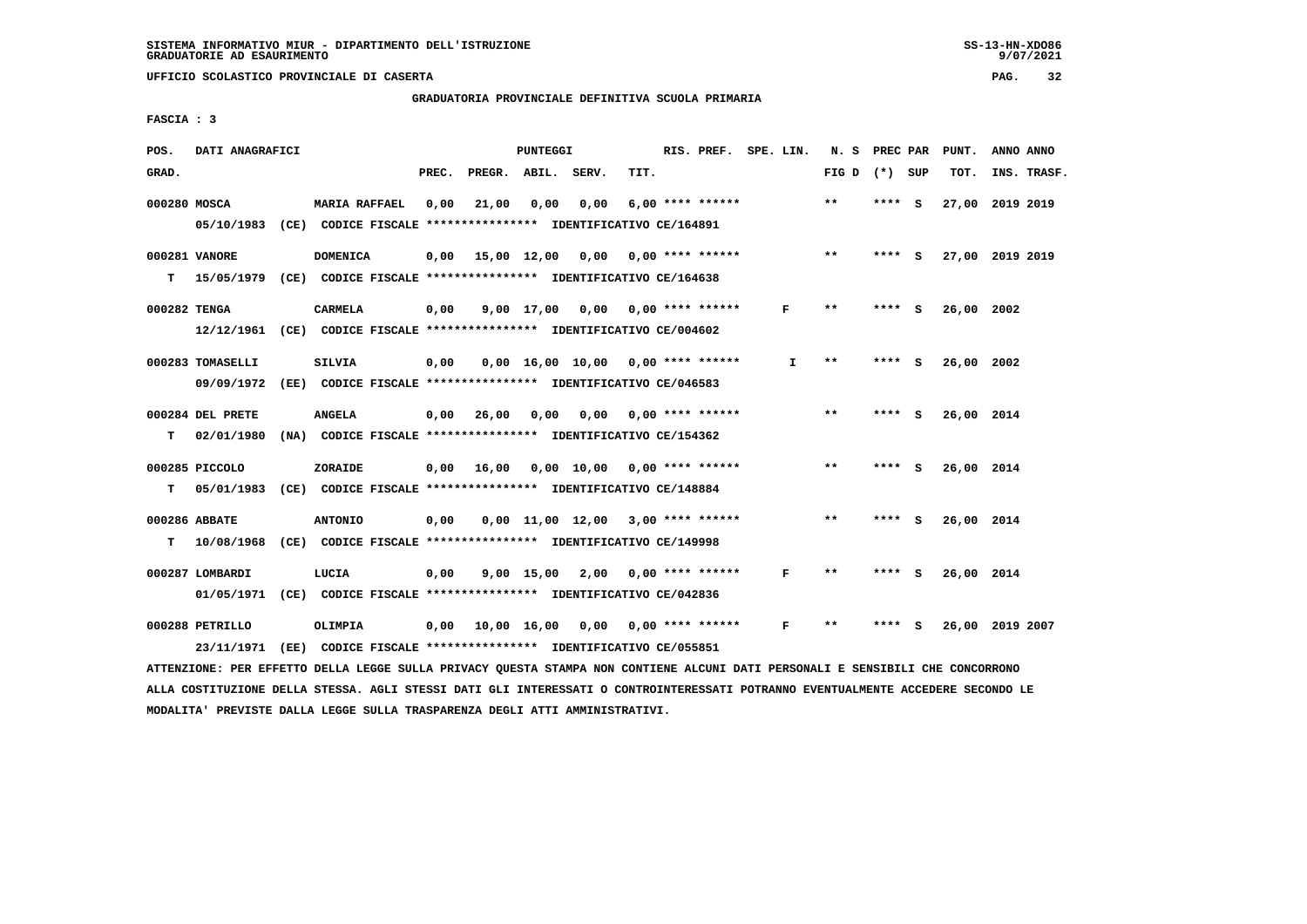# **GRADUATORIA PROVINCIALE DEFINITIVA SCUOLA PRIMARIA**

 **FASCIA : 3**

| POS.         | DATI ANAGRAFICI                                                          |                                                               |       |                               | PUNTEGGI     |                                     |      | RIS. PREF. SPE. LIN. |              | N. S            | PREC PAR |     | PUNT.           | ANNO ANNO |             |
|--------------|--------------------------------------------------------------------------|---------------------------------------------------------------|-------|-------------------------------|--------------|-------------------------------------|------|----------------------|--------------|-----------------|----------|-----|-----------------|-----------|-------------|
| GRAD.        |                                                                          |                                                               | PREC. | PREGR. ABIL. SERV.            |              |                                     | TIT. |                      |              | FIG D $(*)$ SUP |          |     | TOT.            |           | INS. TRASF. |
| 000280 MOSCA |                                                                          | <b>MARIA RAFFAEL</b>                                          | 0,00  | 21,00                         | 0,00         | 0,00                                |      | $6.00$ **** ******   |              | **              | $***$ S  |     | 27,00 2019 2019 |           |             |
|              | 05/10/1983 (CE) CODICE FISCALE *************** IDENTIFICATIVO CE/164891  |                                                               |       |                               |              |                                     |      |                      |              |                 |          |     |                 |           |             |
|              | 000281 VANORE                                                            | <b>DOMENICA</b>                                               | 0,00  |                               |              | 15,00 12,00 0,00 0,00 **** ******   |      |                      |              | $***$           | **** S   |     | 27,00 2019 2019 |           |             |
| т            | 15/05/1979 (CE) CODICE FISCALE **************** IDENTIFICATIVO CE/164638 |                                                               |       |                               |              |                                     |      |                      |              |                 |          |     |                 |           |             |
| 000282 TENGA |                                                                          | <b>CARMELA</b>                                                | 0,00  |                               |              | $9,00$ 17,00 0,00 0,00 **** ******  |      |                      | F            | $* *$           | **** S   |     | 26,00 2002      |           |             |
|              | 12/12/1961 (CE) CODICE FISCALE *************** IDENTIFICATIVO CE/004602  |                                                               |       |                               |              |                                     |      |                      |              |                 |          |     |                 |           |             |
|              | 000283 TOMASELLI                                                         | <b>SILVIA</b>                                                 | 0,00  |                               |              | $0.00$ 16.00 10.00 0.00 **** ****** |      |                      | $\mathbf{I}$ | $***$           | $***$ S  |     | 26,00 2002      |           |             |
|              | 09/09/1972                                                               | (EE) CODICE FISCALE **************** IDENTIFICATIVO CE/046583 |       |                               |              |                                     |      |                      |              |                 |          |     |                 |           |             |
|              | 000284 DEL PRETE                                                         | <b>ANGELA</b>                                                 |       | $0,00$ 26,00                  | 0,00         | 0,00                                |      | 0,00 **** ******     |              | $* *$           | **** S   |     | 26,00 2014      |           |             |
| т            | 02/01/1980                                                               | (NA) CODICE FISCALE **************** IDENTIFICATIVO CE/154362 |       |                               |              |                                     |      |                      |              |                 |          |     |                 |           |             |
|              | 000285 PICCOLO                                                           | ZORAIDE                                                       |       | $0,00$ 16,00                  |              | 0,00 10,00 0,00 **** ******         |      |                      |              | $***$           | **** S   |     | 26,00 2014      |           |             |
| т            | 05/01/1983 (CE) CODICE FISCALE **************** IDENTIFICATIVO CE/148884 |                                                               |       |                               |              |                                     |      |                      |              |                 |          |     |                 |           |             |
|              | 000286 ABBATE                                                            | <b>ANTONIO</b>                                                | 0,00  |                               |              | $0,00$ 11,00 12,00 3,00 **** ****** |      |                      |              | $***$           | **** S   |     | 26,00 2014      |           |             |
| т            | 10/08/1968 (CE) CODICE FISCALE *************** IDENTIFICATIVO CE/149998  |                                                               |       |                               |              |                                     |      |                      |              |                 |          |     |                 |           |             |
|              | 000287 LOMBARDI                                                          | LUCIA                                                         | 0,00  |                               | $9,00$ 15,00 | 2,00                                |      | $0.00$ **** ******   | F            | $* *$           | **** S   |     | 26,00 2014      |           |             |
|              | 01/05/1971 (CE) CODICE FISCALE *************** IDENTIFICATIVO CE/042836  |                                                               |       |                               |              |                                     |      |                      |              |                 |          |     |                 |           |             |
|              | 000288 PETRILLO                                                          | OLIMPIA                                                       |       | $0,00$ $10,00$ $16,00$ $0,00$ |              |                                     |      | 0,00 **** ******     | F            | $* *$           | ****     | - 5 | 26,00 2019 2007 |           |             |
|              | 23/11/1971 (EE) CODICE FISCALE *************** IDENTIFICATIVO CE/055851  |                                                               |       |                               |              |                                     |      |                      |              |                 |          |     |                 |           |             |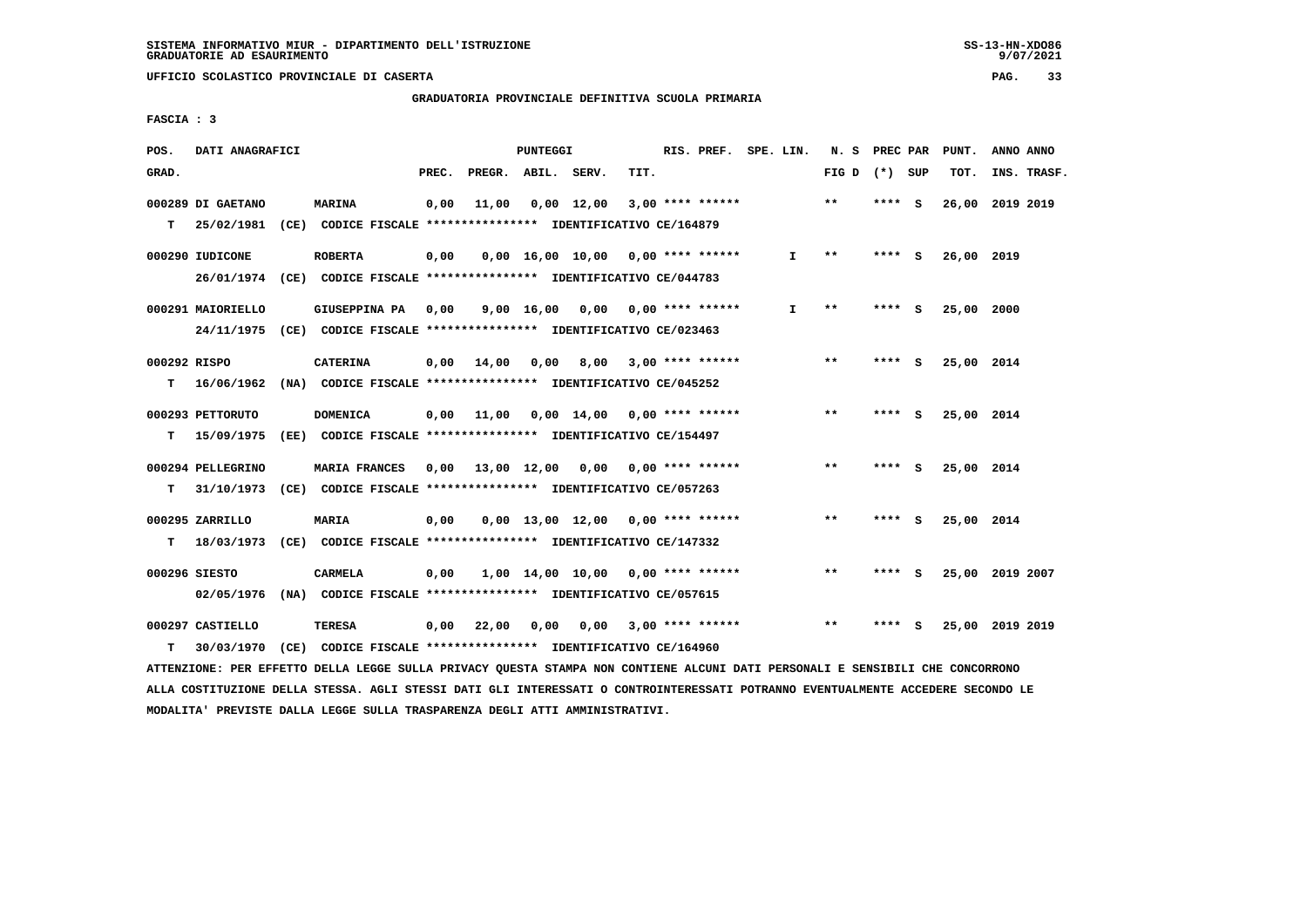**GRADUATORIA PROVINCIALE DEFINITIVA SCUOLA PRIMARIA**

 **FASCIA : 3**

| GRAD.<br>PREC.<br>PREGR. ABIL. SERV.<br>TIT.<br>FIG D<br>(*) SUP<br>TOT.<br>$* *$<br>000289 DI GAETANO<br><b>MARINA</b><br>0,00<br>11,00<br>$0,00$ 12,00<br>$3,00$ **** ******<br>**** S<br>26,00<br>т<br>25/02/1981<br>(CE) CODICE FISCALE **************** IDENTIFICATIVO CE/164879 | INS. TRASF.<br>2019 2019 |
|---------------------------------------------------------------------------------------------------------------------------------------------------------------------------------------------------------------------------------------------------------------------------------------|--------------------------|
|                                                                                                                                                                                                                                                                                       |                          |
|                                                                                                                                                                                                                                                                                       |                          |
|                                                                                                                                                                                                                                                                                       |                          |
| $0,00$ 16,00 10,00 0,00 **** ******<br>000290 IUDICONE<br><b>ROBERTA</b><br>0,00<br>$**$<br>**** S<br>26,00 2019<br>I.                                                                                                                                                                |                          |
| 26/01/1974 (CE) CODICE FISCALE *************** IDENTIFICATIVO CE/044783                                                                                                                                                                                                               |                          |
| $9,00$ 16,00 0,00 0,00 **** ******<br>$\mathbf{I}$<br>$***$<br>25,00 2000<br>000291 MAIORIELLO<br>GIUSEPPINA PA<br>0,00<br>**** S                                                                                                                                                     |                          |
| 24/11/1975<br>(CE) CODICE FISCALE **************** IDENTIFICATIVO CE/023463                                                                                                                                                                                                           |                          |
| 000292 RISPO<br>14,00<br>8,00<br>$3.00$ **** ******<br>$* *$<br><b>CATERINA</b><br>0,00<br>0,00<br><b>S</b><br>25,00 2014<br>****                                                                                                                                                     |                          |
| 16/06/1962<br>(NA) CODICE FISCALE **************** IDENTIFICATIVO CE/045252<br>т                                                                                                                                                                                                      |                          |
| $**$<br>****                                                                                                                                                                                                                                                                          |                          |
| 000293 PETTORUTO<br>11,00<br>$0,00$ 14,00 0,00 **** ******<br><b>DOMENICA</b><br>0.00<br>- S<br>25,00 2014<br>(EE) CODICE FISCALE **************** IDENTIFICATIVO CE/154497<br>т<br>15/09/1975                                                                                        |                          |
|                                                                                                                                                                                                                                                                                       |                          |
| **<br>000294 PELLEGRINO<br>MARIA FRANCES<br>0,00 13,00 12,00<br>0,00<br>$0.00$ **** ******<br>**** S<br>25,00 2014                                                                                                                                                                    |                          |
| т<br>31/10/1973<br>(CE) CODICE FISCALE **************** IDENTIFICATIVO CE/057263                                                                                                                                                                                                      |                          |
| $0.00$ 13.00 12.00 0.00 **** ******<br>$**$<br>25,00 2014<br>000295 ZARRILLO<br>MARIA<br>0,00<br>****<br>- S                                                                                                                                                                          |                          |
| (CE) CODICE FISCALE **************** IDENTIFICATIVO CE/147332<br>т<br>18/03/1973                                                                                                                                                                                                      |                          |
| $\star\star$<br>000296 SIESTO<br>$1,00$ $14,00$ $10,00$ $0,00$ **** ******<br>25,00 2019 2007<br>CARMELA<br>0.00<br>****<br>- S                                                                                                                                                       |                          |
| 02/05/1976<br>(NA) CODICE FISCALE **************** IDENTIFICATIVO CE/057615                                                                                                                                                                                                           |                          |
| $* *$<br>000297 CASTIELLO<br>TERESA<br>0,00<br>22,00<br>0,00<br>0,00<br>3,00 **** ******<br>25,00 2019 2019<br>****<br>- S                                                                                                                                                            |                          |
| 30/03/1970<br>CODICE FISCALE **************** IDENTIFICATIVO CE/164960<br>т<br>(CE)                                                                                                                                                                                                   |                          |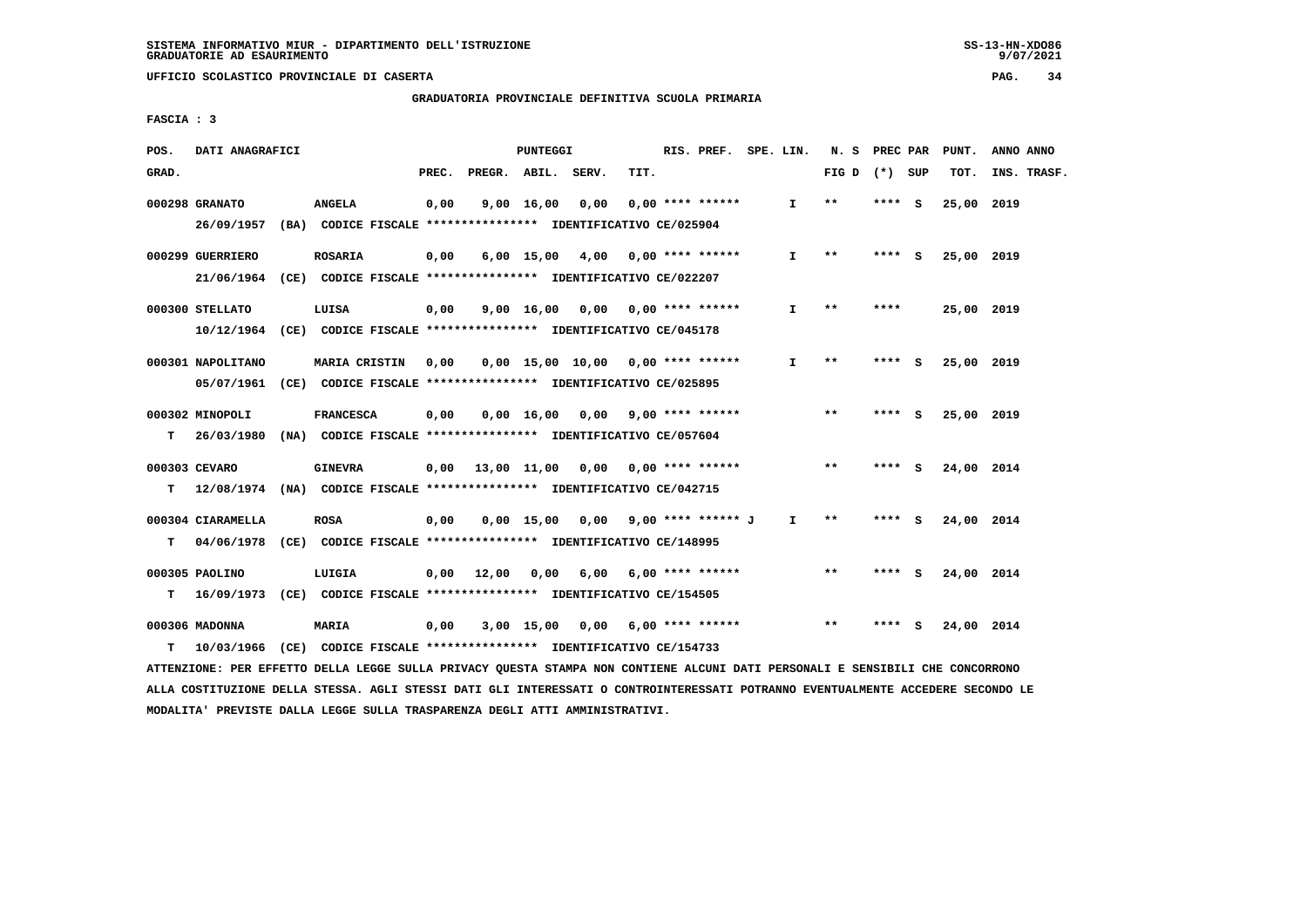**GRADUATORIA PROVINCIALE DEFINITIVA SCUOLA PRIMARIA**

 **FASCIA : 3**

| POS.  | DATI ANAGRAFICI                                                          |                      |       |                    | PUNTEGGI   |                                          |      | RIS. PREF. SPE. LIN.  |              | N. S PREC PAR   |          |     | PUNT.      | ANNO ANNO   |
|-------|--------------------------------------------------------------------------|----------------------|-------|--------------------|------------|------------------------------------------|------|-----------------------|--------------|-----------------|----------|-----|------------|-------------|
| GRAD. |                                                                          |                      | PREC. | PREGR. ABIL. SERV. |            |                                          | TIT. |                       |              | FIG D $(*)$ SUP |          |     | TOT.       | INS. TRASF. |
|       | 000298 GRANATO                                                           | <b>ANGELA</b>        | 0,00  |                    | 9,00 16,00 | 0,00                                     |      | $0.00$ **** ******    | I.           | $* *$           | **** S   |     | 25,00 2019 |             |
|       | 26/09/1957 (BA) CODICE FISCALE *************** IDENTIFICATIVO CE/025904  |                      |       |                    |            |                                          |      |                       |              |                 |          |     |            |             |
|       | 000299 GUERRIERO                                                         | <b>ROSARIA</b>       | 0,00  |                    |            | 6,00 15,00 4,00 0,00 **** ******         |      |                       | $\mathbf{I}$ | $***$           | $***$ S  |     | 25,00 2019 |             |
|       | 21/06/1964 (CE) CODICE FISCALE *************** IDENTIFICATIVO CE/022207  |                      |       |                    |            |                                          |      |                       |              |                 |          |     |            |             |
|       | 000300 STELLATO                                                          | LUISA                | 0,00  |                    |            | $9,00$ 16,00 0,00 0,00 **** ******       |      |                       | $\mathbf{I}$ | $* *$           | ****     |     | 25,00 2019 |             |
|       | 10/12/1964 (CE) CODICE FISCALE *************** IDENTIFICATIVO CE/045178  |                      |       |                    |            |                                          |      |                       |              |                 |          |     |            |             |
|       | 000301 NAPOLITANO                                                        | <b>MARIA CRISTIN</b> | 0,00  |                    |            | 0,00 15,00 10,00 0,00 **** ******        |      |                       | I.           | $* *$           | **** S   |     | 25,00 2019 |             |
|       | 05/07/1961 (CE) CODICE FISCALE *************** IDENTIFICATIVO CE/025895  |                      |       |                    |            |                                          |      |                       |              |                 |          |     |            |             |
|       | 000302 MINOPOLI                                                          | <b>FRANCESCA</b>     | 0,00  |                    |            | 0,00 16,00 0,00                          |      | $9,00$ **** ******    |              | $* *$           | **** $S$ |     | 25,00 2019 |             |
| T.    | 26/03/1980 (NA) CODICE FISCALE **************** IDENTIFICATIVO CE/057604 |                      |       |                    |            |                                          |      |                       |              |                 |          |     |            |             |
|       | 000303 CEVARO                                                            | <b>GINEVRA</b>       |       |                    |            | $0,00$ 13,00 11,00 0,00 0,00 **** ****** |      |                       |              | $***$           | **** S   |     | 24,00 2014 |             |
| T.    | 12/08/1974 (NA) CODICE FISCALE **************** IDENTIFICATIVO CE/042715 |                      |       |                    |            |                                          |      |                       |              |                 |          |     |            |             |
|       | 000304 CIARAMELLA                                                        | <b>ROSA</b>          | 0,00  |                    |            | 0,00 15,00 0,00 9,00 **** ****** J       |      |                       | I.           | **              | **** S   |     | 24,00 2014 |             |
| T.    | 04/06/1978 (CE) CODICE FISCALE *************** IDENTIFICATIVO CE/148995  |                      |       |                    |            |                                          |      |                       |              |                 |          |     |            |             |
|       | 000305 PAOLINO                                                           | LUIGIA               |       | 0,00 12,00         | 0,00       |                                          |      | 6,00 6,00 **** ****** |              | $***$           | **** S   |     | 24,00 2014 |             |
| т     | 16/09/1973 (CE) CODICE FISCALE **************** IDENTIFICATIVO CE/154505 |                      |       |                    |            |                                          |      |                       |              |                 |          |     |            |             |
|       | 000306 MADONNA                                                           | MARIA                | 0,00  |                    |            | 3,00 15,00 0,00                          |      | 6,00 **** ******      |              | $***$           | ****     | - S | 24,00 2014 |             |
| T.    | 10/03/1966 (CE) CODICE FISCALE *************** IDENTIFICATIVO CE/154733  |                      |       |                    |            |                                          |      |                       |              |                 |          |     |            |             |
|       |                                                                          |                      |       |                    |            |                                          |      |                       |              |                 |          |     |            |             |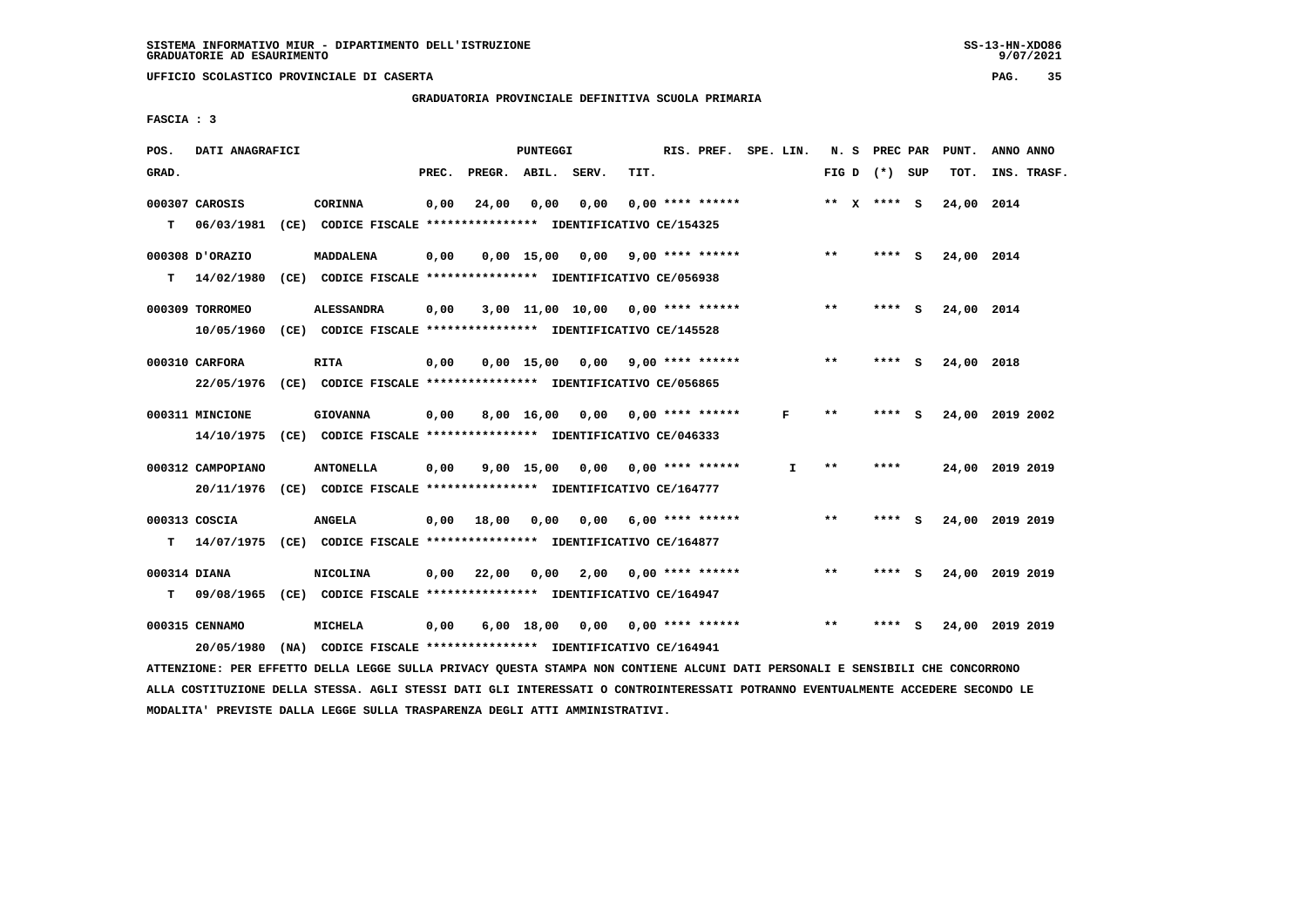**GRADUATORIA PROVINCIALE DEFINITIVA SCUOLA PRIMARIA**

 **FASCIA : 3**

| POS.         | DATI ANAGRAFICI              |                                                                          |       |                    | PUNTEGGI     |                                     |      | RIS. PREF.         | SPE. LIN. |              |       | N. S PREC PAR   |          | PUNT.      | ANNO ANNO       |
|--------------|------------------------------|--------------------------------------------------------------------------|-------|--------------------|--------------|-------------------------------------|------|--------------------|-----------|--------------|-------|-----------------|----------|------------|-----------------|
| GRAD.        |                              |                                                                          | PREC. | PREGR. ABIL. SERV. |              |                                     | TIT. |                    |           |              |       | FIG D $(*)$ SUP |          | TOT.       | INS. TRASF.     |
|              | 000307 CAROSIS               | CORINNA                                                                  | 0,00  | 24,00              | 0,00         | 0,00                                |      | $0.00$ **** ****** |           |              |       | ** X **** S     |          | 24,00 2014 |                 |
| т            | 06/03/1981                   | (CE) CODICE FISCALE **************** IDENTIFICATIVO CE/154325            |       |                    |              |                                     |      |                    |           |              |       |                 |          |            |                 |
|              | 000308 D'ORAZIO              | MADDALENA                                                                | 0,00  |                    | $0,00$ 15,00 | $0,00$ 9,00 **** ******             |      |                    |           |              | $***$ | **** S          |          | 24,00 2014 |                 |
| т            | 14/02/1980                   | (CE) CODICE FISCALE **************** IDENTIFICATIVO CE/056938            |       |                    |              |                                     |      |                    |           |              |       |                 |          |            |                 |
|              | 000309 TORROMEO              | <b>ALESSANDRA</b>                                                        | 0,00  |                    |              | $3,00$ 11,00 10,00 0,00 **** ****** |      |                    |           |              | $**$  | **** S          |          | 24,00 2014 |                 |
|              | 10/05/1960                   | (CE) CODICE FISCALE **************** IDENTIFICATIVO CE/145528            |       |                    |              |                                     |      |                    |           |              |       |                 |          |            |                 |
|              | 000310 CARFORA               | <b>RITA</b>                                                              | 0,00  |                    | $0.00$ 15.00 | 0.00                                |      | $9,00$ **** ****** |           |              | $**$  | **** S          |          | 24,00 2018 |                 |
|              | 22/05/1976                   | (CE) CODICE FISCALE **************** IDENTIFICATIVO CE/056865            |       |                    |              |                                     |      |                    |           |              |       |                 |          |            |                 |
|              | 000311 MINCIONE              | <b>GIOVANNA</b>                                                          | 0,00  |                    | 8,00 16,00   | 0,00                                |      | $0.00$ **** ****** |           | F            | $**$  | **** S          |          | 24,00      | 2019 2002       |
|              | 14/10/1975                   | (CE) CODICE FISCALE **************** IDENTIFICATIVO CE/046333            |       |                    |              |                                     |      |                    |           |              |       |                 |          |            |                 |
|              | 000312 CAMPOPIANO            | <b>ANTONELLA</b>                                                         | 0,00  |                    | $9,00$ 15,00 | 0,00 0,00 **** ******               |      |                    |           | $\mathbf{I}$ | $**$  | ****            |          |            | 24,00 2019 2019 |
|              | 20/11/1976                   | (CE) CODICE FISCALE **************** IDENTIFICATIVO CE/164777            |       |                    |              |                                     |      |                    |           |              |       |                 |          |            |                 |
|              | 000313 COSCIA                | <b>ANGELA</b>                                                            | 0,00  | 18,00              | 0.00         | 0.00                                |      | $6,00$ **** ****** |           |              | $* *$ | **** S          |          |            | 24,00 2019 2019 |
| т            | 14/07/1975                   | (CE) CODICE FISCALE **************** IDENTIFICATIVO CE/164877            |       |                    |              |                                     |      |                    |           |              |       |                 |          |            |                 |
| 000314 DIANA |                              | <b>NICOLINA</b>                                                          | 0,00  | 22,00              | 0,00         | 2,00                                |      | $0.00$ **** ****** |           |              | $* *$ | ****            | <b>S</b> |            | 24,00 2019 2019 |
| т            | 09/08/1965                   | (CE) CODICE FISCALE **************** IDENTIFICATIVO CE/164947            |       |                    |              |                                     |      |                    |           |              |       |                 |          |            |                 |
|              | 000315 CENNAMO<br>20/05/1980 | MICHELA<br>(NA) CODICE FISCALE **************** IDENTIFICATIVO CE/164941 | 0,00  |                    | $6,00$ 18,00 | 0,00                                |      | $0.00$ **** ****** |           |              | $* *$ | ****            | s        | 24,00      | 2019 2019       |
|              |                              |                                                                          |       |                    |              |                                     |      |                    |           |              |       |                 |          |            |                 |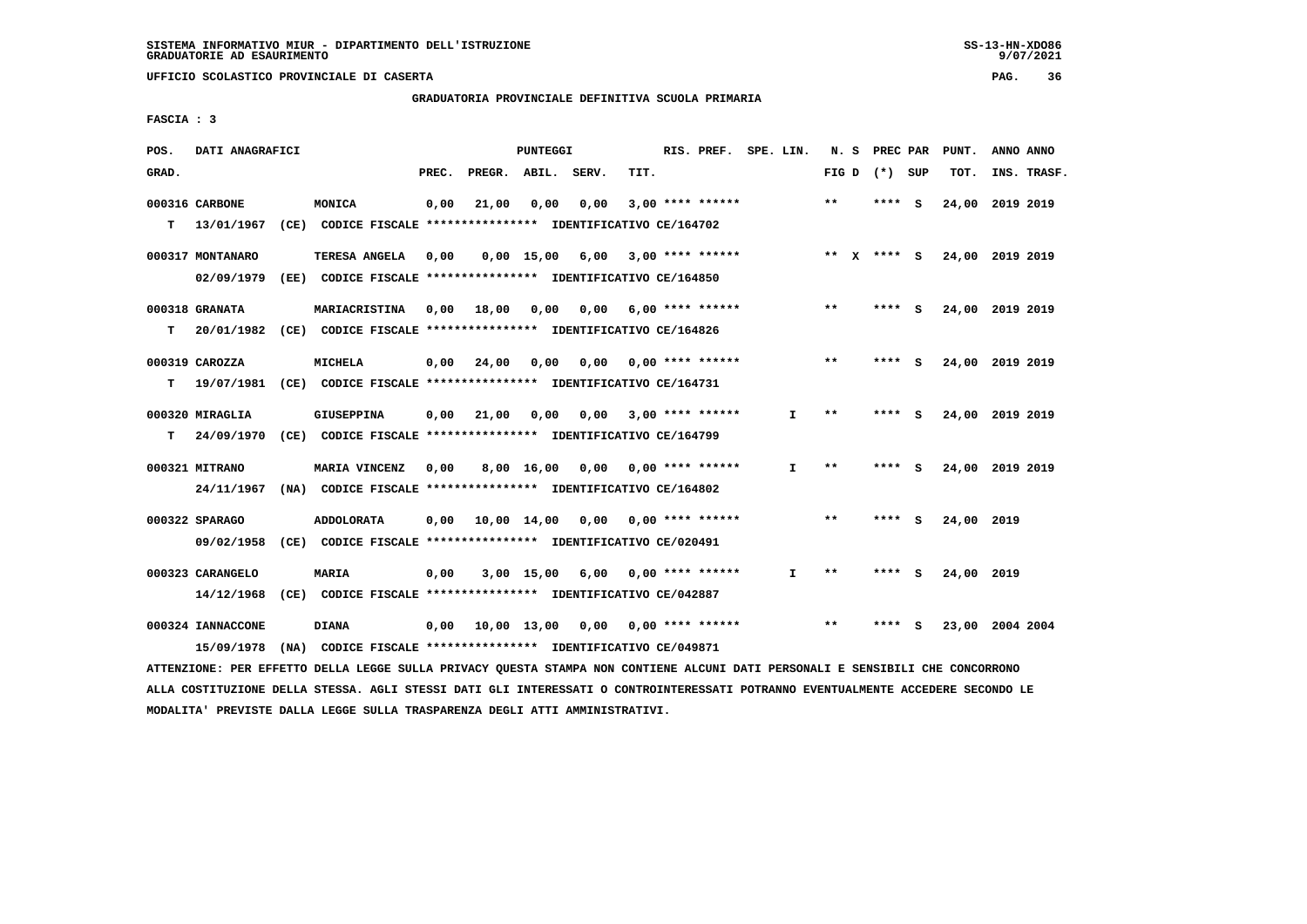**GRADUATORIA PROVINCIALE DEFINITIVA SCUOLA PRIMARIA**

 **FASCIA : 3**

| POS.  | DATI ANAGRAFICI   |                                                               |       |                    | PUNTEGGI     |      |      | RIS. PREF.                | SPE. LIN. |              | N. S  |              | PREC PAR        |     | PUNT.           | ANNO ANNO |             |
|-------|-------------------|---------------------------------------------------------------|-------|--------------------|--------------|------|------|---------------------------|-----------|--------------|-------|--------------|-----------------|-----|-----------------|-----------|-------------|
| GRAD. |                   |                                                               | PREC. | PREGR. ABIL. SERV. |              |      | TIT. |                           |           |              |       |              | FIG D $(*)$ SUP |     | TOT.            |           | INS. TRASF. |
|       | 000316 CARBONE    | MONICA                                                        | 0,00  | 21,00              | 0.00         | 0.00 |      | $3,00$ **** ******        |           |              | **    |              | **** S          |     | 24,00 2019 2019 |           |             |
| т     | 13/01/1967        | (CE) CODICE FISCALE **************** IDENTIFICATIVO CE/164702 |       |                    |              |      |      |                           |           |              |       |              |                 |     |                 |           |             |
|       | 000317 MONTANARO  | <b>TERESA ANGELA</b>                                          | 0.00  |                    | $0.00$ 15.00 | 6,00 |      | 3,00 **** ******          |           |              | $* *$ | $\mathbf{x}$ | **** S          |     | 24,00 2019 2019 |           |             |
|       | 02/09/1979        | (EE) CODICE FISCALE **************** IDENTIFICATIVO CE/164850 |       |                    |              |      |      |                           |           |              |       |              |                 |     |                 |           |             |
|       | 000318 GRANATA    | MARIACRISTINA                                                 | 0,00  | 18,00              | 0,00         | 0,00 |      | $6,00$ **** ******        |           |              | **    |              | **** S          |     | 24,00 2019 2019 |           |             |
| т     | 20/01/1982        | (CE) CODICE FISCALE **************** IDENTIFICATIVO CE/164826 |       |                    |              |      |      |                           |           |              |       |              |                 |     |                 |           |             |
|       | 000319 CAROZZA    | <b>MICHELA</b>                                                | 0,00  | 24,00              | 0.00         | 0,00 |      | 0,00 **** ******          |           |              | $**$  |              | **** S          |     | 24,00 2019 2019 |           |             |
| т     | 19/07/1981        | (CE) CODICE FISCALE **************** IDENTIFICATIVO CE/164731 |       |                    |              |      |      |                           |           |              |       |              |                 |     |                 |           |             |
|       | 000320 MIRAGLIA   | <b>GIUSEPPINA</b>                                             | 0,00  | 21,00              | 0,00         | 0,00 |      | $3,00$ **** ******        |           | I.           | $**$  |              | **** S          |     | 24,00           | 2019 2019 |             |
| т     | 24/09/1970        | (CE) CODICE FISCALE **************** IDENTIFICATIVO CE/164799 |       |                    |              |      |      |                           |           |              |       |              |                 |     |                 |           |             |
|       | 000321 MITRANO    | MARIA VINCENZ                                                 | 0.00  |                    | 8,00 16,00   | 0.00 |      | 0,00 **** ******          |           | $\mathbf{I}$ | $**$  |              | $***$ S         |     | 24,00 2019 2019 |           |             |
|       | 24/11/1967        | (NA) CODICE FISCALE **************** IDENTIFICATIVO CE/164802 |       |                    |              |      |      |                           |           |              |       |              |                 |     |                 |           |             |
|       | 000322 SPARAGO    | <b>ADDOLORATA</b>                                             | 0.00  | 10,00 14,00        |              |      |      | $0,00$ $0,00$ **** ****** |           |              | **    |              | ****            | - S | 24,00 2019      |           |             |
|       | 09/02/1958        | (CE) CODICE FISCALE **************** IDENTIFICATIVO CE/020491 |       |                    |              |      |      |                           |           |              |       |              |                 |     |                 |           |             |
|       | 000323 CARANGELO  | <b>MARIA</b>                                                  | 0,00  |                    | $3,00$ 15,00 | 6,00 |      | $0.00$ **** ******        |           | I.           | **    |              | ****            | - 5 | 24,00 2019      |           |             |
|       | 14/12/1968        | (CE) CODICE FISCALE **************** IDENTIFICATIVO CE/042887 |       |                    |              |      |      |                           |           |              |       |              |                 |     |                 |           |             |
|       | 000324 IANNACCONE | <b>DIANA</b>                                                  | 0,00  | 10,00 13,00        |              | 0,00 |      | $0.00$ **** ******        |           |              | $**$  |              | ****            | - S | 23,00 2004 2004 |           |             |
|       | 15/09/1978        | (NA) CODICE FISCALE **************** IDENTIFICATIVO CE/049871 |       |                    |              |      |      |                           |           |              |       |              |                 |     |                 |           |             |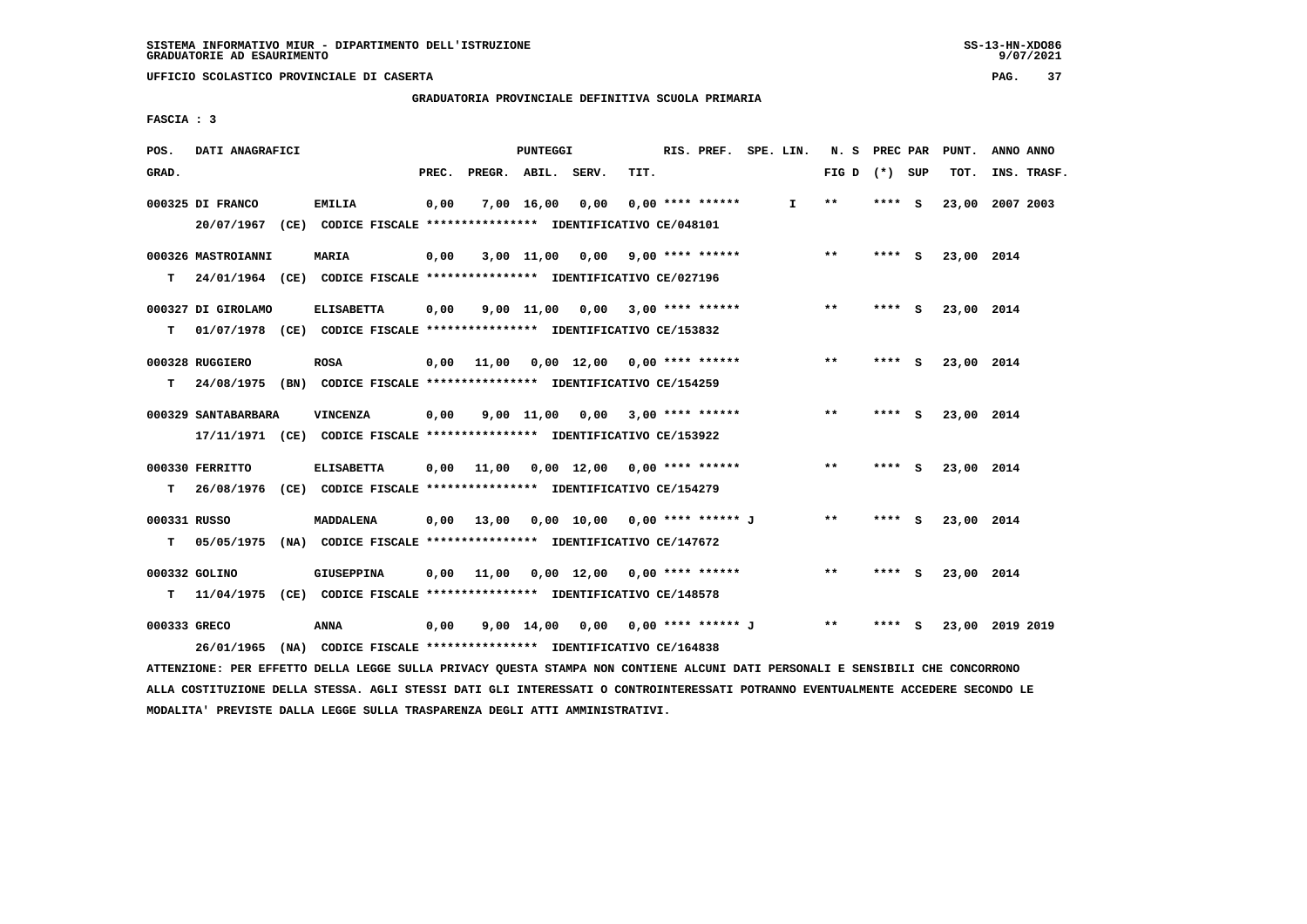**GRADUATORIA PROVINCIALE DEFINITIVA SCUOLA PRIMARIA**

 **FASCIA : 3**

| POS.         | DATI ANAGRAFICI     |                                                                                                                               |       |                                          | PUNTEGGI |                                       |      | RIS. PREF. SPE. LIN. |              |                 |         | N. S PREC PAR PUNT. | ANNO ANNO       |  |
|--------------|---------------------|-------------------------------------------------------------------------------------------------------------------------------|-------|------------------------------------------|----------|---------------------------------------|------|----------------------|--------------|-----------------|---------|---------------------|-----------------|--|
| GRAD.        |                     |                                                                                                                               | PREC. | PREGR. ABIL. SERV.                       |          |                                       | TIT. |                      |              | FIG D $(*)$ SUP |         | TOT.                | INS. TRASF.     |  |
|              | 000325 DI FRANCO    | <b>EMILIA</b>                                                                                                                 | 0,00  |                                          |          | 7,00 16,00 0,00                       |      | $0.00$ **** ******   | $\mathbf{I}$ | $***$           | $***$ S |                     | 23,00 2007 2003 |  |
|              |                     | 20/07/1967 (CE) CODICE FISCALE *************** IDENTIFICATIVO CE/048101                                                       |       |                                          |          |                                       |      |                      |              |                 |         |                     |                 |  |
|              | 000326 MASTROIANNI  | MARIA                                                                                                                         | 0,00  |                                          |          | 3,00 11,00 0,00 9,00 **** ******      |      |                      |              | $***$           | **** S  | 23,00 2014          |                 |  |
| т            |                     | 24/01/1964 (CE) CODICE FISCALE **************** IDENTIFICATIVO CE/027196                                                      |       |                                          |          |                                       |      |                      |              |                 |         |                     |                 |  |
|              | 000327 DI GIROLAMO  | <b>ELISABETTA</b>                                                                                                             | 0,00  |                                          |          | 9,00 11,00 0,00 3,00 **** ******      |      |                      |              | $***$           | $***$ S | 23,00 2014          |                 |  |
| т            |                     | 01/07/1978 (CE) CODICE FISCALE *************** IDENTIFICATIVO CE/153832                                                       |       |                                          |          |                                       |      |                      |              |                 |         |                     |                 |  |
|              | 000328 RUGGIERO     | <b>ROSA</b>                                                                                                                   |       | $0,00$ 11,00 0,00 12,00 0,00 **** ****** |          |                                       |      |                      |              | $***$           | $***$ S | 23,00 2014          |                 |  |
| т            |                     | 24/08/1975 (BN) CODICE FISCALE **************** IDENTIFICATIVO CE/154259                                                      |       |                                          |          |                                       |      |                      |              |                 |         |                     |                 |  |
|              | 000329 SANTABARBARA | VINCENZA                                                                                                                      | 0,00  |                                          |          | $9,00$ 11,00 0,00 3,00 **** ******    |      |                      |              | $\star\star$    | **** S  | 23,00 2014          |                 |  |
|              |                     | 17/11/1971 (CE) CODICE FISCALE *************** IDENTIFICATIVO CE/153922                                                       |       |                                          |          |                                       |      |                      |              |                 |         |                     |                 |  |
|              | 000330 FERRITTO     | <b>ELISABETTA</b>                                                                                                             |       | $0,00$ 11,00 0,00 12,00 0,00 **** ****** |          |                                       |      |                      |              | $***$           | $***$ S | 23,00 2014          |                 |  |
| т            |                     | 26/08/1976 (CE) CODICE FISCALE **************** IDENTIFICATIVO CE/154279                                                      |       |                                          |          |                                       |      |                      |              |                 |         |                     |                 |  |
| 000331 RUSSO |                     | MADDALENA                                                                                                                     |       | 0,00 13,00 0,00 10,00 0,00 **** ****** J |          |                                       |      |                      |              | $***$           | $***$ S | 23,00 2014          |                 |  |
| т            |                     | 05/05/1975 (NA) CODICE FISCALE *************** IDENTIFICATIVO CE/147672                                                       |       |                                          |          |                                       |      |                      |              |                 |         |                     |                 |  |
|              | 000332 GOLINO       | <b>GIUSEPPINA</b>                                                                                                             |       | $0,00$ 11,00 0,00 12,00 0,00 **** ****** |          |                                       |      |                      |              | $***$           | **** S  | 23,00 2014          |                 |  |
| т            |                     | 11/04/1975 (CE) CODICE FISCALE *************** IDENTIFICATIVO CE/148578                                                       |       |                                          |          |                                       |      |                      |              |                 |         |                     |                 |  |
|              | 000333 GRECO        | <b>ANNA</b>                                                                                                                   | 0,00  |                                          |          | 9,00 14,00 0,00 0,00 **** ****** J ** |      |                      |              |                 | **** S  |                     | 23,00 2019 2019 |  |
|              |                     | 26/01/1965 (NA) CODICE FISCALE *************** IDENTIFICATIVO CE/164838                                                       |       |                                          |          |                                       |      |                      |              |                 |         |                     |                 |  |
|              |                     | ATTENZIONE: PER EFFETTO DELLA LEGGE SULLA PRIVACY QUESTA STAMPA NON CONTIENE ALCUNI DATI PERSONALI E SENSIBILI CHE CONCORRONO |       |                                          |          |                                       |      |                      |              |                 |         |                     |                 |  |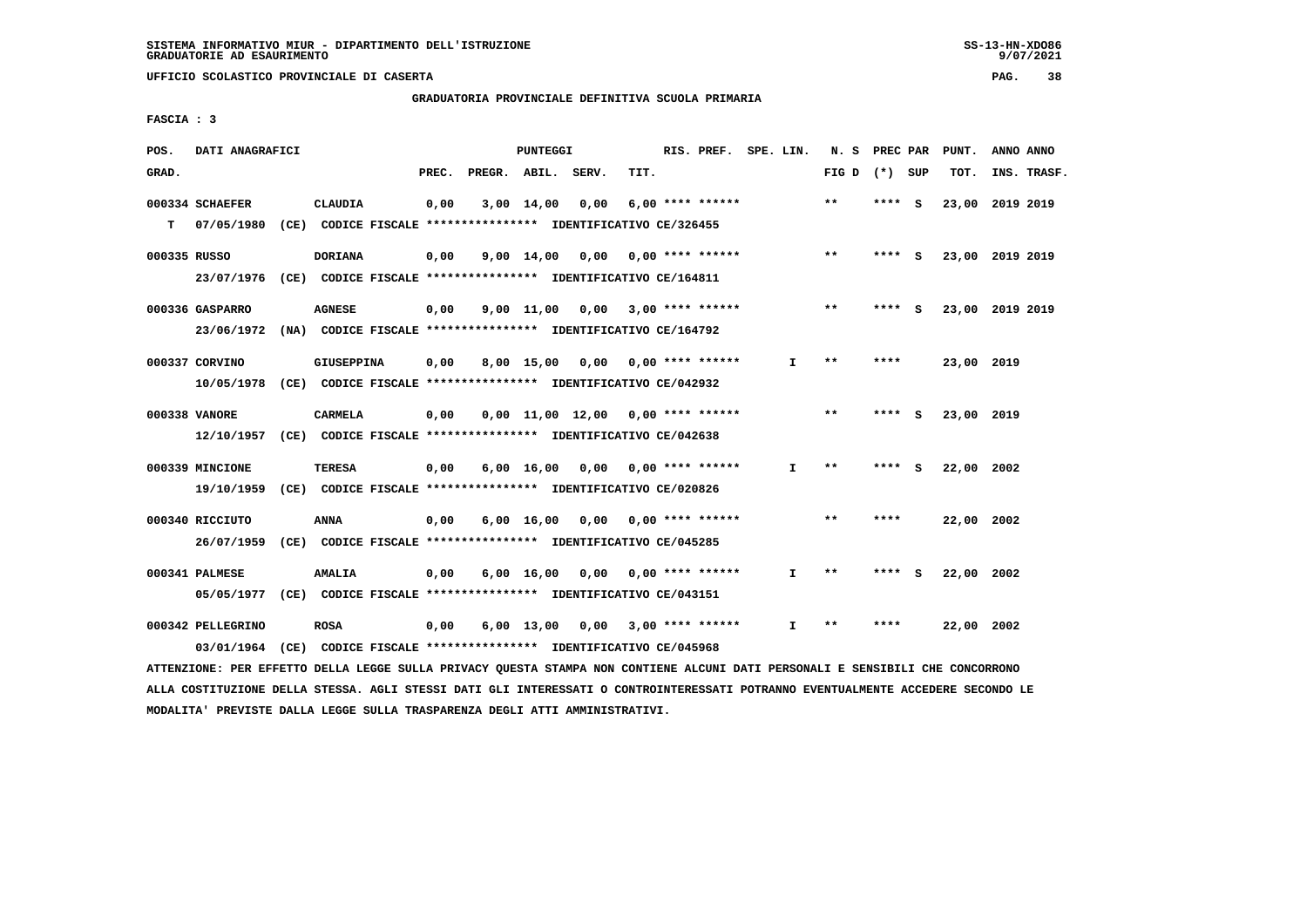# **GRADUATORIA PROVINCIALE DEFINITIVA SCUOLA PRIMARIA**

 **FASCIA : 3**

| POS.         | DATI ANAGRAFICI   |                                                                                    |       |                    | PUNTEGGI       |                                     |      | RIS. PREF. SPE. LIN.      |              | N.S             | PREC PAR |     | PUNT.           | ANNO ANNO |             |
|--------------|-------------------|------------------------------------------------------------------------------------|-------|--------------------|----------------|-------------------------------------|------|---------------------------|--------------|-----------------|----------|-----|-----------------|-----------|-------------|
| GRAD.        |                   |                                                                                    | PREC. | PREGR. ABIL. SERV. |                |                                     | TIT. |                           |              | FIG D $(*)$ SUP |          |     | TOT.            |           | INS. TRASF. |
|              | 000334 SCHAEFER   | CLAUDIA                                                                            | 0,00  |                    | $3,00$ $14,00$ | 0.00                                |      | $6.00$ **** ******        |              | $**$            | ****     | - S | 23,00 2019 2019 |           |             |
| т            | 07/05/1980        | (CE) CODICE FISCALE **************** IDENTIFICATIVO CE/326455                      |       |                    |                |                                     |      |                           |              |                 |          |     |                 |           |             |
| 000335 RUSSO |                   | <b>DORIANA</b>                                                                     | 0,00  |                    |                | 9,00 14,00 0,00                     |      | 0,00 **** ******          |              | $**$            | ****     | - S | 23,00 2019 2019 |           |             |
|              | 23/07/1976        | (CE) CODICE FISCALE **************** IDENTIFICATIVO CE/164811                      |       |                    |                |                                     |      |                           |              |                 |          |     |                 |           |             |
|              | 000336 GASPARRO   | <b>AGNESE</b>                                                                      | 0,00  |                    |                | $9,00$ 11,00 0,00 3,00 **** ******  |      |                           |              | $***$           | ****     | - S | 23,00 2019 2019 |           |             |
|              | 23/06/1972        | (NA) CODICE FISCALE **************** IDENTIFICATIVO CE/164792                      |       |                    |                |                                     |      |                           |              |                 |          |     |                 |           |             |
|              | 000337 CORVINO    | GIUSEPPINA                                                                         | 0,00  |                    | 8,00 15,00     |                                     |      | $0.00$ $0.00$ **** ****** | I.           | $**$            | ****     |     | 23,00 2019      |           |             |
|              | 10/05/1978        | (CE) CODICE FISCALE *************** IDENTIFICATIVO CE/042932                       |       |                    |                |                                     |      |                           |              |                 |          |     |                 |           |             |
|              |                   |                                                                                    |       |                    |                |                                     |      |                           |              | $* *$           |          |     |                 |           |             |
|              | 000338 VANORE     | CARMELA<br>12/10/1957 (CE) CODICE FISCALE *************** IDENTIFICATIVO CE/042638 | 0,00  |                    |                | $0.00$ 11.00 12.00 0.00 **** ****** |      |                           |              |                 | **** S   |     | 23,00 2019      |           |             |
|              |                   |                                                                                    |       |                    |                |                                     |      |                           |              |                 |          |     |                 |           |             |
|              | 000339 MINCIONE   | <b>TERESA</b>                                                                      | 0,00  |                    |                | $6,00$ 16,00 0,00 0,00 **** ******  |      |                           | $\mathbf{I}$ | $**$            | ****     | - 5 | 22.00 2002      |           |             |
|              | 19/10/1959        | (CE) CODICE FISCALE **************** IDENTIFICATIVO CE/020826                      |       |                    |                |                                     |      |                           |              |                 |          |     |                 |           |             |
|              | 000340 RICCIUTO   | <b>ANNA</b>                                                                        | 0,00  |                    |                | $6,00$ 16,00 0,00 0,00 **** ******  |      |                           |              | $***$           | ****     |     | 22,00 2002      |           |             |
|              | 26/07/1959        | (CE) CODICE FISCALE **************** IDENTIFICATIVO CE/045285                      |       |                    |                |                                     |      |                           |              |                 |          |     |                 |           |             |
|              | 000341 PALMESE    | <b>AMALIA</b>                                                                      | 0,00  |                    | 6,00 16,00     |                                     |      | $0.00$ $0.00$ **** ****** | I.           | $* *$           | ****     | - S | 22,00 2002      |           |             |
|              | 05/05/1977        | (CE) CODICE FISCALE **************** IDENTIFICATIVO CE/043151                      |       |                    |                |                                     |      |                           |              |                 |          |     |                 |           |             |
|              |                   |                                                                                    |       |                    |                |                                     |      |                           |              | $* *$           | ****     |     |                 |           |             |
|              | 000342 PELLEGRINO | <b>ROSA</b>                                                                        | 0,00  |                    | $6,00$ 13,00   |                                     |      | $0,00$ 3,00 **** ******   | I.           |                 |          |     | 22,00 2002      |           |             |
|              | 03/01/1964        | (CE) CODICE FISCALE **************** IDENTIFICATIVO CE/045968                      |       |                    |                |                                     |      |                           |              |                 |          |     |                 |           |             |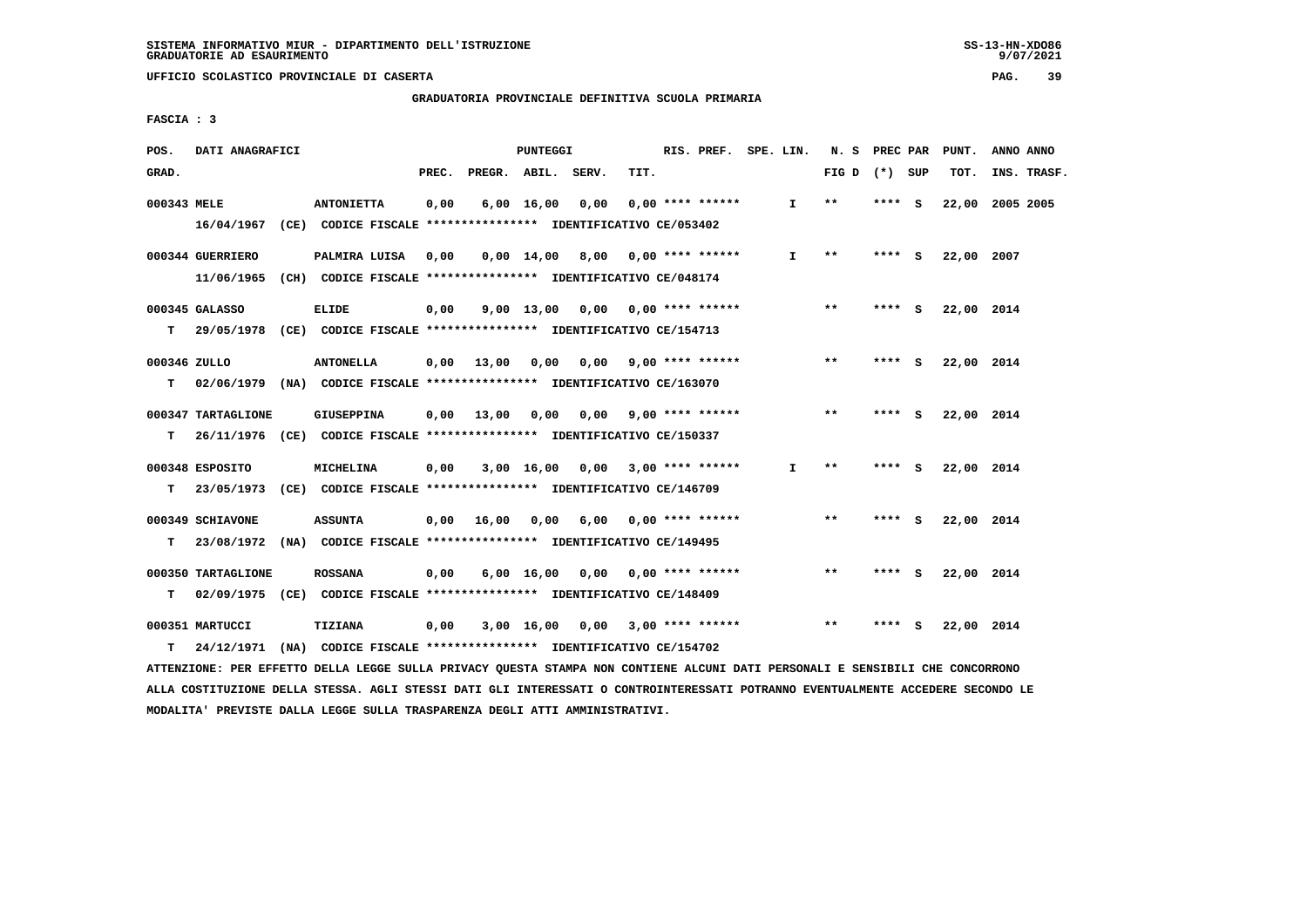**GRADUATORIA PROVINCIALE DEFINITIVA SCUOLA PRIMARIA**

 **FASCIA : 3**

| GRAD.<br>PREC.<br>PREGR. ABIL. SERV.<br>TIT.<br>FIG D $(*)$ SUP<br>TOT.                                                          | INS. TRASF. |
|----------------------------------------------------------------------------------------------------------------------------------|-------------|
| 000343 MELE<br>0,00<br>6,00 16,00<br>0,00<br>$0.00$ **** ******<br>$***$<br>22,00<br><b>ANTONIETTA</b><br>I.<br>**** S           | 2005 2005   |
| 16/04/1967 (CE) CODICE FISCALE **************** IDENTIFICATIVO CE/053402                                                         |             |
| 000344 GUERRIERO<br>$0.00$ 14.00 8.00 0.00 **** ******<br>$\mathbf{I}$<br>$* *$<br>PALMIRA LUISA<br>0,00<br>**** S<br>22,00 2007 |             |
| 11/06/1965 (CH) CODICE FISCALE **************** IDENTIFICATIVO CE/048174                                                         |             |
| $***$<br>000345 GALASSO<br>0,00<br>$9,00$ 13,00 0,00 0,00 **** ******<br>22,00 2014<br>ELIDE<br>**** S                           |             |
| T.<br>29/05/1978 (CE) CODICE FISCALE *************** IDENTIFICATIVO CE/154713                                                    |             |
| 000346 ZULLO<br>$0,00$ 9,00 **** ******<br>$* *$<br><b>ANTONELLA</b><br>$0,00$ $13,00$ $0,00$<br>**** S<br>22,00 2014            |             |
| T.<br>02/06/1979 (NA) CODICE FISCALE *************** IDENTIFICATIVO CE/163070                                                    |             |
| $* *$<br>000347 TARTAGLIONE<br>GIUSEPPINA<br>$0.00 \quad 13.00 \quad 0.00$<br>$0.00$ 9.00 **** ******<br>**** S<br>22,00 2014    |             |
| т<br>26/11/1976 (CE) CODICE FISCALE *************** IDENTIFICATIVO CE/150337                                                     |             |
|                                                                                                                                  |             |
| 000348 ESPOSITO<br>MICHELINA<br>0,00<br>$3,00$ 16,00 0,00 3,00 **** ******<br>I.<br>$* *$<br>**** S<br>22,00 2014                |             |
| T.<br>23/05/1973 (CE) CODICE FISCALE *************** IDENTIFICATIVO CE/146709                                                    |             |
| $***$<br>000349 SCHIAVONE<br><b>ASSUNTA</b><br>0,00 16,00 0,00<br>$6,00$ 0.00 **** ******<br>**** S<br>22,00 2014                |             |
| 23/08/1972 (NA) CODICE FISCALE *************** IDENTIFICATIVO CE/149495<br>T.                                                    |             |
| 000350 TARTAGLIONE<br><b>ROSSANA</b><br>$6,00$ 16,00 0,00 0,00 **** ******<br>$* *$<br>22,00 2014<br>0,00<br>**** S              |             |
| т<br>02/09/1975 (CE) CODICE FISCALE *************** IDENTIFICATIVO CE/148409                                                     |             |
| **<br>000351 MARTUCCI<br>0,00<br>3,00 16,00<br>0,00 3,00 **** ******<br>22,00 2014<br><b>TIZIANA</b><br>**** S                   |             |
| 24/12/1971 (NA) CODICE FISCALE **************** IDENTIFICATIVO CE/154702<br>T.                                                   |             |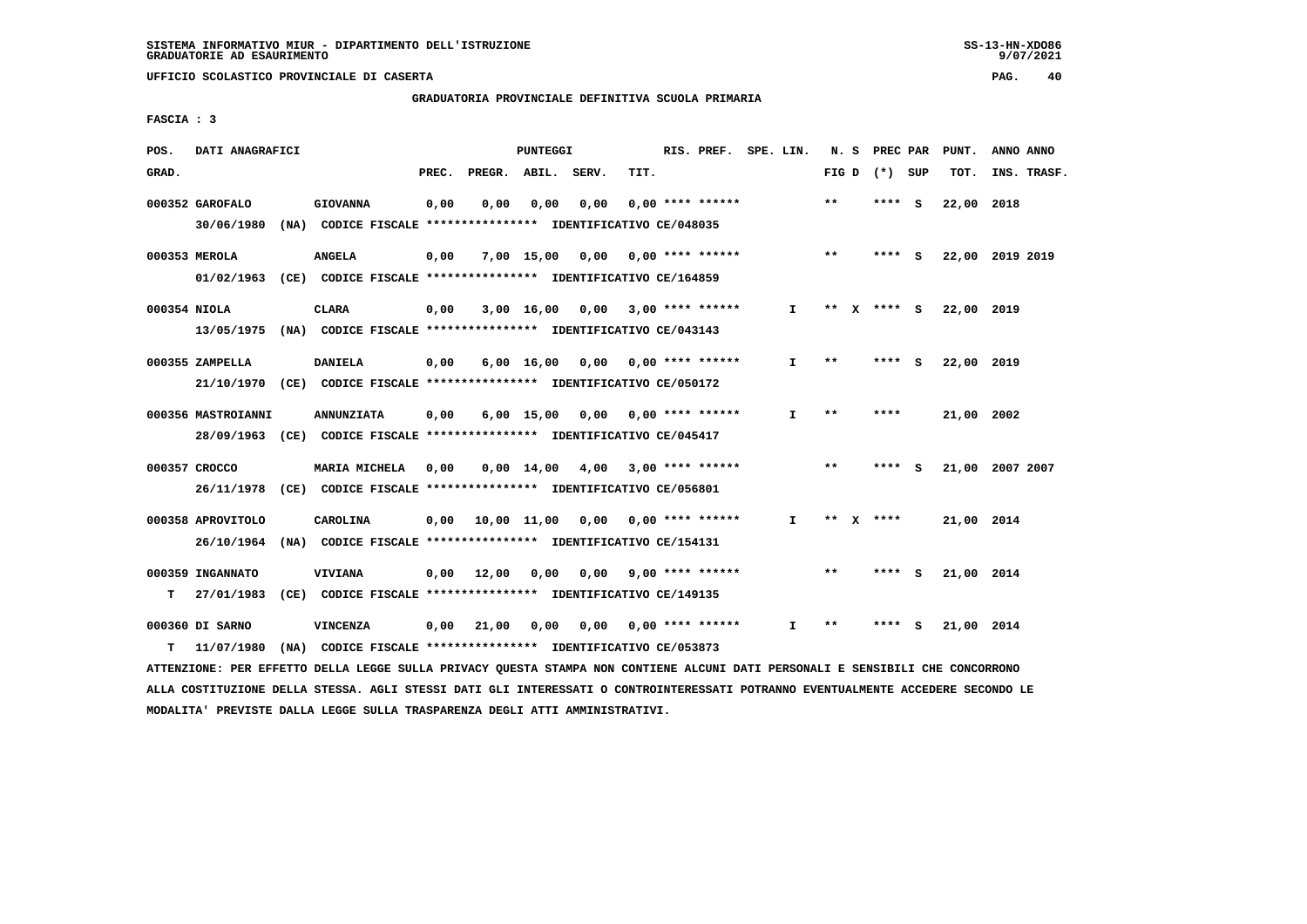**GRADUATORIA PROVINCIALE DEFINITIVA SCUOLA PRIMARIA**

 **FASCIA : 3**

| POS.         | DATI ANAGRAFICI               |                                                                                  |       |                                          | PUNTEGGI           |                                    |      | RIS. PREF. SPE. LIN.      |              |       | N. S PREC PAR   |     | PUNT.           | ANNO ANNO   |  |
|--------------|-------------------------------|----------------------------------------------------------------------------------|-------|------------------------------------------|--------------------|------------------------------------|------|---------------------------|--------------|-------|-----------------|-----|-----------------|-------------|--|
| GRAD.        |                               |                                                                                  | PREC. | PREGR. ABIL. SERV.                       |                    |                                    | TIT. |                           |              |       | FIG D $(*)$ SUP |     | TOT.            | INS. TRASF. |  |
|              | 000352 GAROFALO<br>30/06/1980 | <b>GIOVANNA</b><br>(NA) CODICE FISCALE **************** IDENTIFICATIVO CE/048035 | 0,00  | 0,00                                     | 0,00               | 0,00                               |      | $0.00$ **** ******        |              | $***$ | **** S          |     | 22,00           | 2018        |  |
|              | 000353 MEROLA                 | <b>ANGELA</b>                                                                    | 0,00  |                                          |                    | $7,00$ 15,00 0,00 0,00 **** ****** |      |                           |              | $* *$ | **** S          |     | 22,00 2019 2019 |             |  |
|              |                               | 01/02/1963 (CE) CODICE FISCALE *************** IDENTIFICATIVO CE/164859          |       |                                          |                    |                                    |      |                           |              |       |                 |     |                 |             |  |
| 000354 NIOLA |                               | CLARA                                                                            | 0,00  |                                          |                    | $3,00$ 16,00 0,00 3,00 **** ****** |      |                           | I.           |       | ** X **** S     |     | 22,00 2019      |             |  |
|              |                               | 13/05/1975 (NA) CODICE FISCALE *************** IDENTIFICATIVO CE/043143          |       |                                          |                    |                                    |      |                           |              |       |                 |     |                 |             |  |
|              | 000355 ZAMPELLA               | <b>DANIELA</b>                                                                   | 0,00  |                                          | $6,00 \quad 16,00$ |                                    |      | $0,00$ $0,00$ **** ****** | $\mathbf{I}$ | $* *$ | ****            | - S | 22,00 2019      |             |  |
|              |                               | 21/10/1970 (CE) CODICE FISCALE *************** IDENTIFICATIVO CE/050172          |       |                                          |                    |                                    |      |                           |              |       |                 |     |                 |             |  |
|              | 000356 MASTROIANNI            | <b>ANNUNZIATA</b>                                                                | 0,00  |                                          | $6,00$ 15,00       |                                    |      | $0,00$ $0,00$ **** ****** | I.           | $* *$ | ****            |     | 21,00 2002      |             |  |
|              |                               | 28/09/1963 (CE) CODICE FISCALE *************** IDENTIFICATIVO CE/045417          |       |                                          |                    |                                    |      |                           |              |       |                 |     |                 |             |  |
|              | 000357 CROCCO                 | MARIA MICHELA                                                                    | 0,00  |                                          |                    | 0,00 14,00 4,00                    |      | $3,00$ **** ******        |              | $***$ | ****            | - 5 | 21,00 2007 2007 |             |  |
|              |                               | 26/11/1978 (CE) CODICE FISCALE *************** IDENTIFICATIVO CE/056801          |       |                                          |                    |                                    |      |                           |              |       |                 |     |                 |             |  |
|              | 000358 APROVITOLO             | CAROLINA                                                                         |       | $0,00$ 10,00 11,00 0,00 0,00 **** ****** |                    |                                    |      |                           | I.           |       | ** $X$ ****     |     | 21,00 2014      |             |  |
|              | 26/10/1964                    | (NA) CODICE FISCALE *************** IDENTIFICATIVO CE/154131                     |       |                                          |                    |                                    |      |                           |              |       |                 |     |                 |             |  |
|              | 000359 INGANNATO              | <b>VIVIANA</b>                                                                   |       | $0,00$ 12,00                             | 0,00               | 0.00                               |      | $9,00$ **** ******        |              | $***$ | **** S          |     | 21,00 2014      |             |  |
| т            | 27/01/1983                    | (CE) CODICE FISCALE **************** IDENTIFICATIVO CE/149135                    |       |                                          |                    |                                    |      |                           |              |       |                 |     |                 |             |  |
|              | 000360 DI SARNO               | <b>VINCENZA</b>                                                                  | 0,00  | 21,00                                    | 0,00               |                                    |      | $0,00$ $0,00$ **** ****** | I.           | $* *$ | ****            | - S | 21,00 2014      |             |  |
| т            | 11/07/1980                    | (NA) CODICE FISCALE **************** IDENTIFICATIVO CE/053873                    |       |                                          |                    |                                    |      |                           |              |       |                 |     |                 |             |  |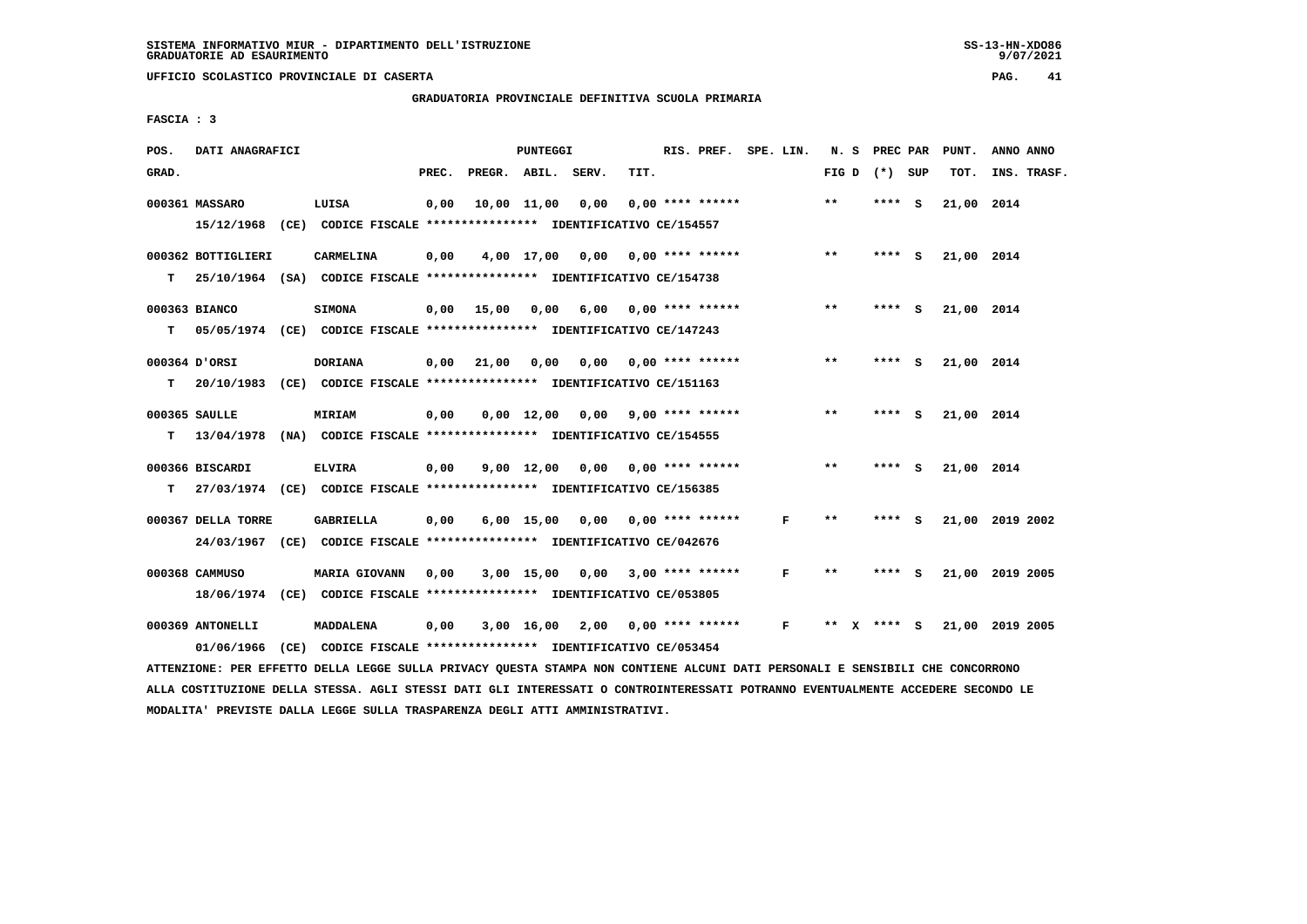**GRADUATORIA PROVINCIALE DEFINITIVA SCUOLA PRIMARIA**

 **FASCIA : 3**

| POS.  | DATI ANAGRAFICI    |                                                                                                                               |       |                                         | PUNTEGGI         |                                    |      | RIS. PREF. SPE. LIN. |                |       | N. S PREC PAR   |   | PUNT.      | ANNO ANNO       |
|-------|--------------------|-------------------------------------------------------------------------------------------------------------------------------|-------|-----------------------------------------|------------------|------------------------------------|------|----------------------|----------------|-------|-----------------|---|------------|-----------------|
| GRAD. |                    |                                                                                                                               | PREC. | PREGR. ABIL. SERV.                      |                  |                                    | TIT. |                      |                |       | FIG D $(*)$ SUP |   | TOT.       | INS. TRASF.     |
|       | 000361 MASSARO     | LUISA                                                                                                                         | 0,00  |                                         | 10,00 11,00 0,00 |                                    |      | $0.00$ **** ******   |                | $***$ | ****            | ్ | 21,00 2014 |                 |
|       |                    | 15/12/1968 (CE) CODICE FISCALE *************** IDENTIFICATIVO CE/154557                                                       |       |                                         |                  |                                    |      |                      |                |       |                 |   |            |                 |
|       | 000362 BOTTIGLIERI | CARMELINA                                                                                                                     | 0,00  |                                         |                  | $4,00$ 17,00 0,00 0,00 **** ****** |      |                      |                | $***$ | **** S          |   | 21,00 2014 |                 |
| т     |                    | 25/10/1964 (SA) CODICE FISCALE *************** IDENTIFICATIVO CE/154738                                                       |       |                                         |                  |                                    |      |                      |                |       |                 |   |            |                 |
|       | 000363 BIANCO      | <b>SIMONA</b>                                                                                                                 |       | $0,00$ 15,00 0,00 6,00                  |                  |                                    |      | 0,00 **** ******     |                | **    | **** S          |   | 21,00 2014 |                 |
| т     |                    | 05/05/1974 (CE) CODICE FISCALE **************** IDENTIFICATIVO CE/147243                                                      |       |                                         |                  |                                    |      |                      |                |       |                 |   |            |                 |
|       | 000364 D'ORSI      | <b>DORIANA</b>                                                                                                                |       | $0,00$ 21,00 0,00 0,00 0,00 **** ****** |                  |                                    |      |                      |                | $***$ | $***$ S         |   | 21,00 2014 |                 |
| т     |                    | 20/10/1983 (CE) CODICE FISCALE *************** IDENTIFICATIVO CE/151163                                                       |       |                                         |                  |                                    |      |                      |                |       |                 |   |            |                 |
|       | 000365 SAULLE      | <b>MIRIAM</b>                                                                                                                 | 0,00  |                                         |                  | $0,00$ 12,00 0,00 9,00 **** ****** |      |                      |                | $***$ | **** S          |   | 21,00 2014 |                 |
| т     |                    | 13/04/1978 (NA) CODICE FISCALE *************** IDENTIFICATIVO CE/154555                                                       |       |                                         |                  |                                    |      |                      |                |       |                 |   |            |                 |
|       | 000366 BISCARDI    | <b>ELVIRA</b>                                                                                                                 | 0,00  |                                         |                  | $9,00$ 12,00 0,00 0,00 **** ****** |      |                      |                | $* *$ | $***$ S         |   | 21,00 2014 |                 |
| т     |                    | 27/03/1974 (CE) CODICE FISCALE *************** IDENTIFICATIVO CE/156385                                                       |       |                                         |                  |                                    |      |                      |                |       |                 |   |            |                 |
|       | 000367 DELLA TORRE | <b>GABRIELLA</b>                                                                                                              | 0,00  |                                         |                  | $6,00$ 15,00 0,00 0,00 **** ****** |      |                      | F              | **    | **** S          |   |            | 21,00 2019 2002 |
|       |                    | 24/03/1967 (CE) CODICE FISCALE *************** IDENTIFICATIVO CE/042676                                                       |       |                                         |                  |                                    |      |                      |                |       |                 |   |            |                 |
|       | 000368 CAMMUSO     | MARIA GIOVANN                                                                                                                 | 0,00  |                                         |                  | 3,00 15,00 0,00                    |      | $3,00$ **** ******   | F              | **    | **** S          |   |            | 21,00 2019 2005 |
|       |                    | 18/06/1974 (CE) CODICE FISCALE *************** IDENTIFICATIVO CE/053805                                                       |       |                                         |                  |                                    |      |                      |                |       |                 |   |            |                 |
|       | 000369 ANTONELLI   | MADDALENA                                                                                                                     | 0,00  |                                         |                  | 3,00 16,00 2,00                    |      | $0,00$ **** ******   | $\mathbf{F}$ . |       | ** x **** s     |   |            | 21,00 2019 2005 |
|       |                    | 01/06/1966 (CE) CODICE FISCALE *************** IDENTIFICATIVO CE/053454                                                       |       |                                         |                  |                                    |      |                      |                |       |                 |   |            |                 |
|       |                    | ATTENZIONE: PER EFFETTO DELLA LEGGE SULLA PRIVACY QUESTA STAMPA NON CONTIENE ALCUNI DATI PERSONALI E SENSIBILI CHE CONCORRONO |       |                                         |                  |                                    |      |                      |                |       |                 |   |            |                 |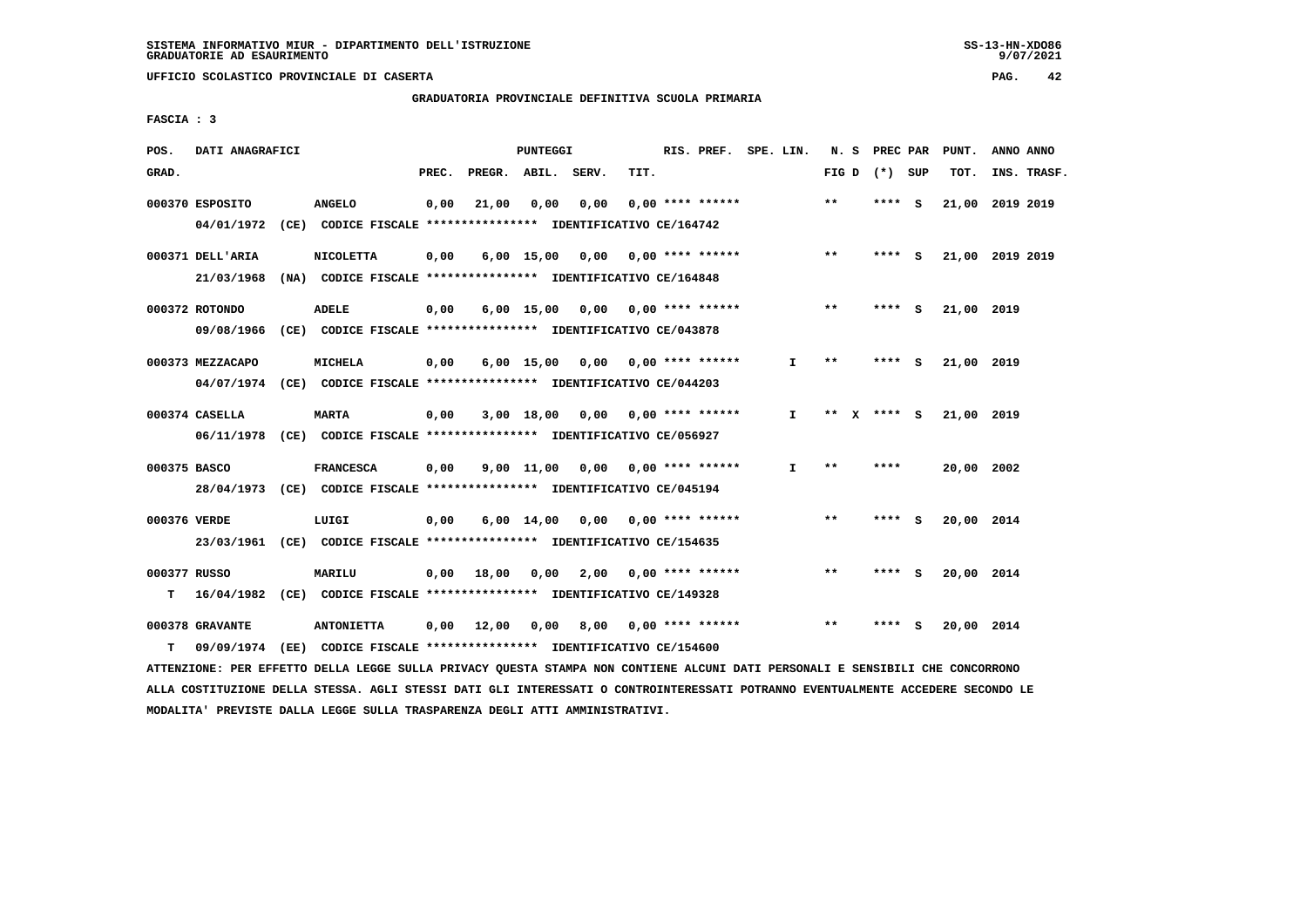# **GRADUATORIA PROVINCIALE DEFINITIVA SCUOLA PRIMARIA**

 **FASCIA : 3**

| POS.              | DATI ANAGRAFICI                                                                             |                   |       |              | PUNTEGGI |                                                                                                   |      | RIS. PREF. SPE. LIN.  |              |             |      | N. S PREC PAR | PUNT.           | ANNO ANNO |             |
|-------------------|---------------------------------------------------------------------------------------------|-------------------|-------|--------------|----------|---------------------------------------------------------------------------------------------------|------|-----------------------|--------------|-------------|------|---------------|-----------------|-----------|-------------|
| GRAD.             |                                                                                             |                   | PREC. | PREGR. ABIL. |          | SERV.                                                                                             | TIT. |                       |              | FIG D       |      | (*) SUP       | TOT.            |           | INS. TRASF. |
|                   | 000370 ESPOSITO<br>04/01/1972 (CE) CODICE FISCALE *************** IDENTIFICATIVO CE/164742  | <b>ANGELO</b>     | 0,00  | 21,00        | 0,00     | 0,00                                                                                              |      | $0.00$ **** ******    |              | $**$        |      | **** S        | 21,00 2019 2019 |           |             |
|                   | 000371 DELL'ARIA<br>21/03/1968                                                              | <b>NICOLETTA</b>  | 0,00  |              |          | 6,00 15,00 0,00 0,00 **** ******<br>(NA) CODICE FISCALE **************** IDENTIFICATIVO CE/164848 |      |                       |              | $* *$       |      | **** S        | 21,00 2019 2019 |           |             |
|                   | 000372 ROTONDO<br>09/08/1966 (CE) CODICE FISCALE *************** IDENTIFICATIVO CE/043878   | <b>ADELE</b>      | 0,00  |              |          | $6,00$ 15,00 0,00 0,00 **** ******                                                                |      |                       |              | $* *$       |      | **** S        | 21,00 2019      |           |             |
|                   | 000373 MEZZACAPO<br>04/07/1974 (CE) CODICE FISCALE *************** IDENTIFICATIVO CE/044203 | <b>MICHELA</b>    | 0,00  |              |          | $6,00$ 15,00 0,00 0,00 **** ******                                                                |      |                       | $\mathbf{I}$ | $* *$       |      | **** S        | 21,00 2019      |           |             |
|                   | 000374 CASELLA<br>06/11/1978 (CE) CODICE FISCALE *************** IDENTIFICATIVO CE/056927   | <b>MARTA</b>      | 0,00  |              |          | 3,00 18,00 0,00 0,00 **** ******                                                                  |      |                       | $\mathbf{I}$ | ** x **** s |      |               | 21,00 2019      |           |             |
| 000375 BASCO      | 28/04/1973 (CE) CODICE FISCALE *************** IDENTIFICATIVO CE/045194                     | <b>FRANCESCA</b>  | 0,00  |              |          | $9.00$ 11.00 0.00 0.00 **** ******                                                                |      |                       | $\mathbf{I}$ | $* *$       | **** |               | 20,00 2002      |           |             |
| 000376 VERDE      | 23/03/1961 (CE) CODICE FISCALE *************** IDENTIFICATIVO CE/154635                     | LUIGI             | 0,00  |              |          | 6,00 14,00 0,00                                                                                   |      | $0.00$ **** ******    |              | $***$       |      | $***$ S       | 20,00 2014      |           |             |
| 000377 RUSSO<br>т | 16/04/1982 (CE) CODICE FISCALE *************** IDENTIFICATIVO CE/149328                     | <b>MARILU</b>     |       |              |          | $0,00$ 18,00 0,00 2,00 0,00 **** ******                                                           |      |                       |              | $* *$       |      | **** S        | 20,00 2014      |           |             |
| т                 | 000378 GRAVANTE<br>09/09/1974                                                               | <b>ANTONIETTA</b> |       | $0,00$ 12,00 | 0,00     | (EE) CODICE FISCALE **************** IDENTIFICATIVO CE/154600                                     |      | 8,00 0,00 **** ****** |              | $***$       |      | **** S        | 20,00 2014      |           |             |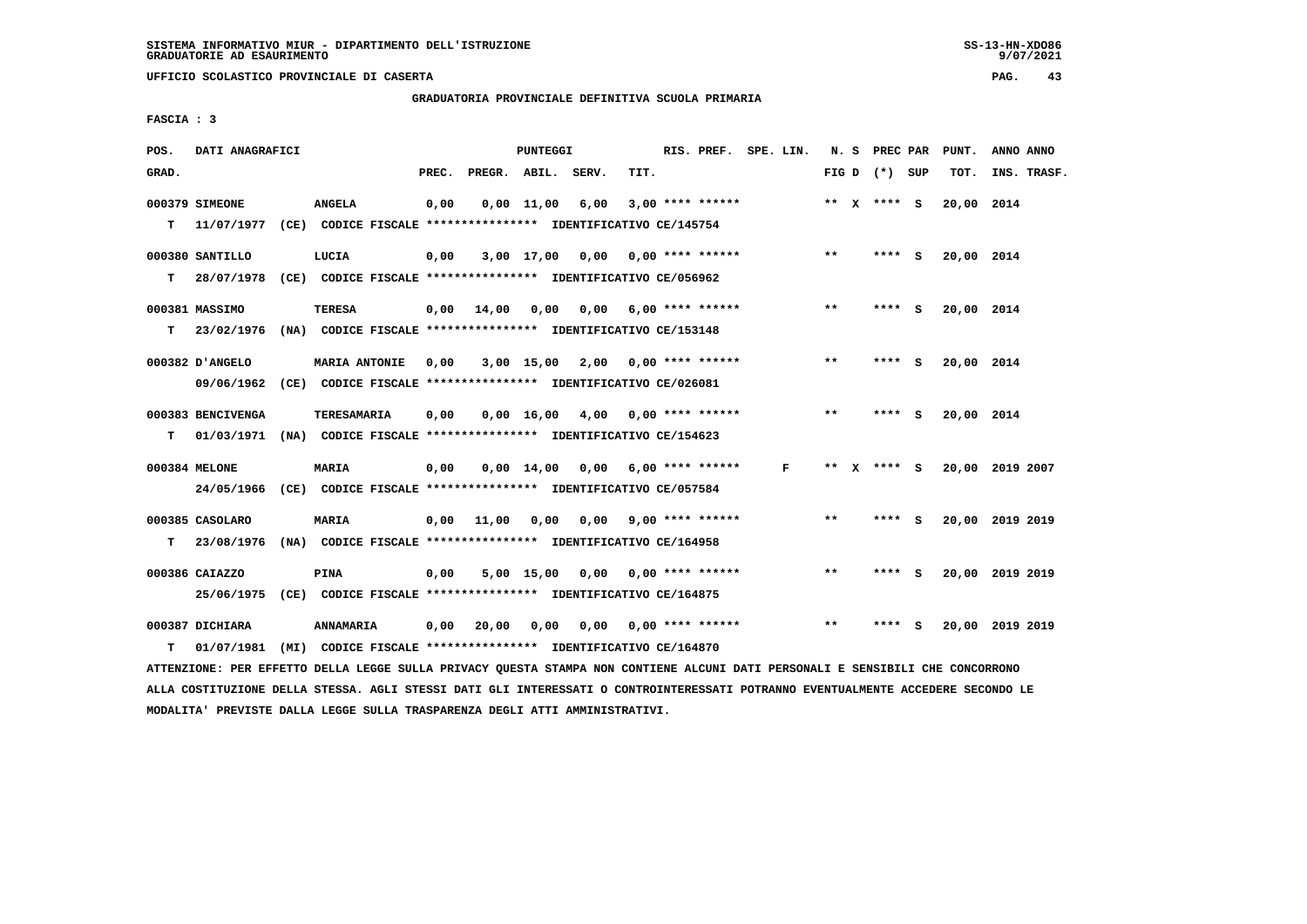$9/07/2021$ 

 **UFFICIO SCOLASTICO PROVINCIALE DI CASERTA PAG. 43**

 **GRADUATORIA PROVINCIALE DEFINITIVA SCUOLA PRIMARIA**

 **FASCIA : 3**

| POS.  | DATI ANAGRAFICI   |                                                                                                                               |      |                          | <b>PUNTEGGI</b> |                                          |      | RIS. PREF. SPE. LIN.      |  |              |       |                 | N. S PREC PAR PUNT. | ANNO ANNO       |
|-------|-------------------|-------------------------------------------------------------------------------------------------------------------------------|------|--------------------------|-----------------|------------------------------------------|------|---------------------------|--|--------------|-------|-----------------|---------------------|-----------------|
| GRAD. |                   |                                                                                                                               |      | PREC. PREGR. ABIL. SERV. |                 |                                          | TIT. |                           |  |              |       | FIG D $(*)$ SUP | TOT.                | INS. TRASF.     |
|       | 000379 SIMEONE    | <b>ANGELA</b>                                                                                                                 | 0,00 |                          |                 | $0,00$ 11,00 6,00                        |      | $3,00$ **** ******        |  |              |       | ** $X$ **** S   | 20,00 2014          |                 |
| т     | 11/07/1977        | (CE) CODICE FISCALE **************** IDENTIFICATIVO CE/145754                                                                 |      |                          |                 |                                          |      |                           |  |              |       |                 |                     |                 |
|       | 000380 SANTILLO   | LUCIA                                                                                                                         | 0,00 |                          |                 | $3,00$ 17,00 0,00 0,00 **** ******       |      |                           |  |              | $* *$ | **** S          | 20,00 2014          |                 |
| т     | 28/07/1978        | (CE) CODICE FISCALE *************** IDENTIFICATIVO CE/056962                                                                  |      |                          |                 |                                          |      |                           |  |              |       |                 |                     |                 |
|       |                   |                                                                                                                               |      |                          |                 |                                          |      |                           |  |              |       |                 |                     |                 |
|       | 000381 MASSIMO    | TERESA                                                                                                                        | 0,00 | 14,00                    | 0,00            |                                          |      | $0,00$ 6,00 **** ******   |  |              | $***$ | **** S          | 20,00 2014          |                 |
| т     |                   | 23/02/1976 (NA) CODICE FISCALE **************** IDENTIFICATIVO CE/153148                                                      |      |                          |                 |                                          |      |                           |  |              |       |                 |                     |                 |
|       | 000382 D'ANGELO   | <b>MARIA ANTONIE</b>                                                                                                          | 0,00 |                          |                 | $3,00$ 15,00 2,00 0,00 **** ******       |      |                           |  |              | $* *$ | **** S          | 20,00 2014          |                 |
|       |                   | 09/06/1962 (CE) CODICE FISCALE *************** IDENTIFICATIVO CE/026081                                                       |      |                          |                 |                                          |      |                           |  |              |       |                 |                     |                 |
|       | 000383 BENCIVENGA | <b>TERESAMARIA</b>                                                                                                            | 0,00 |                          |                 | $0,00$ 16,00 4,00 0,00 **** ******       |      |                           |  |              | $***$ | **** S          | 20,00 2014          |                 |
|       |                   | T 01/03/1971 (NA) CODICE FISCALE *************** IDENTIFICATIVO CE/154623                                                     |      |                          |                 |                                          |      |                           |  |              |       |                 |                     |                 |
|       |                   |                                                                                                                               |      |                          |                 |                                          |      |                           |  |              |       |                 |                     |                 |
|       | 000384 MELONE     | <b>MARIA</b>                                                                                                                  | 0,00 |                          |                 | $0,00$ $14,00$ $0,00$ $6,00$ **** ****** |      |                           |  | $\mathbf{F}$ |       | ** x **** S     |                     | 20,00 2019 2007 |
|       |                   | 24/05/1966 (CE) CODICE FISCALE *************** IDENTIFICATIVO CE/057584                                                       |      |                          |                 |                                          |      |                           |  |              |       |                 |                     |                 |
|       | 000385 CASOLARO   | <b>MARIA</b>                                                                                                                  | 0,00 | 11,00                    |                 | $0,00$ $0,00$ $9,00$ **** ******         |      |                           |  |              | **    | **** S          |                     | 20,00 2019 2019 |
|       | T 23/08/1976      | (NA) CODICE FISCALE **************** IDENTIFICATIVO CE/164958                                                                 |      |                          |                 |                                          |      |                           |  |              |       |                 |                     |                 |
|       |                   |                                                                                                                               |      |                          |                 |                                          |      |                           |  |              |       |                 |                     |                 |
|       | 000386 CAIAZZO    | <b>PINA</b>                                                                                                                   | 0,00 |                          |                 | $5,00$ 15,00 0,00 0,00 **** ******       |      |                           |  |              | $* *$ | **** S          |                     | 20,00 2019 2019 |
|       | 25/06/1975        | (CE) CODICE FISCALE *************** IDENTIFICATIVO CE/164875                                                                  |      |                          |                 |                                          |      |                           |  |              |       |                 |                     |                 |
|       | 000387 DICHIARA   | <b>ANNAMARIA</b>                                                                                                              | 0,00 | 20,00                    | 0,00            |                                          |      | $0,00$ $0,00$ **** ****** |  |              | $* *$ | **** S          |                     | 20,00 2019 2019 |
| т     | 01/07/1981        | (MI) CODICE FISCALE **************** IDENTIFICATIVO CE/164870                                                                 |      |                          |                 |                                          |      |                           |  |              |       |                 |                     |                 |
|       |                   | ATTENZIONE: PER EFFETTO DELLA LEGGE SULLA PRIVACY QUESTA STAMPA NON CONTIENE ALCUNI DATI PERSONALI E SENSIBILI CHE CONCORRONO |      |                          |                 |                                          |      |                           |  |              |       |                 |                     |                 |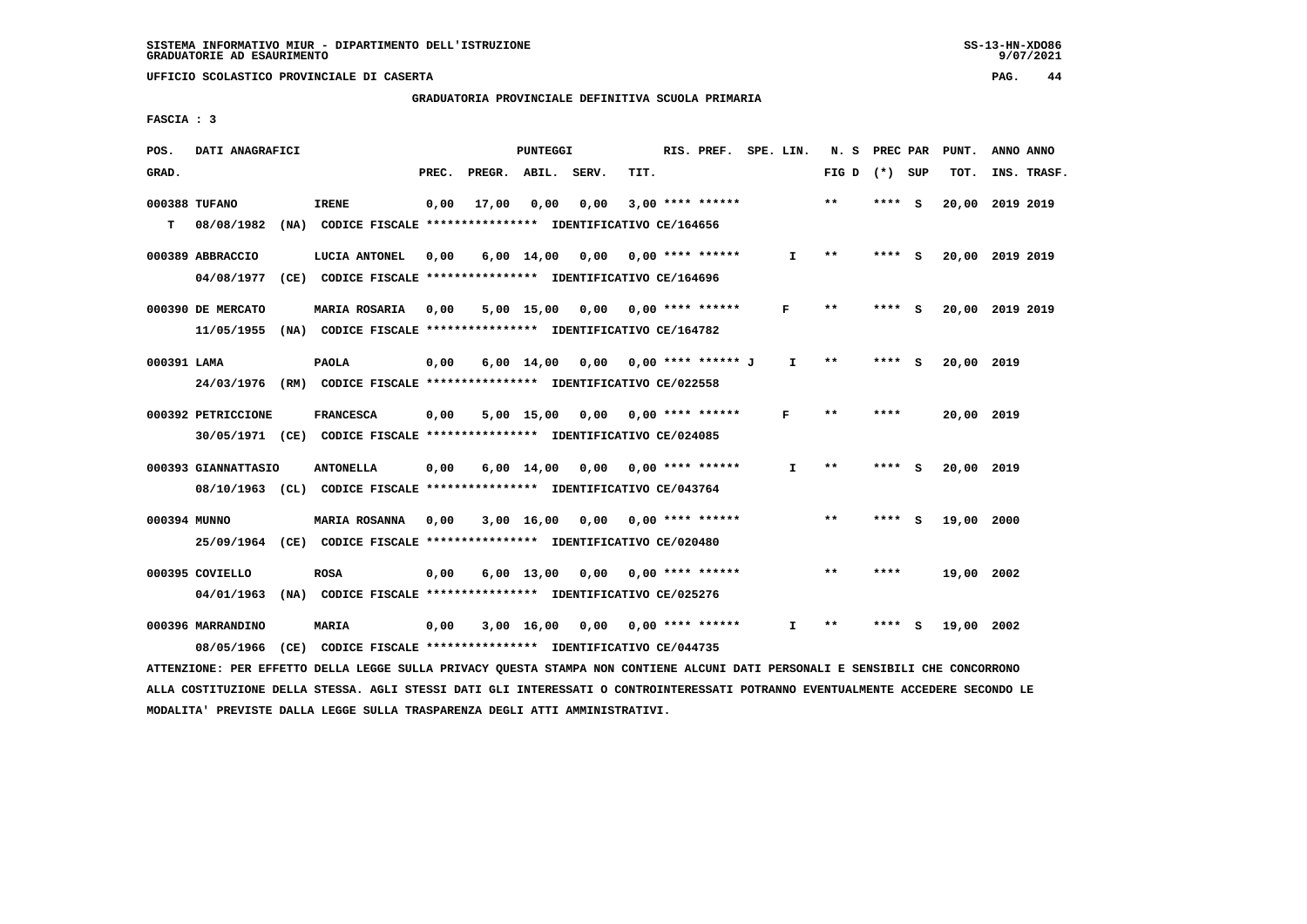# **GRADUATORIA PROVINCIALE DEFINITIVA SCUOLA PRIMARIA**

 **FASCIA : 3**

| POS.         | DATI ANAGRAFICI                 |                                                                               |       |              | PUNTEGGI           |       |      | RIS. PREF. SPE. LIN.      |              | N. S  | PREC PAR |     | PUNT.           | ANNO ANNO |             |
|--------------|---------------------------------|-------------------------------------------------------------------------------|-------|--------------|--------------------|-------|------|---------------------------|--------------|-------|----------|-----|-----------------|-----------|-------------|
| GRAD.        |                                 |                                                                               | PREC. | PREGR. ABIL. |                    | SERV. | TIT. |                           |              | FIG D | (*) SUP  |     | TOT.            |           | INS. TRASF. |
| T.           | 000388 TUFANO<br>08/08/1982     | <b>IRENE</b><br>(NA) CODICE FISCALE **************** IDENTIFICATIVO CE/164656 | 0,00  | 17,00        | 0,00               | 0,00  |      | $3,00$ **** ******        |              | $***$ | **** S   |     | 20,00           | 2019 2019 |             |
|              |                                 |                                                                               |       |              |                    |       |      |                           |              |       |          |     |                 |           |             |
|              | 000389 ABBRACCIO                | LUCIA ANTONEL                                                                 | 0,00  |              | $6,00 \quad 14,00$ | 0,00  |      | $0.00$ **** ******        | $\mathbf{I}$ | $* *$ | **** S   |     | 20,00 2019 2019 |           |             |
|              | 04/08/1977                      | (CE) CODICE FISCALE **************** IDENTIFICATIVO CE/164696                 |       |              |                    |       |      |                           |              |       |          |     |                 |           |             |
|              | 000390 DE MERCATO               | MARIA ROSARIA                                                                 | 0,00  |              | 5,00 15,00         | 0,00  |      | $0.00$ **** ******        | F            | $* *$ | ****     | - S | 20,00 2019 2019 |           |             |
|              | 11/05/1955                      | (NA) CODICE FISCALE **************** IDENTIFICATIVO CE/164782                 |       |              |                    |       |      |                           |              |       |          |     |                 |           |             |
| 000391 LAMA  |                                 | <b>PAOLA</b>                                                                  | 0,00  |              | $6,00$ 14,00       | 0,00  |      | 0,00 **** ****** J        | $\mathbf{I}$ | $* *$ | **** S   |     | 20,00 2019      |           |             |
|              |                                 | 24/03/1976 (RM) CODICE FISCALE *************** IDENTIFICATIVO CE/022558       |       |              |                    |       |      |                           |              |       |          |     |                 |           |             |
|              | 000392 PETRICCIONE              | <b>FRANCESCA</b>                                                              | 0,00  |              | $5,00$ 15,00       | 0.00  |      | $0.00$ **** ******        | F            | $***$ | ****     |     | 20,00 2019      |           |             |
|              |                                 | 30/05/1971 (CE) CODICE FISCALE *************** IDENTIFICATIVO CE/024085       |       |              |                    |       |      |                           |              |       |          |     |                 |           |             |
|              |                                 |                                                                               |       |              |                    |       |      |                           |              |       |          |     |                 |           |             |
|              | 000393 GIANNATTASIO             | <b>ANTONELLA</b>                                                              | 0,00  |              | $6,00 \quad 14,00$ | 0,00  |      | $0.00$ **** ******        | I.           | **    | **** S   |     | 20,00 2019      |           |             |
|              |                                 | 08/10/1963 (CL) CODICE FISCALE *************** IDENTIFICATIVO CE/043764       |       |              |                    |       |      |                           |              |       |          |     |                 |           |             |
| 000394 MUNNO |                                 | <b>MARIA ROSANNA</b>                                                          | 0,00  |              | $3,00$ 16,00       |       |      | $0.00$ $0.00$ **** ****** |              | $* *$ | ****     | - 5 | 19,00 2000      |           |             |
|              |                                 | 25/09/1964 (CE) CODICE FISCALE *************** IDENTIFICATIVO CE/020480       |       |              |                    |       |      |                           |              |       |          |     |                 |           |             |
|              | 000395 COVIELLO                 | <b>ROSA</b>                                                                   | 0,00  |              | $6,00 \quad 13,00$ | 0.00  |      | $0.00$ **** ******        |              | $* *$ | ****     |     | 19,00 2002      |           |             |
|              | 04/01/1963                      | (NA) CODICE FISCALE **************** IDENTIFICATIVO CE/025276                 |       |              |                    |       |      |                           |              |       |          |     |                 |           |             |
|              |                                 |                                                                               |       |              |                    |       |      |                           | I.           | $* *$ |          |     |                 |           |             |
|              | 000396 MARRANDINO<br>08/05/1966 | <b>MARIA</b><br>(CE) CODICE FISCALE **************** IDENTIFICATIVO CE/044735 | 0,00  |              | 3,00 16,00         | 0,00  |      | $0.00$ **** ******        |              |       |          |     | 19,00           | 2002      |             |
|              |                                 |                                                                               |       |              |                    |       |      |                           |              |       |          |     |                 |           |             |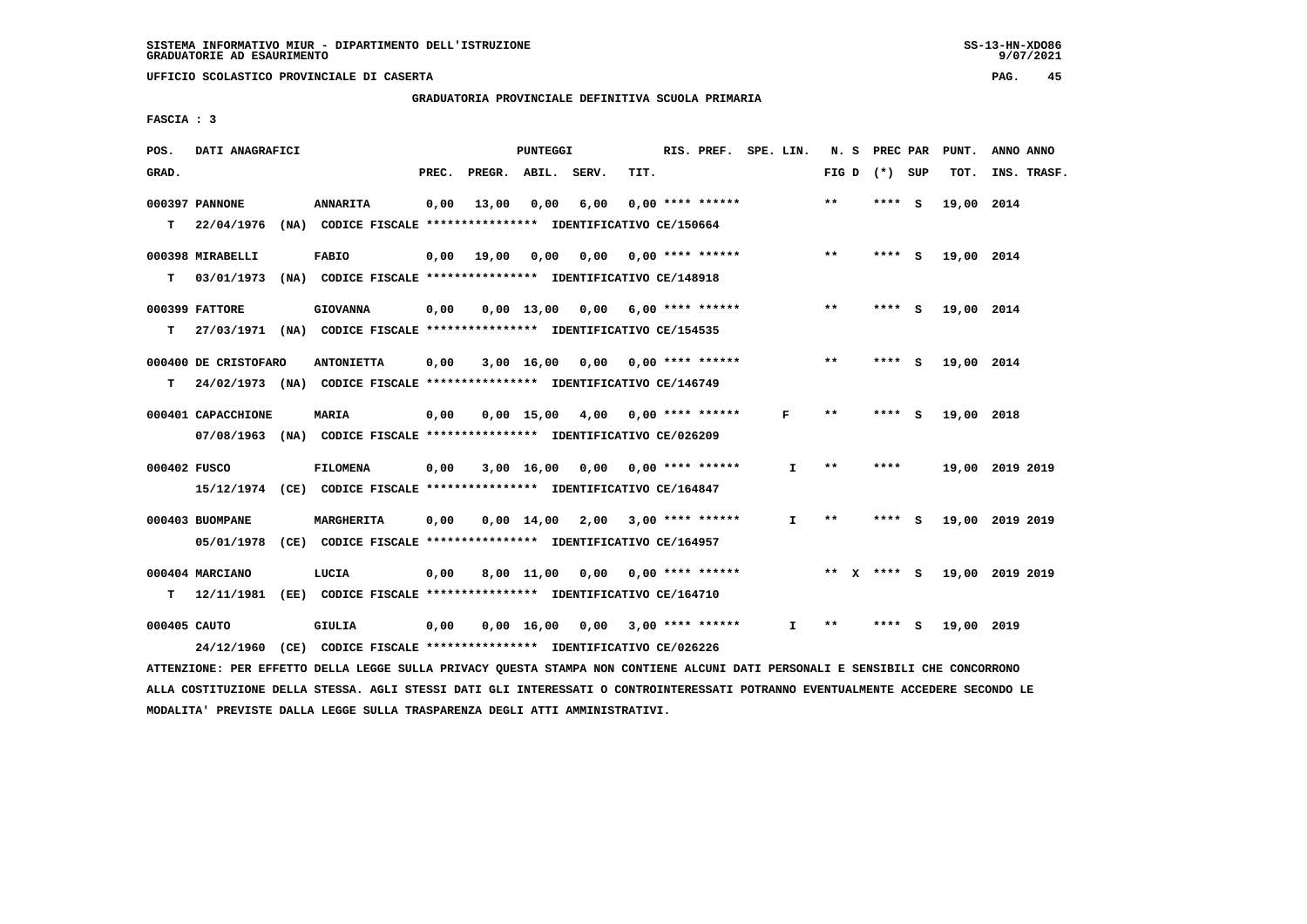$9/07/2021$ 

 **UFFICIO SCOLASTICO PROVINCIALE DI CASERTA PAG. 45**

 **GRADUATORIA PROVINCIALE DEFINITIVA SCUOLA PRIMARIA**

 **FASCIA : 3**

| POS.         | DATI ANAGRAFICI      |                                                                          |       |                    | PUNTEGGI     |                                    |      | RIS. PREF. SPE. LIN.      |    | N. S  |              |                 |     | PREC PAR PUNT. | ANNO ANNO       |
|--------------|----------------------|--------------------------------------------------------------------------|-------|--------------------|--------------|------------------------------------|------|---------------------------|----|-------|--------------|-----------------|-----|----------------|-----------------|
| GRAD.        |                      |                                                                          | PREC. | PREGR. ABIL. SERV. |              |                                    | TIT. |                           |    |       |              | FIG D $(*)$ SUP |     | TOT.           | INS. TRASF.     |
|              | 000397 PANNONE       | <b>ANNARITA</b>                                                          | 0,00  | 13,00              | 0,00         | 6,00                               |      | $0.00$ **** ******        |    | $***$ |              | $***$ S         |     | 19,00 2014     |                 |
| т            | 22/04/1976           | (NA) CODICE FISCALE **************** IDENTIFICATIVO CE/150664            |       |                    |              |                                    |      |                           |    |       |              |                 |     |                |                 |
|              | 000398 MIRABELLI     | <b>FABIO</b>                                                             | 0,00  | 19,00              | 0,00         | 0,00                               |      | 0,00 **** ******          |    | $***$ |              | $***$ S         |     | 19,00 2014     |                 |
| т            | 03/01/1973           | (NA) CODICE FISCALE **************** IDENTIFICATIVO CE/148918            |       |                    |              |                                    |      |                           |    |       |              |                 |     |                |                 |
|              | 000399 FATTORE       | <b>GIOVANNA</b>                                                          | 0,00  |                    | $0,00$ 13,00 | 0,00                               |      | $6,00$ **** ******        |    | **    |              | ****            | - 5 | 19,00 2014     |                 |
| т            |                      | 27/03/1971 (NA) CODICE FISCALE **************** IDENTIFICATIVO CE/154535 |       |                    |              |                                    |      |                           |    |       |              |                 |     |                |                 |
|              | 000400 DE CRISTOFARO | <b>ANTONIETTA</b>                                                        | 0,00  |                    | $3,00$ 16,00 |                                    |      | $0,00$ $0,00$ **** ****** |    | $***$ |              | $***$ S         |     | 19,00 2014     |                 |
| T.           |                      | 24/02/1973 (NA) CODICE FISCALE **************** IDENTIFICATIVO CE/146749 |       |                    |              |                                    |      |                           |    |       |              |                 |     |                |                 |
|              | 000401 CAPACCHIONE   | <b>MARIA</b>                                                             | 0,00  |                    |              | $0.00$ 15.00 4.00 0.00 **** ****** |      |                           | F  | $* *$ |              | ****            | - S | 19,00 2018     |                 |
|              |                      | 07/08/1963 (NA) CODICE FISCALE *************** IDENTIFICATIVO CE/026209  |       |                    |              |                                    |      |                           |    |       |              |                 |     |                |                 |
| 000402 FUSCO |                      | <b>FILOMENA</b>                                                          | 0,00  |                    |              | $3,00$ 16,00 0,00 0,00 **** ****** |      |                           | I. | $* *$ |              | ****            |     |                | 19,00 2019 2019 |
|              |                      | 15/12/1974 (CE) CODICE FISCALE *************** IDENTIFICATIVO CE/164847  |       |                    |              |                                    |      |                           |    |       |              |                 |     |                |                 |
|              | 000403 BUOMPANE      | MARGHERITA                                                               | 0,00  |                    |              | $0,00$ 14,00 2,00 3,00 **** ****** |      |                           | I. | $***$ |              | ****            | - S |                | 19,00 2019 2019 |
|              | 05/01/1978           | (CE) CODICE FISCALE *************** IDENTIFICATIVO CE/164957             |       |                    |              |                                    |      |                           |    |       |              |                 |     |                |                 |
|              | 000404 MARCIANO      | LUCIA                                                                    | 0,00  |                    | 8,00 11,00   |                                    |      | $0.00$ $0.00$ **** ****** |    | $***$ | $\mathbf{x}$ | **** S          |     |                | 19,00 2019 2019 |
| T.           | 12/11/1981           | (EE) CODICE FISCALE **************** IDENTIFICATIVO CE/164710            |       |                    |              |                                    |      |                           |    |       |              |                 |     |                |                 |
| 000405 CAUTO |                      | GIULIA                                                                   | 0.00  |                    | 0.00 16.00   | 0,00                               |      | $3,00$ **** ******        | I. | **    |              | ****            | S   | 19,00 2019     |                 |
|              | 24/12/1960           | (CE) CODICE FISCALE **************** IDENTIFICATIVO CE/026226            |       |                    |              |                                    |      |                           |    |       |              |                 |     |                |                 |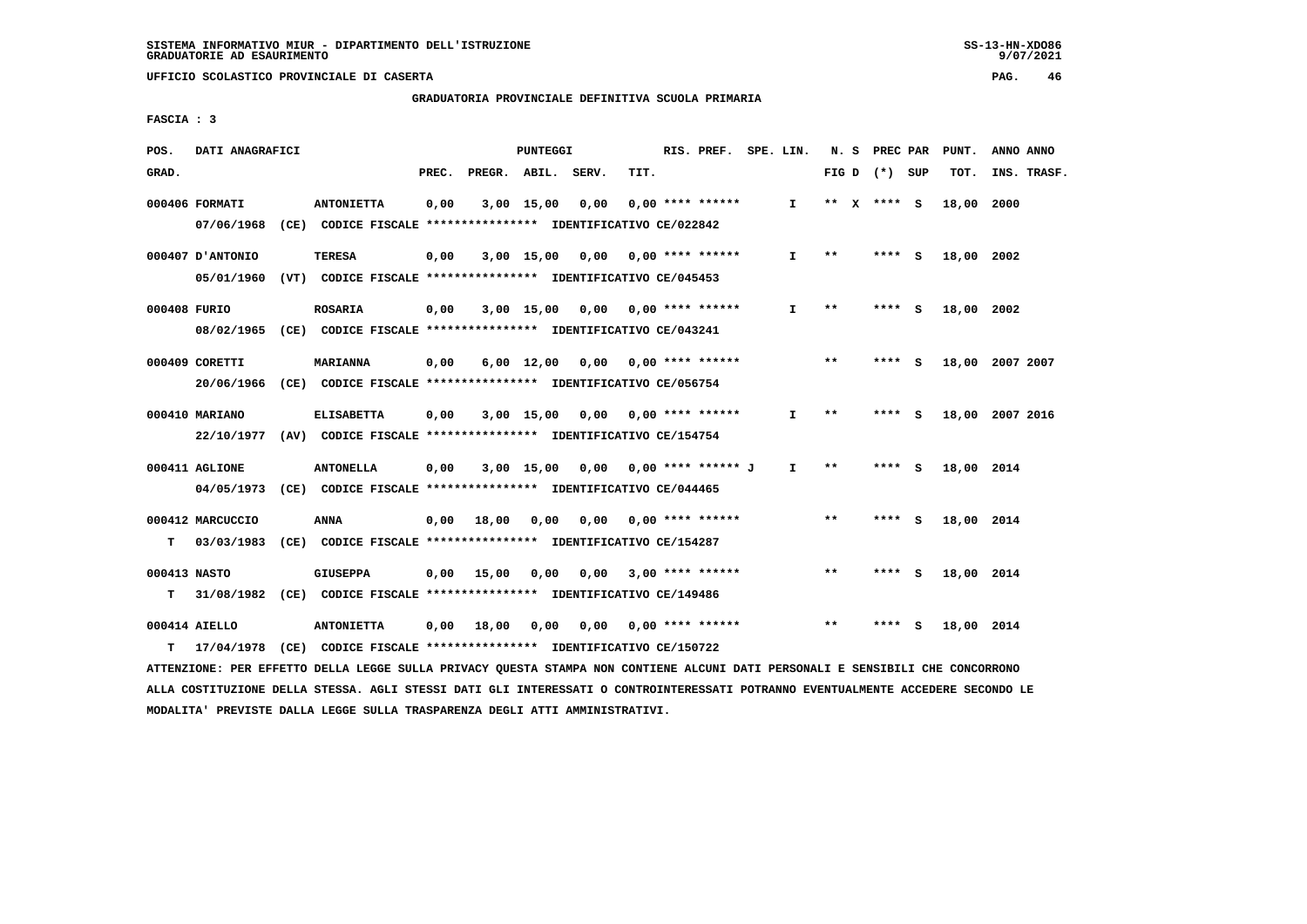**GRADUATORIA PROVINCIALE DEFINITIVA SCUOLA PRIMARIA**

 **FASCIA : 3**

| POS.         | DATI ANAGRAFICI  |                                                                          |       |                       | PUNTEGGI           |                                    |      | RIS. PREF. SPE. LIN.      |              |       | N. S PREC PAR   |     | PUNT.      | ANNO ANNO       |
|--------------|------------------|--------------------------------------------------------------------------|-------|-----------------------|--------------------|------------------------------------|------|---------------------------|--------------|-------|-----------------|-----|------------|-----------------|
| GRAD.        |                  |                                                                          | PREC. | PREGR. ABIL. SERV.    |                    |                                    | TIT. |                           |              |       | FIG D $(*)$ SUP |     | TOT.       | INS. TRASF.     |
|              | 000406 FORMATI   | <b>ANTONIETTA</b>                                                        | 0,00  |                       | 3,00 15,00         | 0,00                               |      | $0.00$ **** ******        | I.           |       | ** $X$ **** S   |     | 18,00      | 2000            |
|              |                  | 07/06/1968 (CE) CODICE FISCALE *************** IDENTIFICATIVO CE/022842  |       |                       |                    |                                    |      |                           |              |       |                 |     |            |                 |
|              | 000407 D'ANTONIO | TERESA                                                                   | 0,00  |                       |                    | 3,00 15,00 0,00 0,00 **** ******   |      |                           | I.           | $***$ | $***$ S         |     | 18,00 2002 |                 |
|              | 05/01/1960       | (VT) CODICE FISCALE *************** IDENTIFICATIVO CE/045453             |       |                       |                    |                                    |      |                           |              |       |                 |     |            |                 |
| 000408 FURIO |                  | <b>ROSARIA</b>                                                           | 0,00  |                       |                    | $3,00$ 15,00 0,00 0,00 **** ****** |      |                           | I.           | $***$ | **** S          |     | 18,00 2002 |                 |
|              |                  | 08/02/1965 (CE) CODICE FISCALE *************** IDENTIFICATIVO CE/043241  |       |                       |                    |                                    |      |                           |              |       |                 |     |            |                 |
|              | 000409 CORETTI   | <b>MARIANNA</b>                                                          | 0,00  |                       | $6,00 \quad 12,00$ | 0,00 0,00 **** ******              |      |                           |              | $* *$ | **** S          |     |            | 18,00 2007 2007 |
|              |                  | 20/06/1966 (CE) CODICE FISCALE *************** IDENTIFICATIVO CE/056754  |       |                       |                    |                                    |      |                           |              |       |                 |     |            |                 |
|              | 000410 MARIANO   | <b>ELISABETTA</b>                                                        | 0,00  |                       | 3,00 15,00         |                                    |      | 0,00 0,00 **** ******     | I.           | **    | **** S          |     |            | 18,00 2007 2016 |
|              |                  | 22/10/1977 (AV) CODICE FISCALE *************** IDENTIFICATIVO CE/154754  |       |                       |                    |                                    |      |                           |              |       |                 |     |            |                 |
|              | 000411 AGLIONE   | <b>ANTONELLA</b>                                                         | 0,00  |                       |                    | 3,00 15,00 0,00 0,00 **** ****** J |      |                           | $\mathbf{I}$ | $* *$ | **** S          |     | 18,00 2014 |                 |
|              |                  | 04/05/1973 (CE) CODICE FISCALE *************** IDENTIFICATIVO CE/044465  |       |                       |                    |                                    |      |                           |              |       |                 |     |            |                 |
|              |                  |                                                                          |       |                       |                    |                                    |      |                           |              |       |                 |     |            |                 |
|              | 000412 MARCUCCIO | <b>ANNA</b>                                                              |       | $0,00$ $18,00$ $0,00$ |                    |                                    |      | $0.00$ $0.00$ **** ****** |              | $***$ | **** S          |     | 18,00 2014 |                 |
| T.           | 03/03/1983       | (CE) CODICE FISCALE **************** IDENTIFICATIVO CE/154287            |       |                       |                    |                                    |      |                           |              |       |                 |     |            |                 |
| 000413 NASTO |                  | <b>GIUSEPPA</b>                                                          |       | $0,00$ 15,00          | 0,00               | 0.00                               |      | $3,00$ **** ******        |              | $***$ | **** S          |     | 18,00 2014 |                 |
| T.           |                  | 31/08/1982 (CE) CODICE FISCALE **************** IDENTIFICATIVO CE/149486 |       |                       |                    |                                    |      |                           |              |       |                 |     |            |                 |
|              | 000414 AIELLO    | <b>ANTONIETTA</b>                                                        |       | $0,00$ 18,00          | 0,00               |                                    |      | 0,00 0,00 **** ******     |              | $***$ | ****            | - S | 18,00 2014 |                 |
| т            |                  | 17/04/1978 (CE) CODICE FISCALE *************** IDENTIFICATIVO CE/150722  |       |                       |                    |                                    |      |                           |              |       |                 |     |            |                 |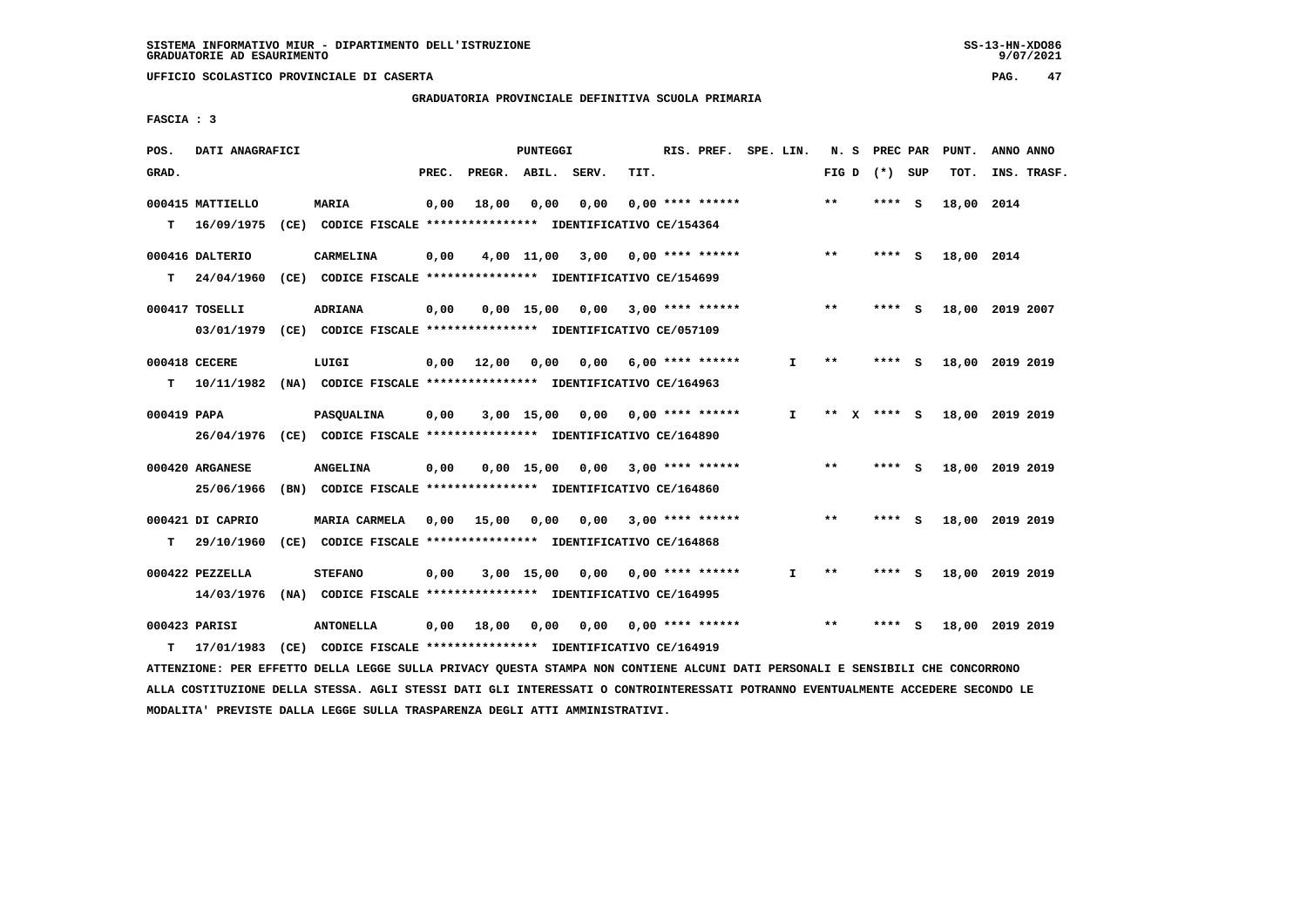**GRADUATORIA PROVINCIALE DEFINITIVA SCUOLA PRIMARIA**

 **FASCIA : 3**

| POS.        | DATI ANAGRAFICI  |                                                               |       |                    | PUNTEGGI     |                                    |      | RIS. PREF.              | SPE. LIN. |              | N. S            | PREC PAR |     | PUNT.           | ANNO ANNO |             |
|-------------|------------------|---------------------------------------------------------------|-------|--------------------|--------------|------------------------------------|------|-------------------------|-----------|--------------|-----------------|----------|-----|-----------------|-----------|-------------|
| GRAD.       |                  |                                                               | PREC. | PREGR. ABIL. SERV. |              |                                    | TIT. |                         |           |              | FIG D $(*)$ SUP |          |     | TOT.            |           | INS. TRASF. |
|             | 000415 MATTIELLO | <b>MARIA</b>                                                  | 0,00  | 18,00              | 0,00         | 0,00                               |      | $0.00$ **** ******      |           |              | $***$           | $***$ S  |     | 18,00 2014      |           |             |
| т           | 16/09/1975       | (CE) CODICE FISCALE **************** IDENTIFICATIVO CE/154364 |       |                    |              |                                    |      |                         |           |              |                 |          |     |                 |           |             |
|             | 000416 DALTERIO  | CARMELINA                                                     | 0,00  |                    | 4,00 11,00   |                                    |      | $3,00$ 0,00 **** ****** |           |              | $***$           | **** S   |     | 18,00 2014      |           |             |
| T.          | 24/04/1960       | (CE) CODICE FISCALE **************** IDENTIFICATIVO CE/154699 |       |                    |              |                                    |      |                         |           |              |                 |          |     |                 |           |             |
|             | 000417 TOSELLI   | <b>ADRIANA</b>                                                | 0,00  |                    | $0,00$ 15,00 | $0,00$ 3,00 **** ******            |      |                         |           |              | $* *$           | **** S   |     | 18,00 2019 2007 |           |             |
|             | 03/01/1979       | (CE) CODICE FISCALE *************** IDENTIFICATIVO CE/057109  |       |                    |              |                                    |      |                         |           |              |                 |          |     |                 |           |             |
|             | 000418 CECERE    | LUIGI                                                         | 0,00  | 12,00              | 0.00         | 0,00                               |      | 6,00 **** ******        |           | I.           | $* *$           | **** S   |     | 18,00 2019 2019 |           |             |
| т           | 10/11/1982       | (NA) CODICE FISCALE **************** IDENTIFICATIVO CE/164963 |       |                    |              |                                    |      |                         |           |              |                 |          |     |                 |           |             |
| 000419 PAPA |                  | PASQUALINA                                                    | 0,00  |                    |              | 3,00 15,00 0,00                    |      | $0.00$ **** ******      |           | $\mathbf{I}$ | ** $X$ **** S   |          |     | 18,00 2019 2019 |           |             |
|             | 26/04/1976       | (CE) CODICE FISCALE *************** IDENTIFICATIVO CE/164890  |       |                    |              |                                    |      |                         |           |              |                 |          |     |                 |           |             |
|             | 000420 ARGANESE  | <b>ANGELINA</b>                                               | 0,00  |                    |              | $0,00$ 15,00 0,00 3,00 **** ****** |      |                         |           |              | $***$           | **** S   |     | 18,00 2019 2019 |           |             |
|             | 25/06/1966       | (BN) CODICE FISCALE **************** IDENTIFICATIVO CE/164860 |       |                    |              |                                    |      |                         |           |              |                 |          |     |                 |           |             |
|             | 000421 DI CAPRIO | <b>MARIA CARMELA</b>                                          | 0,00  | 15,00              | 0,00         |                                    |      | $0,00$ 3,00 **** ****** |           |              | $* *$           | **** S   |     | 18,00 2019 2019 |           |             |
| т           | 29/10/1960       | (CE) CODICE FISCALE **************** IDENTIFICATIVO CE/164868 |       |                    |              |                                    |      |                         |           |              |                 |          |     |                 |           |             |
|             | 000422 PEZZELLA  | <b>STEFANO</b>                                                | 0,00  |                    | $3,00$ 15,00 | 0,00                               |      | 0,00 **** ******        |           | I.           | $* *$           | **** S   |     | 18,00 2019 2019 |           |             |
|             | 14/03/1976       | (NA) CODICE FISCALE **************** IDENTIFICATIVO CE/164995 |       |                    |              |                                    |      |                         |           |              |                 |          |     |                 |           |             |
|             | 000423 PARISI    | <b>ANTONELLA</b>                                              | 0,00  | 18,00              | 0,00         | 0,00                               |      | $0.00$ **** ******      |           |              | $***$           | ****     | - S | 18,00 2019 2019 |           |             |
| т           | 17/01/1983       | (CE) CODICE FISCALE **************** IDENTIFICATIVO CE/164919 |       |                    |              |                                    |      |                         |           |              |                 |          |     |                 |           |             |
|             |                  |                                                               |       |                    |              |                                    |      |                         |           |              |                 |          |     |                 |           |             |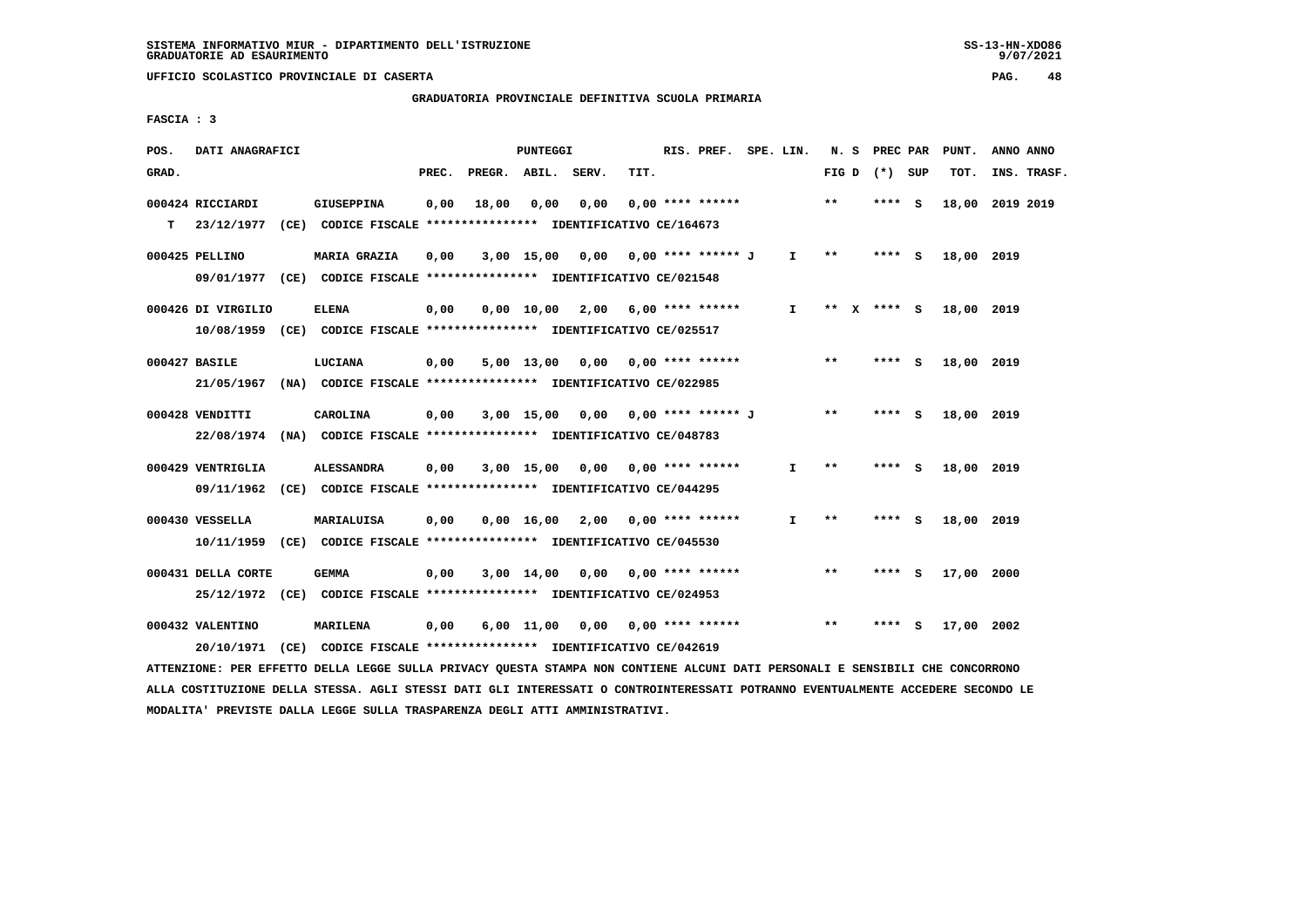# **GRADUATORIA PROVINCIALE DEFINITIVA SCUOLA PRIMARIA**

 **FASCIA : 3**

| POS.  | DATI ANAGRAFICI                                                                               |                   |       |       | PUNTEGGI |                                    |      | RIS. PREF. SPE. LIN. |              |       | N. S PREC PAR   |     | PUNT.           | ANNO ANNO |             |
|-------|-----------------------------------------------------------------------------------------------|-------------------|-------|-------|----------|------------------------------------|------|----------------------|--------------|-------|-----------------|-----|-----------------|-----------|-------------|
| GRAD. |                                                                                               |                   | PREC. |       |          | PREGR. ABIL. SERV.                 | TIT. |                      |              |       | FIG D $(*)$ SUP |     | TOT.            |           | INS. TRASF. |
| T.    | 000424 RICCIARDI<br>23/12/1977 (CE) CODICE FISCALE **************** IDENTIFICATIVO CE/164673  | <b>GIUSEPPINA</b> | 0,00  | 18,00 | 0.00     | 0,00                               |      | $0.00$ **** ******   |              | **    | $***$ S         |     | 18,00 2019 2019 |           |             |
|       | 000425 PELLINO<br>09/01/1977 (CE) CODICE FISCALE *************** IDENTIFICATIVO CE/021548     | MARIA GRAZIA      | 0,00  |       |          | 3,00 15,00 0,00                    |      | 0,00 **** ****** J   | $\mathbf{I}$ | $***$ | $***$ S         |     | 18,00 2019      |           |             |
|       | 000426 DI VIRGILIO<br>10/08/1959 (CE) CODICE FISCALE *************** IDENTIFICATIVO CE/025517 | <b>ELENA</b>      | 0,00  |       |          | $0,00$ 10,00 2,00 6,00 **** ****** |      |                      | $\mathbf{I}$ |       | ** X **** S     |     | 18,00 2019      |           |             |
|       | 000427 BASILE<br>21/05/1967 (NA) CODICE FISCALE *************** IDENTIFICATIVO CE/022985      | LUCIANA           | 0,00  |       |          | $5,00$ 13,00 0,00 0,00 **** ****** |      |                      |              | **    | **** S          |     | 18,00 2019      |           |             |
|       | 000428 VENDITTI<br>22/08/1974 (NA) CODICE FISCALE *************** IDENTIFICATIVO CE/048783    | CAROLINA          | 0,00  |       |          | 3,00 15,00 0,00 0,00 **** ****** J |      |                      |              | $* *$ | **** S          |     | 18,00 2019      |           |             |
|       | 000429 VENTRIGLIA<br>09/11/1962 (CE) CODICE FISCALE *************** IDENTIFICATIVO CE/044295  | <b>ALESSANDRA</b> | 0,00  |       |          | 3,00 15,00 0,00                    |      | $0.00$ **** ******   | I.           | $**$  | **** S          |     | 18,00 2019      |           |             |
|       | 000430 VESSELLA<br>10/11/1959 (CE) CODICE FISCALE *************** IDENTIFICATIVO CE/045530    | MARIALUISA        | 0,00  |       |          | $0.00 \quad 16.00 \quad 2.00$      |      | 0,00 **** ******     | $\mathbf{I}$ | $**$  | **** S          |     | 18,00 2019      |           |             |
|       | 000431 DELLA CORTE<br>25/12/1972 (CE) CODICE FISCALE *************** IDENTIFICATIVO CE/024953 | <b>GEMMA</b>      | 0,00  |       |          | $3,00$ 14,00 0,00 0,00 **** ****** |      |                      |              | $* *$ | **** S          |     | 17,00 2000      |           |             |
|       | 000432 VALENTINO<br>20/10/1971 (CE) CODICE FISCALE *************** IDENTIFICATIVO CE/042619   | MARILENA          | 0,00  |       |          | 6,00 11,00 0,00 0,00 **** ******   |      |                      |              | $* *$ | ****            | - S | 17,00 2002      |           |             |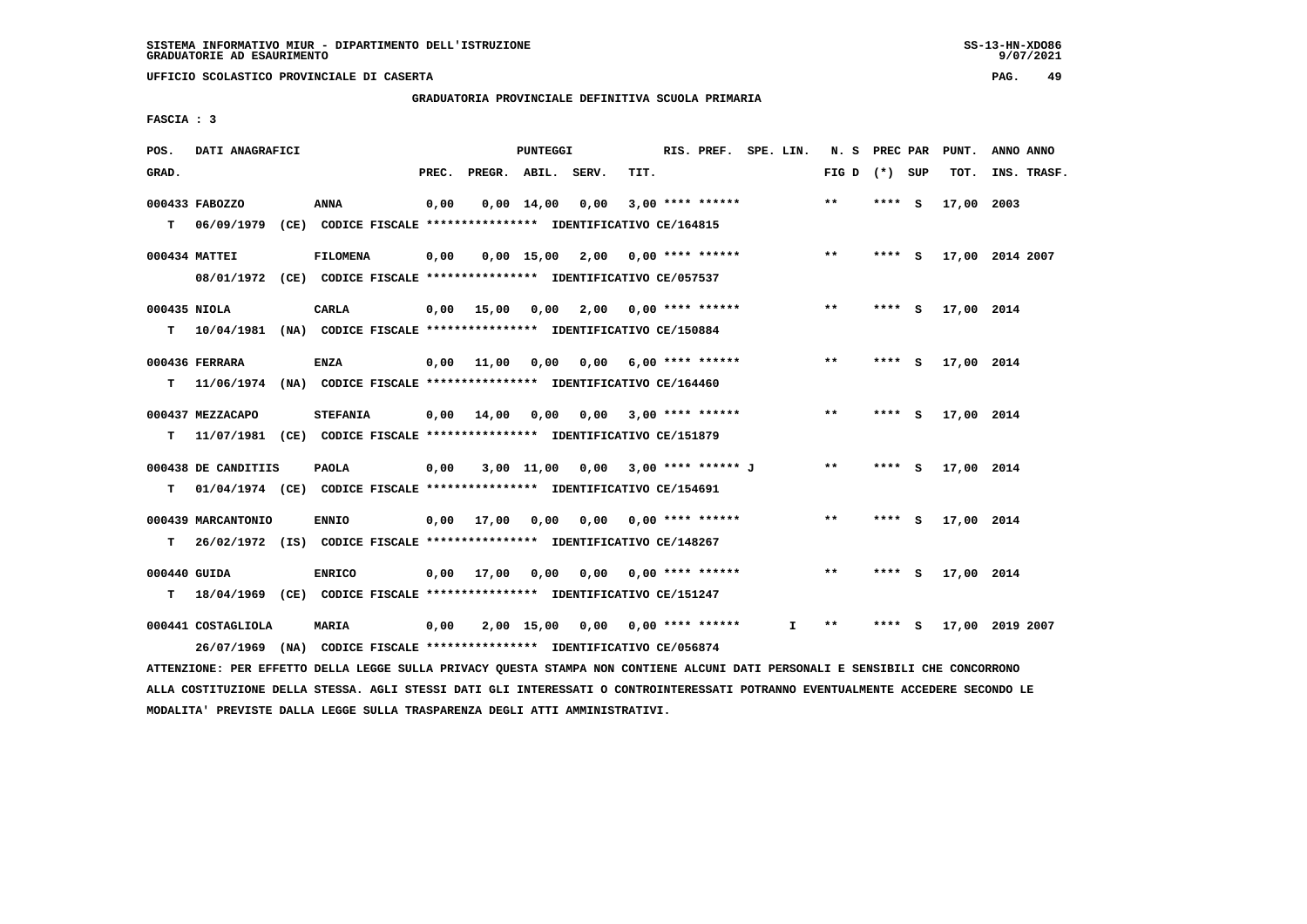$9/07/2021$ 

 **UFFICIO SCOLASTICO PROVINCIALE DI CASERTA PAG. 49**

 **GRADUATORIA PROVINCIALE DEFINITIVA SCUOLA PRIMARIA**

 **FASCIA : 3**

| POS.  | DATI ANAGRAFICI     |                                                                           |       |                                         | PUNTEGGI                      |                                    |      | RIS. PREF. SPE. LIN.      |    |                 |         |     | N. S PREC PAR PUNT. | ANNO ANNO       |
|-------|---------------------|---------------------------------------------------------------------------|-------|-----------------------------------------|-------------------------------|------------------------------------|------|---------------------------|----|-----------------|---------|-----|---------------------|-----------------|
| GRAD. |                     |                                                                           | PREC. | PREGR. ABIL. SERV.                      |                               |                                    | TIT. |                           |    | FIG D $(*)$ SUP |         |     | TOT.                | INS. TRASF.     |
|       | 000433 FABOZZO      | <b>ANNA</b>                                                               | 0,00  |                                         | $0,00 \quad 14,00 \quad 0,00$ |                                    |      | $3.00*********$           |    | $* *$           | **** S  |     | 17,00 2003          |                 |
|       |                     | T 06/09/1979 (CE) CODICE FISCALE *************** IDENTIFICATIVO CE/164815 |       |                                         |                               |                                    |      |                           |    |                 |         |     |                     |                 |
|       | 000434 MATTEI       | <b>FILOMENA</b>                                                           | 0,00  |                                         |                               | 0,00 15,00 2,00 0,00 **** ******   |      |                           |    | $***$           | $***$ S |     |                     | 17,00 2014 2007 |
|       |                     | 08/01/1972 (CE) CODICE FISCALE *************** IDENTIFICATIVO CE/057537   |       |                                         |                               |                                    |      |                           |    |                 |         |     |                     |                 |
|       | 000435 NIOLA        | CARLA                                                                     |       | $0,00$ 15,00 0,00 2,00 0,00 **** ****** |                               |                                    |      |                           |    | $***$           | **** S  |     | 17,00 2014          |                 |
|       |                     | T 10/04/1981 (NA) CODICE FISCALE *************** IDENTIFICATIVO CE/150884 |       |                                         |                               |                                    |      |                           |    |                 |         |     |                     |                 |
|       | 000436 FERRARA      | ENZA                                                                      |       | $0,00$ $11,00$ $0,00$                   |                               |                                    |      | $0,00$ 6,00 **** ******   |    | $***$           | **** S  |     | 17,00 2014          |                 |
| т     |                     | 11/06/1974 (NA) CODICE FISCALE **************** IDENTIFICATIVO CE/164460  |       |                                         |                               |                                    |      |                           |    |                 |         |     |                     |                 |
|       | 000437 MEZZACAPO    | <b>STEFANIA</b>                                                           |       | $0,00$ $14,00$ $0,00$ $0,00$            |                               |                                    |      | $3,00$ **** ******        |    | $* *$           | **** S  |     | 17,00 2014          |                 |
| т     |                     | 11/07/1981 (CE) CODICE FISCALE *************** IDENTIFICATIVO CE/151879   |       |                                         |                               |                                    |      |                           |    |                 |         |     |                     |                 |
|       | 000438 DE CANDITIIS | PAOLA                                                                     | 0,00  |                                         |                               | 3,00 11,00 0,00 3,00 **** ****** J |      |                           |    | $***$           | **** S  |     | 17,00 2014          |                 |
| т     |                     | 01/04/1974 (CE) CODICE FISCALE *************** IDENTIFICATIVO CE/154691   |       |                                         |                               |                                    |      |                           |    |                 |         |     |                     |                 |
|       | 000439 MARCANTONIO  | <b>ENNIO</b>                                                              |       | 0,00 17,00 0,00                         |                               |                                    |      | $0,00$ $0,00$ **** ****** |    | $* *$           | **** S  |     | 17,00 2014          |                 |
| т     |                     | 26/02/1972 (IS) CODICE FISCALE **************** IDENTIFICATIVO CE/148267  |       |                                         |                               |                                    |      |                           |    |                 |         |     |                     |                 |
|       | 000440 GUIDA        | <b>ENRICO</b>                                                             |       | 0,00 17,00                              | 0,00                          |                                    |      | $0,00$ $0,00$ **** ****** |    | $* *$           | **** S  |     | 17,00 2014          |                 |
| T.    |                     | 18/04/1969 (CE) CODICE FISCALE **************** IDENTIFICATIVO CE/151247  |       |                                         |                               |                                    |      |                           |    |                 |         |     |                     |                 |
|       | 000441 COSTAGLIOLA  | <b>MARIA</b>                                                              | 0,00  |                                         |                               | 2,00 15,00 0,00 0,00 **** ******   |      |                           | I. | $* *$           | ****    | - S |                     | 17,00 2019 2007 |
|       |                     | 26/07/1969 (NA) CODICE FISCALE *************** IDENTIFICATIVO CE/056874   |       |                                         |                               |                                    |      |                           |    |                 |         |     |                     |                 |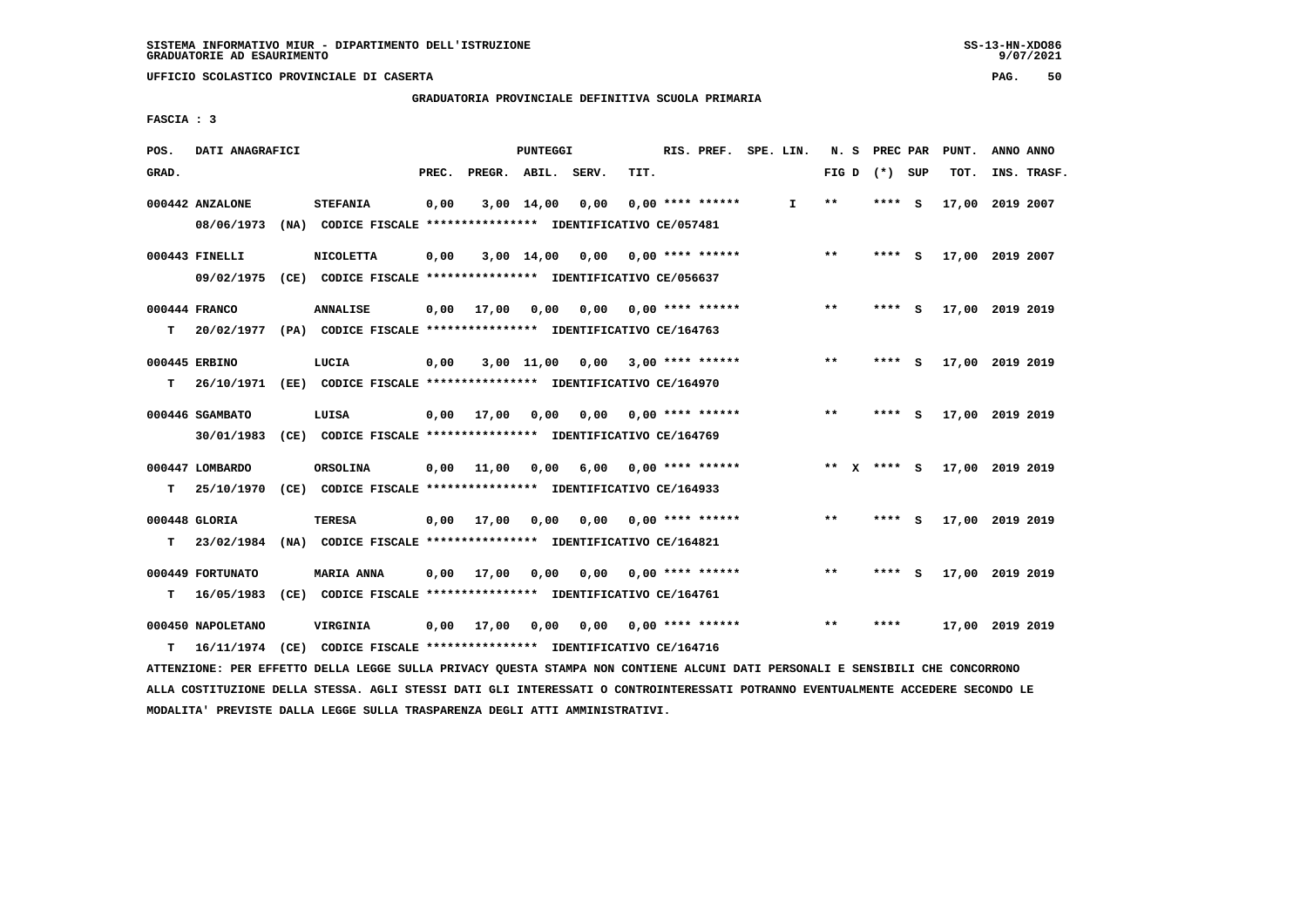**GRADUATORIA PROVINCIALE DEFINITIVA SCUOLA PRIMARIA**

 **FASCIA : 3**

| POS.  | DATI ANAGRAFICI                                                          |                                                                                  |       |                    | <b>PUNTEGGI</b> |      |      | RIS. PREF. SPE. LIN. |    | N. S  | PREC PAR      |          | PUNT.           | ANNO ANNO |             |
|-------|--------------------------------------------------------------------------|----------------------------------------------------------------------------------|-------|--------------------|-----------------|------|------|----------------------|----|-------|---------------|----------|-----------------|-----------|-------------|
| GRAD. |                                                                          |                                                                                  | PREC. | PREGR. ABIL. SERV. |                 |      | TIT. |                      |    | FIG D | (*) SUP       |          | TOT.            |           | INS. TRASF. |
|       | 000442 ANZALONE<br>08/06/1973                                            | <b>STEFANIA</b><br>(NA) CODICE FISCALE **************** IDENTIFICATIVO CE/057481 | 0,00  |                    | $3,00$ 14,00    | 0,00 |      | $0.00$ **** ******   | I. | $* *$ | **** S        |          | 17,00           | 2019 2007 |             |
|       |                                                                          |                                                                                  |       |                    |                 |      |      |                      |    |       |               |          |                 |           |             |
|       | 000443 FINELLI                                                           | <b>NICOLETTA</b>                                                                 | 0,00  |                    | 3,00 14,00      | 0,00 |      | $0.00$ **** ******   |    | $* *$ | ****          | - S      | 17,00 2019 2007 |           |             |
|       | 09/02/1975 (CE) CODICE FISCALE *************** IDENTIFICATIVO CE/056637  |                                                                                  |       |                    |                 |      |      |                      |    |       |               |          |                 |           |             |
|       | 000444 FRANCO                                                            | <b>ANNALISE</b>                                                                  | 0,00  | 17,00              | 0,00            | 0.00 |      | $0.00$ **** ******   |    | $* *$ | ****          | - S      | 17,00 2019 2019 |           |             |
| T.    | 20/02/1977 (PA) CODICE FISCALE **************** IDENTIFICATIVO CE/164763 |                                                                                  |       |                    |                 |      |      |                      |    |       |               |          |                 |           |             |
|       | 000445 ERBINO                                                            | LUCIA                                                                            | 0,00  |                    | $3,00$ 11,00    | 0,00 |      | $3,00$ **** ******   |    | $* *$ | **** S        |          | 17,00 2019 2019 |           |             |
| T.    | 26/10/1971 (EE) CODICE FISCALE *************** IDENTIFICATIVO CE/164970  |                                                                                  |       |                    |                 |      |      |                      |    |       |               |          |                 |           |             |
|       | 000446 SGAMBATO                                                          | LUISA                                                                            | 0,00  | 17,00              | 0,00            | 0,00 |      | $0.00$ **** ******   |    | $***$ | ****          | <b>S</b> | 17,00 2019 2019 |           |             |
|       | 30/01/1983                                                               | (CE) CODICE FISCALE **************** IDENTIFICATIVO CE/164769                    |       |                    |                 |      |      |                      |    |       |               |          |                 |           |             |
|       | 000447 LOMBARDO                                                          | ORSOLINA                                                                         | 0,00  | 11,00              | 0.00            | 6,00 |      | $0.00$ **** ******   |    |       | ** $X$ **** S |          | 17,00 2019 2019 |           |             |
| т     | 25/10/1970                                                               | (CE) CODICE FISCALE **************** IDENTIFICATIVO CE/164933                    |       |                    |                 |      |      |                      |    |       |               |          |                 |           |             |
|       |                                                                          |                                                                                  |       |                    |                 |      |      |                      |    |       |               |          |                 |           |             |
|       | 000448 GLORIA                                                            | <b>TERESA</b>                                                                    |       | $0,00$ 17,00       | 0,00            | 0,00 |      | $0.00$ **** ******   |    | $* *$ | **** S        |          | 17,00 2019 2019 |           |             |
| T.    | 23/02/1984                                                               | (NA) CODICE FISCALE **************** IDENTIFICATIVO CE/164821                    |       |                    |                 |      |      |                      |    |       |               |          |                 |           |             |
|       | 000449 FORTUNATO                                                         | <b>MARIA ANNA</b>                                                                | 0,00  | 17,00              | 0,00            | 0,00 |      | $0.00$ **** ******   |    | $* *$ | ****          | - S      | 17,00 2019 2019 |           |             |
| т     | 16/05/1983                                                               | (CE) CODICE FISCALE **************** IDENTIFICATIVO CE/164761                    |       |                    |                 |      |      |                      |    |       |               |          |                 |           |             |
|       | 000450 NAPOLETANO                                                        | VIRGINIA                                                                         |       | $0.00$ 17,00       | 0.00            | 0.00 |      | $0.00$ **** ******   |    | $* *$ | ****          |          | 17,00 2019 2019 |           |             |
| т     | 16/11/1974 (CE) CODICE FISCALE *************** IDENTIFICATIVO CE/164716  |                                                                                  |       |                    |                 |      |      |                      |    |       |               |          |                 |           |             |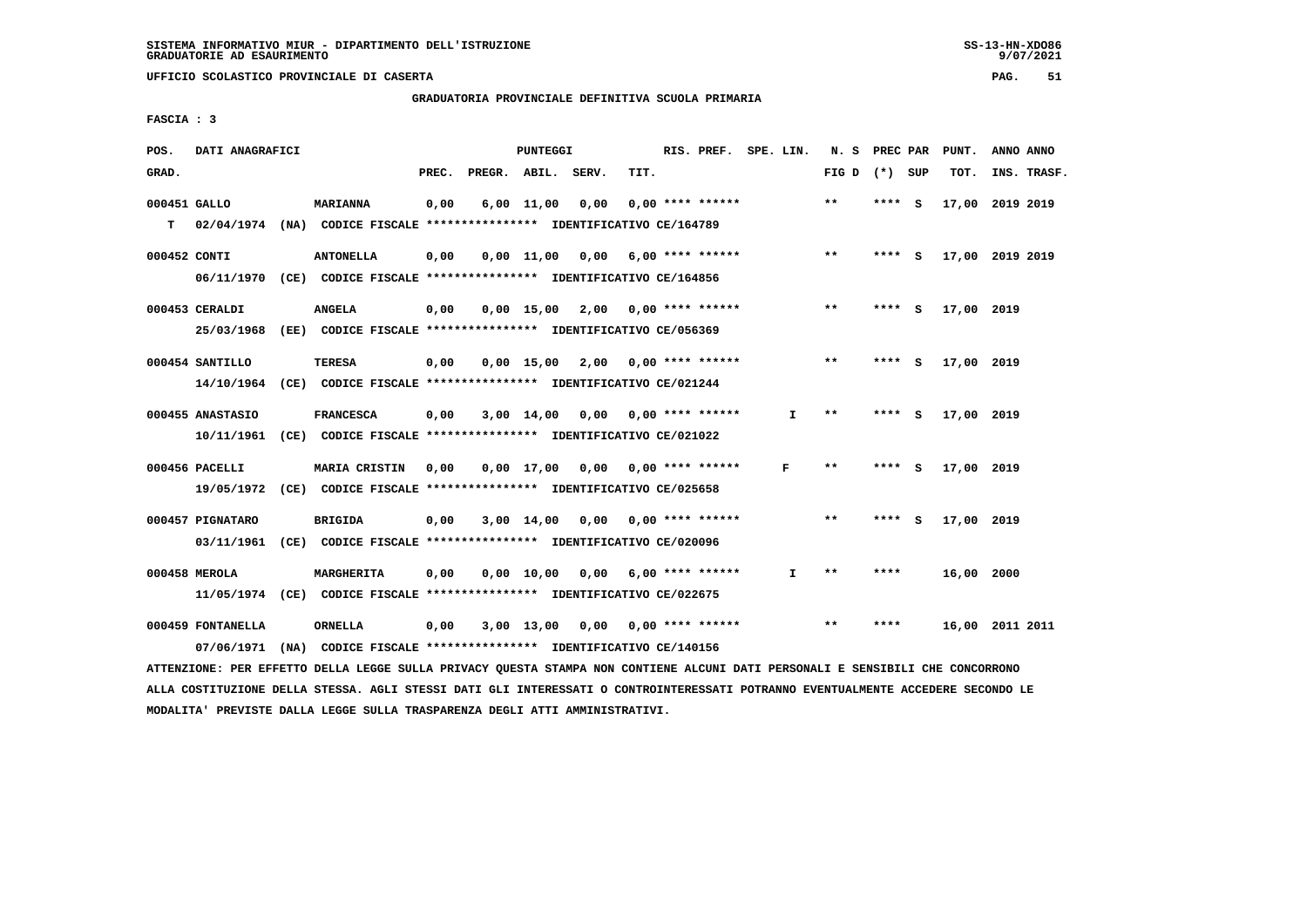# **GRADUATORIA PROVINCIALE DEFINITIVA SCUOLA PRIMARIA**

 **FASCIA : 3**

| POS.         | DATI ANAGRAFICI   |                                                                                                                               |       |                    | <b>PUNTEGGI</b>    |                                    |      | RIS. PREF. SPE. LIN. |              | N. S PREC PAR              |         | PUNT.           | ANNO ANNO |             |
|--------------|-------------------|-------------------------------------------------------------------------------------------------------------------------------|-------|--------------------|--------------------|------------------------------------|------|----------------------|--------------|----------------------------|---------|-----------------|-----------|-------------|
| GRAD.        |                   |                                                                                                                               | PREC. | PREGR. ABIL. SERV. |                    |                                    | TIT. |                      |              | FIG D $(*)$ SUP            |         | TOT.            |           | INS. TRASF. |
| 000451 GALLO |                   | <b>MARIANNA</b>                                                                                                               | 0,00  |                    | $6,00 \quad 11,00$ | 0,00                               |      | $0.00$ **** ******   |              | **                         | **** S  | 17,00 2019 2019 |           |             |
| T.           |                   | 02/04/1974 (NA) CODICE FISCALE **************** IDENTIFICATIVO CE/164789                                                      |       |                    |                    |                                    |      |                      |              |                            |         |                 |           |             |
| 000452 CONTI |                   | <b>ANTONELLA</b>                                                                                                              | 0,00  |                    |                    | $0,00$ 11,00 0,00 6,00 **** ****** |      |                      |              | $***$                      | **** S  | 17,00 2019 2019 |           |             |
|              | 06/11/1970        | (CE) CODICE FISCALE **************** IDENTIFICATIVO CE/164856                                                                 |       |                    |                    |                                    |      |                      |              |                            |         |                 |           |             |
|              | 000453 CERALDI    | <b>ANGELA</b>                                                                                                                 | 0,00  |                    |                    | $0,00$ 15,00 2,00 0,00 **** ****** |      |                      |              | $* *$                      | **** S  | 17,00 2019      |           |             |
|              | 25/03/1968        | (EE) CODICE FISCALE *************** IDENTIFICATIVO CE/056369                                                                  |       |                    |                    |                                    |      |                      |              |                            |         |                 |           |             |
|              |                   |                                                                                                                               |       |                    |                    |                                    |      |                      |              |                            |         |                 |           |             |
|              | 000454 SANTILLO   | <b>TERESA</b>                                                                                                                 | 0,00  |                    |                    | $0,00$ 15,00 2,00 0,00 **** ****** |      |                      |              | $***$                      | $***$ S | 17,00 2019      |           |             |
|              |                   | 14/10/1964 (CE) CODICE FISCALE *************** IDENTIFICATIVO CE/021244                                                       |       |                    |                    |                                    |      |                      |              |                            |         |                 |           |             |
|              | 000455 ANASTASIO  | <b>FRANCESCA</b>                                                                                                              | 0,00  |                    |                    | $3,00$ 14,00 0,00 0,00 **** ****** |      |                      | I.           | $***$                      | **** S  | 17,00 2019      |           |             |
|              |                   | 10/11/1961 (CE) CODICE FISCALE *************** IDENTIFICATIVO CE/021022                                                       |       |                    |                    |                                    |      |                      |              |                            |         |                 |           |             |
|              | 000456 PACELLI    | MARIA CRISTIN                                                                                                                 | 0,00  |                    |                    | 0,00 17,00 0,00 0,00 **** ******   |      |                      | F            | $\pmb{\times}\pmb{\times}$ | **** S  | 17,00 2019      |           |             |
|              |                   | 19/05/1972 (CE) CODICE FISCALE *************** IDENTIFICATIVO CE/025658                                                       |       |                    |                    |                                    |      |                      |              |                            |         |                 |           |             |
|              | 000457 PIGNATARO  | BRIGIDA                                                                                                                       | 0,00  |                    |                    | 3,00 14,00 0,00                    |      | $0.00$ **** ******   |              | $* *$                      | **** S  | 17,00 2019      |           |             |
|              |                   | 03/11/1961 (CE) CODICE FISCALE *************** IDENTIFICATIVO CE/020096                                                       |       |                    |                    |                                    |      |                      |              |                            |         |                 |           |             |
|              |                   |                                                                                                                               |       |                    |                    |                                    |      |                      |              |                            |         |                 |           |             |
|              | 000458 MEROLA     | MARGHERITA                                                                                                                    | 0,00  |                    |                    | $0,00$ 10,00 0,00 6,00 **** ****** |      |                      | $\mathbf{I}$ | $***$                      | ****    | 16,00 2000      |           |             |
|              |                   | 11/05/1974 (CE) CODICE FISCALE *************** IDENTIFICATIVO CE/022675                                                       |       |                    |                    |                                    |      |                      |              |                            |         |                 |           |             |
|              | 000459 FONTANELLA | ORNELLA                                                                                                                       | 0,00  |                    |                    | 3,00 13,00 0,00 0,00 **** ******   |      |                      |              | $**$                       | ****    | 16,00 2011 2011 |           |             |
|              | 07/06/1971        | (NA) CODICE FISCALE **************** IDENTIFICATIVO CE/140156                                                                 |       |                    |                    |                                    |      |                      |              |                            |         |                 |           |             |
|              |                   | ATTENZIONE: PER EFFETTO DELLA LEGGE SULLA PRIVACY QUESTA STAMPA NON CONTIENE ALCUNI DATI PERSONALI E SENSIBILI CHE CONCORRONO |       |                    |                    |                                    |      |                      |              |                            |         |                 |           |             |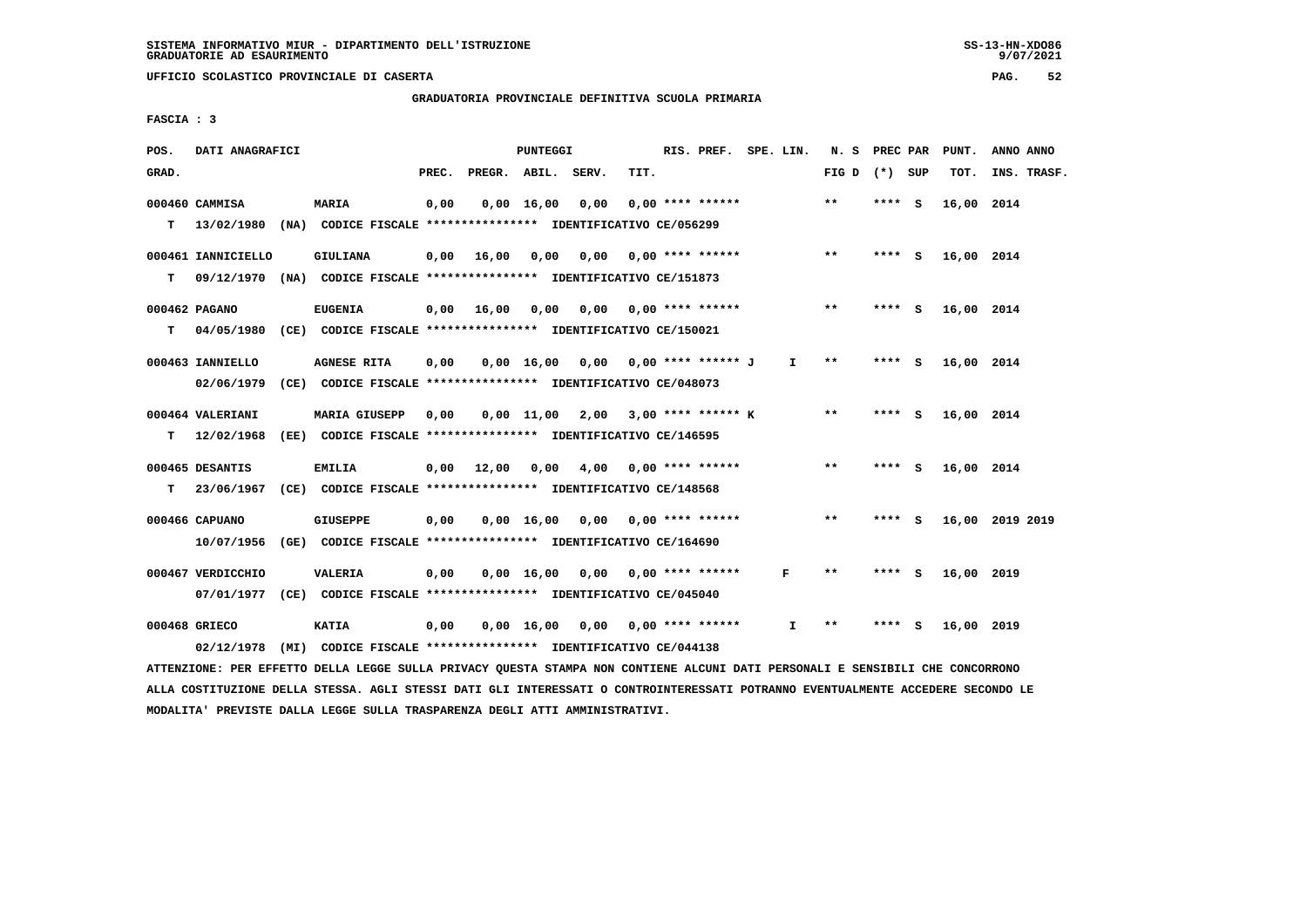**GRADUATORIA PROVINCIALE DEFINITIVA SCUOLA PRIMARIA**

 **FASCIA : 3**

| POS.  | DATI ANAGRAFICI                                                                                                               |                                                               |       |                       | PUNTEGGI |                                      |      | RIS. PREF. SPE. LIN. |              | N. S PREC PAR   |        | PUNT.      | ANNO ANNO       |
|-------|-------------------------------------------------------------------------------------------------------------------------------|---------------------------------------------------------------|-------|-----------------------|----------|--------------------------------------|------|----------------------|--------------|-----------------|--------|------------|-----------------|
| GRAD. |                                                                                                                               |                                                               | PREC. | PREGR. ABIL. SERV.    |          |                                      | TIT. |                      |              | FIG D $(*)$ SUP |        | TOT.       | INS. TRASF.     |
|       | 000460 CAMMISA                                                                                                                | <b>MARIA</b>                                                  | 0,00  |                       |          | $0,00 \quad 16,00 \quad 0,00$        |      | $0.00$ **** ******   |              | $* *$           | **** S | 16,00 2014 |                 |
|       | T 13/02/1980 (NA) CODICE FISCALE *************** IDENTIFICATIVO CE/056299                                                     |                                                               |       |                       |          |                                      |      |                      |              |                 |        |            |                 |
|       | 000461 IANNICIELLO                                                                                                            | <b>GIULIANA</b>                                               |       | $0,00$ 16,00          |          | 0,00 0,00 0,00 **** ******           |      |                      |              | $* *$           | **** S | 16,00 2014 |                 |
| T.    | 09/12/1970 (NA) CODICE FISCALE *************** IDENTIFICATIVO CE/151873                                                       |                                                               |       |                       |          |                                      |      |                      |              |                 |        |            |                 |
|       | 000462 PAGANO                                                                                                                 | <b>EUGENIA</b>                                                |       | $0,00$ $16,00$ $0,00$ |          |                                      |      |                      |              | $***$           | **** S | 16,00 2014 |                 |
| T.    | 04/05/1980 (CE) CODICE FISCALE **************** IDENTIFICATIVO CE/150021                                                      |                                                               |       |                       |          |                                      |      |                      |              |                 |        |            |                 |
|       | 000463 IANNIELLO                                                                                                              | <b>AGNESE RITA</b>                                            | 0,00  |                       |          | 0,00 16,00 0,00 0,00 **** ****** J   |      |                      | $\mathbf{I}$ | $* *$           | **** S | 16,00 2014 |                 |
|       | 02/06/1979 (CE) CODICE FISCALE *************** IDENTIFICATIVO CE/048073                                                       |                                                               |       |                       |          |                                      |      |                      |              |                 |        |            |                 |
|       | 000464 VALERIANI                                                                                                              | <b>MARIA GIUSEPP</b>                                          | 0,00  |                       |          | $0,00$ 11,00 2,00 3,00 **** ****** K |      |                      |              | $***$           | **** S | 16,00 2014 |                 |
|       | T 12/02/1968 (EE) CODICE FISCALE *************** IDENTIFICATIVO CE/146595                                                     |                                                               |       |                       |          |                                      |      |                      |              |                 |        |            |                 |
|       | 000465 DESANTIS                                                                                                               | EMILIA                                                        |       | 0,00 12,00 0,00       |          | 4,00 0,00 **** ******                |      |                      |              | **              | **** S | 16,00 2014 |                 |
| T.    | 23/06/1967 (CE) CODICE FISCALE *************** IDENTIFICATIVO CE/148568                                                       |                                                               |       |                       |          |                                      |      |                      |              |                 |        |            |                 |
|       | 000466 CAPUANO                                                                                                                | <b>GIUSEPPE</b>                                               | 0,00  |                       |          | $0,00$ 16,00 0,00 0,00 **** ******   |      |                      |              | $***$           | **** S |            | 16,00 2019 2019 |
|       | 10/07/1956 (GE) CODICE FISCALE *************** IDENTIFICATIVO CE/164690                                                       |                                                               |       |                       |          |                                      |      |                      |              |                 |        |            |                 |
|       | 000467 VERDICCHIO                                                                                                             | <b>VALERIA</b>                                                | 0,00  |                       |          | $0,00$ 16,00 0,00 0,00 **** ******   |      |                      | F            | **              | **** S | 16,00 2019 |                 |
|       | 07/01/1977 (CE) CODICE FISCALE *************** IDENTIFICATIVO CE/045040                                                       |                                                               |       |                       |          |                                      |      |                      |              |                 |        |            |                 |
|       | 000468 GRIECO                                                                                                                 | <b>KATIA</b>                                                  | 0,00  |                       |          | $0,00$ 16,00 0,00 0,00 **** ******   |      |                      | I.           | $***$           | **** S | 16,00 2019 |                 |
|       | 02/12/1978                                                                                                                    | (MI) CODICE FISCALE **************** IDENTIFICATIVO CE/044138 |       |                       |          |                                      |      |                      |              |                 |        |            |                 |
|       | ATTENZIONE: PER EFFETTO DELLA LEGGE SULLA PRIVACY QUESTA STAMPA NON CONTIENE ALCUNI DATI PERSONALI E SENSIBILI CHE CONCORRONO |                                                               |       |                       |          |                                      |      |                      |              |                 |        |            |                 |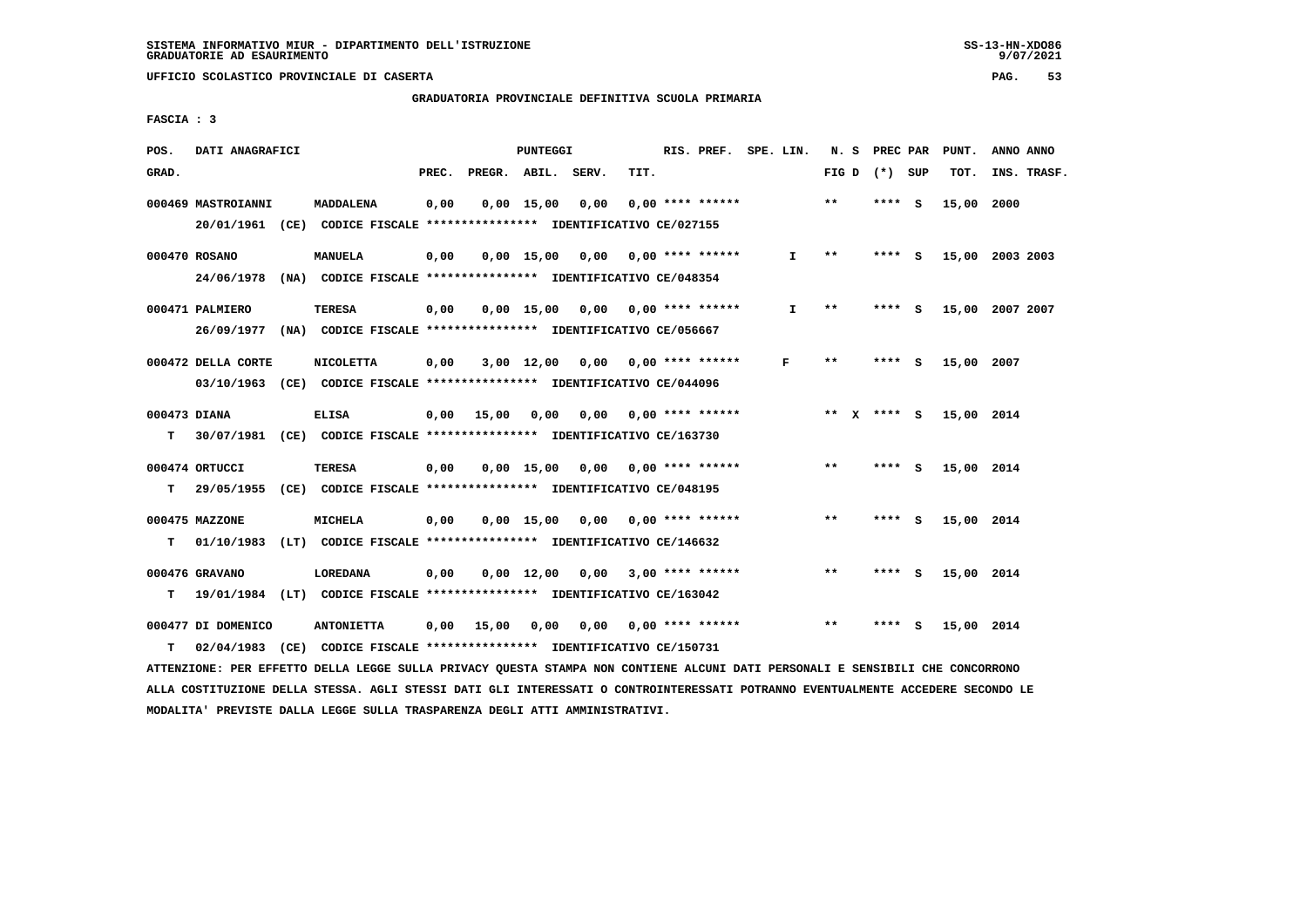# **GRADUATORIA PROVINCIALE DEFINITIVA SCUOLA PRIMARIA**

 **FASCIA : 3**

| POS.         | DATI ANAGRAFICI    |                                                                          |       |              | <b>PUNTEGGI</b> |                                    |      | RIS. PREF. SPE. LIN.      |              | N. S                       | PREC PAR |     | PUNT.      | ANNO ANNO       |
|--------------|--------------------|--------------------------------------------------------------------------|-------|--------------|-----------------|------------------------------------|------|---------------------------|--------------|----------------------------|----------|-----|------------|-----------------|
| GRAD.        |                    |                                                                          | PREC. | PREGR. ABIL. |                 | SERV.                              | TIT. |                           |              | FIG D                      | (*) SUP  |     | TOT.       | INS. TRASF.     |
|              | 000469 MASTROIANNI | MADDALENA                                                                | 0,00  |              | $0,00$ 15,00    | 0,00                               |      | $0.00$ **** ******        |              | $* *$                      | **** S   |     | 15,00      | 2000            |
|              |                    | 20/01/1961 (CE) CODICE FISCALE *************** IDENTIFICATIVO CE/027155  |       |              |                 |                                    |      |                           |              |                            |          |     |            |                 |
|              | 000470 ROSANO      | <b>MANUELA</b>                                                           | 0,00  |              |                 | 0,00 15,00 0,00                    |      | $0.00$ **** ******        | $\mathbf{I}$ | $\pmb{\times}\pmb{\times}$ | **** S   |     |            | 15,00 2003 2003 |
|              | 24/06/1978         | (NA) CODICE FISCALE **************** IDENTIFICATIVO CE/048354            |       |              |                 |                                    |      |                           |              |                            |          |     |            |                 |
|              | 000471 PALMIERO    | <b>TERESA</b>                                                            | 0,00  |              |                 | $0,00$ 15,00 0,00 0,00 **** ****** |      |                           | $\mathbf{I}$ | $***$                      | $***$ S  |     |            | 15,00 2007 2007 |
|              | 26/09/1977         | (NA) CODICE FISCALE **************** IDENTIFICATIVO CE/056667            |       |              |                 |                                    |      |                           |              |                            |          |     |            |                 |
|              | 000472 DELLA CORTE | <b>NICOLETTA</b>                                                         | 0,00  |              | 3,00 12,00      |                                    |      | $0,00$ 0,00 **** ******   | F            | $* *$                      | ****     | - S | 15,00      | 2007            |
|              |                    | 03/10/1963 (CE) CODICE FISCALE *************** IDENTIFICATIVO CE/044096  |       |              |                 |                                    |      |                           |              |                            |          |     |            |                 |
| 000473 DIANA |                    | <b>ELISA</b>                                                             | 0,00  | 15,00        | 0,00            |                                    |      | $0.00$ $0.00$ **** ****** |              | ** x **** S                |          |     | 15,00 2014 |                 |
| т            |                    | 30/07/1981 (CE) CODICE FISCALE *************** IDENTIFICATIVO CE/163730  |       |              |                 |                                    |      |                           |              |                            |          |     |            |                 |
|              | 000474 ORTUCCI     | <b>TERESA</b>                                                            | 0,00  |              |                 | $0,00$ 15,00 0,00 0,00 **** ****** |      |                           |              | $* *$                      | **** S   |     | 15,00 2014 |                 |
| т            |                    | 29/05/1955 (CE) CODICE FISCALE *************** IDENTIFICATIVO CE/048195  |       |              |                 |                                    |      |                           |              |                            |          |     |            |                 |
|              | 000475 MAZZONE     | MICHELA                                                                  | 0,00  |              |                 | 0,00 15,00 0,00                    |      | $0.00$ **** ******        |              | $**$                       | **** S   |     | 15,00 2014 |                 |
| т            | 01/10/1983         | (LT) CODICE FISCALE **************** IDENTIFICATIVO CE/146632            |       |              |                 |                                    |      |                           |              |                            |          |     |            |                 |
|              | 000476 GRAVANO     | <b>LOREDANA</b>                                                          | 0,00  |              |                 | $0.00 \quad 12.00 \quad 0.00$      |      | $3,00$ **** ******        |              | $\star\star$               | **** S   |     | 15,00 2014 |                 |
| т            |                    | 19/01/1984 (LT) CODICE FISCALE **************** IDENTIFICATIVO CE/163042 |       |              |                 |                                    |      |                           |              |                            |          |     |            |                 |
|              | 000477 DI DOMENICO | <b>ANTONIETTA</b>                                                        | 0,00  | 15,00        | 0,00            |                                    |      | $0,00$ $0,00$ **** ****** |              | $**$                       | ****     | - S | 15,00 2014 |                 |
| т            | 02/04/1983         | (CE) CODICE FISCALE **************** IDENTIFICATIVO CE/150731            |       |              |                 |                                    |      |                           |              |                            |          |     |            |                 |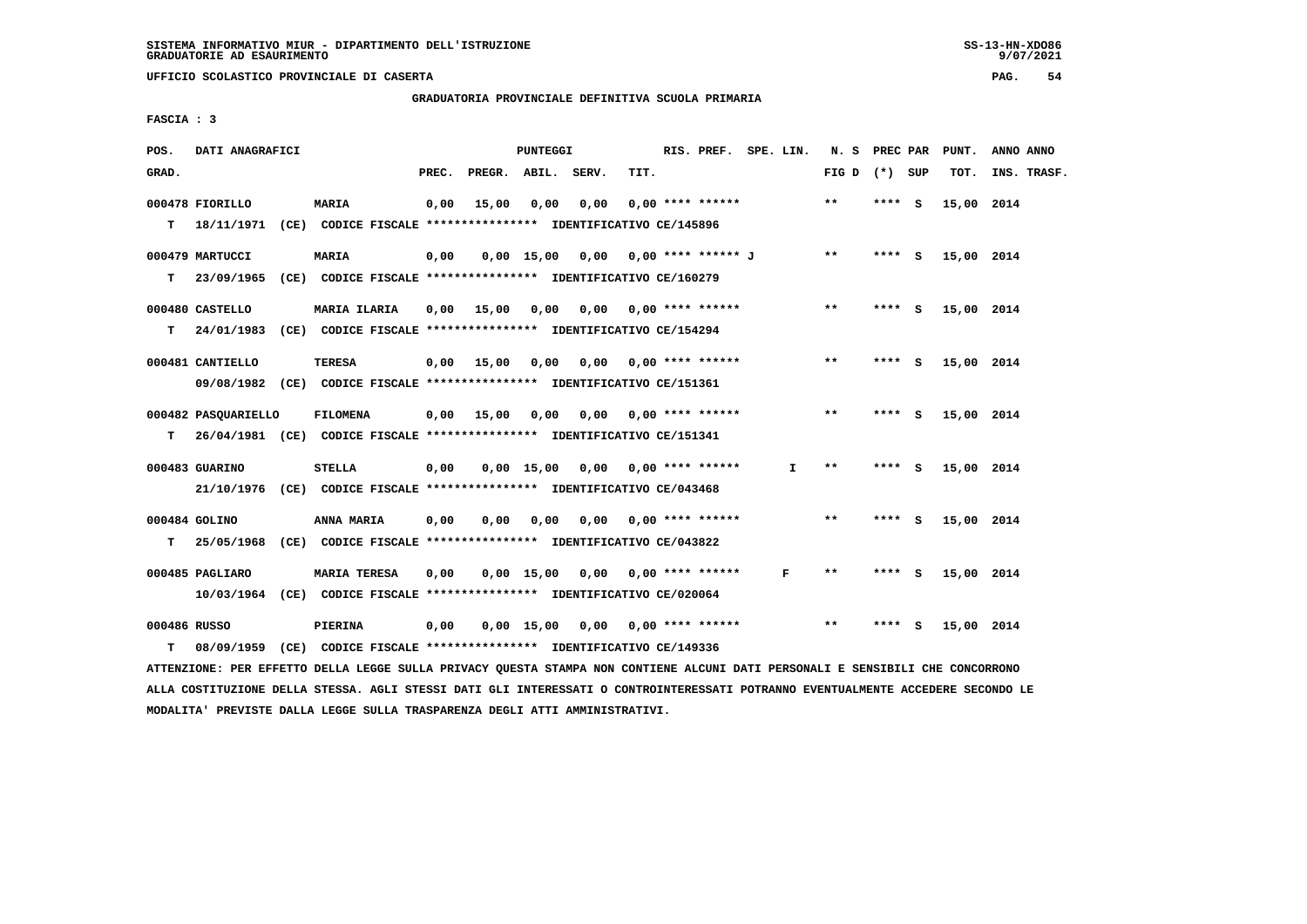**GRADUATORIA PROVINCIALE DEFINITIVA SCUOLA PRIMARIA**

 **FASCIA : 3**

| POS.         | DATI ANAGRAFICI                                                           |                                                                         |       |                                       | <b>PUNTEGGI</b> |                                         |      | RIS. PREF. SPE. LIN.      |              | N. S PREC PAR   |         |     | PUNT.      | ANNO ANNO   |
|--------------|---------------------------------------------------------------------------|-------------------------------------------------------------------------|-------|---------------------------------------|-----------------|-----------------------------------------|------|---------------------------|--------------|-----------------|---------|-----|------------|-------------|
| GRAD.        |                                                                           |                                                                         | PREC. | PREGR. ABIL. SERV.                    |                 |                                         | TIT. |                           |              | FIG D $(*)$ SUP |         |     | TOT.       | INS. TRASF. |
|              | 000478 FIORILLO                                                           | <b>MARIA</b>                                                            | 0,00  | 15,00                                 | 0,00            | 0,00                                    |      | $0.00$ **** ******        |              | $* *$           | **** S  |     | 15,00 2014 |             |
|              | T 18/11/1971 (CE) CODICE FISCALE *************** IDENTIFICATIVO CE/145896 |                                                                         |       |                                       |                 |                                         |      |                           |              |                 |         |     |            |             |
|              | 000479 MARTUCCI                                                           | <b>MARIA</b>                                                            | 0,00  |                                       |                 | $0,00$ 15,00 0,00 0,00 **** ****** J ** |      |                           |              |                 | $***$ S |     | 15,00 2014 |             |
| T.           | 23/09/1965 (CE) CODICE FISCALE *************** IDENTIFICATIVO CE/160279   |                                                                         |       |                                       |                 |                                         |      |                           |              |                 |         |     |            |             |
|              | 000480 CASTELLO                                                           | MARIA ILARIA                                                            |       | 0,00 15,00 0,00 0,00 0,00 **** ****** |                 |                                         |      |                           |              | $***$           | **** S  |     | 15,00 2014 |             |
| T.           | 24/01/1983 (CE) CODICE FISCALE *************** IDENTIFICATIVO CE/154294   |                                                                         |       |                                       |                 |                                         |      |                           |              |                 |         |     |            |             |
|              | 000481 CANTIELLO                                                          | <b>TERESA</b>                                                           |       | 0,00 15,00                            | 0,00            |                                         |      | $0,00$ $0,00$ **** ****** |              | $***$           | **** S  |     | 15,00 2014 |             |
|              |                                                                           | 09/08/1982 (CE) CODICE FISCALE *************** IDENTIFICATIVO CE/151361 |       |                                       |                 |                                         |      |                           |              |                 |         |     |            |             |
|              | 000482 PASOUARIELLO                                                       | FILOMENA                                                                |       | $0.00$ 15.00 0.00                     |                 |                                         |      | 0,00 0,00 **** ******     |              | $***$           | $***$ S |     | 15,00 2014 |             |
| т            | 26/04/1981 (CE) CODICE FISCALE *************** IDENTIFICATIVO CE/151341   |                                                                         |       |                                       |                 |                                         |      |                           |              |                 |         |     |            |             |
|              | 000483 GUARINO                                                            | STELLA                                                                  | 0,00  |                                       |                 | $0,00$ 15,00 0,00 0,00 **** ******      |      |                           | $\mathbf{I}$ | $* *$           | $***5$  |     | 15,00 2014 |             |
|              |                                                                           | 21/10/1976 (CE) CODICE FISCALE *************** IDENTIFICATIVO CE/043468 |       |                                       |                 |                                         |      |                           |              |                 |         |     |            |             |
|              | 000484 GOLINO                                                             | ANNA MARIA                                                              | 0,00  | 0,00                                  | 0,00            | $0,00$ $0,00$ **** ******               |      |                           |              | $***$           | $***$ S |     | 15,00 2014 |             |
| T.           | 25/05/1968 (CE) CODICE FISCALE *************** IDENTIFICATIVO CE/043822   |                                                                         |       |                                       |                 |                                         |      |                           |              |                 |         |     |            |             |
|              | 000485 PAGLIARO                                                           | <b>MARIA TERESA</b>                                                     | 0.00  |                                       |                 | $0.00$ 15.00 0.00 0.00 **** ******      |      |                           | F            | **              | **** S  |     | 15,00 2014 |             |
|              |                                                                           | 10/03/1964 (CE) CODICE FISCALE *************** IDENTIFICATIVO CE/020064 |       |                                       |                 |                                         |      |                           |              |                 |         |     |            |             |
| 000486 RUSSO |                                                                           | PIERINA                                                                 | 0,00  |                                       |                 | $0,00$ 15,00 0,00 0,00 **** ******      |      |                           |              | $***$           | ****    | - 5 | 15,00 2014 |             |
| т            |                                                                           | 08/09/1959 (CE) CODICE FISCALE *************** IDENTIFICATIVO CE/149336 |       |                                       |                 |                                         |      |                           |              |                 |         |     |            |             |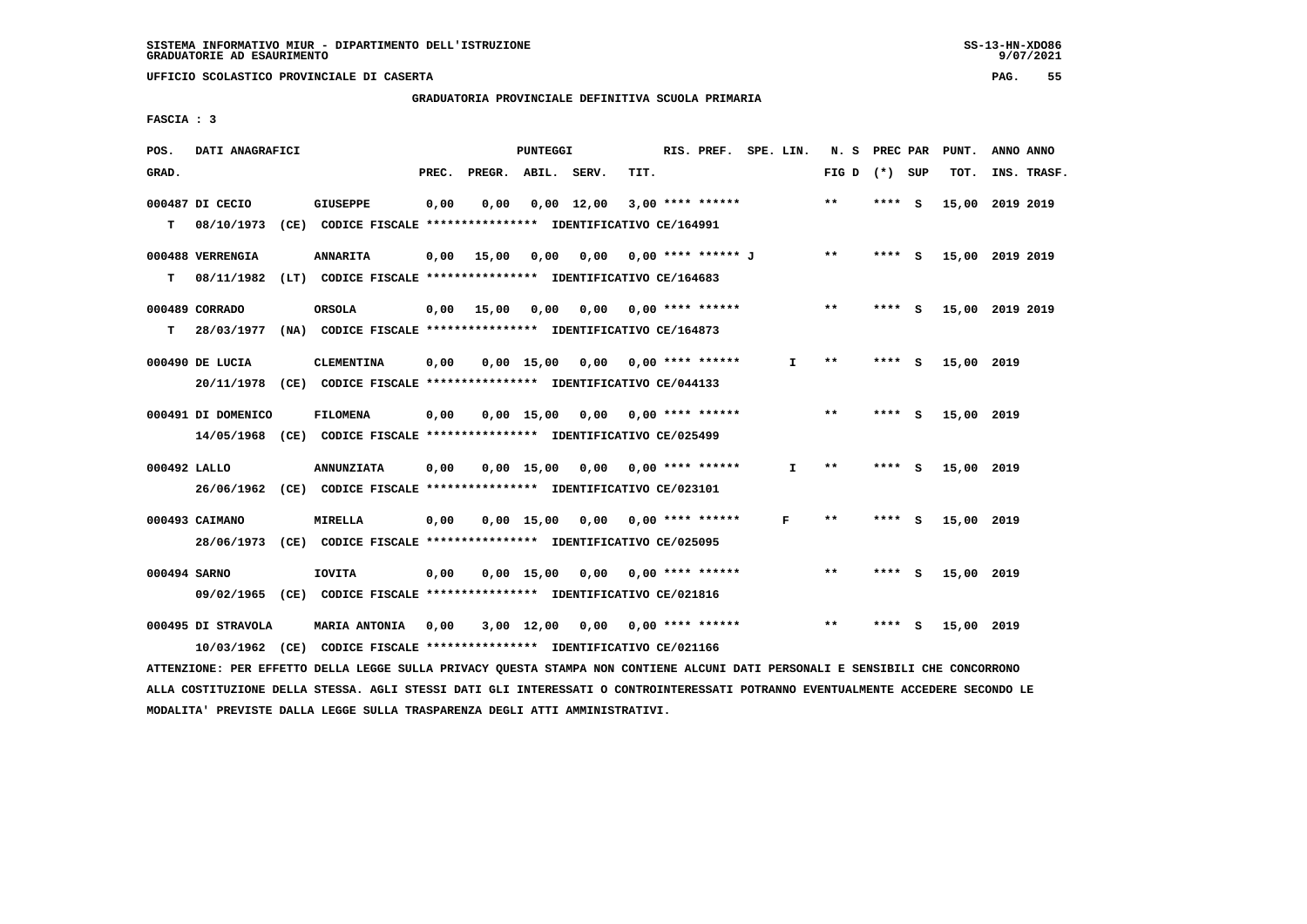# **GRADUATORIA PROVINCIALE DEFINITIVA SCUOLA PRIMARIA**

 **FASCIA : 3**

| POS.         | DATI ANAGRAFICI                |                                                                                              |       |              | PUNTEGGI                      |                    |      | RIS. PREF. SPE. LIN. |              | N. S         | PREC PAR |          | PUNT.           | ANNO ANNO |             |
|--------------|--------------------------------|----------------------------------------------------------------------------------------------|-------|--------------|-------------------------------|--------------------|------|----------------------|--------------|--------------|----------|----------|-----------------|-----------|-------------|
| GRAD.        |                                |                                                                                              | PREC. | PREGR. ABIL. |                               | SERV.              | TIT. |                      |              | FIG D        | (*) SUP  |          | TOT.            |           | INS. TRASF. |
| T.           | 000487 DI CECIO<br>08/10/1973  | <b>GIUSEPPE</b><br>(CE) CODICE FISCALE **************** IDENTIFICATIVO CE/164991             | 0,00  | 0,00         |                               | $0,00 \quad 12,00$ |      | $3,00$ **** ******   |              | **           | $***$ S  |          | 15,00           | 2019 2019 |             |
| т            | 000488 VERRENGIA<br>08/11/1982 | <b>ANNARITA</b><br>(LT) CODICE FISCALE **************** IDENTIFICATIVO CE/164683             | 0,00  | 15,00        | 0,00                          | 0,00               |      | 0,00 **** ****** J   |              | $* *$        | $***$ S  |          | 15,00 2019 2019 |           |             |
| т            | 000489 CORRADO                 | <b>ORSOLA</b><br>28/03/1977 (NA) CODICE FISCALE **************** IDENTIFICATIVO CE/164873    |       | $0,00$ 15,00 | 0,00 0,00                     |                    |      | 0,00 **** ******     |              | $***$        | **** S   |          | 15,00 2019 2019 |           |             |
|              | 000490 DE LUCIA                | <b>CLEMENTINA</b><br>20/11/1978 (CE) CODICE FISCALE *************** IDENTIFICATIVO CE/044133 | 0,00  |              | $0,00$ 15,00                  | 0,00               |      | $0.00$ **** ******   | I.           | **           | **** S   |          | 15,00 2019      |           |             |
|              | 000491 DI DOMENICO             | <b>FILOMENA</b><br>14/05/1968 (CE) CODICE FISCALE *************** IDENTIFICATIVO CE/025499   | 0,00  |              | $0.00$ 15.00                  | 0,00               |      | $0.00$ **** ******   |              | $**$         | ****     | <b>S</b> | 15,00 2019      |           |             |
| 000492 LALLO |                                | <b>ANNUNZIATA</b><br>26/06/1962 (CE) CODICE FISCALE *************** IDENTIFICATIVO CE/023101 | 0,00  |              | 0.00 15.00                    | 0,00               |      | $0.00$ **** ******   | $\mathbf{I}$ | $* *$        | **** S   |          | 15,00 2019      |           |             |
|              | 000493 CAIMANO                 | MIRELLA<br>28/06/1973 (CE) CODICE FISCALE *************** IDENTIFICATIVO CE/025095           | 0,00  |              | 0,00 15,00                    | 0,00               |      | $0.00$ **** ******   | F            | $* *$        | ****     | - S      | 15,00 2019      |           |             |
| 000494 SARNO |                                | <b>IOVITA</b><br>09/02/1965 (CE) CODICE FISCALE *************** IDENTIFICATIVO CE/021816     | 0.00  |              | $0.00 \quad 15.00 \quad 0.00$ |                    |      | $0.00$ **** ******   |              | $\star\star$ | **** S   |          | 15,00 2019      |           |             |
|              | 000495 DI STRAVOLA             | MARIA ANTONIA<br>10/03/1962 (CE) CODICE FISCALE *************** IDENTIFICATIVO CE/021166     | 0,00  |              | 3,00 12,00                    | 0,00               |      | 0,00 **** ******     |              | $**$         | ****     | s        | 15,00 2019      |           |             |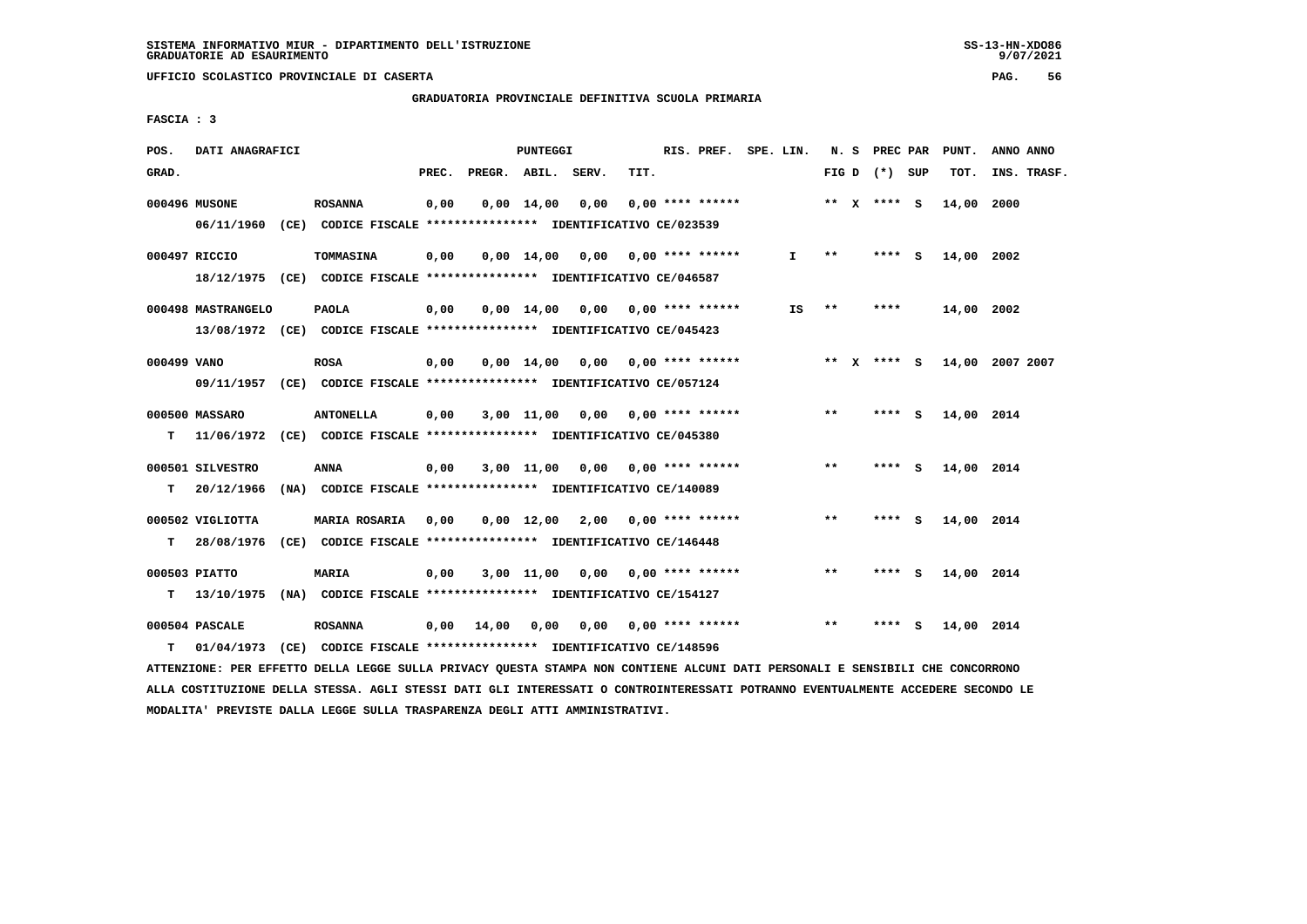**GRADUATORIA PROVINCIALE DEFINITIVA SCUOLA PRIMARIA**

 **FASCIA : 3**

| POS.        | DATI ANAGRAFICI    |                                                                         |       |                    | PUNTEGGI           |                           |      | RIS. PREF. SPE. LIN.      |              |                            | N. S PREC PAR   |     | PUNT.      | ANNO ANNO       |
|-------------|--------------------|-------------------------------------------------------------------------|-------|--------------------|--------------------|---------------------------|------|---------------------------|--------------|----------------------------|-----------------|-----|------------|-----------------|
| GRAD.       |                    |                                                                         | PREC. | PREGR. ABIL. SERV. |                    |                           | TIT. |                           |              |                            | FIG D $(*)$ SUP |     | TOT.       | INS. TRASF.     |
|             | 000496 MUSONE      | <b>ROSANNA</b>                                                          | 0,00  |                    | $0,00 \quad 14,00$ | 0,00                      |      | $0.00$ **** ******        |              |                            | ** $X$ **** S   |     | 14,00      | 2000            |
|             | 06/11/1960         | (CE) CODICE FISCALE **************** IDENTIFICATIVO CE/023539           |       |                    |                    |                           |      |                           |              |                            |                 |     |            |                 |
|             | 000497 RICCIO      | TOMMASINA                                                               | 0,00  |                    | $0,00$ $14,00$     | 0,00                      |      | $0.00$ **** ******        | $\mathbf{I}$ | $\pmb{\times}\pmb{\times}$ | $***5$          |     | 14,00 2002 |                 |
|             |                    | 18/12/1975 (CE) CODICE FISCALE *************** IDENTIFICATIVO CE/046587 |       |                    |                    |                           |      |                           |              |                            |                 |     |            |                 |
|             | 000498 MASTRANGELO | <b>PAOLA</b>                                                            | 0,00  |                    | $0,00 \quad 14,00$ | $0,00$ $0,00$ **** ****** |      |                           | IS           | $* *$                      | ****            |     | 14,00 2002 |                 |
|             |                    | 13/08/1972 (CE) CODICE FISCALE *************** IDENTIFICATIVO CE/045423 |       |                    |                    |                           |      |                           |              |                            |                 |     |            |                 |
| 000499 VANO |                    | <b>ROSA</b>                                                             | 0,00  |                    | $0.00 \quad 14.00$ | 0.00                      |      | $0.00$ **** ******        |              |                            | ** x **** S     |     |            | 14,00 2007 2007 |
|             |                    | 09/11/1957 (CE) CODICE FISCALE *************** IDENTIFICATIVO CE/057124 |       |                    |                    |                           |      |                           |              |                            |                 |     |            |                 |
|             |                    |                                                                         |       |                    |                    |                           |      |                           |              |                            |                 |     |            |                 |
|             | 000500 MASSARO     | <b>ANTONELLA</b>                                                        | 0,00  |                    | 3,00 11,00         | 0.00                      |      | $0.00$ **** ******        |              | $* *$                      | ****            | - 5 | 14,00 2014 |                 |
| т           | 11/06/1972         | (CE) CODICE FISCALE **************** IDENTIFICATIVO CE/045380           |       |                    |                    |                           |      |                           |              |                            |                 |     |            |                 |
|             | 000501 SILVESTRO   | ANNA                                                                    | 0,00  |                    | 3,00 11,00         |                           |      | $0,00$ $0,00$ **** ****** |              | $* *$                      | ****            | - S | 14,00 2014 |                 |
| т           | 20/12/1966         | (NA) CODICE FISCALE **************** IDENTIFICATIVO CE/140089           |       |                    |                    |                           |      |                           |              |                            |                 |     |            |                 |
|             | 000502 VIGLIOTTA   | MARIA ROSARIA                                                           | 0,00  |                    |                    | 0,00 12,00 2,00           |      | $0.00$ **** ******        |              | **                         | **** S          |     | 14,00 2014 |                 |
| т           | 28/08/1976         | (CE) CODICE FISCALE **************** IDENTIFICATIVO CE/146448           |       |                    |                    |                           |      |                           |              |                            |                 |     |            |                 |
|             |                    |                                                                         |       |                    |                    |                           |      |                           |              |                            |                 |     |            |                 |
|             | 000503 PIATTO      | MARIA                                                                   | 0,00  |                    | $3,00$ 11,00       | 0,00                      |      | $0.00$ **** ******        |              | $***$                      | $***$ S         |     | 14,00 2014 |                 |
| т           | 13/10/1975         | (NA) CODICE FISCALE **************** IDENTIFICATIVO CE/154127           |       |                    |                    |                           |      |                           |              |                            |                 |     |            |                 |
|             | 000504 PASCALE     | <b>ROSANNA</b>                                                          | 0,00  | 14,00              | 0,00               | 0,00                      |      | $0.00$ **** ******        |              | $***$                      | ****            | - S | 14,00 2014 |                 |
| т           | 01/04/1973         | (CE) CODICE FISCALE **************** IDENTIFICATIVO CE/148596           |       |                    |                    |                           |      |                           |              |                            |                 |     |            |                 |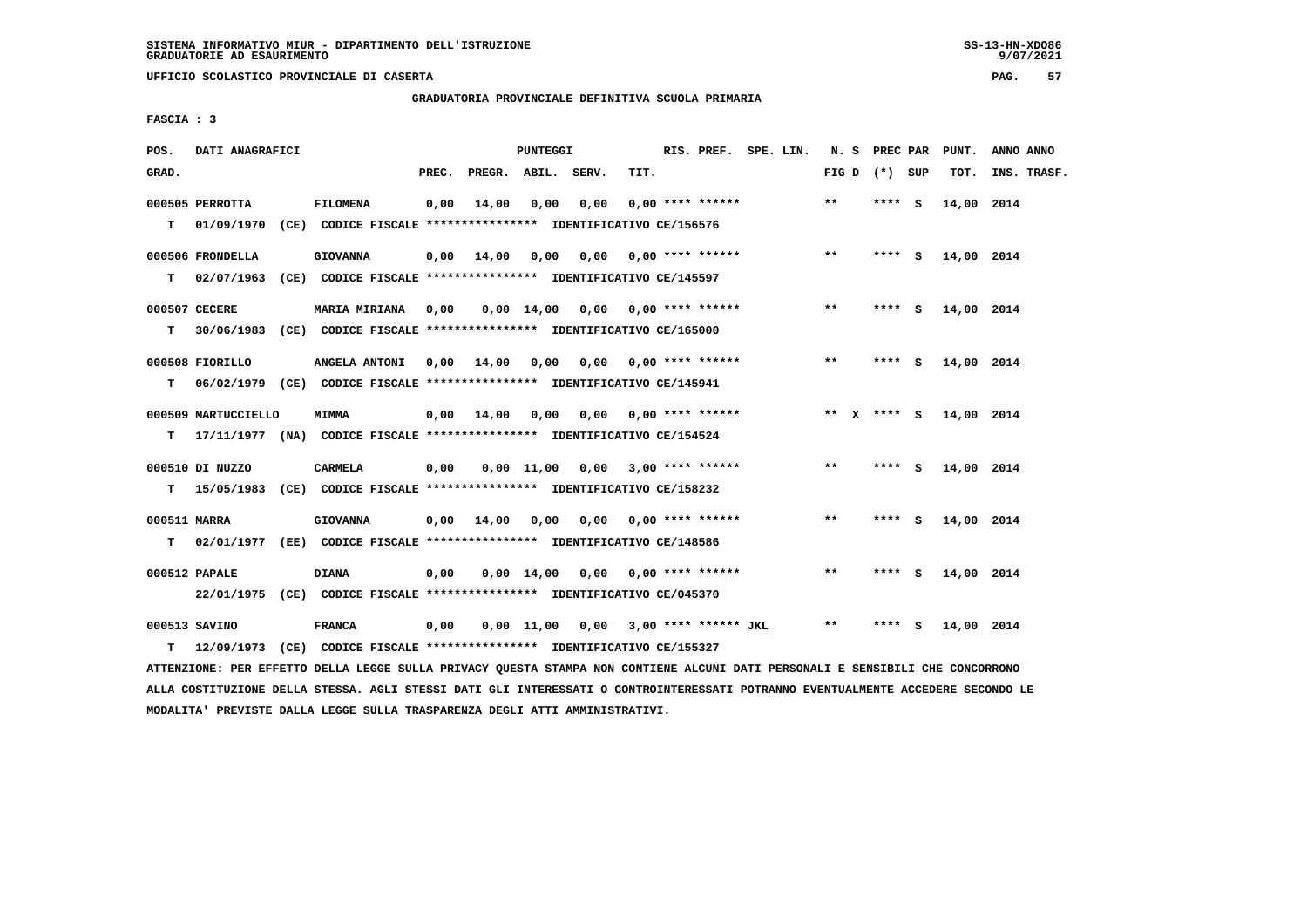$9/07/2021$ 

 **UFFICIO SCOLASTICO PROVINCIALE DI CASERTA PAG. 57**

# **GRADUATORIA PROVINCIALE DEFINITIVA SCUOLA PRIMARIA**

 **FASCIA : 3**

| POS.               | DATI ANAGRAFICI                |                                                                                                     |       |                    | PUNTEGGI |                                        |      | RIS. PREF. SPE. LIN.      |  |                 | N. S PREC PAR |     | PUNT.      | ANNO ANNO   |
|--------------------|--------------------------------|-----------------------------------------------------------------------------------------------------|-------|--------------------|----------|----------------------------------------|------|---------------------------|--|-----------------|---------------|-----|------------|-------------|
| GRAD.              |                                |                                                                                                     | PREC. | PREGR. ABIL. SERV. |          |                                        | TIT. |                           |  | FIG D $(*)$ SUP |               |     | TOT.       | INS. TRASF. |
| T.                 | 000505 PERROTTA<br>01/09/1970  | <b>FILOMENA</b><br>(CE) CODICE FISCALE *************** IDENTIFICATIVO CE/156576                     | 0,00  | 14,00              | 0,00     | 0,00                                   |      | $0.00$ **** ******        |  | $***$           | **** S        |     | 14,00 2014 |             |
| т                  | 000506 FRONDELLA<br>02/07/1963 | <b>GIOVANNA</b><br>(CE) CODICE FISCALE **************** IDENTIFICATIVO CE/145597                    |       | $0,00$ 14,00       | 0,00     | 0,00                                   |      | $0.00$ **** ******        |  | $* *$           | $***5$        |     | 14,00 2014 |             |
| T.                 | 000507 CECERE                  | <b>MARIA MIRIANA</b><br>30/06/1983 (CE) CODICE FISCALE *************** IDENTIFICATIVO CE/165000     | 0,00  |                    |          | $0,00$ 14,00 0,00 0,00 **** ******     |      |                           |  | $***$           | **** S        |     | 14,00 2014 |             |
| T.                 | 000508 FIORILLO                | ANGELA ANTONI 0,00 14,00<br>06/02/1979 (CE) CODICE FISCALE *************** IDENTIFICATIVO CE/145941 |       |                    | 0,00     |                                        |      | $0.00$ $0.00$ **** ****** |  | $***$           | **** S        |     | 14,00 2014 |             |
| т                  | 000509 MARTUCCIELLO            | <b>MIMMA</b><br>17/11/1977 (NA) CODICE FISCALE *************** IDENTIFICATIVO CE/154524             |       | $0,00$ $14,00$     | 0,00     |                                        |      | $0,00$ $0,00$ **** ****** |  | ** $X$ **** S   |               |     | 14,00 2014 |             |
| T.                 | 000510 DI NUZZO                | <b>CARMELA</b><br>15/05/1983 (CE) CODICE FISCALE **************** IDENTIFICATIVO CE/158232          | 0,00  |                    |          | $0,00$ 11,00 0,00 3,00 **** ******     |      |                           |  | **              | **** S        |     | 14,00 2014 |             |
| 000511 MARRA<br>T. |                                | <b>GIOVANNA</b><br>02/01/1977 (EE) CODICE FISCALE **************** IDENTIFICATIVO CE/148586         |       | $0.00$ 14.00       | 0,00     |                                        |      | $0.00$ $0.00$ **** ****** |  | $***$           | ****          | - S | 14,00 2014 |             |
|                    | 000512 PAPALE                  | <b>DIANA</b><br>22/01/1975 (CE) CODICE FISCALE *************** IDENTIFICATIVO CE/045370             | 0,00  |                    |          | 0,00 14,00 0,00                        |      | $0.00$ **** ******        |  | $***$           | **** S        |     | 14,00 2014 |             |
| т                  | 000513 SAVINO<br>12/09/1973    | <b>FRANCA</b><br>(CE) CODICE FISCALE **************** IDENTIFICATIVO CE/155327                      | 0,00  |                    |          | $0,00$ 11,00 0,00 3,00 **** ****** JKL |      |                           |  | **              | ****          | - S | 14,00 2014 |             |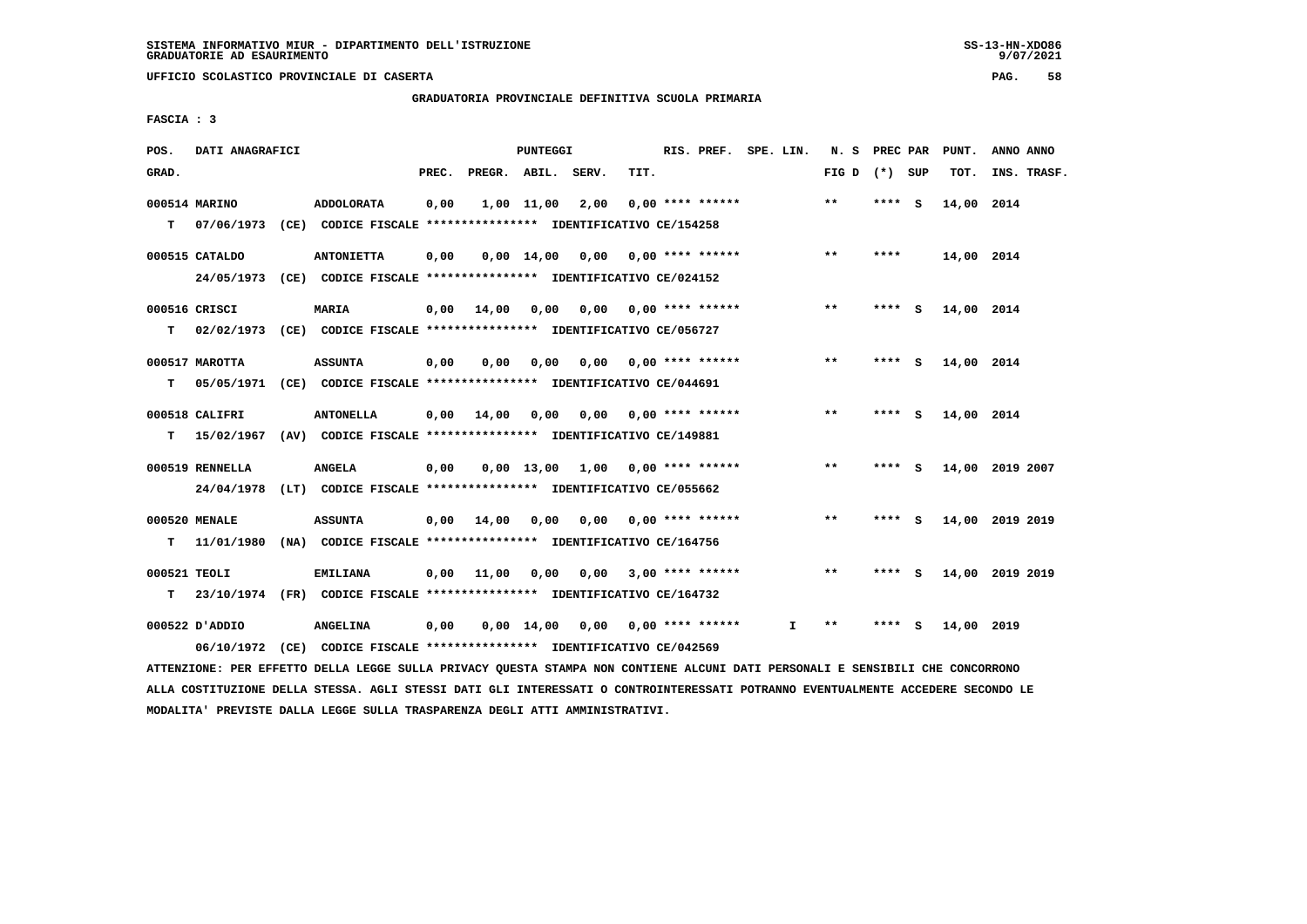**GRADUATORIA PROVINCIALE DEFINITIVA SCUOLA PRIMARIA**

 **FASCIA : 3**

| POS.         | DATI ANAGRAFICI |                                                                          |       |                    | <b>PUNTEGGI</b>               |                                    |      |                                | RIS. PREF. SPE. LIN. | N. S PREC PAR   |         |     | PUNT.      | ANNO ANNO       |
|--------------|-----------------|--------------------------------------------------------------------------|-------|--------------------|-------------------------------|------------------------------------|------|--------------------------------|----------------------|-----------------|---------|-----|------------|-----------------|
| GRAD.        |                 |                                                                          | PREC. | PREGR. ABIL. SERV. |                               |                                    | TIT. |                                |                      | FIG D $(*)$ SUP |         |     | TOT.       | INS. TRASF.     |
|              | 000514 MARINO   | <b>ADDOLORATA</b>                                                        | 0,00  |                    | 1,00 11,00 2,00               |                                    |      | $0.00$ **** ******             |                      | $**$            | $***$ S |     | 14,00 2014 |                 |
| т            | 07/06/1973      | (CE) CODICE FISCALE **************** IDENTIFICATIVO CE/154258            |       |                    |                               |                                    |      |                                |                      |                 |         |     |            |                 |
|              | 000515 CATALDO  | <b>ANTONIETTA</b>                                                        | 0,00  |                    |                               | $0,00$ 14,00 0,00 0,00 **** ****** |      |                                |                      | $* *$           | ****    |     | 14,00 2014 |                 |
|              |                 | 24/05/1973 (CE) CODICE FISCALE *************** IDENTIFICATIVO CE/024152  |       |                    |                               |                                    |      |                                |                      |                 |         |     |            |                 |
|              | 000516 CRISCI   | MARIA                                                                    | 0,00  | 14,00              | 0,00                          |                                    |      | $0.00$ $0.00$ **** ******      |                      | $* *$           | ****    | - S | 14,00 2014 |                 |
| T.           |                 | 02/02/1973 (CE) CODICE FISCALE **************** IDENTIFICATIVO CE/056727 |       |                    |                               |                                    |      |                                |                      |                 |         |     |            |                 |
|              | 000517 MAROTTA  | <b>ASSUNTA</b>                                                           | 0,00  | 0,00               | 0,00                          |                                    |      | $0,00$ $0,00$ **** ******      |                      | $***$           | **** S  |     | 14,00 2014 |                 |
| T.           |                 | 05/05/1971 (CE) CODICE FISCALE **************** IDENTIFICATIVO CE/044691 |       |                    |                               |                                    |      |                                |                      |                 |         |     |            |                 |
|              | 000518 CALIFRI  | <b>ANTONELLA</b>                                                         | 0,00  | 14,00              | 0,00                          |                                    |      | $0,00$ $0,00$ **** ******      |                      | $***$           | **** S  |     | 14,00 2014 |                 |
| т            | 15/02/1967      | (AV) CODICE FISCALE **************** IDENTIFICATIVO CE/149881            |       |                    |                               |                                    |      |                                |                      |                 |         |     |            |                 |
|              | 000519 RENNELLA | <b>ANGELA</b>                                                            | 0,00  |                    |                               | $0,00$ 13,00 1,00 0,00 **** ****** |      |                                |                      | $**$            | **** S  |     |            | 14,00 2019 2007 |
|              |                 | 24/04/1978 (LT) CODICE FISCALE *************** IDENTIFICATIVO CE/055662  |       |                    |                               |                                    |      |                                |                      |                 |         |     |            |                 |
|              | 000520 MENALE   | <b>ASSUNTA</b>                                                           | 0,00  | 14,00              | 0.00                          |                                    |      | $0.00$ $0.00$ $***$ **** ***** |                      | $* *$           | ****    | - S |            | 14,00 2019 2019 |
| т            |                 | 11/01/1980 (NA) CODICE FISCALE **************** IDENTIFICATIVO CE/164756 |       |                    |                               |                                    |      |                                |                      |                 |         |     |            |                 |
| 000521 TEOLI |                 | <b>EMILIANA</b>                                                          | 0,00  | 11,00              | 0,00                          | 0.00                               |      | 3,00 **** ******               |                      | **              | **** S  |     |            | 14,00 2019 2019 |
| т            |                 | 23/10/1974 (FR) CODICE FISCALE *************** IDENTIFICATIVO CE/164732  |       |                    |                               |                                    |      |                                |                      |                 |         |     |            |                 |
|              | 000522 D'ADDIO  | <b>ANGELINA</b>                                                          | 0,00  |                    | $0,00 \quad 14,00 \quad 0,00$ |                                    |      | 0,00 **** ******               | I.                   | $**$            | ****    | - S | 14,00 2019 |                 |
|              |                 | 06/10/1972 (CE) CODICE FISCALE *************** IDENTIFICATIVO CE/042569  |       |                    |                               |                                    |      |                                |                      |                 |         |     |            |                 |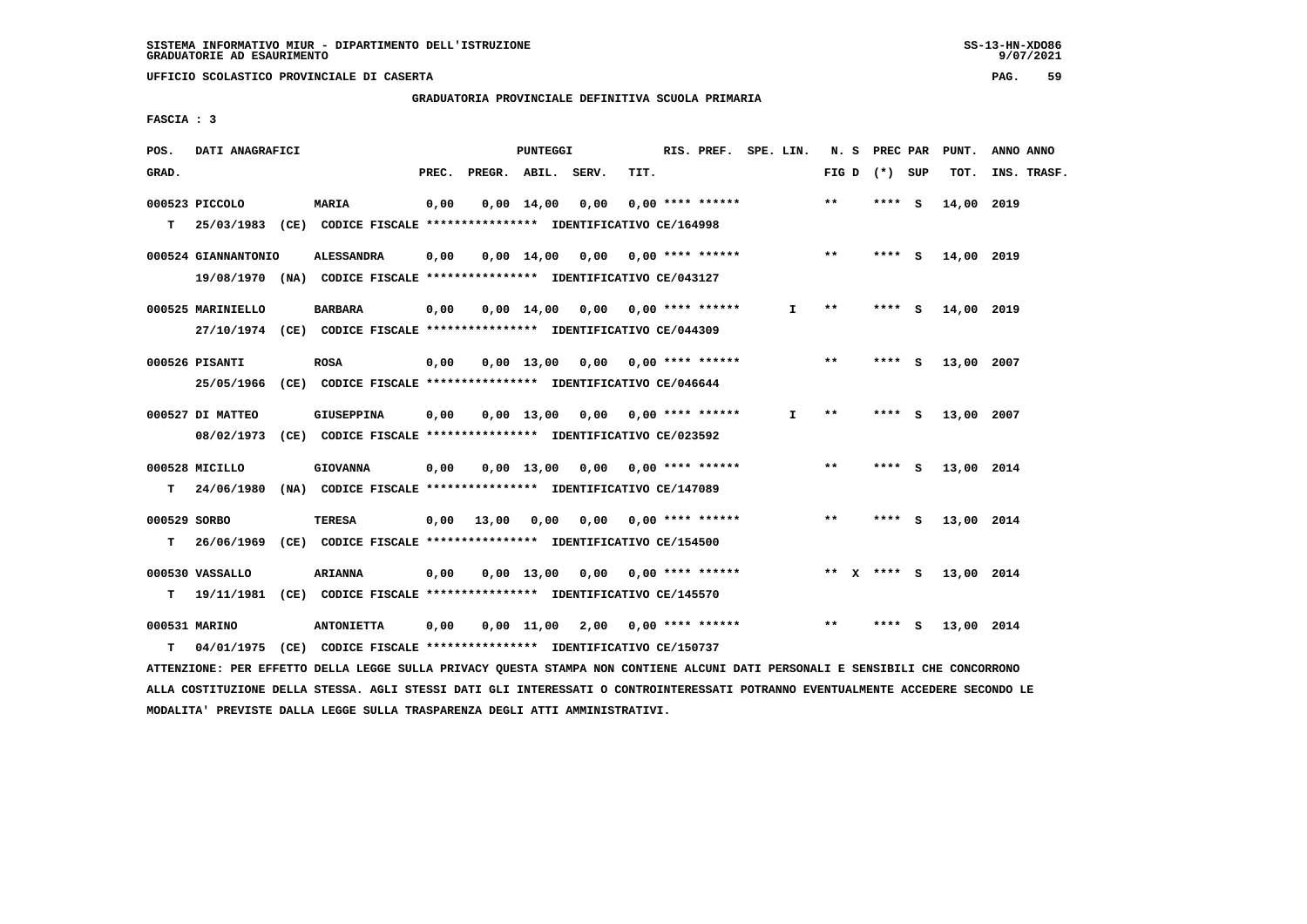$9/07/2021$ 

 **UFFICIO SCOLASTICO PROVINCIALE DI CASERTA PAG. 59**

 **GRADUATORIA PROVINCIALE DEFINITIVA SCUOLA PRIMARIA**

 **FASCIA : 3**

| POS.         | DATI ANAGRAFICI                                                                            |                   |       |                   | PUNTEGGI     |                                    |      | RIS. PREF. SPE. LIN.      |              |                            | N. S PREC PAR | PUNT.      | ANNO ANNO   |
|--------------|--------------------------------------------------------------------------------------------|-------------------|-------|-------------------|--------------|------------------------------------|------|---------------------------|--------------|----------------------------|---------------|------------|-------------|
| GRAD.        |                                                                                            |                   | PREC. |                   |              | PREGR. ABIL. SERV.                 | TIT. |                           |              | FIG D $(*)$ SUP            |               | TOT.       | INS. TRASF. |
| T.           | 000523 PICCOLO<br>25/03/1983 (CE) CODICE FISCALE **************** IDENTIFICATIVO CE/164998 | <b>MARIA</b>      | 0,00  |                   | $0,00$ 14,00 | 0,00                               |      | $0,00$ **** ******        |              | $***$                      | **** S        | 14,00 2019 |             |
|              |                                                                                            |                   |       |                   |              |                                    |      |                           |              |                            |               |            |             |
|              | 000524 GIANNANTONIO                                                                        | <b>ALESSANDRA</b> | 0,00  |                   |              | $0,00$ 14,00 0,00 0,00 **** ****** |      |                           |              | $***$                      | $***$ S       | 14,00 2019 |             |
|              | 19/08/1970 (NA) CODICE FISCALE *************** IDENTIFICATIVO CE/043127                    |                   |       |                   |              |                                    |      |                           |              |                            |               |            |             |
|              | 000525 MARINIELLO                                                                          | <b>BARBARA</b>    | 0,00  |                   |              | $0,00$ 14,00 0,00 0,00 **** ****** |      |                           | I.           | **                         | **** S        | 14,00 2019 |             |
|              | 27/10/1974 (CE) CODICE FISCALE *************** IDENTIFICATIVO CE/044309                    |                   |       |                   |              |                                    |      |                           |              |                            |               |            |             |
|              | 000526 PISANTI                                                                             | <b>ROSA</b>       | 0,00  |                   | $0,00$ 13,00 |                                    |      | 0,00 0,00 **** ******     |              | $* *$                      | **** S        | 13,00 2007 |             |
|              | 25/05/1966 (CE) CODICE FISCALE *************** IDENTIFICATIVO CE/046644                    |                   |       |                   |              |                                    |      |                           |              |                            |               |            |             |
|              |                                                                                            |                   |       |                   |              |                                    |      |                           |              |                            |               |            |             |
|              | 000527 DI MATTEO                                                                           | GIUSEPPINA        | 0,00  |                   | $0,00$ 13,00 |                                    |      | $0,00$ $0,00$ **** ****** | $\mathbf{I}$ | $\pmb{\times}\pmb{\times}$ | **** S        | 13,00 2007 |             |
|              | 08/02/1973 (CE) CODICE FISCALE *************** IDENTIFICATIVO CE/023592                    |                   |       |                   |              |                                    |      |                           |              |                            |               |            |             |
|              | 000528 MICILLO                                                                             | <b>GIOVANNA</b>   | 0,00  |                   |              | $0,00$ 13,00 0,00 0,00 **** ****** |      |                           |              | $***$                      | **** S        | 13,00 2014 |             |
| T.           | 24/06/1980 (NA) CODICE FISCALE **************** IDENTIFICATIVO CE/147089                   |                   |       |                   |              |                                    |      |                           |              |                            |               |            |             |
| 000529 SORBO |                                                                                            | <b>TERESA</b>     |       | $0,00$ 13,00 0,00 |              |                                    |      | $0,00$ $0,00$ **** ****** |              | $***$                      | $***$ S       | 13,00 2014 |             |
| т            | 26/06/1969 (CE) CODICE FISCALE **************** IDENTIFICATIVO CE/154500                   |                   |       |                   |              |                                    |      |                           |              |                            |               |            |             |
|              | 000530 VASSALLO                                                                            | <b>ARIANNA</b>    | 0,00  |                   | $0,00$ 13,00 |                                    |      | $0,00$ $0,00$ **** ****** |              | ** x **** s                |               | 13,00 2014 |             |
| т            | 19/11/1981 (CE) CODICE FISCALE *************** IDENTIFICATIVO CE/145570                    |                   |       |                   |              |                                    |      |                           |              |                            |               |            |             |
|              |                                                                                            |                   |       |                   |              |                                    |      |                           |              |                            |               |            |             |
|              | 000531 MARINO                                                                              | <b>ANTONIETTA</b> | 0,00  |                   | $0,00$ 11,00 | 2,00 0,00 **** ******              |      |                           |              | $***$                      | **** S        | 13,00 2014 |             |
| т            | 04/01/1975 (CE) CODICE FISCALE *************** IDENTIFICATIVO CE/150737                    |                   |       |                   |              |                                    |      |                           |              |                            |               |            |             |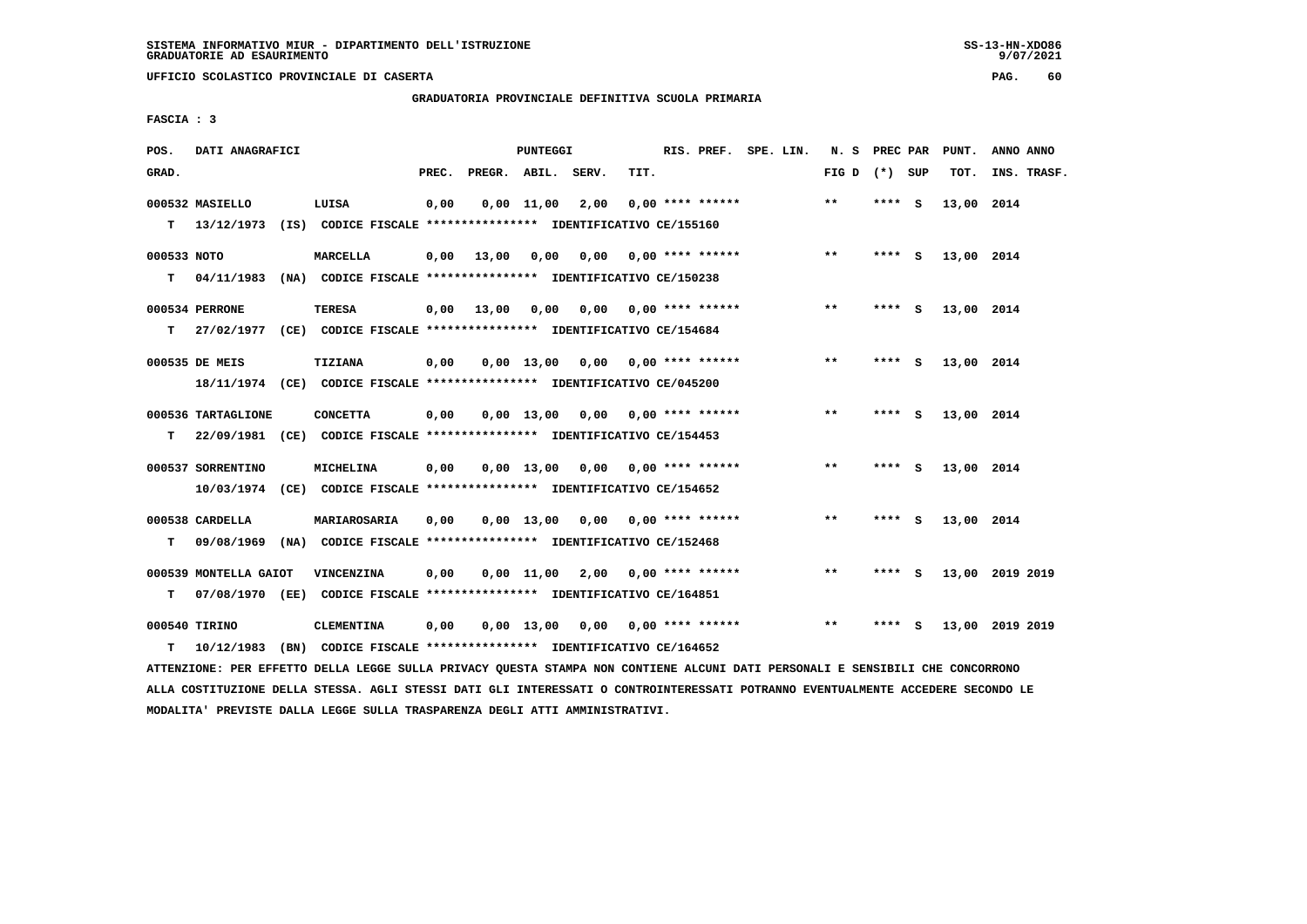$9/07/2021$ 

 **UFFICIO SCOLASTICO PROVINCIALE DI CASERTA PAG. 60**

 **GRADUATORIA PROVINCIALE DEFINITIVA SCUOLA PRIMARIA**

 **FASCIA : 3**

| POS.        | DATI ANAGRAFICI       |                                                                                                                               |       |                    | <b>PUNTEGGI</b> |                                    |                           |                    | RIS. PREF. SPE. LIN.               |       | N. S PREC PAR     | PUNT.      | ANNO ANNO       |
|-------------|-----------------------|-------------------------------------------------------------------------------------------------------------------------------|-------|--------------------|-----------------|------------------------------------|---------------------------|--------------------|------------------------------------|-------|-------------------|------------|-----------------|
| GRAD.       |                       |                                                                                                                               | PREC. | PREGR. ABIL. SERV. |                 |                                    | TIT.                      |                    |                                    |       | FIG $D$ $(*)$ SUP | TOT.       | INS. TRASF.     |
|             | 000532 MASIELLO       | LUISA                                                                                                                         | 0,00  |                    | $0,00$ $11,00$  | 2,00                               |                           | $0.00$ **** ****** |                                    | $**$  | **** S            | 13,00 2014 |                 |
|             |                       | T 13/12/1973 (IS) CODICE FISCALE *************** IDENTIFICATIVO CE/155160                                                     |       |                    |                 |                                    |                           |                    |                                    |       |                   |            |                 |
| 000533 NOTO |                       | <b>MARCELLA</b>                                                                                                               | 0,00  | 13,00 0,00         |                 |                                    | $0,00$ $0,00$ **** ****** |                    |                                    | $* *$ | **** S            | 13,00 2014 |                 |
|             |                       | T 04/11/1983 (NA) CODICE FISCALE **************** IDENTIFICATIVO CE/150238                                                    |       |                    |                 |                                    |                           |                    |                                    |       |                   |            |                 |
|             | 000534 PERRONE        | <b>TERESA</b>                                                                                                                 |       | $0,00$ 13,00 0,00  |                 |                                    | $0,00$ $0,00$ **** ****** |                    |                                    | $**$  | **** S            | 13,00 2014 |                 |
| T.          |                       | 27/02/1977 (CE) CODICE FISCALE **************** IDENTIFICATIVO CE/154684                                                      |       |                    |                 |                                    |                           |                    |                                    |       |                   |            |                 |
|             | 000535 DE MEIS        | <b>TIZIANA</b>                                                                                                                | 0,00  |                    |                 | $0,00$ 13,00 0,00 0,00 **** ****** |                           |                    |                                    | $***$ | **** S            | 13,00 2014 |                 |
|             |                       | 18/11/1974 (CE) CODICE FISCALE *************** IDENTIFICATIVO CE/045200                                                       |       |                    |                 |                                    |                           |                    |                                    |       |                   |            |                 |
|             | 000536 TARTAGLIONE    | <b>CONCETTA</b>                                                                                                               | 0,00  |                    |                 | $0,00$ 13,00 0,00 0,00 **** ****** |                           |                    |                                    | $**$  | **** S            | 13,00 2014 |                 |
|             |                       | T 22/09/1981 (CE) CODICE FISCALE *************** IDENTIFICATIVO CE/154453                                                     |       |                    |                 |                                    |                           |                    |                                    |       |                   |            |                 |
|             | 000537 SORRENTINO     | MICHELINA                                                                                                                     | 0,00  |                    | $0.00$ 13.00    | 0,00 0,00 **** ******              |                           |                    |                                    | **    | **** S            | 13,00 2014 |                 |
|             |                       | 10/03/1974 (CE) CODICE FISCALE *************** IDENTIFICATIVO CE/154652                                                       |       |                    |                 |                                    |                           |                    |                                    |       |                   |            |                 |
|             | 000538 CARDELLA       | MARIAROSARIA                                                                                                                  | 0,00  |                    |                 | $0,00$ 13,00 0,00 0,00 **** ****** |                           |                    |                                    | $***$ | **** S            | 13,00 2014 |                 |
| т           |                       | 09/08/1969 (NA) CODICE FISCALE *************** IDENTIFICATIVO CE/152468                                                       |       |                    |                 |                                    |                           |                    |                                    |       |                   |            |                 |
|             | 000539 MONTELLA GAIOT | VINCENZINA                                                                                                                    | 0,00  |                    |                 | $0,00$ 11,00 2,00 0,00 **** ****** |                           |                    |                                    | $***$ | **** S            |            | 13,00 2019 2019 |
| т           |                       | 07/08/1970 (EE) CODICE FISCALE *************** IDENTIFICATIVO CE/164851                                                       |       |                    |                 |                                    |                           |                    |                                    |       |                   |            |                 |
|             | 000540 TIRINO         | <b>CLEMENTINA</b>                                                                                                             | 0,00  |                    |                 |                                    |                           |                    | $0,00$ 13,00 0,00 0,00 **** ****** | $* *$ | **** S            |            | 13,00 2019 2019 |
| т           | 10/12/1983            | (BN) CODICE FISCALE **************** IDENTIFICATIVO CE/164652                                                                 |       |                    |                 |                                    |                           |                    |                                    |       |                   |            |                 |
|             |                       | ATTENZIONE: PER EFFETTO DELLA LEGGE SULLA PRIVACY QUESTA STAMPA NON CONTIENE ALCUNI DATI PERSONALI E SENSIBILI CHE CONCORRONO |       |                    |                 |                                    |                           |                    |                                    |       |                   |            |                 |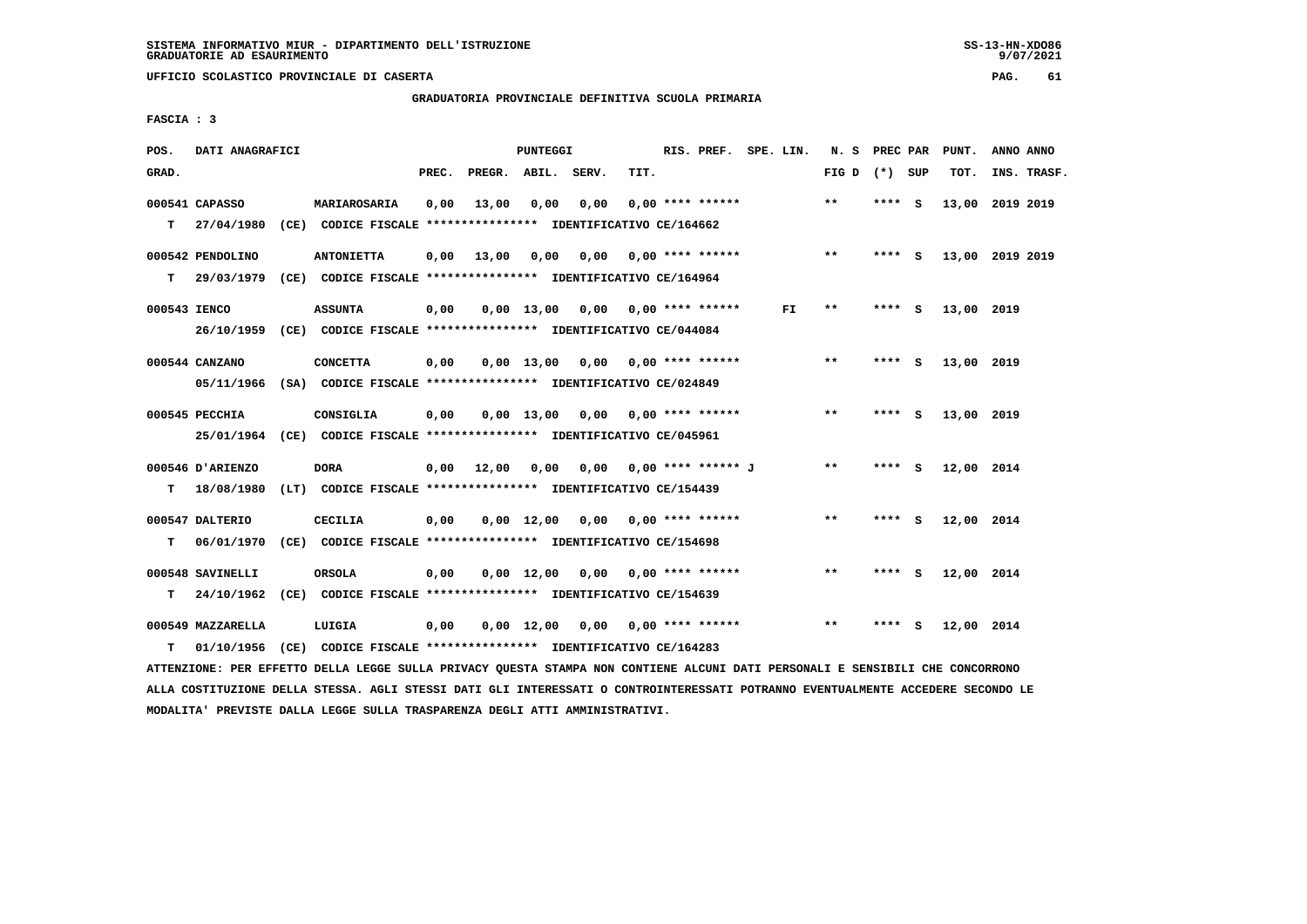# **GRADUATORIA PROVINCIALE DEFINITIVA SCUOLA PRIMARIA**

 **FASCIA : 3**

| POS.         | DATI ANAGRAFICI                                                         |                                                               |       |              | PUNTEGGI           |                                    |      | RIS. PREF. SPE. LIN.            |     | N. S PREC PAR   |         |     | PUNT.           | ANNO ANNO |             |
|--------------|-------------------------------------------------------------------------|---------------------------------------------------------------|-------|--------------|--------------------|------------------------------------|------|---------------------------------|-----|-----------------|---------|-----|-----------------|-----------|-------------|
| GRAD.        |                                                                         |                                                               | PREC. | PREGR. ABIL. |                    | SERV.                              | TIT. |                                 |     | FIG D $(*)$ SUP |         |     | TOT.            |           | INS. TRASF. |
|              | 000541 CAPASSO                                                          | MARIAROSARIA                                                  | 0,00  | 13,00        | 0,00               | 0,00                               |      | $0.00$ **** ******              |     | $**$            | **** S  |     | 13,00           | 2019 2019 |             |
|              | T 27/04/1980                                                            | (CE) CODICE FISCALE **************** IDENTIFICATIVO CE/164662 |       |              |                    |                                    |      |                                 |     |                 |         |     |                 |           |             |
|              | 000542 PENDOLINO                                                        | <b>ANTONIETTA</b>                                             | 0,00  | 13,00        | 0,00               |                                    |      | $0,00$ 0,00 **** ******         |     | $* *$           | $***$ S |     | 13,00 2019 2019 |           |             |
| T.           | 29/03/1979                                                              | (CE) CODICE FISCALE **************** IDENTIFICATIVO CE/164964 |       |              |                    |                                    |      |                                 |     |                 |         |     |                 |           |             |
| 000543 IENCO |                                                                         | <b>ASSUNTA</b>                                                | 0,00  |              |                    | $0,00$ 13,00 0,00 0,00 **** ****** |      |                                 | FI. | **              | **** S  |     | 13,00 2019      |           |             |
|              | 26/10/1959 (CE) CODICE FISCALE *************** IDENTIFICATIVO CE/044084 |                                                               |       |              |                    |                                    |      |                                 |     |                 |         |     |                 |           |             |
|              | 000544 CANZANO                                                          | <b>CONCETTA</b>                                               | 0,00  |              | $0.00$ 13.00       |                                    |      | 0,00 0,00 **** ******           |     | $* *$           | **** S  |     | 13,00 2019      |           |             |
|              | 05/11/1966 (SA) CODICE FISCALE *************** IDENTIFICATIVO CE/024849 |                                                               |       |              |                    |                                    |      |                                 |     |                 |         |     |                 |           |             |
|              | 000545 PECCHIA                                                          | CONSIGLIA                                                     | 0,00  |              | $0,00$ 13,00       |                                    |      | $0,00$ $0,00$ **** ******       |     | $**$            | **** S  |     | 13,00 2019      |           |             |
|              | 25/01/1964 (CE) CODICE FISCALE *************** IDENTIFICATIVO CE/045961 |                                                               |       |              |                    |                                    |      |                                 |     |                 |         |     |                 |           |             |
|              | 000546 D'ARIENZO                                                        | <b>DORA</b>                                                   | 0,00  | 12,00        | 0,00               |                                    |      | 0,00 0,00 **** ****** J         |     | $* *$           | **** S  |     | 12,00 2014      |           |             |
| т            | 18/08/1980                                                              | (LT) CODICE FISCALE **************** IDENTIFICATIVO CE/154439 |       |              |                    |                                    |      |                                 |     |                 |         |     |                 |           |             |
|              | 000547 DALTERIO                                                         | <b>CECILIA</b>                                                | 0,00  |              | $0.00 \quad 12.00$ |                                    |      | $0.00$ $0.00$ $***$ **** ****** |     | $***$           | **** S  |     | 12,00 2014      |           |             |
| т            | 06/01/1970                                                              | (CE) CODICE FISCALE **************** IDENTIFICATIVO CE/154698 |       |              |                    |                                    |      |                                 |     |                 |         |     |                 |           |             |
|              | 000548 SAVINELLI                                                        | ORSOLA                                                        | 0,00  |              | $0,00 \quad 12,00$ |                                    |      | $0.00$ $0.00$ **** ******       |     | $* *$           | **** S  |     | 12,00 2014      |           |             |
| т            | 24/10/1962                                                              | (CE) CODICE FISCALE **************** IDENTIFICATIVO CE/154639 |       |              |                    |                                    |      |                                 |     |                 |         |     |                 |           |             |
|              | 000549 MAZZARELLA                                                       | LUIGIA                                                        | 0,00  |              | $0,00 \quad 12,00$ |                                    |      | 0,00 0,00 **** ******           |     | $***$           | ****    | - S | 12,00 2014      |           |             |
| т            | 01/10/1956                                                              | (CE) CODICE FISCALE **************** IDENTIFICATIVO CE/164283 |       |              |                    |                                    |      |                                 |     |                 |         |     |                 |           |             |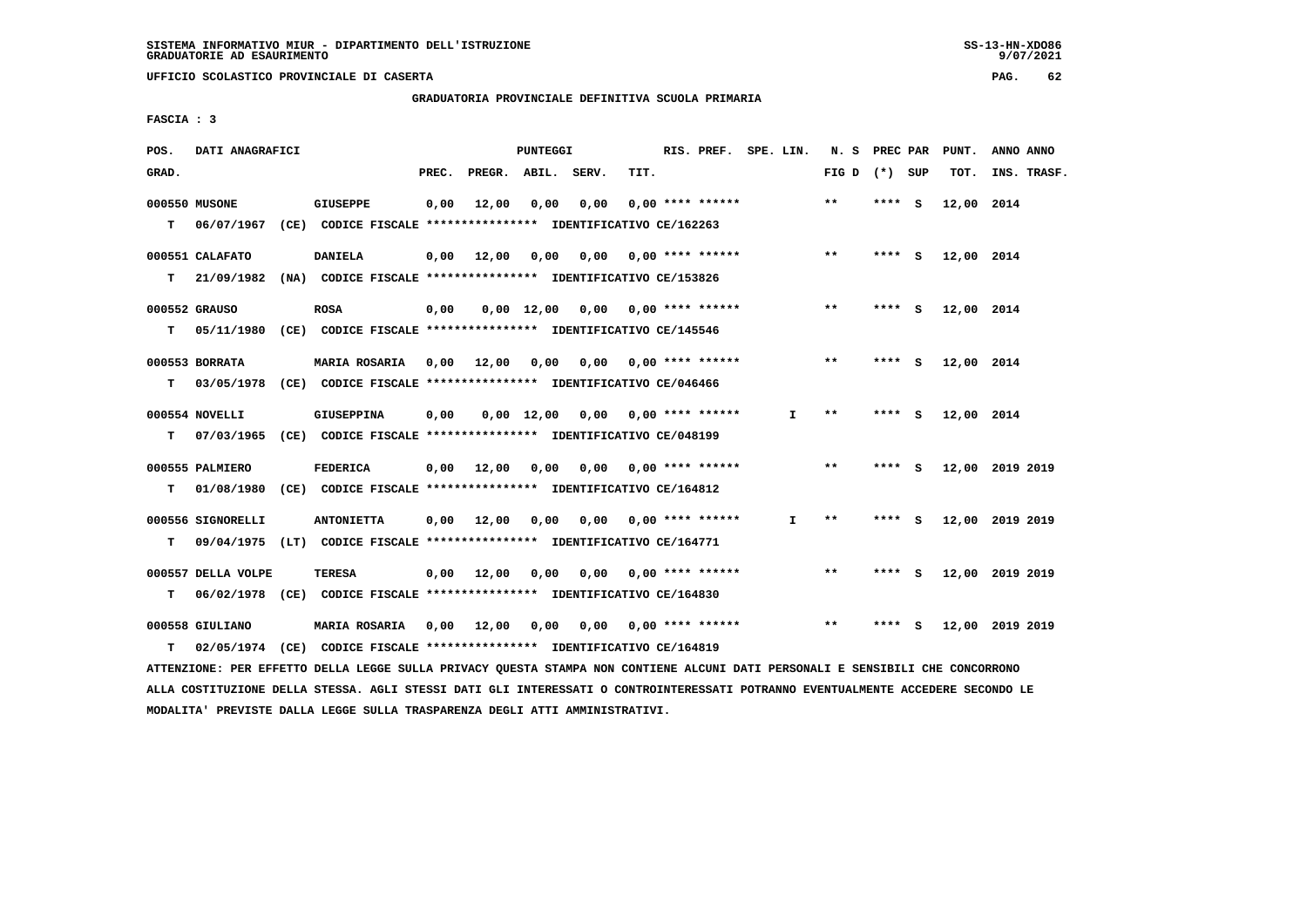$9/07/2021$ 

 **UFFICIO SCOLASTICO PROVINCIALE DI CASERTA PAG. 62**

 **GRADUATORIA PROVINCIALE DEFINITIVA SCUOLA PRIMARIA**

 **FASCIA : 3**

| POS.  | DATI ANAGRAFICI    |                                                                                                                               |       |                       | PUNTEGGI   |                                         |      | RIS. PREF. SPE. LIN.      |              | N. S PREC PAR   |         | PUNT.      | ANNO ANNO       |
|-------|--------------------|-------------------------------------------------------------------------------------------------------------------------------|-------|-----------------------|------------|-----------------------------------------|------|---------------------------|--------------|-----------------|---------|------------|-----------------|
| GRAD. |                    |                                                                                                                               | PREC. | PREGR. ABIL. SERV.    |            |                                         | TIT. |                           |              | FIG D $(*)$ SUP |         | TOT.       | INS. TRASF.     |
|       | 000550 MUSONE      | <b>GIUSEPPE</b>                                                                                                               | 0,00  | 12,00                 | 0,00       | 0,00                                    |      | $0.00$ **** ******        |              | $**$            | $***$ S | 12,00 2014 |                 |
| T.    | 06/07/1967         | (CE) CODICE FISCALE **************** IDENTIFICATIVO CE/162263                                                                 |       |                       |            |                                         |      |                           |              |                 |         |            |                 |
|       |                    |                                                                                                                               |       |                       |            |                                         |      |                           |              | $* *$           |         |            |                 |
|       | 000551 CALAFATO    | <b>DANIELA</b><br>21/09/1982 (NA) CODICE FISCALE **************** IDENTIFICATIVO CE/153826                                    |       | $0,00$ 12,00          | 0,00       |                                         |      | $0,00$ $0,00$ **** ****** |              |                 | **** S  | 12,00 2014 |                 |
| T.    |                    |                                                                                                                               |       |                       |            |                                         |      |                           |              |                 |         |            |                 |
|       | 000552 GRAUSO      | <b>ROSA</b>                                                                                                                   | 0,00  |                       |            | $0,00$ 12,00 0,00 0,00 **** ******      |      |                           |              | $***$           | **** S  | 12,00 2014 |                 |
| T.    |                    | 05/11/1980 (CE) CODICE FISCALE **************** IDENTIFICATIVO CE/145546                                                      |       |                       |            |                                         |      |                           |              |                 |         |            |                 |
|       | 000553 BORRATA     | <b>MARIA ROSARIA</b>                                                                                                          |       |                       |            | 0,00 12,00 0,00 0,00 0,00 **** ******   |      |                           |              | $**$            | **** S  | 12,00 2014 |                 |
| T.    |                    | 03/05/1978 (CE) CODICE FISCALE **************** IDENTIFICATIVO CE/046466                                                      |       |                       |            |                                         |      |                           |              |                 |         |            |                 |
|       |                    |                                                                                                                               |       |                       |            |                                         |      |                           |              |                 |         |            |                 |
|       | 000554 NOVELLI     | <b>GIUSEPPINA</b>                                                                                                             | 0,00  |                       | 0,00 12,00 |                                         |      | $0,00$ $0,00$ **** ****** | I.           | $***$           | **** S  | 12,00 2014 |                 |
| т     |                    | 07/03/1965 (CE) CODICE FISCALE **************** IDENTIFICATIVO CE/048199                                                      |       |                       |            |                                         |      |                           |              |                 |         |            |                 |
|       | 000555 PALMIERO    | <b>FEDERICA</b>                                                                                                               |       | $0,00$ $12,00$ $0,00$ |            |                                         |      | $0,00$ $0,00$ **** ****** |              | $***$           | **** S  |            | 12,00 2019 2019 |
| T.    |                    | 01/08/1980 (CE) CODICE FISCALE **************** IDENTIFICATIVO CE/164812                                                      |       |                       |            |                                         |      |                           |              |                 |         |            |                 |
|       |                    |                                                                                                                               |       |                       |            |                                         |      |                           |              |                 |         |            |                 |
|       | 000556 SIGNORELLI  | <b>ANTONIETTA</b>                                                                                                             |       |                       |            | $0,00$ 12,00 0,00 0,00 0,00 **** ****** |      |                           | $\mathbf{I}$ | $* *$           | **** S  |            | 12,00 2019 2019 |
| т     |                    | 09/04/1975 (LT) CODICE FISCALE **************** IDENTIFICATIVO CE/164771                                                      |       |                       |            |                                         |      |                           |              |                 |         |            |                 |
|       | 000557 DELLA VOLPE | <b>TERESA</b>                                                                                                                 |       | $0,00$ 12,00          | 0,00       |                                         |      | $0,00$ $0,00$ **** ****** |              | $***$           | **** S  |            | 12,00 2019 2019 |
| т     |                    | 06/02/1978 (CE) CODICE FISCALE *************** IDENTIFICATIVO CE/164830                                                       |       |                       |            |                                         |      |                           |              |                 |         |            |                 |
|       |                    |                                                                                                                               |       |                       |            |                                         |      |                           |              | $* *$           |         |            |                 |
|       | 000558 GIULIANO    | MARIA ROSARIA 0,00 12,00                                                                                                      |       |                       | 0,00       |                                         |      | 0,00 0,00 **** ******     |              |                 | **** S  |            | 12,00 2019 2019 |
| т     |                    | 02/05/1974 (CE) CODICE FISCALE *************** IDENTIFICATIVO CE/164819                                                       |       |                       |            |                                         |      |                           |              |                 |         |            |                 |
|       |                    | ATTENZIONE: PER EFFETTO DELLA LEGGE SULLA PRIVACY QUESTA STAMPA NON CONTIENE ALCUNI DATI PERSONALI E SENSIBILI CHE CONCORRONO |       |                       |            |                                         |      |                           |              |                 |         |            |                 |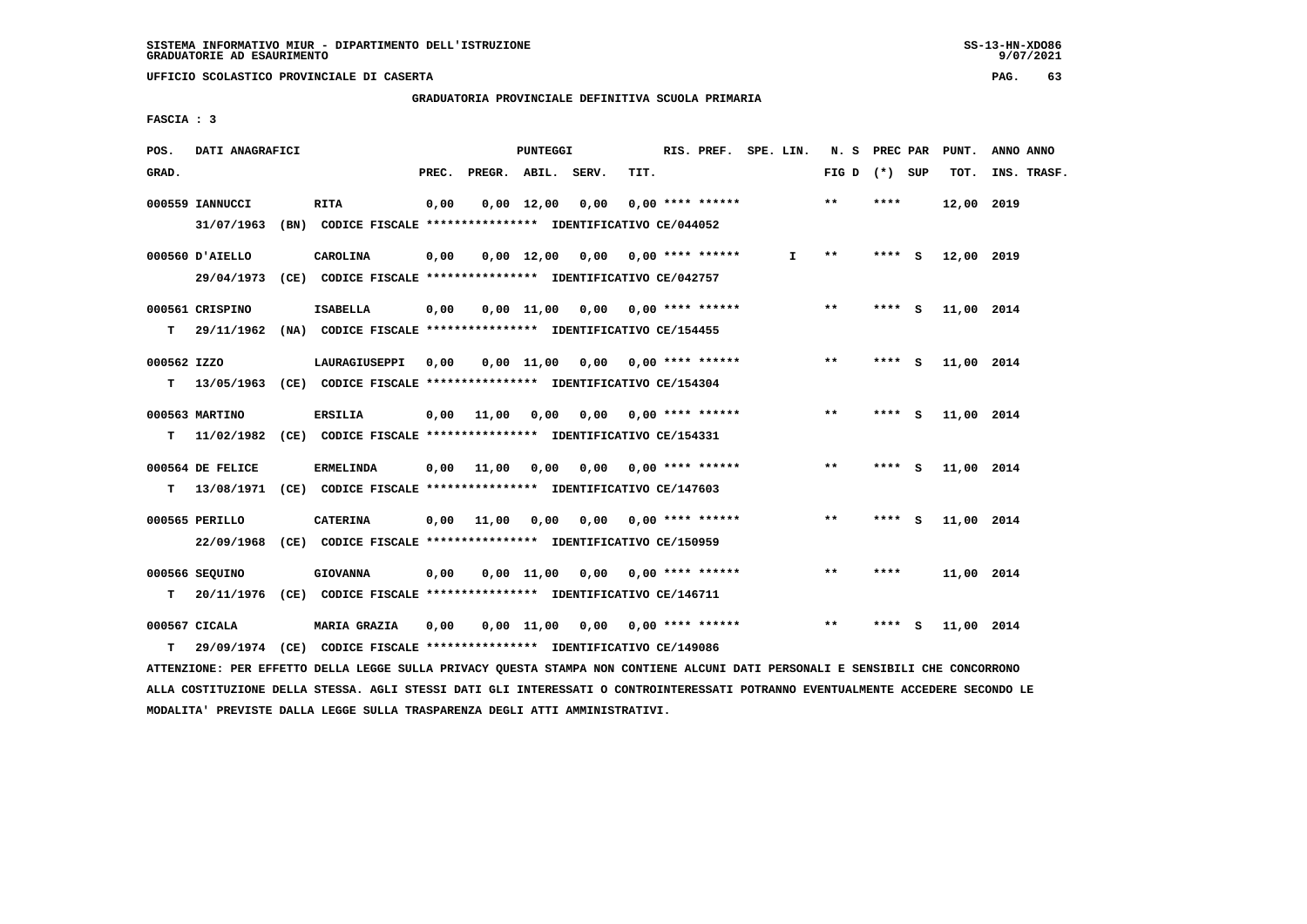**GRADUATORIA PROVINCIALE DEFINITIVA SCUOLA PRIMARIA**

 **FASCIA : 3**

| POS.        | DATI ANAGRAFICI  | PUNTEGGI                                                                  |       |                                         |                    |                                    |      | RIS. PREF. SPE. LIN.            |    | N. S PREC PAR   |          |     | PUNT.      | ANNO ANNO   |
|-------------|------------------|---------------------------------------------------------------------------|-------|-----------------------------------------|--------------------|------------------------------------|------|---------------------------------|----|-----------------|----------|-----|------------|-------------|
| GRAD.       |                  |                                                                           | PREC. | PREGR. ABIL. SERV.                      |                    |                                    | TIT. |                                 |    | FIG D $(*)$ SUP |          |     | TOT.       | INS. TRASF. |
|             | 000559 IANNUCCI  | <b>RITA</b>                                                               | 0,00  |                                         | $0.00 \quad 12.00$ | 0,00                               |      | $0.00$ **** ******              |    | $***$           | ****     |     | 12,00 2019 |             |
|             | 31/07/1963       | (BN) CODICE FISCALE **************** IDENTIFICATIVO CE/044052             |       |                                         |                    |                                    |      |                                 |    |                 |          |     |            |             |
|             | 000560 D'AIELLO  | CAROLINA                                                                  | 0,00  |                                         |                    | $0,00$ 12,00 0,00 0,00 **** ****** |      |                                 | I. | $***$           | **** S   |     | 12,00 2019 |             |
|             |                  | 29/04/1973 (CE) CODICE FISCALE *************** IDENTIFICATIVO CE/042757   |       |                                         |                    |                                    |      |                                 |    |                 |          |     |            |             |
|             | 000561 CRISPINO  | <b>ISABELLA</b>                                                           | 0,00  |                                         |                    | $0,00$ 11,00 0,00 0,00 **** ****** |      |                                 |    | $***$           | **** S   |     | 11,00 2014 |             |
| T.          |                  | 29/11/1962 (NA) CODICE FISCALE **************** IDENTIFICATIVO CE/154455  |       |                                         |                    |                                    |      |                                 |    |                 |          |     |            |             |
| 000562 IZZO |                  | LAURAGIUSEPPI                                                             | 0,00  |                                         |                    | 0,00 11,00 0,00 0,00 **** ******   |      |                                 |    | $***$           | **** S   |     | 11,00 2014 |             |
|             |                  | T 13/05/1963 (CE) CODICE FISCALE *************** IDENTIFICATIVO CE/154304 |       |                                         |                    |                                    |      |                                 |    |                 |          |     |            |             |
|             | 000563 MARTINO   | <b>ERSILIA</b>                                                            |       | 0,00 11,00                              | 0,00               |                                    |      | $0,00$ $0,00$ **** ******       |    | $* *$           | **** S   |     | 11,00 2014 |             |
| T.          |                  | 11/02/1982 (CE) CODICE FISCALE **************** IDENTIFICATIVO CE/154331  |       |                                         |                    |                                    |      |                                 |    |                 |          |     |            |             |
|             | 000564 DE FELICE | <b>ERMELINDA</b>                                                          |       | $0,00$ 11,00 0,00 0,00 0,00 **** ****** |                    |                                    |      |                                 |    | $***$           | **** $S$ |     | 11,00 2014 |             |
|             |                  | T 13/08/1971 (CE) CODICE FISCALE *************** IDENTIFICATIVO CE/147603 |       |                                         |                    |                                    |      |                                 |    |                 |          |     |            |             |
|             | 000565 PERILLO   | <b>CATERINA</b>                                                           |       | 0,00 11,00 0,00                         |                    |                                    |      | $0.00$ $0.00$ $***$ **** ****** |    | $***$           | **** S   |     | 11,00 2014 |             |
|             |                  | 22/09/1968 (CE) CODICE FISCALE *************** IDENTIFICATIVO CE/150959   |       |                                         |                    |                                    |      |                                 |    |                 |          |     |            |             |
|             | 000566 SEQUINO   | <b>GIOVANNA</b>                                                           | 0,00  |                                         |                    | $0,00$ 11,00 0,00 0,00 **** ****** |      |                                 |    | $***$           | ****     |     | 11,00 2014 |             |
| T.          |                  | 20/11/1976 (CE) CODICE FISCALE **************** IDENTIFICATIVO CE/146711  |       |                                         |                    |                                    |      |                                 |    |                 |          |     |            |             |
|             | 000567 CICALA    | <b>MARIA GRAZIA</b>                                                       | 0,00  |                                         |                    | 0,00 11,00 0,00 0,00 **** ******   |      |                                 |    | $* *$           | ****     | - S | 11,00 2014 |             |
| т           |                  | 29/09/1974 (CE) CODICE FISCALE *************** IDENTIFICATIVO CE/149086   |       |                                         |                    |                                    |      |                                 |    |                 |          |     |            |             |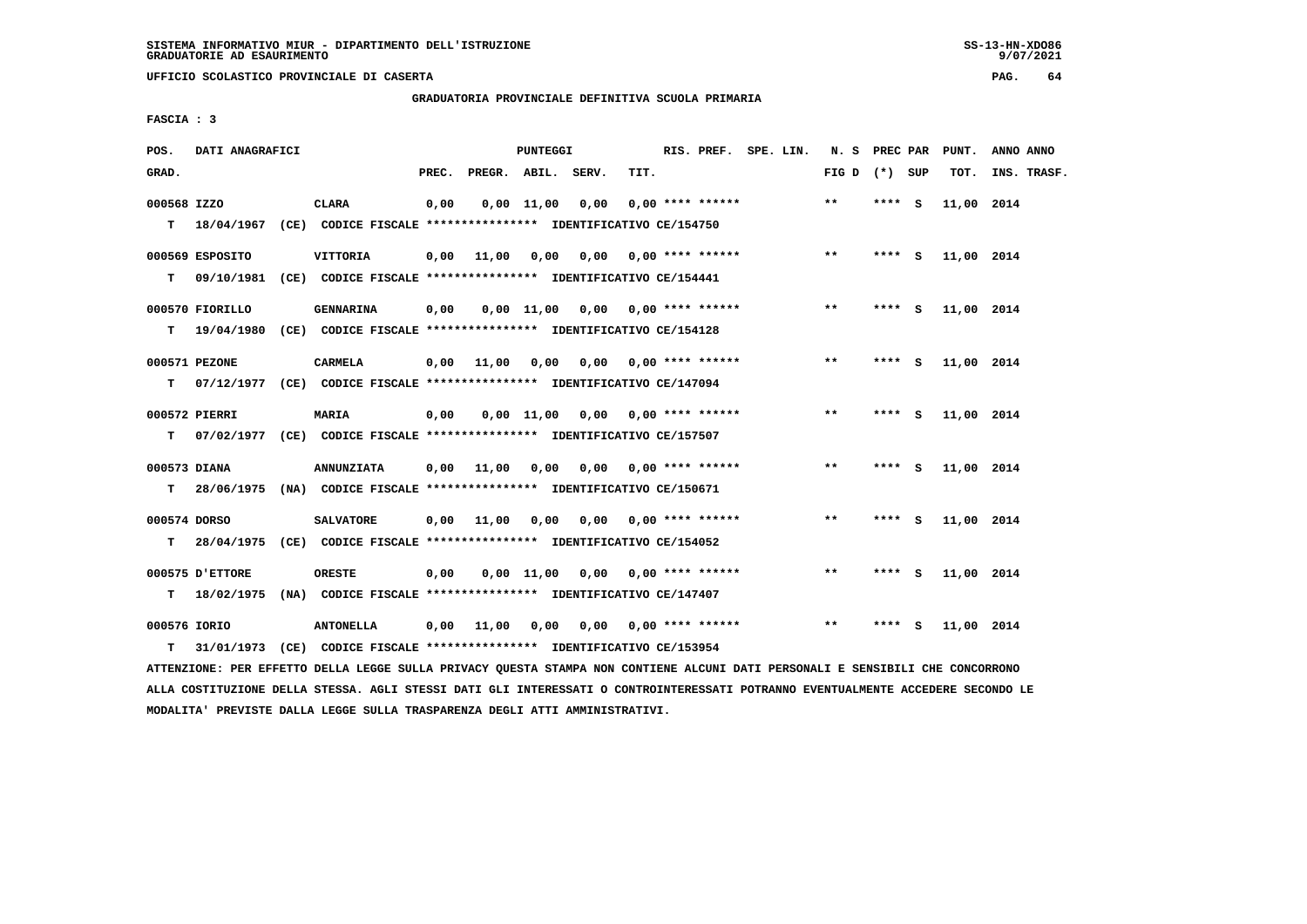$9/07/2021$ 

 **UFFICIO SCOLASTICO PROVINCIALE DI CASERTA PAG. 64**

 **GRADUATORIA PROVINCIALE DEFINITIVA SCUOLA PRIMARIA**

 **FASCIA : 3**

| POS.               | DATI ANAGRAFICI |  |                                                                                              | <b>PUNTEGGI</b> |                                       |              |                                        |      | RIS. PREF. SPE. LIN.      | N. S PREC PAR |                 |          | PUNT. | ANNO ANNO  |             |
|--------------------|-----------------|--|----------------------------------------------------------------------------------------------|-----------------|---------------------------------------|--------------|----------------------------------------|------|---------------------------|---------------|-----------------|----------|-------|------------|-------------|
| GRAD.              |                 |  |                                                                                              | PREC.           | PREGR. ABIL. SERV.                    |              |                                        | TIT. |                           |               | FIG D $(*)$ SUP |          |       | TOT.       | INS. TRASF. |
| 000568 IZZO        |                 |  | <b>CLARA</b><br>T 18/04/1967 (CE) CODICE FISCALE **************** IDENTIFICATIVO CE/154750   | 0,00            |                                       | $0,00$ 11,00 | 0,00                                   |      | $0.00$ **** ******        |               | $***$           | **** $S$ |       | 11,00 2014 |             |
| т                  | 000569 ESPOSITO |  | <b>VITTORIA</b><br>09/10/1981 (CE) CODICE FISCALE **************** IDENTIFICATIVO CE/154441  |                 | 0,00 11,00 0,00 0,00 0,00 **** ****** |              |                                        |      |                           |               | $***$           | $***$ S  |       | 11,00 2014 |             |
|                    | 000570 FIORILLO |  | GENNARINA<br>19/04/1980 (CE) CODICE FISCALE **************** IDENTIFICATIVO CE/154128        | 0,00            |                                       |              | $0.00$ 11,00 0.00 0.00 **** ******     |      |                           |               | $***$           | **** S   |       | 11,00 2014 |             |
| T.                 | 000571 PEZONE   |  | <b>CARMELA</b><br>07/12/1977 (CE) CODICE FISCALE *************** IDENTIFICATIVO CE/147094    |                 | $0.00$ $11.00$                        | 0,00         |                                        |      | $0.00$ $0.00$ **** ****** |               | $* *$           | **** S   |       | 11,00 2014 |             |
| т                  | 000572 PIERRI   |  | <b>MARIA</b>                                                                                 | 0,00            |                                       |              | 0,00 11,00 0,00 0,00 **** ******       |      |                           |               | $***$           | **** $S$ |       | 11,00 2014 |             |
| т<br>000573 DIANA  |                 |  | 07/02/1977 (CE) CODICE FISCALE *************** IDENTIFICATIVO CE/157507<br><b>ANNUNZIATA</b> |                 | 0,00 11,00 0,00                       |              | 0,00                                   |      | $0.00$ **** ******        |               | $***$           | **** S   |       | 11,00 2014 |             |
| T.<br>000574 DORSO |                 |  | 28/06/1975 (NA) CODICE FISCALE **************** IDENTIFICATIVO CE/150671<br><b>SALVATORE</b> |                 | $0,00$ 11,00                          |              | $0,00$ $0,00$ $0,00$ $***$ **** ****** |      |                           |               | $***$           | **** S   |       | 11,00 2014 |             |
| т                  | 000575 D'ETTORE |  | 28/04/1975 (CE) CODICE FISCALE **************** IDENTIFICATIVO CE/154052<br><b>ORESTE</b>    | 0,00            |                                       |              | $0,00$ 11,00 0,00 0,00 **** ******     |      |                           |               | $***$           | **** S   |       | 11,00 2014 |             |
| т<br>000576 IORIO  |                 |  | 18/02/1975 (NA) CODICE FISCALE **************** IDENTIFICATIVO CE/147407<br><b>ANTONELLA</b> |                 | $0,00$ 11,00                          | 0,00         |                                        |      | $0,00$ $0,00$ **** ****** |               | $* *$           | ****     | - 5   | 11,00 2014 |             |
| т                  |                 |  | 31/01/1973 (CE) CODICE FISCALE *************** IDENTIFICATIVO CE/153954                      |                 |                                       |              |                                        |      |                           |               |                 |          |       |            |             |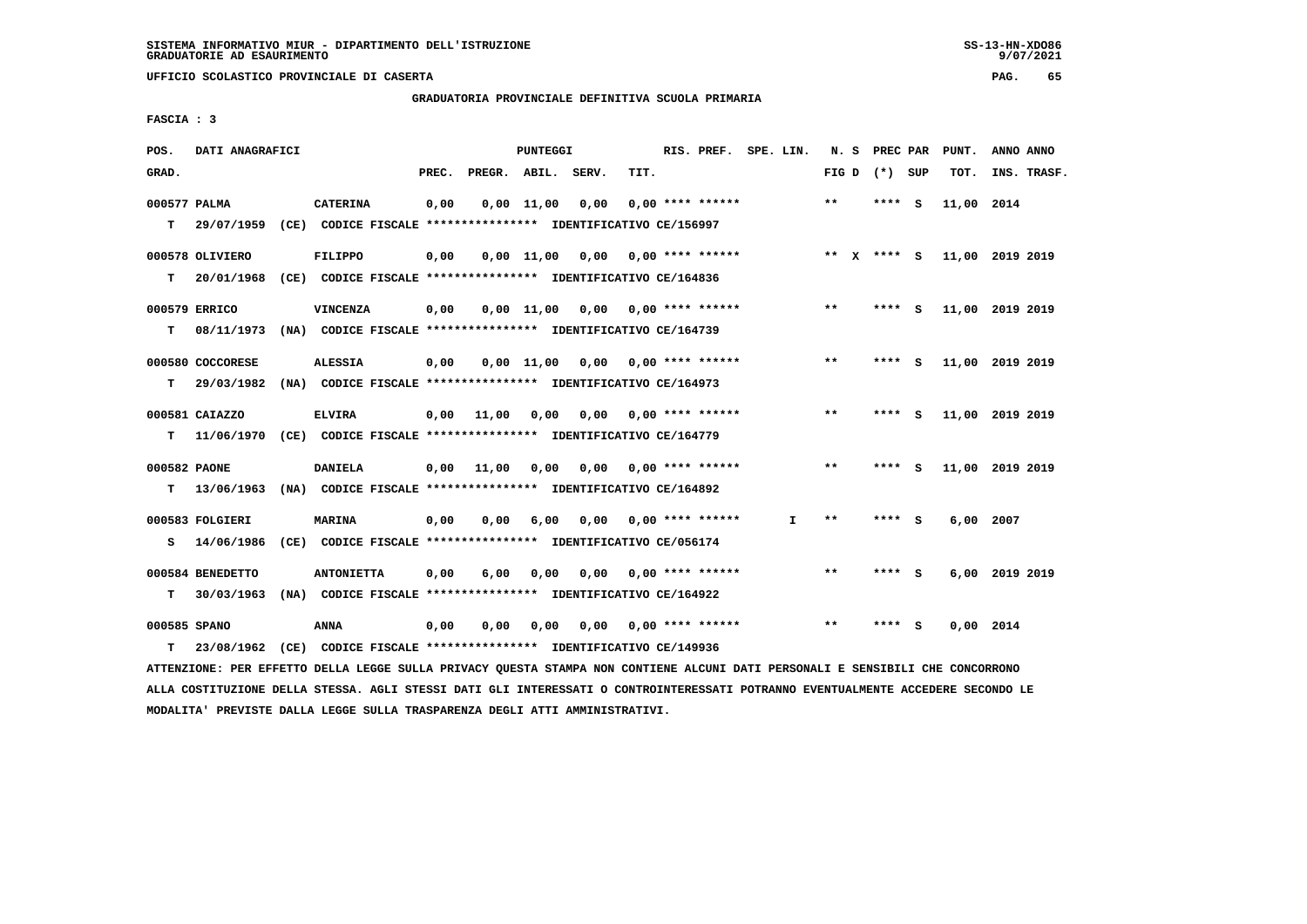$9/07/2021$ 

 **UFFICIO SCOLASTICO PROVINCIALE DI CASERTA PAG. 65**

 **GRADUATORIA PROVINCIALE DEFINITIVA SCUOLA PRIMARIA**

 **FASCIA : 3**

| POS.         | DATI ANAGRAFICI  |                                                                                                                               |       |                    | PUNTEGGI           |                               |      | RIS. PREF. SPE. LIN.      |    |       | N. S PREC PAR     |     | PUNT.           | ANNO ANNO      |             |
|--------------|------------------|-------------------------------------------------------------------------------------------------------------------------------|-------|--------------------|--------------------|-------------------------------|------|---------------------------|----|-------|-------------------|-----|-----------------|----------------|-------------|
| GRAD.        |                  |                                                                                                                               | PREC. | PREGR. ABIL. SERV. |                    |                               | TIT. |                           |    |       | FIG $D$ $(*)$ SUP |     | TOT.            |                | INS. TRASF. |
| 000577 PALMA |                  | <b>CATERINA</b>                                                                                                               | 0,00  |                    | 0,00 11,00         | 0,00                          |      | $0.00$ **** ******        |    | $***$ | ****              | - S | 11,00 2014      |                |             |
| T.           | 29/07/1959       | (CE) CODICE FISCALE **************** IDENTIFICATIVO CE/156997                                                                 |       |                    |                    |                               |      |                           |    |       |                   |     |                 |                |             |
|              |                  |                                                                                                                               |       |                    |                    |                               |      |                           |    |       |                   |     |                 |                |             |
|              | 000578 OLIVIERO  | <b>FILIPPO</b>                                                                                                                | 0,00  |                    | $0,00 \quad 11,00$ |                               |      | $0,00$ $0,00$ **** ****** |    |       | ** X **** S       |     | 11,00 2019 2019 |                |             |
| т            |                  | 20/01/1968 (CE) CODICE FISCALE *************** IDENTIFICATIVO CE/164836                                                       |       |                    |                    |                               |      |                           |    |       |                   |     |                 |                |             |
|              | 000579 ERRICO    | <b>VINCENZA</b>                                                                                                               | 0,00  |                    | $0,00 \quad 11,00$ | 0,00 0,00 **** ******         |      |                           |    | $**$  | **** S            |     | 11,00 2019 2019 |                |             |
| т            |                  | 08/11/1973 (NA) CODICE FISCALE **************** IDENTIFICATIVO CE/164739                                                      |       |                    |                    |                               |      |                           |    |       |                   |     |                 |                |             |
|              |                  |                                                                                                                               |       |                    |                    |                               |      |                           |    | $***$ |                   |     |                 |                |             |
|              | 000580 COCCORESE | <b>ALESSIA</b>                                                                                                                | 0,00  |                    |                    | $0,00 \quad 11,00 \quad 0,00$ |      | $0.00$ **** ******        |    |       | **** S            |     | 11,00 2019 2019 |                |             |
| т            | 29/03/1982       | (NA) CODICE FISCALE **************** IDENTIFICATIVO CE/164973                                                                 |       |                    |                    |                               |      |                           |    |       |                   |     |                 |                |             |
|              | 000581 CAIAZZO   | <b>ELVIRA</b>                                                                                                                 | 0,00  | 11,00              | 0,00               |                               |      | $0,00$ $0,00$ **** ****** |    | $* *$ | **** S            |     | 11,00 2019 2019 |                |             |
|              |                  | T 11/06/1970 (CE) CODICE FISCALE *************** IDENTIFICATIVO CE/164779                                                     |       |                    |                    |                               |      |                           |    |       |                   |     |                 |                |             |
|              |                  |                                                                                                                               |       |                    |                    |                               |      |                           |    |       |                   |     |                 |                |             |
| 000582 PAONE |                  | DANIELA                                                                                                                       | 0,00  | 11,00              | 0,00               |                               |      | $0,00$ $0,00$ **** ****** |    | $* *$ | **** S            |     | 11,00 2019 2019 |                |             |
| т            | 13/06/1963       | (NA) CODICE FISCALE **************** IDENTIFICATIVO CE/164892                                                                 |       |                    |                    |                               |      |                           |    |       |                   |     |                 |                |             |
|              | 000583 FOLGIERI  | <b>MARINA</b>                                                                                                                 | 0,00  | 0,00               | 6,00               | 0,00                          |      | $0.00$ **** ******        | I. | $***$ | **** S            |     | $6,00$ 2007     |                |             |
| s            | 14/06/1986       | (CE) CODICE FISCALE **************** IDENTIFICATIVO CE/056174                                                                 |       |                    |                    |                               |      |                           |    |       |                   |     |                 |                |             |
|              |                  |                                                                                                                               |       |                    |                    |                               |      |                           |    |       |                   |     |                 |                |             |
|              | 000584 BENEDETTO | <b>ANTONIETTA</b>                                                                                                             | 0,00  | 6,00               | 0,00               |                               |      | $0.00$ $0.00$ **** ****** |    | $* *$ | **** S            |     |                 | 6,00 2019 2019 |             |
| т            | 30/03/1963       | (NA) CODICE FISCALE **************** IDENTIFICATIVO CE/164922                                                                 |       |                    |                    |                               |      |                           |    |       |                   |     |                 |                |             |
| 000585 SPANO |                  | <b>ANNA</b>                                                                                                                   | 0,00  | 0,00               | 0,00               | 0.00                          |      | $0.00$ **** ******        |    | $**$  | ****              | - S | 0.00 2014       |                |             |
| т            | 23/08/1962       | (CE) CODICE FISCALE **************** IDENTIFICATIVO CE/149936                                                                 |       |                    |                    |                               |      |                           |    |       |                   |     |                 |                |             |
|              |                  | ATTENZIONE: PER EFFETTO DELLA LEGGE SULLA PRIVACY QUESTA STAMPA NON CONTIENE ALCUNI DATI PERSONALI E SENSIBILI CHE CONCORRONO |       |                    |                    |                               |      |                           |    |       |                   |     |                 |                |             |